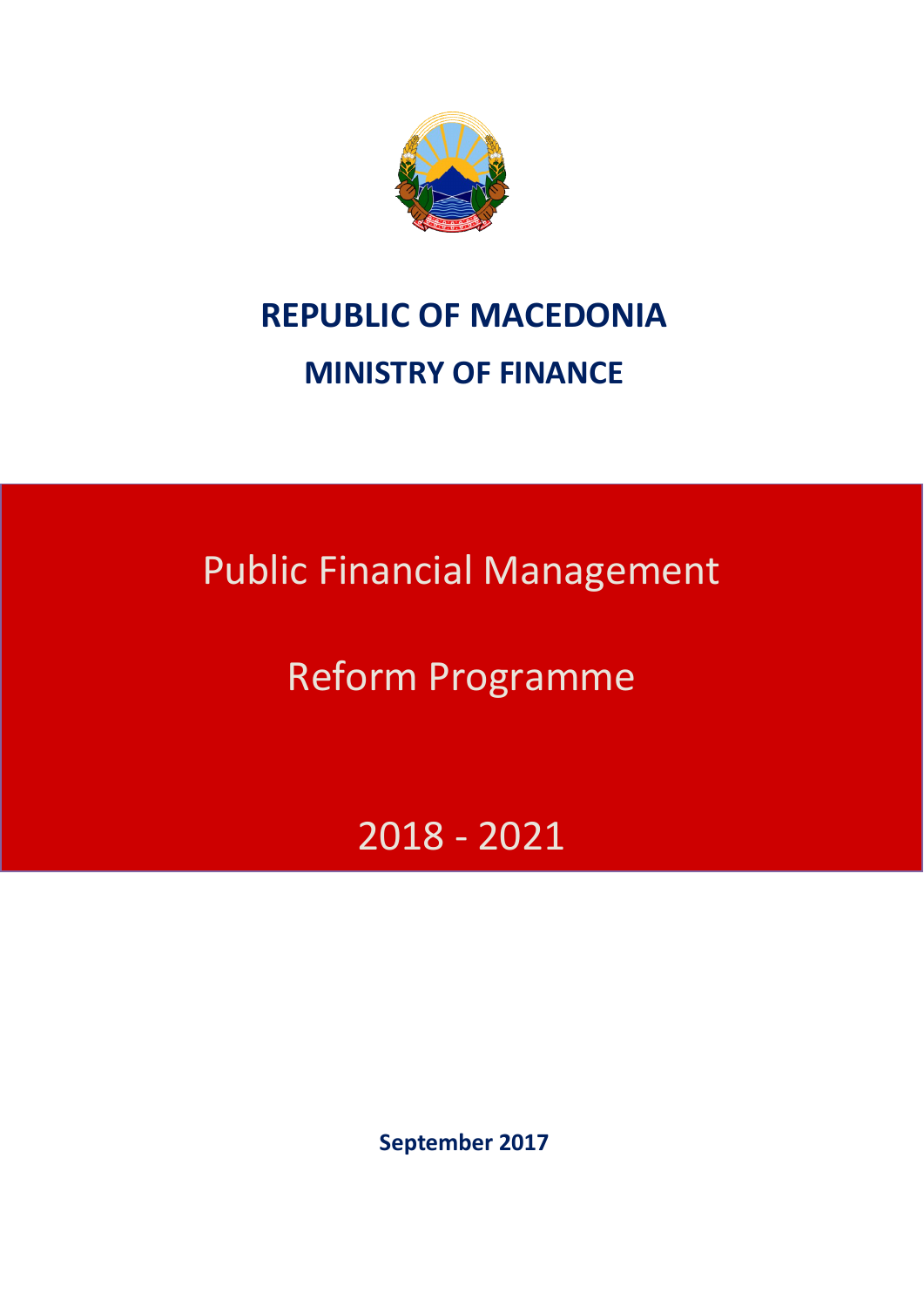

# **REPUBLIC OF MACEDONIA MINISTRY OF FINANCE**

Public Financial Management

Reform Programme

2018 - 2021

**September 2017**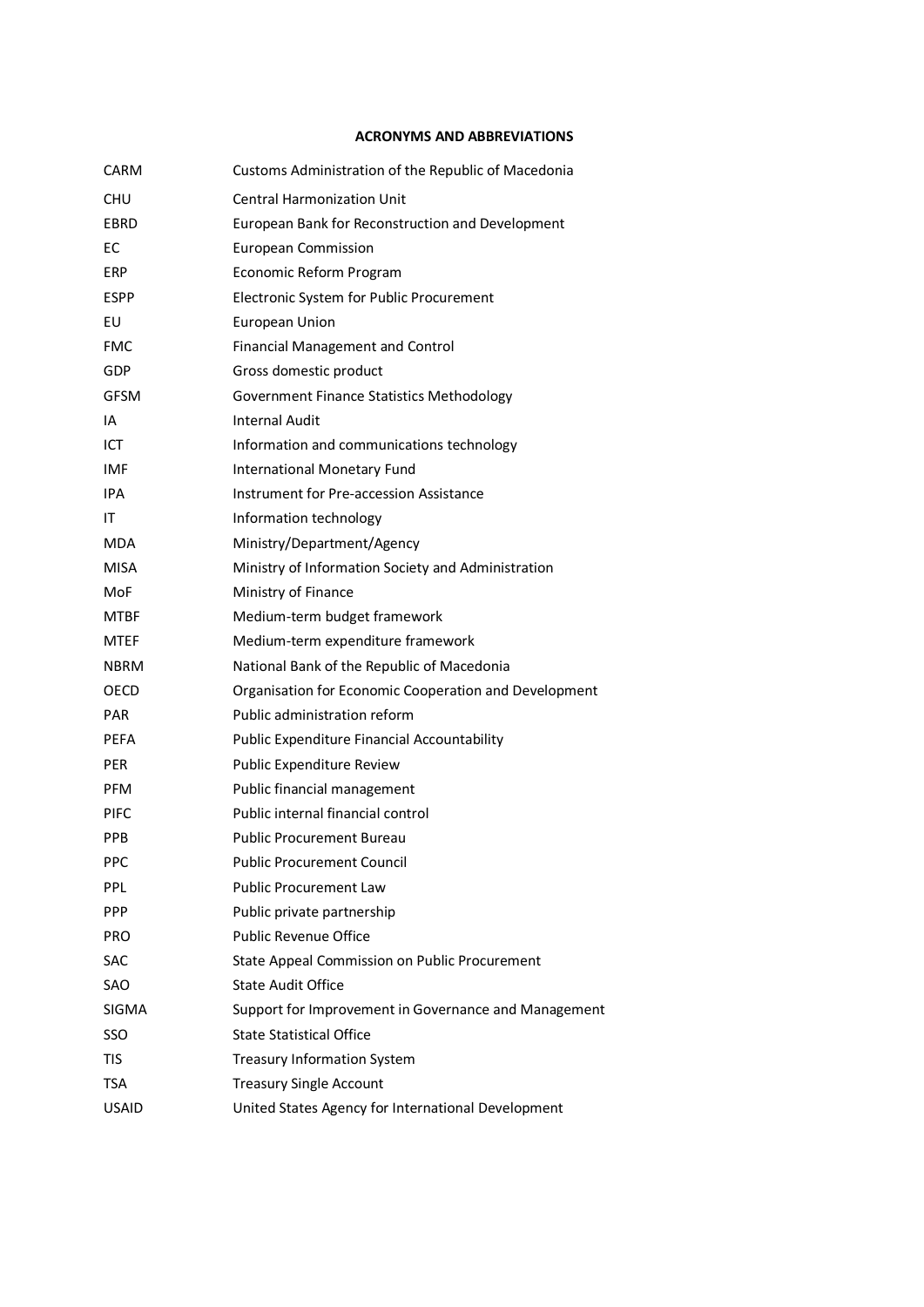#### **ACRONYMS AND ABBREVIATIONS**

| CARM         | Customs Administration of the Republic of Macedonia   |
|--------------|-------------------------------------------------------|
| CHU          | <b>Central Harmonization Unit</b>                     |
| EBRD         | European Bank for Reconstruction and Development      |
| EC           | <b>European Commission</b>                            |
| ERP          | Economic Reform Program                               |
| <b>ESPP</b>  | Electronic System for Public Procurement              |
| EU           | European Union                                        |
| <b>FMC</b>   | <b>Financial Management and Control</b>               |
| GDP          | Gross domestic product                                |
| GFSM         | <b>Government Finance Statistics Methodology</b>      |
| IA           | Internal Audit                                        |
| ICT.         | Information and communications technology             |
| IMF          | <b>International Monetary Fund</b>                    |
| IPA          | Instrument for Pre-accession Assistance               |
| ΙT           | Information technology                                |
| <b>MDA</b>   | Ministry/Department/Agency                            |
| MISA         | Ministry of Information Society and Administration    |
| MoF          | Ministry of Finance                                   |
| MTBF         | Medium-term budget framework                          |
| MTEF         | Medium-term expenditure framework                     |
| NBRM         | National Bank of the Republic of Macedonia            |
| OECD         | Organisation for Economic Cooperation and Development |
| <b>PAR</b>   | Public administration reform                          |
| PEFA         | Public Expenditure Financial Accountability           |
| <b>PER</b>   | Public Expenditure Review                             |
| <b>PFM</b>   | Public financial management                           |
| <b>PIFC</b>  | Public internal financial control                     |
| PPB          | <b>Public Procurement Bureau</b>                      |
| PPC          | <b>Public Procurement Council</b>                     |
| PPL          | <b>Public Procurement Law</b>                         |
| <b>PPP</b>   | Public private partnership                            |
| <b>PRO</b>   | <b>Public Revenue Office</b>                          |
| SAC          | State Appeal Commission on Public Procurement         |
| SAO          | <b>State Audit Office</b>                             |
| <b>SIGMA</b> | Support for Improvement in Governance and Management  |
| SSO          | <b>State Statistical Office</b>                       |
| <b>TIS</b>   | <b>Treasury Information System</b>                    |
| TSA          | <b>Treasury Single Account</b>                        |
| <b>USAID</b> | United States Agency for International Development    |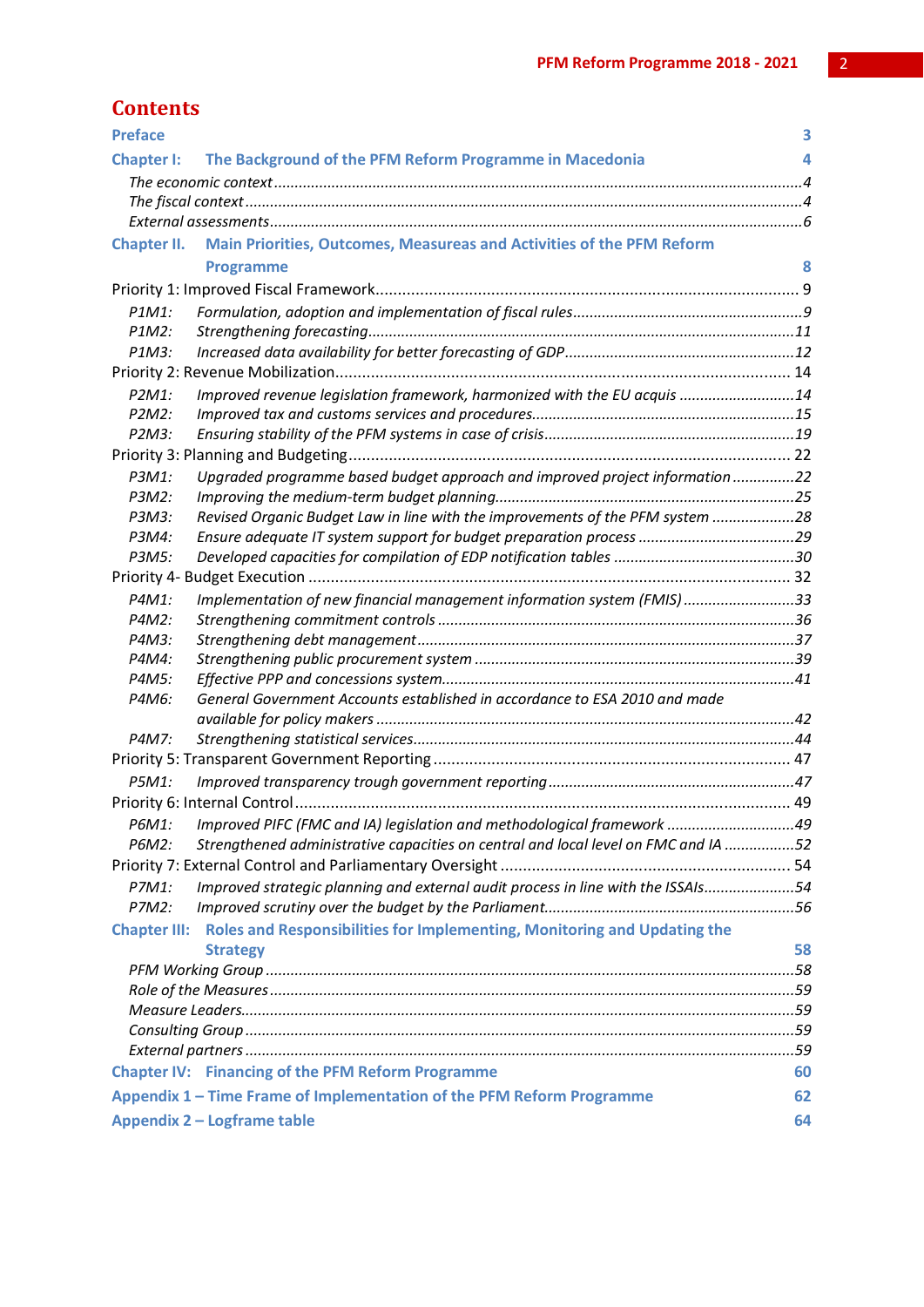|  |  | Contents |
|--|--|----------|
|  |  |          |

| <b>Preface</b>      |                                                                                    | 3  |
|---------------------|------------------------------------------------------------------------------------|----|
| <b>Chapter I:</b>   | The Background of the PFM Reform Programme in Macedonia                            | 4  |
|                     |                                                                                    |    |
|                     |                                                                                    |    |
|                     |                                                                                    |    |
| <b>Chapter II.</b>  | Main Priorities, Outcomes, Measureas and Activities of the PFM Reform              |    |
|                     | <b>Programme</b>                                                                   | 8  |
|                     |                                                                                    |    |
| P1M1:               |                                                                                    |    |
| P1M2:               |                                                                                    |    |
| P1M3:               |                                                                                    |    |
|                     |                                                                                    |    |
| P2M1:               | Improved revenue legislation framework, harmonized with the EU acquis 14           |    |
| P2M2:               |                                                                                    |    |
| $P2M3$ :            |                                                                                    |    |
|                     |                                                                                    |    |
| P3M1:               | Upgraded programme based budget approach and improved project information 22       |    |
| P3M2:               |                                                                                    |    |
| P3M3:               | Revised Organic Budget Law in line with the improvements of the PFM system 28      |    |
| P3M4:               |                                                                                    |    |
| P3M5:               |                                                                                    |    |
|                     |                                                                                    |    |
| P4M1:               | Implementation of new financial management information system (FMIS)33             |    |
| P4M2:               |                                                                                    |    |
| P4M3:               |                                                                                    |    |
| P4M4:               |                                                                                    |    |
| P4M5:               |                                                                                    |    |
| P4M6:               | General Government Accounts established in accordance to ESA 2010 and made         |    |
|                     |                                                                                    |    |
| P4M7:               |                                                                                    |    |
|                     |                                                                                    |    |
| P5M1:               |                                                                                    |    |
|                     |                                                                                    |    |
| P6M1:               | Improved PIFC (FMC and IA) legislation and methodological framework 49             |    |
| P6M2:               | Strengthened administrative capacities on central and local level on FMC and IA 52 |    |
|                     |                                                                                    |    |
| P7M1:               | Improved strategic planning and external audit process in line with the ISSAIs54   |    |
| P7M2:               |                                                                                    |    |
| <b>Chapter III:</b> | Roles and Responsibilities for Implementing, Monitoring and Updating the           |    |
|                     | <b>Strategy</b>                                                                    | 58 |
|                     |                                                                                    |    |
|                     |                                                                                    |    |
|                     |                                                                                    |    |
|                     |                                                                                    |    |
|                     |                                                                                    |    |
|                     | <b>Chapter IV: Financing of the PFM Reform Programme</b>                           | 60 |
|                     | Appendix 1 – Time Frame of Implementation of the PFM Reform Programme              | 62 |
|                     | Appendix 2 - Logframe table                                                        | 64 |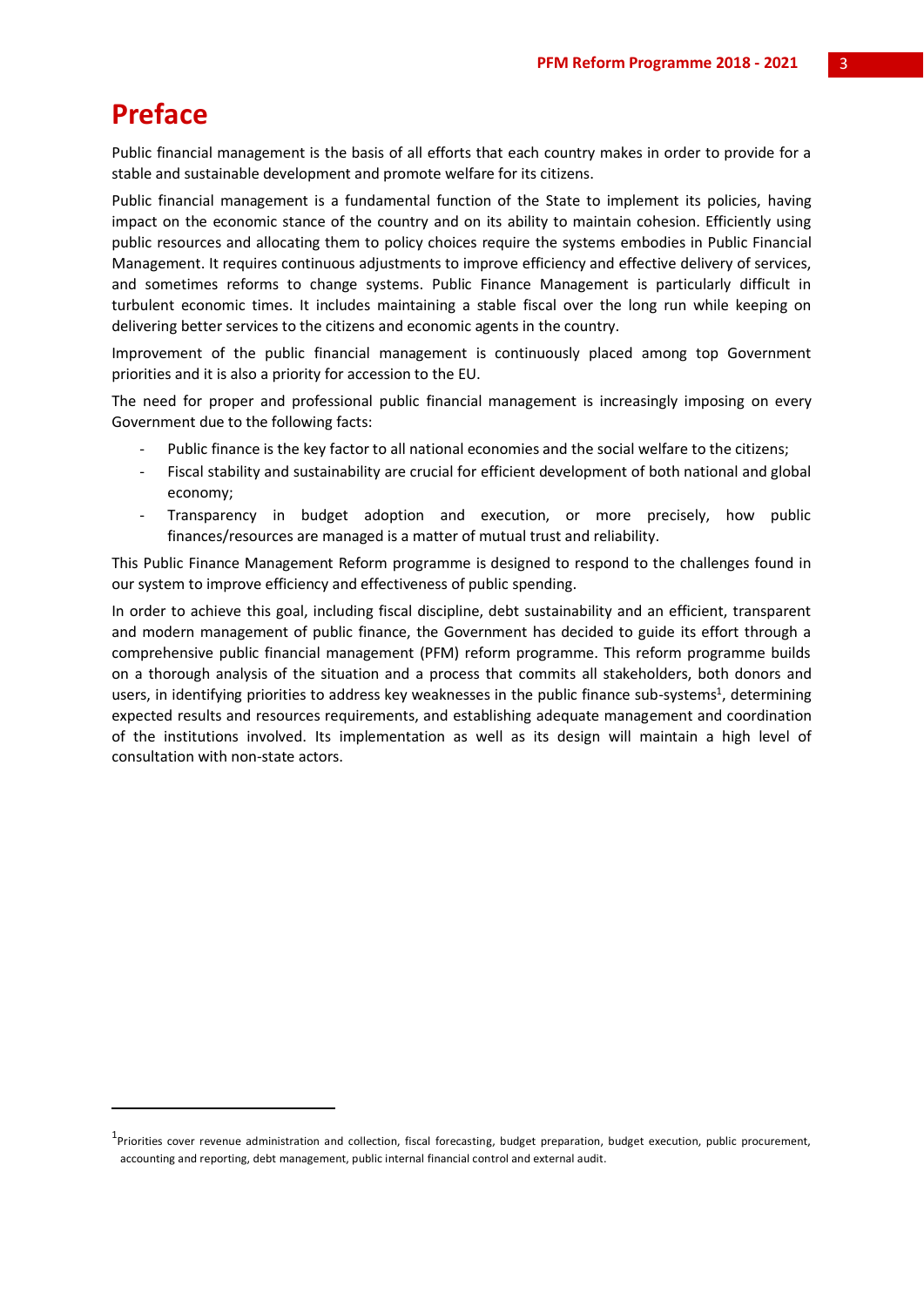## **Preface**

-

Public financial management is the basis of all efforts that each country makes in order to provide for a stable and sustainable development and promote welfare for its citizens.

Public financial management is a fundamental function of the State to implement its policies, having impact on the economic stance of the country and on its ability to maintain cohesion. Efficiently using public resources and allocating them to policy choices require the systems embodies in Public Financial Management. It requires continuous adjustments to improve efficiency and effective delivery of services, and sometimes reforms to change systems. Public Finance Management is particularly difficult in turbulent economic times. It includes maintaining a stable fiscal over the long run while keeping on delivering better services to the citizens and economic agents in the country.

Improvement of the public financial management is continuously placed among top Government priorities and it is also a priority for accession to the EU.

The need for proper and professional public financial management is increasingly imposing on every Government due to the following facts:

- Public finance is the key factor to all national economies and the social welfare to the citizens;
- Fiscal stability and sustainability are crucial for efficient development of both national and global economy;
- Transparency in budget adoption and execution, or more precisely, how public finances/resources are managed is a matter of mutual trust and reliability.

This Public Finance Management Reform programme is designed to respond to the challenges found in our system to improve efficiency and effectiveness of public spending.

In order to achieve this goal, including fiscal discipline, debt sustainability and an efficient, transparent and modern management of public finance, the Government has decided to guide its effort through a comprehensive public financial management (PFM) reform programme. This reform programme builds on a thorough analysis of the situation and a process that commits all stakeholders, both donors and users, in identifying priorities to address key weaknesses in the public finance sub-systems<sup>1</sup>, determining expected results and resources requirements, and establishing adequate management and coordination of the institutions involved. Its implementation as well as its design will maintain a high level of consultation with non-state actors.

<sup>&</sup>lt;sup>1</sup>Priorities cover revenue administration and collection, fiscal forecasting, budget preparation, budget execution, public procurement, accounting and reporting, debt management, public internal financial control and external audit.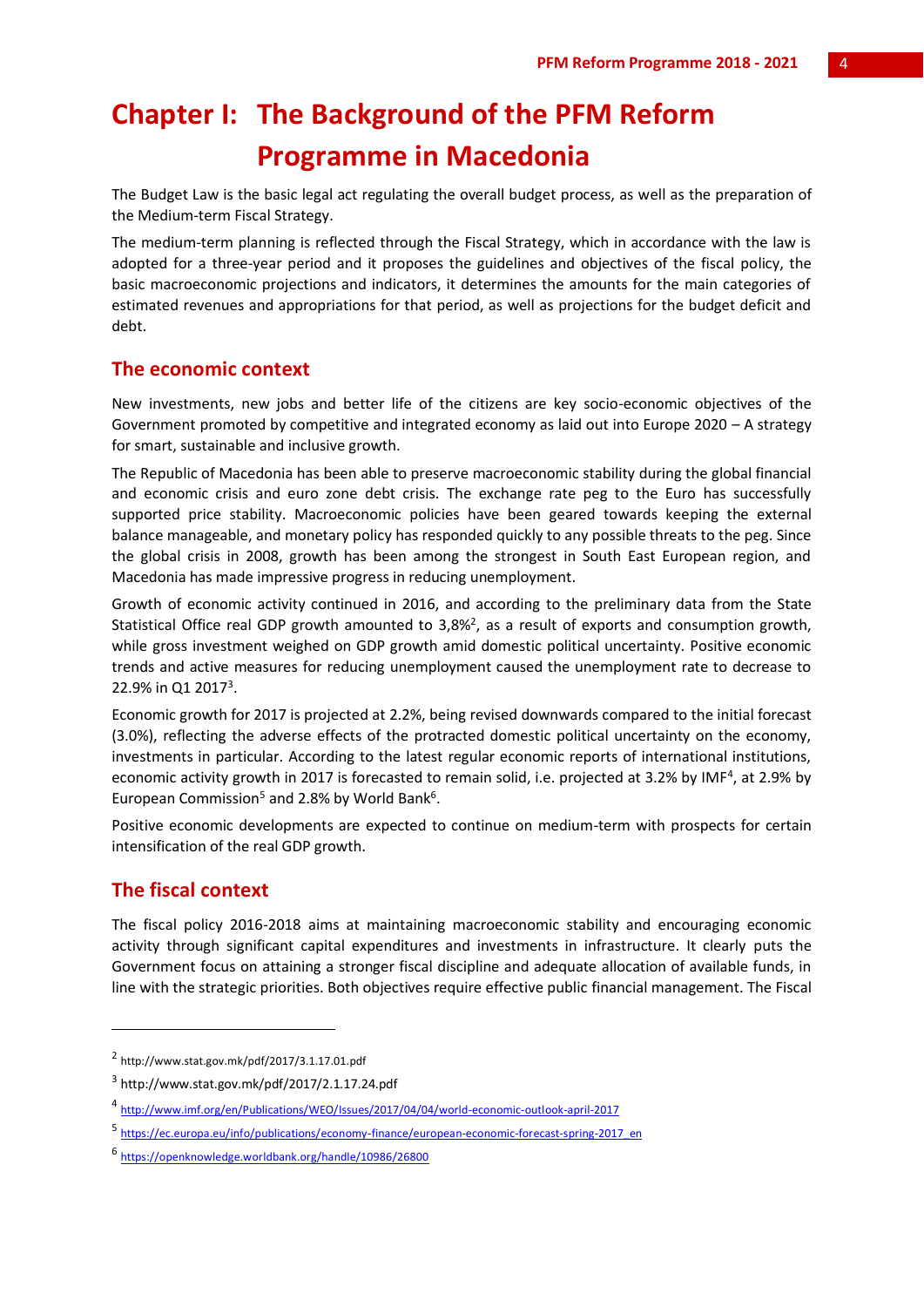## **Chapter I: The Background of the PFM Reform Programme in Macedonia**

The Budget Law is the basic legal act regulating the overall budget process, as well as the preparation of the Medium-term Fiscal Strategy.

The medium-term planning is reflected through the Fiscal Strategy, which in accordance with the law is adopted for a three-year period and it proposes the guidelines and objectives of the fiscal policy, the basic macroeconomic projections and indicators, it determines the amounts for the main categories of estimated revenues and appropriations for that period, as well as projections for the budget deficit and debt.

#### **The economic context**

New investments, new jobs and better life of the citizens are key socio-economic objectives of the Government promoted by competitive and integrated economy as laid out into Europe 2020 – A strategy for smart, sustainable and inclusive growth.

The Republic of Macedonia has been able to preserve macroeconomic stability during the global financial and economic crisis and euro zone debt crisis. The exchange rate peg to the Euro has successfully supported price stability. Macroeconomic policies have been geared towards keeping the external balance manageable, and monetary policy has responded quickly to any possible threats to the peg. Since the global crisis in 2008, growth has been among the strongest in South East European region, and Macedonia has made impressive progress in reducing unemployment.

Growth of economic activity continued in 2016, and according to the preliminary data from the State Statistical Office real GDP growth amounted to 3,8%<sup>2</sup>, as a result of exports and consumption growth, while gross investment weighed on GDP growth amid domestic political uncertainty. Positive economic trends and active measures for reducing unemployment caused the unemployment rate to decrease to 22.9% in Q1 2017<sup>3</sup>.

Economic growth for 2017 is projected at 2.2%, being revised downwards compared to the initial forecast (3.0%), reflecting the adverse effects of the protracted domestic political uncertainty on the economy, investments in particular. According to the latest regular economic reports of international institutions, economic activity growth in 2017 is forecasted to remain solid, i.e. projected at 3.2% by IMF<sup>4</sup>, at 2.9% by European Commission<sup>5</sup> and 2.8% by World Bank<sup>6</sup>.

Positive economic developments are expected to continue on medium-term with prospects for certain intensification of the real GDP growth.

## **The fiscal context**

**.** 

The fiscal policy 2016-2018 aims at maintaining macroeconomic stability and encouraging economic activity through significant capital expenditures and investments in infrastructure. It clearly puts the Government focus on attaining a stronger fiscal discipline and adequate allocation of available funds, in line with the strategic priorities. Both objectives require effective public financial management. The Fiscal

<sup>2</sup> http://www.stat.gov.mk/pdf/2017/3.1.17.01.pdf

<sup>3</sup> http://www.stat.gov.mk/pdf/2017/2.1.17.24.pdf

<sup>4</sup> http://www.imf.org/en/Publications/WEO/Issues/2017/04/04/world-economic-outlook-april-2017

<sup>5</sup> https://ec.europa.eu/info/publications/economy-finance/european-economic-forecast-spring-2017\_en

<sup>6</sup> https://openknowledge.worldbank.org/handle/10986/26800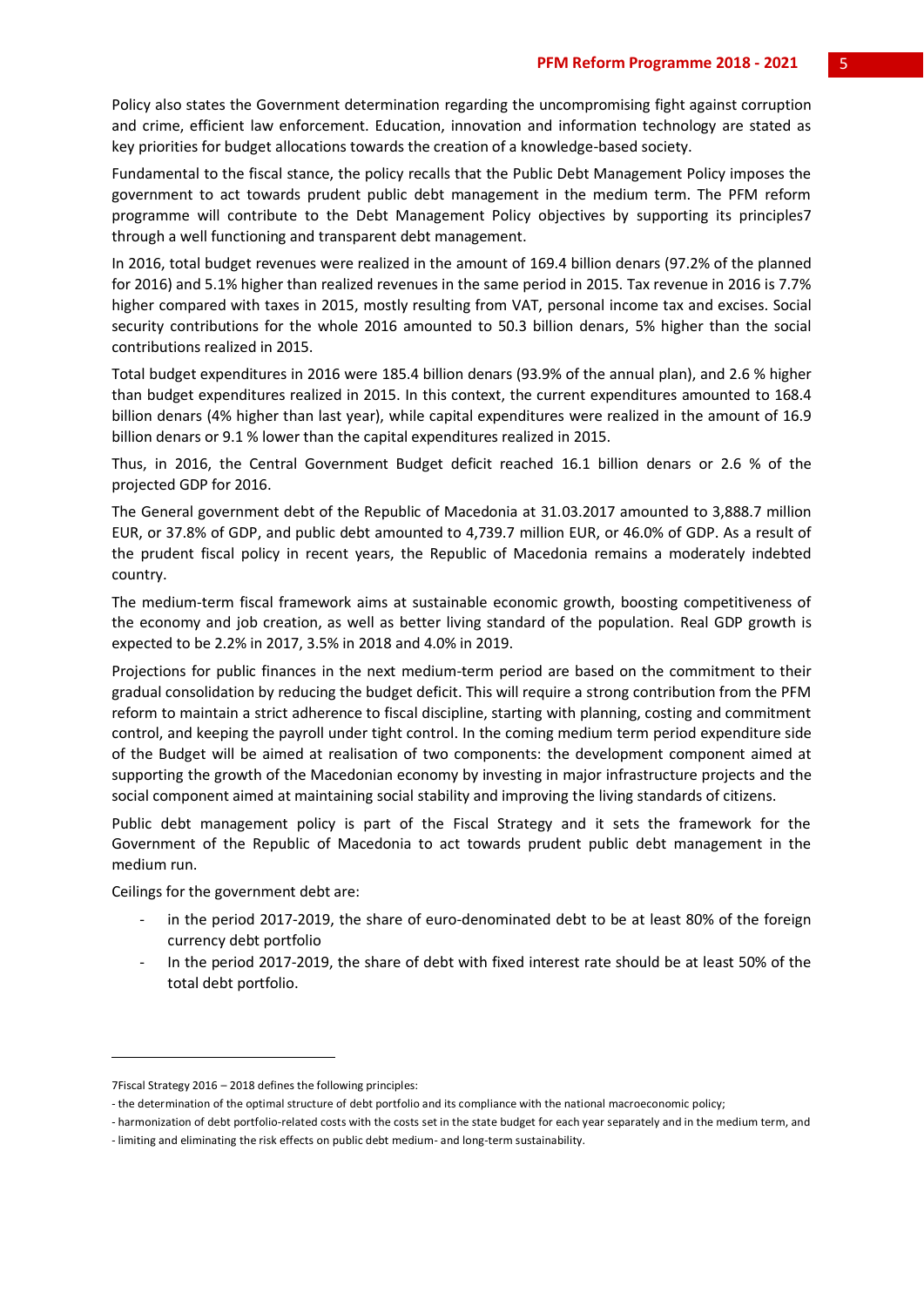Policy also states the Government determination regarding the uncompromising fight against corruption and crime, efficient law enforcement. Education, innovation and information technology are stated as key priorities for budget allocations towards the creation of a knowledge-based society.

Fundamental to the fiscal stance, the policy recalls that the Public Debt Management Policy imposes the government to act towards prudent public debt management in the medium term. The PFM reform programme will contribute to the Debt Management Policy objectives by supporting its principles7 through a well functioning and transparent debt management.

In 2016, total budget revenues were realized in the amount of 169.4 billion denars (97.2% of the planned for 2016) and 5.1% higher than realized revenues in the same period in 2015. Tax revenue in 2016 is 7.7% higher compared with taxes in 2015, mostly resulting from VAT, personal income tax and excises. Social security contributions for the whole 2016 amounted to 50.3 billion denars, 5% higher than the social contributions realized in 2015.

Total budget expenditures in 2016 were 185.4 billion denars (93.9% of the annual plan), and 2.6 % higher than budget expenditures realized in 2015. In this context, the current expenditures amounted to 168.4 billion denars (4% higher than last year), while capital expenditures were realized in the amount of 16.9 billion denars or 9.1 % lower than the capital expenditures realized in 2015.

Thus, in 2016, the Central Government Budget deficit reached 16.1 billion denars or 2.6 % of the projected GDP for 2016.

The General government debt of the Republic of Macedonia at 31.03.2017 amounted to 3,888.7 million EUR, or 37.8% of GDP, and public debt amounted to 4,739.7 million EUR, or 46.0% of GDP. As a result of the prudent fiscal policy in recent years, the Republic of Macedonia remains a moderately indebted country.

The medium-term fiscal framework aims at sustainable economic growth, boosting competitiveness of the economy and job creation, as well as better living standard of the population. Real GDP growth is expected to be 2.2% in 2017, 3.5% in 2018 and 4.0% in 2019.

Projections for public finances in the next medium-term period are based on the commitment to their gradual consolidation by reducing the budget deficit. This will require a strong contribution from the PFM reform to maintain a strict adherence to fiscal discipline, starting with planning, costing and commitment control, and keeping the payroll under tight control. In the coming medium term period expenditure side of the Budget will be aimed at realisation of two components: the development component aimed at supporting the growth of the Macedonian economy by investing in major infrastructure projects and the social component aimed at maintaining social stability and improving the living standards of citizens.

Public debt management policy is part of the Fiscal Strategy and it sets the framework for the Government of the Republic of Macedonia to act towards prudent public debt management in the medium run.

Ceilings for the government debt are:

-

- in the period 2017-2019, the share of euro-denominated debt to be at least 80% of the foreign currency debt portfolio
- In the period 2017-2019, the share of debt with fixed interest rate should be at least 50% of the total debt portfolio.

<sup>7</sup>Fiscal Strategy 2016 – 2018 defines the following principles:

<sup>-</sup> the determination of the optimal structure of debt portfolio and its compliance with the national macroeconomic policy;

<sup>-</sup> harmonization of debt portfolio-related costs with the costs set in the state budget for each year separately and in the medium term, and

<sup>-</sup> limiting and eliminating the risk effects on public debt medium- and long-term sustainability.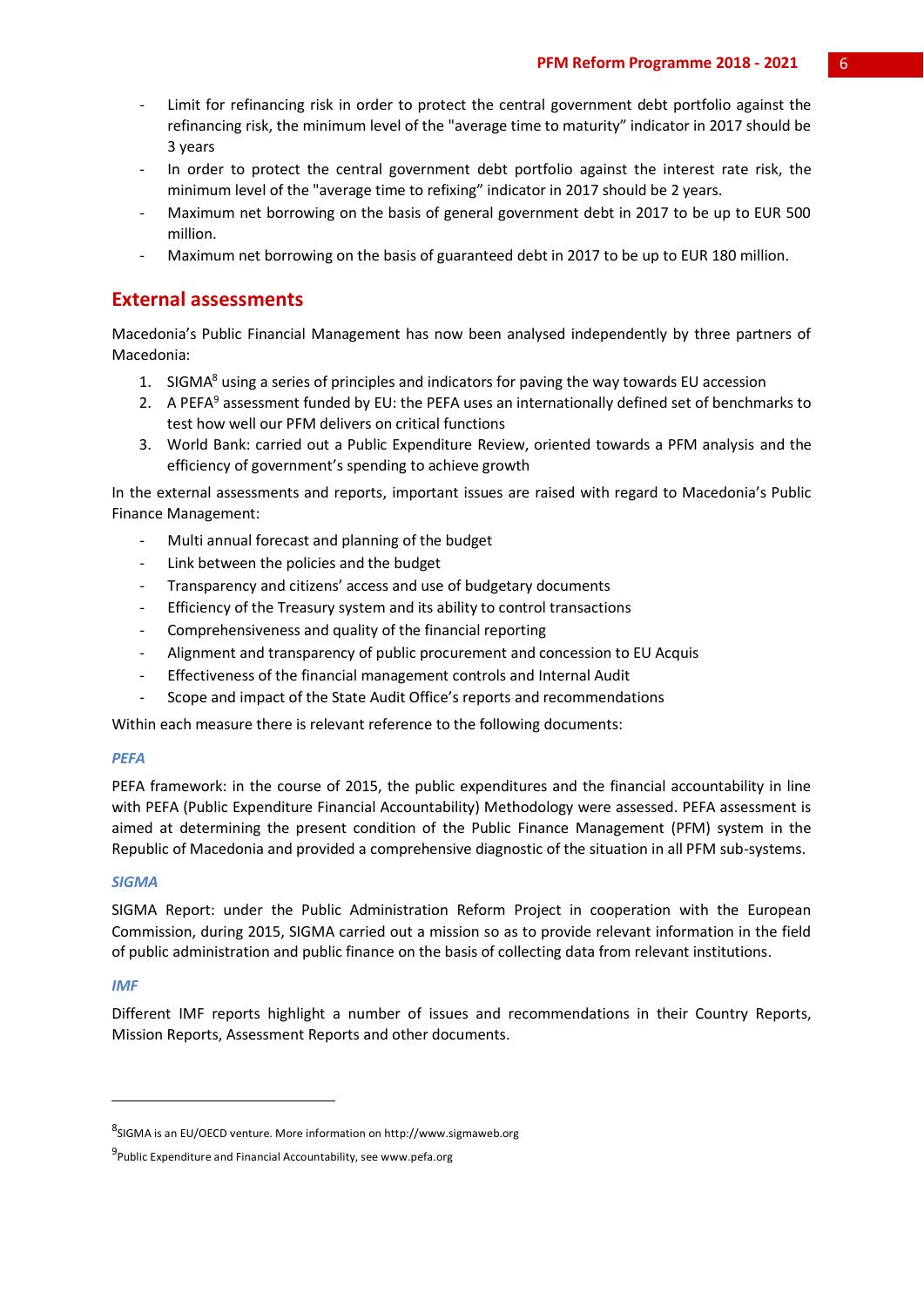- Limit for refinancing risk in order to protect the central government debt portfolio against the refinancing risk, the minimum level of the "average time to maturity" indicator in 2017 should be 3 years
- In order to protect the central government debt portfolio against the interest rate risk, the minimum level of the "average time to refixing" indicator in 2017 should be 2 years.
- Maximum net borrowing on the basis of general government debt in 2017 to be up to EUR 500 million.
- Maximum net borrowing on the basis of guaranteed debt in 2017 to be up to EUR 180 million.

## **External assessments**

Macedonia's Public Financial Management has now been analysed independently by three partners of Macedonia:

- 1. SIGMA<sup>8</sup> using a series of principles and indicators for paving the way towards EU accession
- 2. A PEFA<sup>9</sup> assessment funded by EU: the PEFA uses an internationally defined set of benchmarks to test how well our PFM delivers on critical functions
- 3. World Bank: carried out a Public Expenditure Review, oriented towards a PFM analysis and the efficiency of government's spending to achieve growth

In the external assessments and reports, important issues are raised with regard to Macedonia's Public Finance Management:

- Multi annual forecast and planning of the budget
- Link between the policies and the budget
- Transparency and citizens' access and use of budgetary documents
- Efficiency of the Treasury system and its ability to control transactions
- Comprehensiveness and quality of the financial reporting
- Alignment and transparency of public procurement and concession to EU Acquis
- Effectiveness of the financial management controls and Internal Audit
- Scope and impact of the State Audit Office's reports and recommendations

Within each measure there is relevant reference to the following documents:

#### *PEFA*

PEFA framework: in the course of 2015, the public expenditures and the financial accountability in line with PEFA (Public Expenditure Financial Accountability) Methodology were assessed. PEFA assessment is aimed at determining the present condition of the Public Finance Management (PFM) system in the Republic of Macedonia and provided a comprehensive diagnostic of the situation in all PFM sub-systems.

#### *SIGMA*

SIGMA Report: under the Public Administration Reform Project in cooperation with the European Commission, during 2015, SIGMA carried out a mission so as to provide relevant information in the field of public administration and public finance on the basis of collecting data from relevant institutions.

#### *IMF*

-

Different IMF reports highlight a number of issues and recommendations in their Country Reports, Mission Reports, Assessment Reports and other documents.

<sup>8</sup> SIGMA is an EU/OECD venture. More information on http://www.sigmaweb.org

<sup>&</sup>lt;sup>9</sup>Public Expenditure and Financial Accountability, see www.pefa.org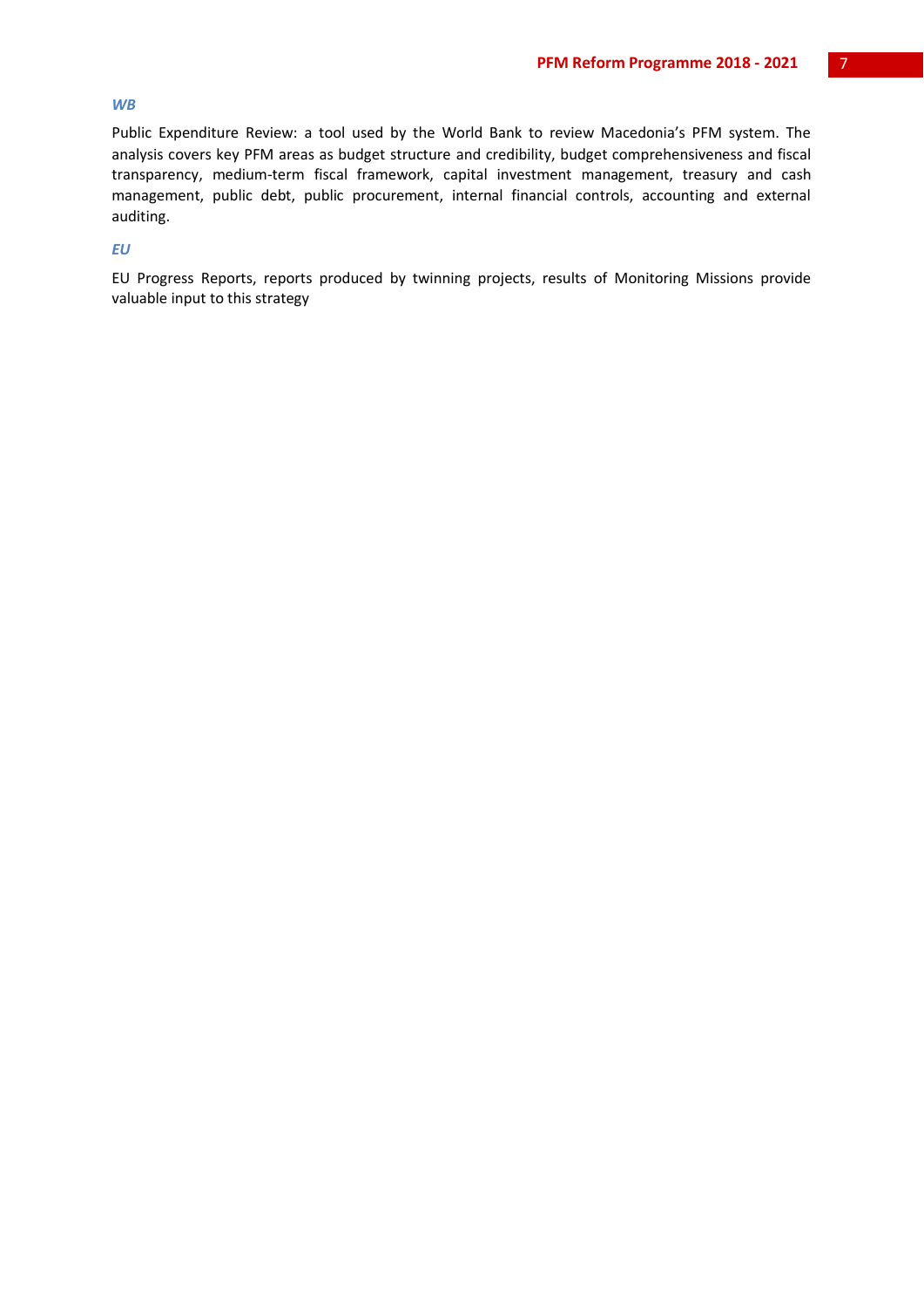#### *WB*

Public Expenditure Review: a tool used by the World Bank to review Macedonia's PFM system. The analysis covers key PFM areas as budget structure and credibility, budget comprehensiveness and fiscal transparency, medium-term fiscal framework, capital investment management, treasury and cash management, public debt, public procurement, internal financial controls, accounting and external auditing.

#### *EU*

EU Progress Reports, reports produced by twinning projects, results of Monitoring Missions provide valuable input to this strategy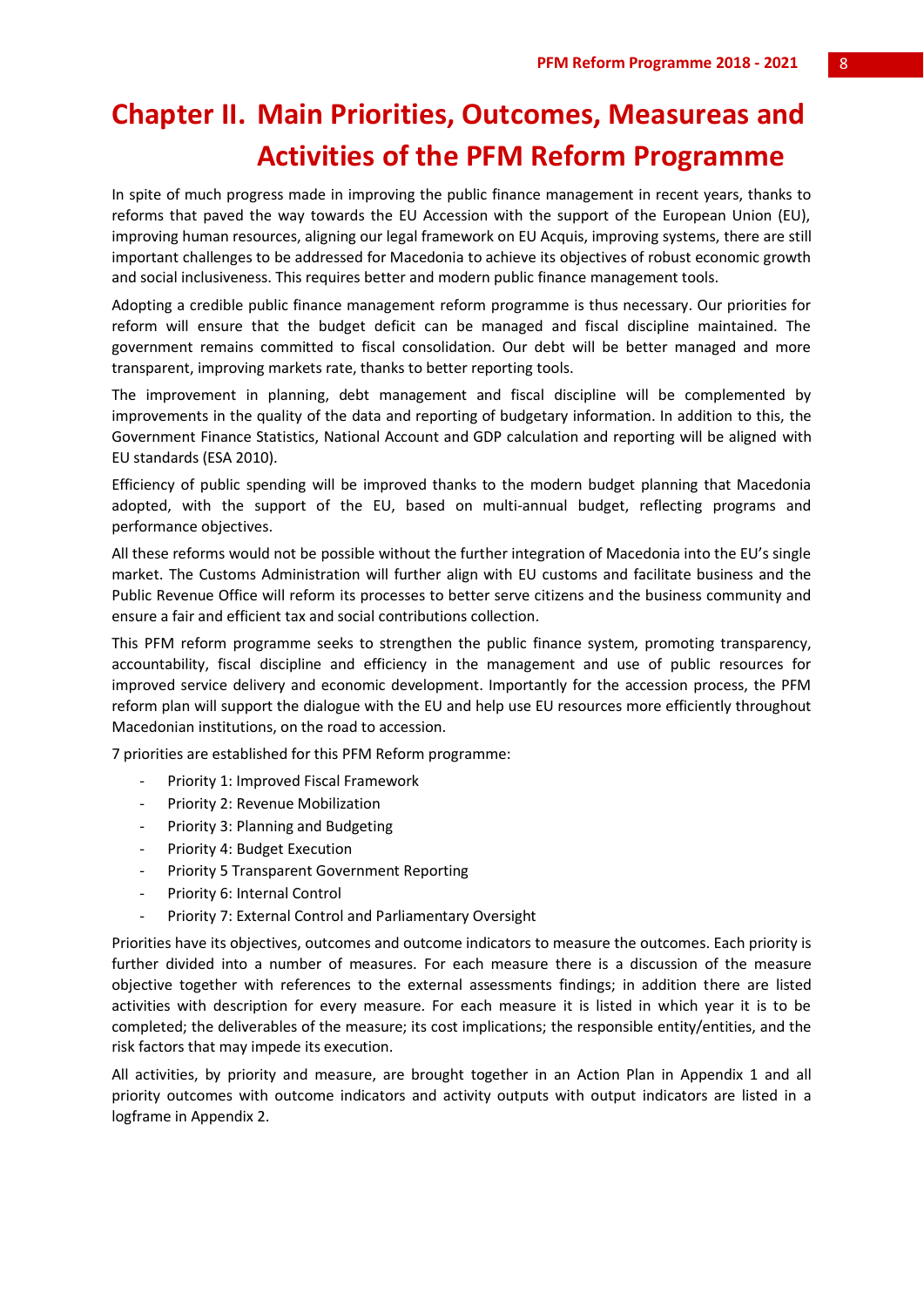## **Chapter II. Main Priorities, Outcomes, Measureas and Activities of the PFM Reform Programme**

In spite of much progress made in improving the public finance management in recent years, thanks to reforms that paved the way towards the EU Accession with the support of the European Union (EU), improving human resources, aligning our legal framework on EU Acquis, improving systems, there are still important challenges to be addressed for Macedonia to achieve its objectives of robust economic growth and social inclusiveness. This requires better and modern public finance management tools.

Adopting a credible public finance management reform programme is thus necessary. Our priorities for reform will ensure that the budget deficit can be managed and fiscal discipline maintained. The government remains committed to fiscal consolidation. Our debt will be better managed and more transparent, improving markets rate, thanks to better reporting tools.

The improvement in planning, debt management and fiscal discipline will be complemented by improvements in the quality of the data and reporting of budgetary information. In addition to this, the Government Finance Statistics, National Account and GDP calculation and reporting will be aligned with EU standards (ESA 2010).

Efficiency of public spending will be improved thanks to the modern budget planning that Macedonia adopted, with the support of the EU, based on multi-annual budget, reflecting programs and performance objectives.

All these reforms would not be possible without the further integration of Macedonia into the EU's single market. The Customs Administration will further align with EU customs and facilitate business and the Public Revenue Office will reform its processes to better serve citizens and the business community and ensure a fair and efficient tax and social contributions collection.

This PFM reform programme seeks to strengthen the public finance system, promoting transparency, accountability, fiscal discipline and efficiency in the management and use of public resources for improved service delivery and economic development. Importantly for the accession process, the PFM reform plan will support the dialogue with the EU and help use EU resources more efficiently throughout Macedonian institutions, on the road to accession.

7 priorities are established for this PFM Reform programme:

- Priority 1: Improved Fiscal Framework
- Priority 2: Revenue Mobilization
- Priority 3: Planning and Budgeting
- Priority 4: Budget Execution
- Priority 5 Transparent Government Reporting
- Priority 6: Internal Control
- Priority 7: External Control and Parliamentary Oversight

Priorities have its objectives, outcomes and outcome indicators to measure the outcomes. Each priority is further divided into a number of measures. For each measure there is a discussion of the measure objective together with references to the external assessments findings; in addition there are listed activities with description for every measure. For each measure it is listed in which year it is to be completed; the deliverables of the measure; its cost implications; the responsible entity/entities, and the risk factors that may impede its execution.

All activities, by priority and measure, are brought together in an Action Plan in Appendix 1 and all priority outcomes with outcome indicators and activity outputs with output indicators are listed in a logframe in Appendix 2.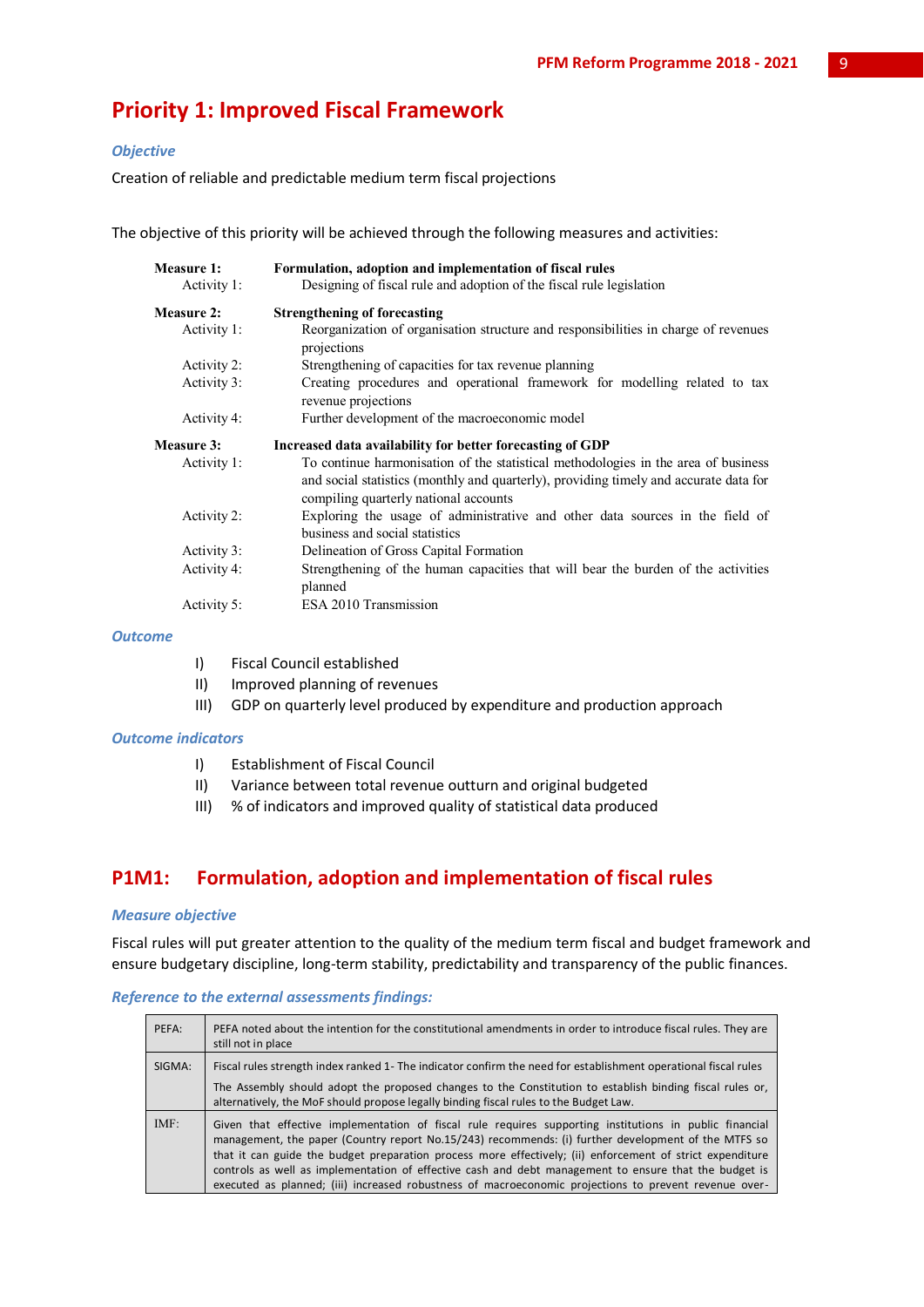## **Priority 1: Improved Fiscal Framework**

#### *Objective*

Creation of reliable and predictable medium term fiscal projections

The objective of this priority will be achieved through the following measures and activities:

| <b>Measure 1:</b><br>Activity 1: | Formulation, adoption and implementation of fiscal rules<br>Designing of fiscal rule and adoption of the fiscal rule legislation                                                                                     |
|----------------------------------|----------------------------------------------------------------------------------------------------------------------------------------------------------------------------------------------------------------------|
| Measure 2:                       | <b>Strengthening of forecasting</b>                                                                                                                                                                                  |
| Activity 1:                      | Reorganization of organisation structure and responsibilities in charge of revenues<br>projections                                                                                                                   |
| Activity 2:                      | Strengthening of capacities for tax revenue planning                                                                                                                                                                 |
| Activity 3:                      | Creating procedures and operational framework for modelling related to tax<br>revenue projections                                                                                                                    |
| Activity 4:                      | Further development of the macroeconomic model                                                                                                                                                                       |
| Measure 3:                       | Increased data availability for better forecasting of GDP                                                                                                                                                            |
| Activity 1:                      | To continue harmonisation of the statistical methodologies in the area of business<br>and social statistics (monthly and quarterly), providing timely and accurate data for<br>compiling quarterly national accounts |
| Activity 2:                      | Exploring the usage of administrative and other data sources in the field of<br>business and social statistics                                                                                                       |
| Activity 3:                      | Delineation of Gross Capital Formation                                                                                                                                                                               |
| Activity 4:                      | Strengthening of the human capacities that will bear the burden of the activities<br>planned                                                                                                                         |
| Activity 5:                      | ESA 2010 Transmission                                                                                                                                                                                                |

#### *Outcome*

- I) Fiscal Council established
- II) Improved planning of revenues
- III) GDP on quarterly level produced by expenditure and production approach

#### *Outcome indicators*

- I) Establishment of Fiscal Council
- II) Variance between total revenue outturn and original budgeted
- III) % of indicators and improved quality of statistical data produced

## **P1M1: Formulation, adoption and implementation of fiscal rules**

#### *Measure objective*

Fiscal rules will put greater attention to the quality of the medium term fiscal and budget framework and ensure budgetary discipline, long-term stability, predictability and transparency of the public finances.

#### *Reference to the external assessments findings:*

| PEFA:  | PEFA noted about the intention for the constitutional amendments in order to introduce fiscal rules. They are<br>still not in place                                                                                                                                                                                                                                                                                                                                                                                                           |
|--------|-----------------------------------------------------------------------------------------------------------------------------------------------------------------------------------------------------------------------------------------------------------------------------------------------------------------------------------------------------------------------------------------------------------------------------------------------------------------------------------------------------------------------------------------------|
| SIGMA: | Fiscal rules strength index ranked 1- The indicator confirm the need for establishment operational fiscal rules<br>The Assembly should adopt the proposed changes to the Constitution to establish binding fiscal rules or,                                                                                                                                                                                                                                                                                                                   |
|        | alternatively, the MoF should propose legally binding fiscal rules to the Budget Law.                                                                                                                                                                                                                                                                                                                                                                                                                                                         |
| IMF:   | Given that effective implementation of fiscal rule requires supporting institutions in public financial<br>management, the paper (Country report No.15/243) recommends: (i) further development of the MTFS so<br>that it can guide the budget preparation process more effectively; (ii) enforcement of strict expenditure<br>controls as well as implementation of effective cash and debt management to ensure that the budget is<br>executed as planned; (iii) increased robustness of macroeconomic projections to prevent revenue over- |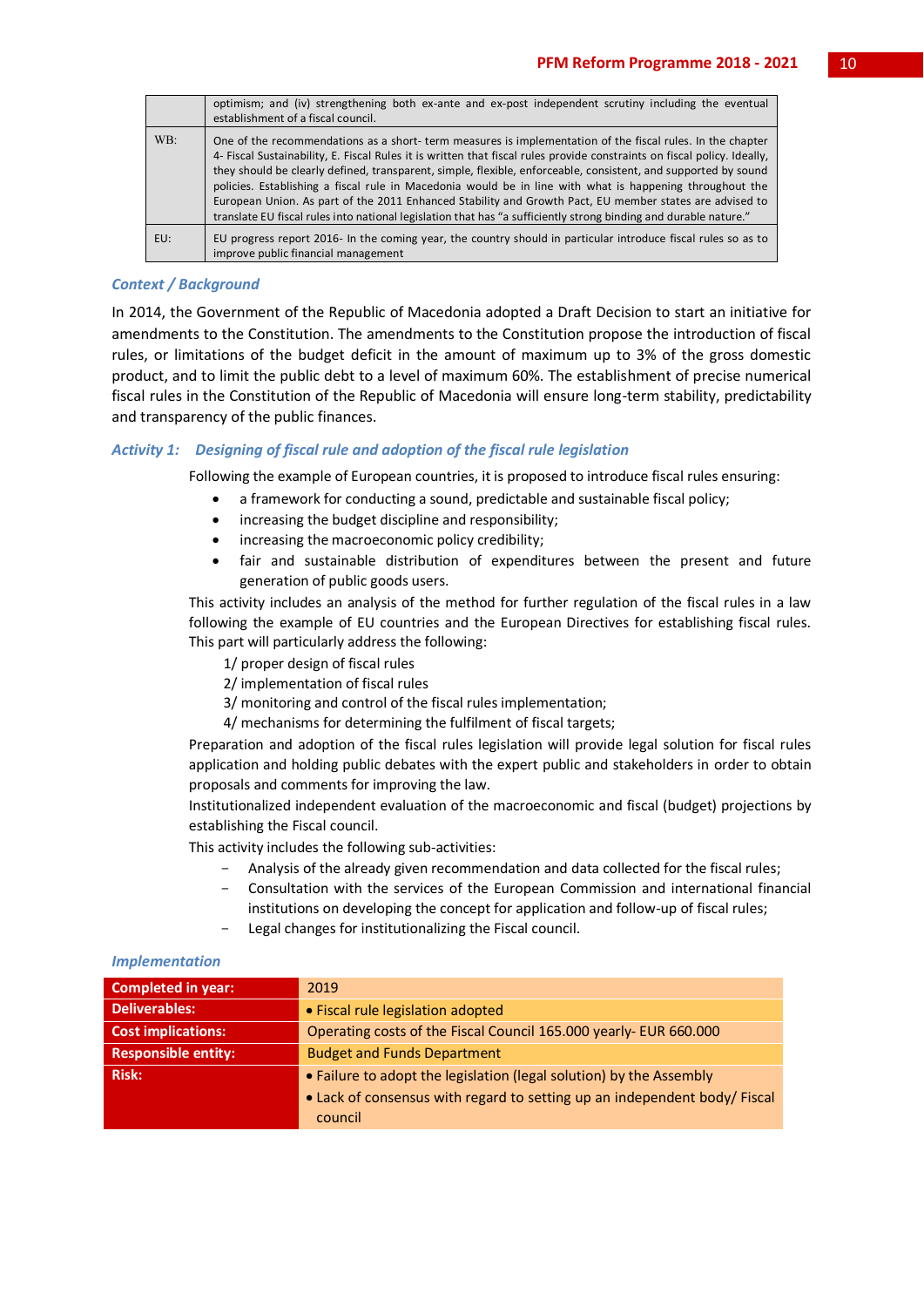|     | optimism; and (iv) strengthening both ex-ante and ex-post independent scrutiny including the eventual<br>establishment of a fiscal council.                                                                                                                                                                                                                                                                                                                                                                                                                                                                                                                                                        |
|-----|----------------------------------------------------------------------------------------------------------------------------------------------------------------------------------------------------------------------------------------------------------------------------------------------------------------------------------------------------------------------------------------------------------------------------------------------------------------------------------------------------------------------------------------------------------------------------------------------------------------------------------------------------------------------------------------------------|
| WB: | One of the recommendations as a short-term measures is implementation of the fiscal rules. In the chapter<br>4- Fiscal Sustainability, E. Fiscal Rules it is written that fiscal rules provide constraints on fiscal policy. Ideally,<br>they should be clearly defined, transparent, simple, flexible, enforceable, consistent, and supported by sound<br>policies. Establishing a fiscal rule in Macedonia would be in line with what is happening throughout the<br>European Union. As part of the 2011 Enhanced Stability and Growth Pact, EU member states are advised to<br>translate EU fiscal rules into national legislation that has "a sufficiently strong binding and durable nature." |
| EU: | EU progress report 2016- In the coming year, the country should in particular introduce fiscal rules so as to<br>improve public financial management                                                                                                                                                                                                                                                                                                                                                                                                                                                                                                                                               |

#### *Context / Background*

In 2014, the Government of the Republic of Macedonia adopted a Draft Decision to start an initiative for amendments to the Constitution. The amendments to the Constitution propose the introduction of fiscal rules, or limitations of the budget deficit in the amount of maximum up to 3% of the gross domestic product, and to limit the public debt to a level of maximum 60%. The establishment of precise numerical fiscal rules in the Constitution of the Republic of Macedonia will ensure long-term stability, predictability and transparency of the public finances.

#### *Activity 1: Designing of fiscal rule and adoption of the fiscal rule legislation*

Following the example of European countries, it is proposed to introduce fiscal rules ensuring:

- a framework for conducting a sound, predictable and sustainable fiscal policy;
- increasing the budget discipline and responsibility;
- increasing the macroeconomic policy credibility;
- fair and sustainable distribution of expenditures between the present and future generation of public goods users.

This activity includes an analysis of the method for further regulation of the fiscal rules in a law following the example of EU countries and the European Directives for establishing fiscal rules. This part will particularly address the following:

- 1/ proper design of fiscal rules
- 2/ implementation of fiscal rules
- 3/ monitoring and control of the fiscal rules implementation;
- 4/ mechanisms for determining the fulfilment of fiscal targets;

Preparation and adoption of the fiscal rules legislation will provide legal solution for fiscal rules application and holding public debates with the expert public and stakeholders in order to obtain proposals and comments for improving the law.

Institutionalized independent evaluation of the macroeconomic and fiscal (budget) projections by establishing the Fiscal council.

This activity includes the following sub-activities:

- Analysis of the already given recommendation and data collected for the fiscal rules;
- Consultation with the services of the European Commission and international financial institutions on developing the concept for application and follow-up of fiscal rules;
- Legal changes for institutionalizing the Fiscal council.

#### *Implementation*

| <b>Completed in year:</b>  | 2019                                                                      |
|----------------------------|---------------------------------------------------------------------------|
| <b>Deliverables:</b>       | • Fiscal rule legislation adopted                                         |
| <b>Cost implications:</b>  | Operating costs of the Fiscal Council 165.000 yearly- EUR 660.000         |
| <b>Responsible entity:</b> | <b>Budget and Funds Department</b>                                        |
| <b>Risk:</b>               | • Failure to adopt the legislation (legal solution) by the Assembly       |
|                            | • Lack of consensus with regard to setting up an independent body/ Fiscal |
|                            | council                                                                   |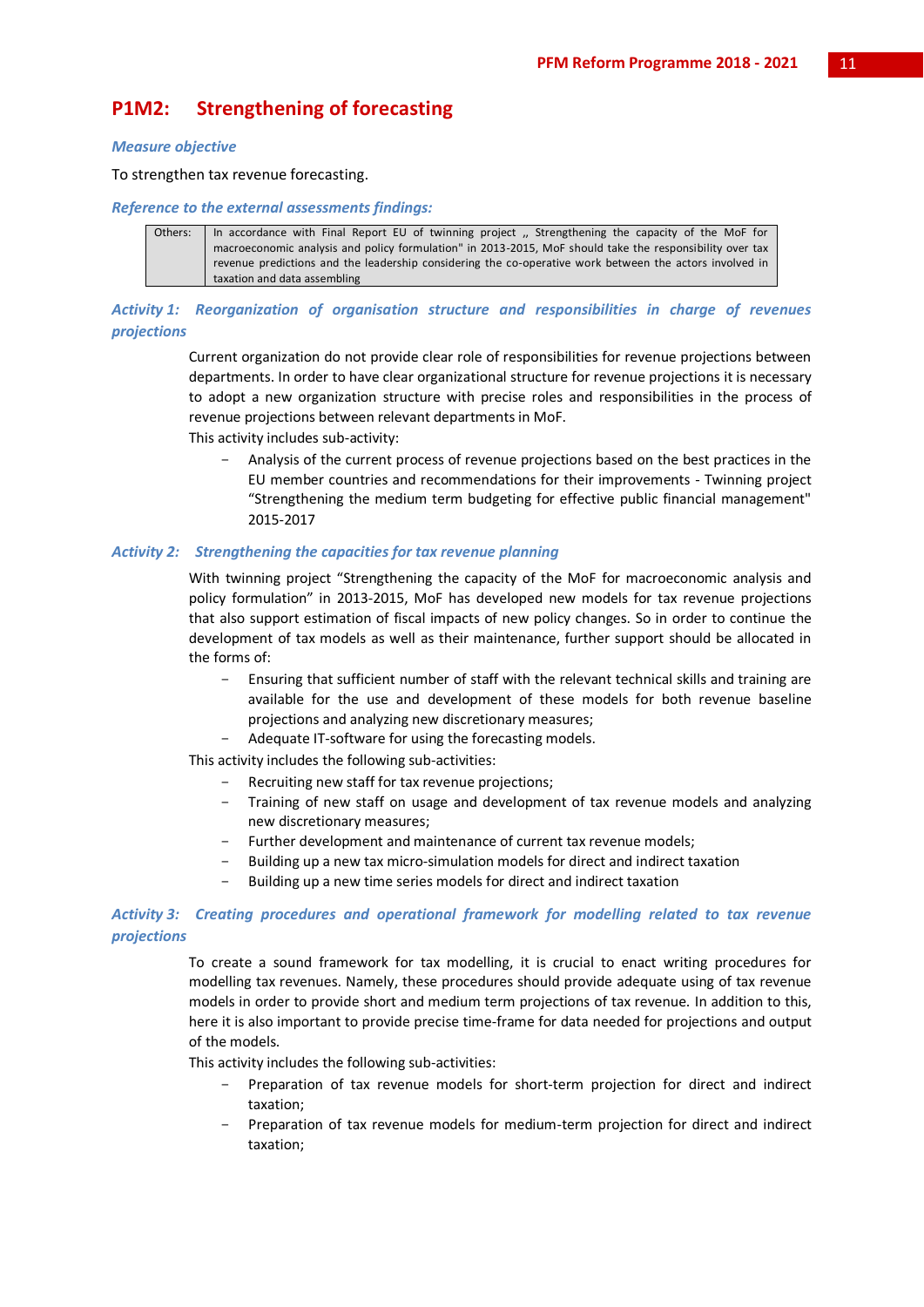## **P1M2: Strengthening of forecasting**

#### *Measure objective*

To strengthen tax revenue forecasting.

#### *Reference to the external assessments findings:*

Others: In accordance with Final Report EU of twinning project ,, Strengthening the capacity of the MoF for macroeconomic analysis and policy formulation" in 2013-2015, MoF should take the responsibility over tax revenue predictions and the leadership considering the co-operative work between the actors involved in taxation and data assembling

*Activity 1: Reorganization of organisation structure and responsibilities in charge of revenues projections*

> Current organization do not provide clear role of responsibilities for revenue projections between departments. In order to have clear organizational structure for revenue projections it is necessary to adopt a new organization structure with precise roles and responsibilities in the process of revenue projections between relevant departments in MoF.

This activity includes sub-activity:

- Analysis of the current process of revenue projections based on the best practices in the EU member countries and recommendations for their improvements - Twinning project "Strengthening the medium term budgeting for effective public financial management" 2015-2017

#### *Activity 2: Strengthening the capacities for tax revenue planning*

With twinning project "Strengthening the capacity of the MoF for macroeconomic analysis and policy formulation" in 2013-2015, MoF has developed new models for tax revenue projections that also support estimation of fiscal impacts of new policy changes. So in order to continue the development of tax models as well as their maintenance, further support should be allocated in the forms of:

- Ensuring that sufficient number of staff with the relevant technical skills and training are available for the use and development of these models for both revenue baseline projections and analyzing new discretionary measures;
- Adequate IT-software for using the forecasting models.

This activity includes the following sub-activities:

- Recruiting new staff for tax revenue projections;
- Training of new staff on usage and development of tax revenue models and analyzing new discretionary measures;
- Further development and maintenance of current tax revenue models;
- Building up a new tax micro-simulation models for direct and indirect taxation
- Building up a new time series models for direct and indirect taxation

#### *Activity 3: Creating procedures and operational framework for modelling related to tax revenue projections*

To create a sound framework for tax modelling, it is crucial to enact writing procedures for modelling tax revenues. Namely, these procedures should provide adequate using of tax revenue models in order to provide short and medium term projections of tax revenue. In addition to this, here it is also important to provide precise time-frame for data needed for projections and output of the models.

This activity includes the following sub-activities:

- Preparation of tax revenue models for short-term projection for direct and indirect taxation;
- Preparation of tax revenue models for medium-term projection for direct and indirect taxation;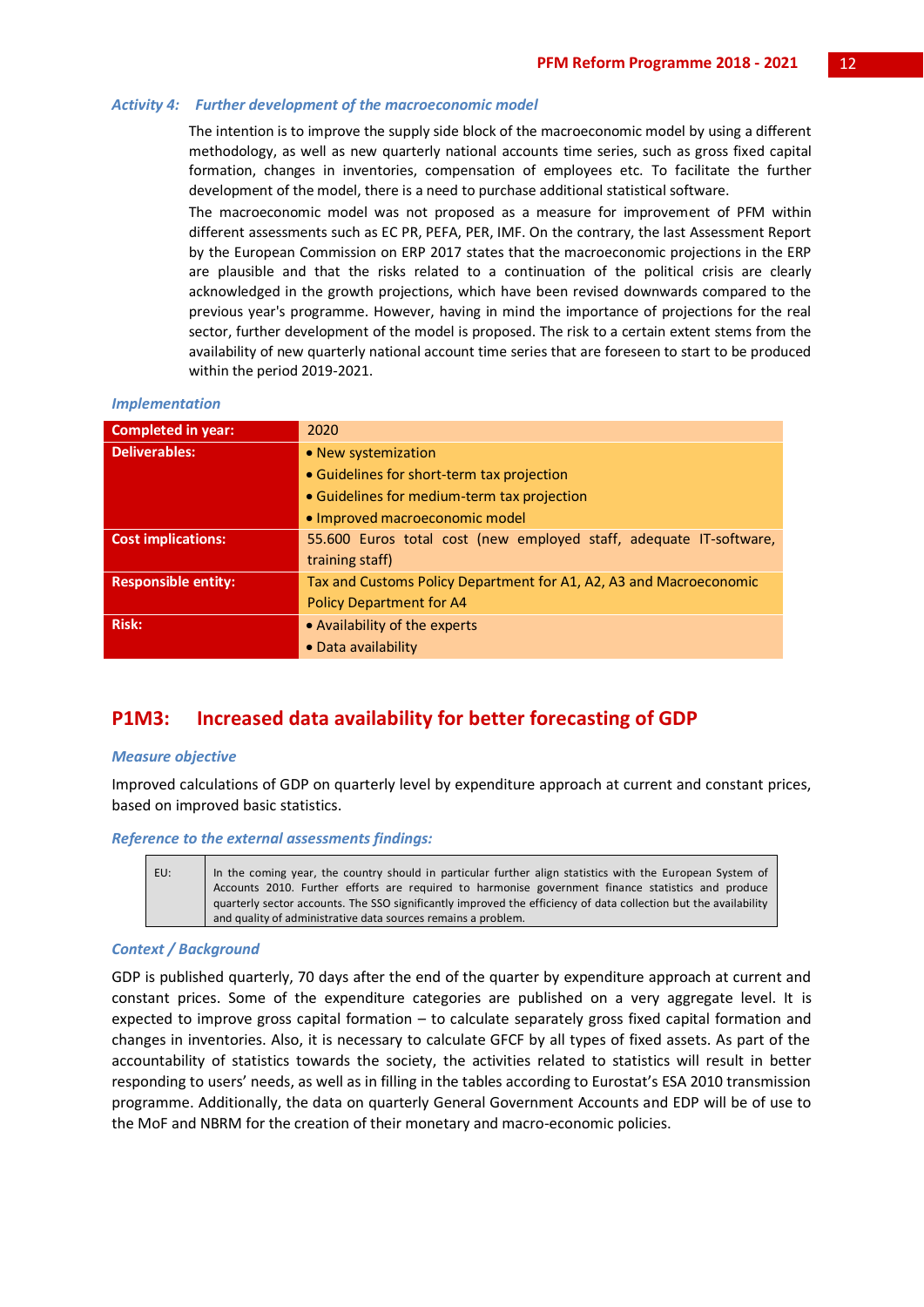#### *Activity 4: Further development of the macroeconomic model*

The intention is to improve the supply side block of the macroeconomic model by using a different methodology, as well as new quarterly national accounts time series, such as gross fixed capital formation, changes in inventories, compensation of employees etc. To facilitate the further development of the model, there is a need to purchase additional statistical software.

The macroeconomic model was not proposed as a measure for improvement of PFM within different assessments such as EC PR, PEFA, PER, IMF. On the contrary, the last Assessment Report by the European Commission on ERP 2017 states that the macroeconomic projections in the ERP are plausible and that the risks related to a continuation of the political crisis are clearly acknowledged in the growth projections, which have been revised downwards compared to the previous year's programme. However, having in mind the importance of projections for the real sector, further development of the model is proposed. The risk to a certain extent stems from the availability of new quarterly national account time series that are foreseen to start to be produced within the period 2019-2021.

#### *Implementation*

| <b>Completed in year:</b>  | 2020                                                               |
|----------------------------|--------------------------------------------------------------------|
| <b>Deliverables:</b>       | • New systemization                                                |
|                            | • Guidelines for short-term tax projection                         |
|                            | • Guidelines for medium-term tax projection                        |
|                            | · Improved macroeconomic model                                     |
| <b>Cost implications:</b>  | 55.600 Euros total cost (new employed staff, adequate IT-software, |
|                            | training staff)                                                    |
| <b>Responsible entity:</b> | Tax and Customs Policy Department for A1, A2, A3 and Macroeconomic |
|                            | <b>Policy Department for A4</b>                                    |
| <b>Risk:</b>               | • Availability of the experts                                      |
|                            | • Data availability                                                |

## **P1M3: Increased data availability for better forecasting of GDP**

#### *Measure objective*

Improved calculations of GDP on quarterly level by expenditure approach at current and constant prices, based on improved basic statistics.

#### *Reference to the external assessments findings:*

EU: In the coming year, the country should in particular further align statistics with the European System of Accounts 2010. Further efforts are required to harmonise government finance statistics and produce quarterly sector accounts. The SSO significantly improved the efficiency of data collection but the availability and quality of administrative data sources remains a problem.

#### *Context / Background*

GDP is published quarterly, 70 days after the end of the quarter by expenditure approach at current and constant prices. Some of the expenditure categories are published on a very aggregate level. It is expected to improve gross capital formation – to calculate separately gross fixed capital formation and changes in inventories. Also, it is necessary to calculate GFCF by all types of fixed assets. As part of the accountability of statistics towards the society, the activities related to statistics will result in better responding to users' needs, as well as in filling in the tables according to Eurostat's ESA 2010 transmission programme. Additionally, the data on quarterly General Government Accounts and EDP will be of use to the MoF and NBRM for the creation of their monetary and macro-economic policies.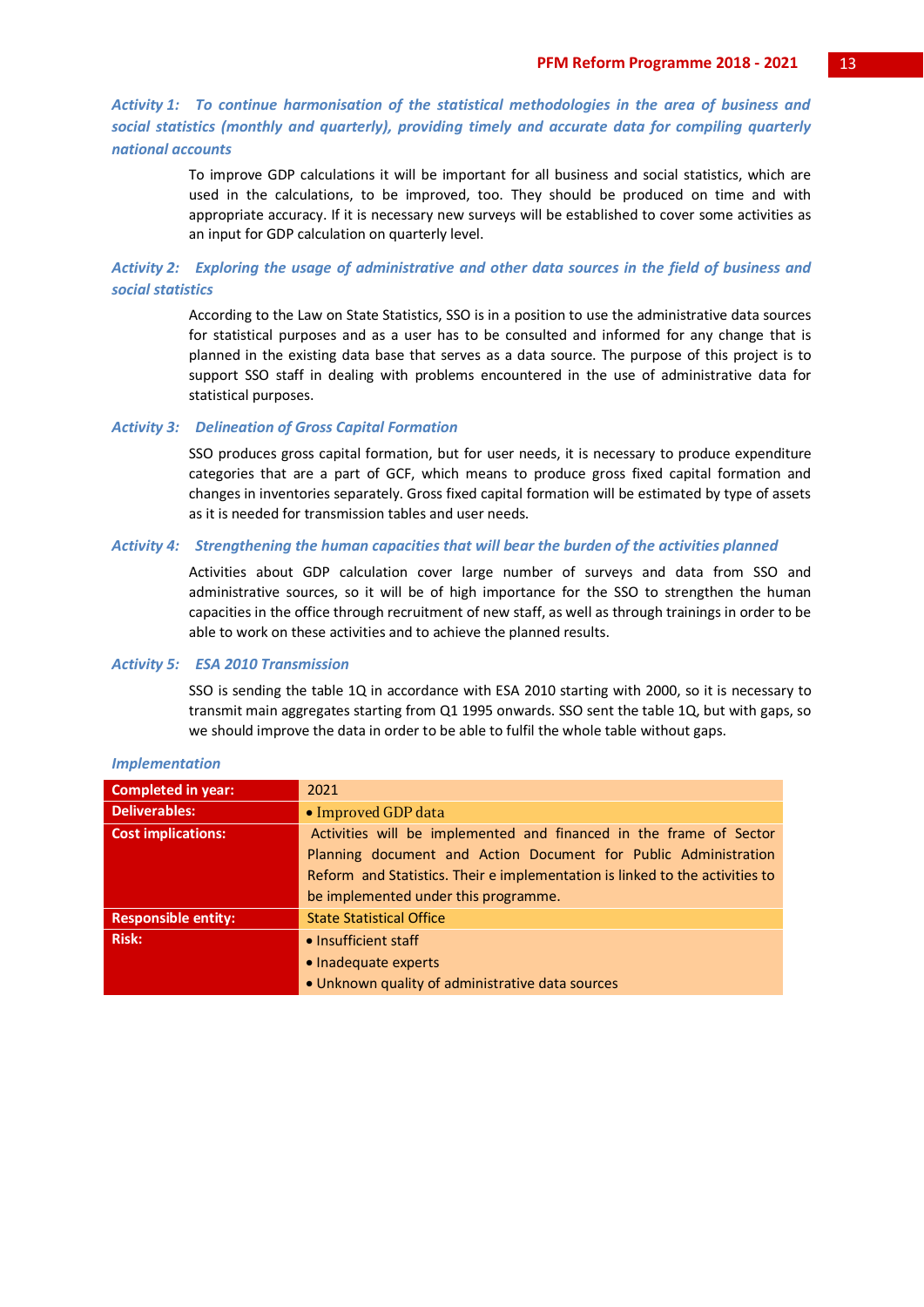*Activity 1: To continue harmonisation of the statistical methodologies in the area of business and social statistics (monthly and quarterly), providing timely and accurate data for compiling quarterly national accounts*

> To improve GDP calculations it will be important for all business and social statistics, which are used in the calculations, to be improved, too. They should be produced on time and with appropriate accuracy. If it is necessary new surveys will be established to cover some activities as an input for GDP calculation on quarterly level.

*Activity 2: Exploring the usage of administrative and other data sources in the field of business and social statistics*

> According to the Law on State Statistics, SSO is in a position to use the administrative data sources for statistical purposes and as a user has to be consulted and informed for any change that is planned in the existing data base that serves as a data source. The purpose of this project is to support SSO staff in dealing with problems encountered in the use of administrative data for statistical purposes.

#### *Activity 3: Delineation of Gross Capital Formation*

SSO produces gross capital formation, but for user needs, it is necessary to produce expenditure categories that are a part of GCF, which means to produce gross fixed capital formation and changes in inventories separately. Gross fixed capital formation will be estimated by type of assets as it is needed for transmission tables and user needs.

#### *Activity 4: Strengthening the human capacities that will bear the burden of the activities planned*

Activities about GDP calculation cover large number of surveys and data from SSO and administrative sources, so it will be of high importance for the SSO to strengthen the human capacities in the office through recruitment of new staff, as well as through trainings in order to be able to work on these activities and to achieve the planned results.

#### *Activity 5: ESA 2010 Transmission*

SSO is sending the table 1Q in accordance with ESA 2010 starting with 2000, so it is necessary to transmit main aggregates starting from Q1 1995 onwards. SSO sent the table 1Q, but with gaps, so we should improve the data in order to be able to fulfil the whole table without gaps.

| <b>Completed in year:</b>  | 2021                                                                         |
|----------------------------|------------------------------------------------------------------------------|
| <b>Deliverables:</b>       | • Improved GDP data                                                          |
| <b>Cost implications:</b>  | Activities will be implemented and financed in the frame of Sector           |
|                            | Planning document and Action Document for Public Administration              |
|                            | Reform and Statistics. Their e implementation is linked to the activities to |
|                            | be implemented under this programme.                                         |
| <b>Responsible entity:</b> | <b>State Statistical Office</b>                                              |
| <b>Risk:</b>               | • Insufficient staff                                                         |
|                            | • Inadequate experts                                                         |
|                            | • Unknown quality of administrative data sources                             |

#### *Implementation*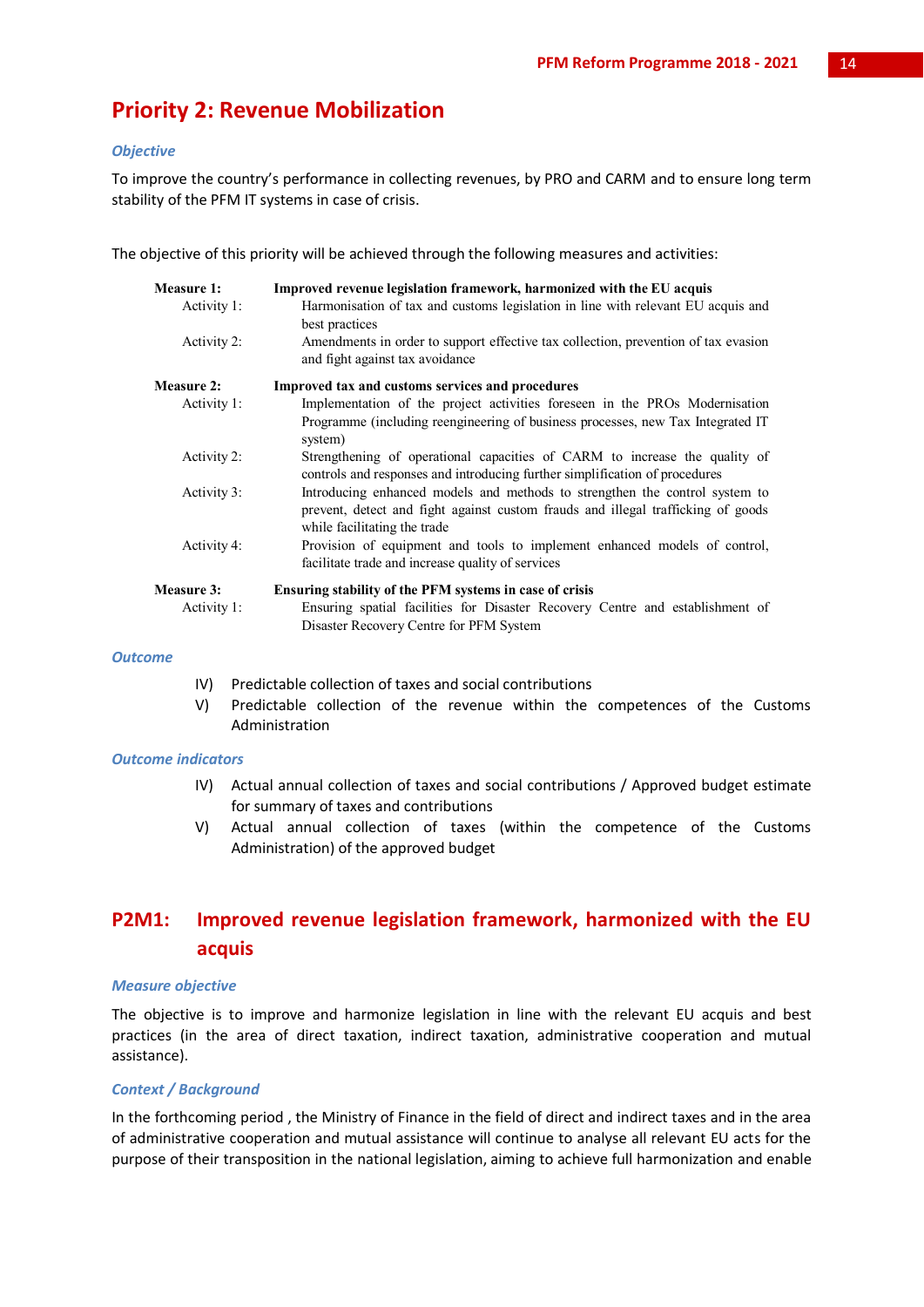## **Priority 2: Revenue Mobilization**

#### *Objective*

To improve the country's performance in collecting revenues, by PRO and CARM and to ensure long term stability of the PFM IT systems in case of crisis.

The objective of this priority will be achieved through the following measures and activities:

| <b>Measure 1:</b>                | Improved revenue legislation framework, harmonized with the EU acquis                                                                                                                           |
|----------------------------------|-------------------------------------------------------------------------------------------------------------------------------------------------------------------------------------------------|
| Activity 1:                      | Harmonisation of tax and customs legislation in line with relevant EU acquis and<br>best practices                                                                                              |
| Activity 2:                      | Amendments in order to support effective tax collection, prevention of tax evasion<br>and fight against tax avoidance                                                                           |
| Measure 2:                       | Improved tax and customs services and procedures                                                                                                                                                |
| Activity 1:                      | Implementation of the project activities foreseen in the PROs Modernisation<br>Programme (including reengineering of business processes, new Tax Integrated IT<br>system)                       |
| Activity 2:                      | Strengthening of operational capacities of CARM to increase the quality of<br>controls and responses and introducing further simplification of procedures                                       |
| Activity 3:                      | Introducing enhanced models and methods to strengthen the control system to<br>prevent, detect and fight against custom frauds and illegal trafficking of goods<br>while facilitating the trade |
| Activity 4:                      | Provision of equipment and tools to implement enhanced models of control,<br>facilitate trade and increase quality of services                                                                  |
| <b>Measure 3:</b><br>Activity 1: | Ensuring stability of the PFM systems in case of crisis<br>Ensuring spatial facilities for Disaster Recovery Centre and establishment of<br>Disaster Recovery Centre for PFM System             |

#### *Outcome*

- IV) Predictable collection of taxes and social contributions
- V) Predictable collection of the revenue within the competences of the Customs Administration

#### *Outcome indicators*

- IV) Actual annual collection of taxes and social contributions / Approved budget estimate for summary of taxes and contributions
- V) Actual annual collection of taxes (within the competence of the Customs Administration) of the approved budget

## **P2M1: Improved revenue legislation framework, harmonized with the EU acquis**

#### *Measure objective*

The objective is to improve and harmonize legislation in line with the relevant EU acquis and best practices (in the area of direct taxation, indirect taxation, administrative cooperation and mutual assistance).

#### *Context / Background*

In the forthcoming period , the Ministry of Finance in the field of direct and indirect taxes and in the area of administrative cooperation and mutual assistance will continue to analyse all relevant EU acts for the purpose of their transposition in the national legislation, aiming to achieve full harmonization and enable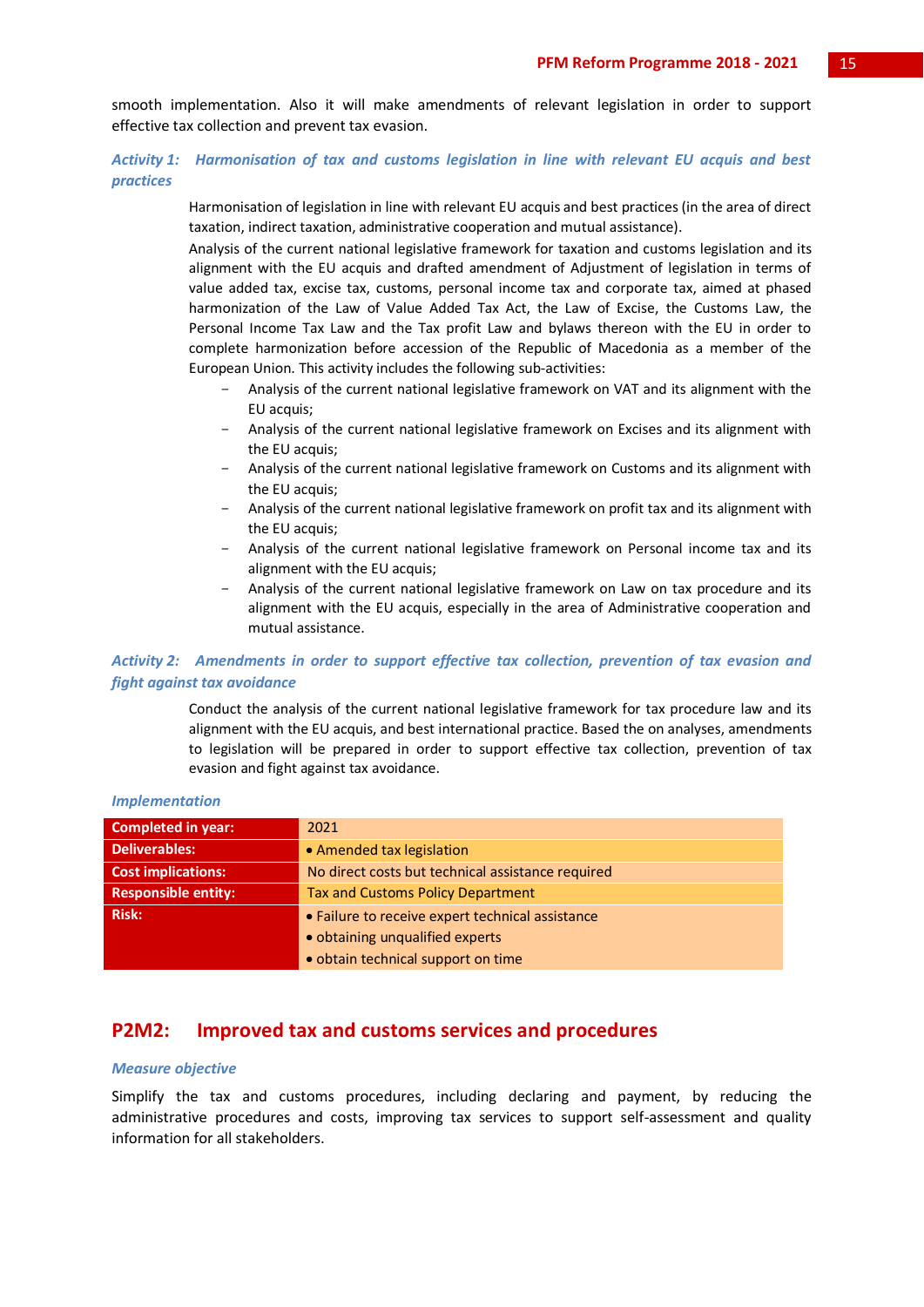smooth implementation. Also it will make amendments of relevant legislation in order to support effective tax collection and prevent tax evasion.

#### *Activity 1: Harmonisation of tax and customs legislation in line with relevant EU acquis and best practices*

Harmonisation of legislation in line with relevant EU acquis and best practices (in the area of direct taxation, indirect taxation, administrative cooperation and mutual assistance).

Analysis of the current national legislative framework for taxation and customs legislation and its alignment with the EU acquis and drafted amendment of Adjustment of legislation in terms of value added tax, excise tax, customs, personal income tax and corporate tax, aimed at phased harmonization of the Law of Value Added Tax Act, the Law of Excise, the Customs Law, the Personal Income Tax Law and the Tax profit Law and bylaws thereon with the EU in order to complete harmonization before accession of the Republic of Macedonia as a member of the European Union. This activity includes the following sub-activities:

- Analysis of the current national legislative framework on VAT and its alignment with the EU acquis;
- Analysis of the current national legislative framework on Excises and its alignment with the EU acquis;
- Analysis of the current national legislative framework on Customs and its alignment with the EU acquis;
- Analysis of the current national legislative framework on profit tax and its alignment with the EU acquis;
- Analysis of the current national legislative framework on Personal income tax and its alignment with the EU acquis;
- Analysis of the current national legislative framework on Law on tax procedure and its alignment with the EU acquis, especially in the area of Administrative cooperation and mutual assistance.

#### *Activity 2: Amendments in order to support effective tax collection, prevention of tax evasion and fight against tax avoidance*

Conduct the analysis of the current national legislative framework for tax procedure law and its alignment with the EU acquis, and best international practice. Based the on analyses, amendments to legislation will be prepared in order to support effective tax collection, prevention of tax evasion and fight against tax avoidance.

| <b>Completed in year:</b>  | 2021                                              |
|----------------------------|---------------------------------------------------|
| <b>Deliverables:</b>       | • Amended tax legislation                         |
| <b>Cost implications:</b>  | No direct costs but technical assistance required |
| <b>Responsible entity:</b> | <b>Tax and Customs Policy Department</b>          |
| <b>Risk:</b>               | • Failure to receive expert technical assistance  |
|                            | • obtaining unqualified experts                   |
|                            | · obtain technical support on time                |

#### *Implementation*

## **P2M2: Improved tax and customs services and procedures**

#### *Measure objective*

Simplify the tax and customs procedures, including declaring and payment, by reducing the administrative procedures and costs, improving tax services to support self-assessment and quality information for all stakeholders.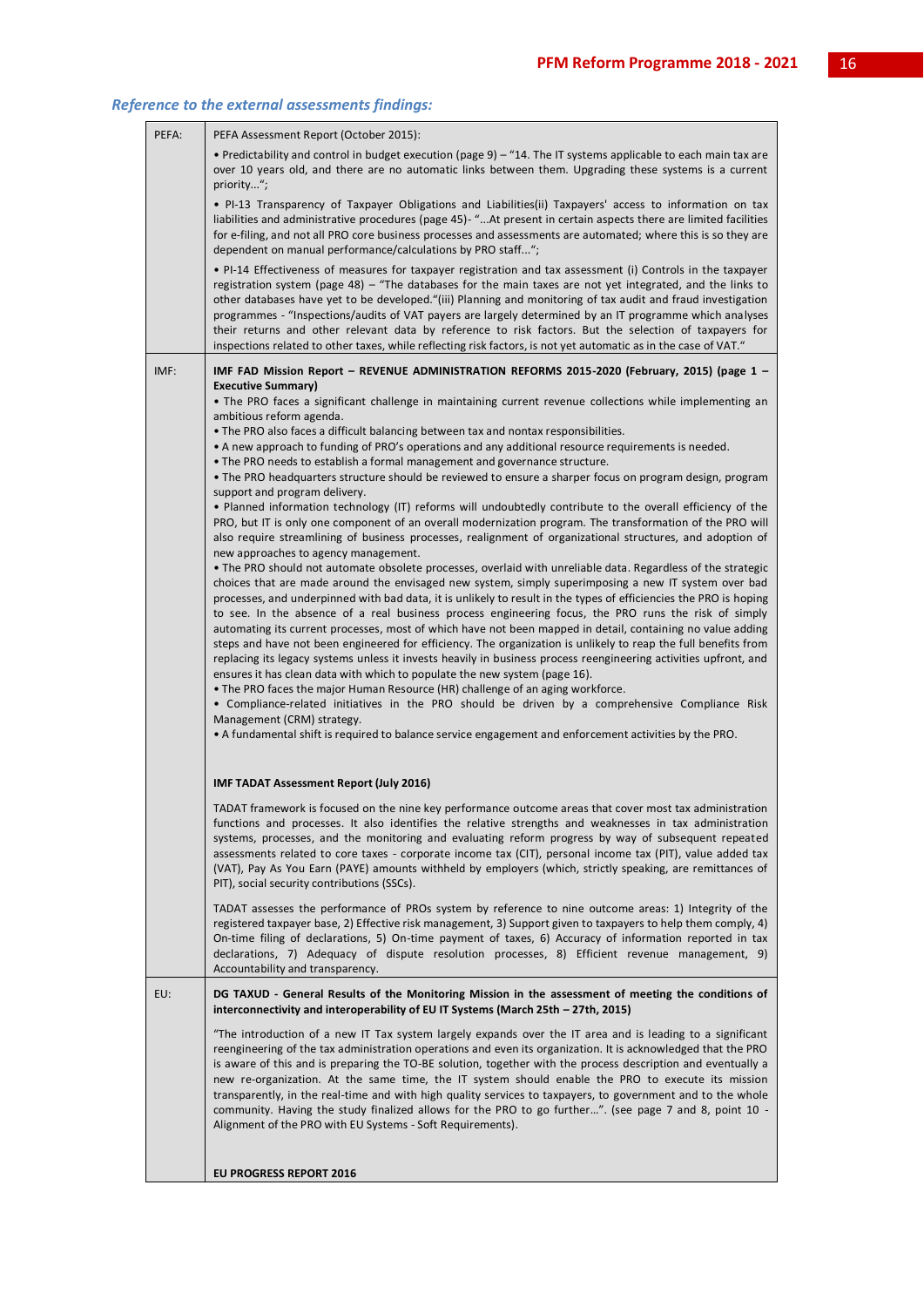| PEFA: | PEFA Assessment Report (October 2015):                                                                                                                                                                                                                                                                                                                                                                                                                                                                                                                                                                                                                                                                                                                                                                                                                                                                                                                                |
|-------|-----------------------------------------------------------------------------------------------------------------------------------------------------------------------------------------------------------------------------------------------------------------------------------------------------------------------------------------------------------------------------------------------------------------------------------------------------------------------------------------------------------------------------------------------------------------------------------------------------------------------------------------------------------------------------------------------------------------------------------------------------------------------------------------------------------------------------------------------------------------------------------------------------------------------------------------------------------------------|
|       | • Predictability and control in budget execution (page 9) - "14. The IT systems applicable to each main tax are<br>over 10 years old, and there are no automatic links between them. Upgrading these systems is a current<br>priority";                                                                                                                                                                                                                                                                                                                                                                                                                                                                                                                                                                                                                                                                                                                               |
|       | • PI-13 Transparency of Taxpayer Obligations and Liabilities(ii) Taxpayers' access to information on tax<br>liabilities and administrative procedures (page 45)- "At present in certain aspects there are limited facilities<br>for e-filing, and not all PRO core business processes and assessments are automated; where this is so they are<br>dependent on manual performance/calculations by PRO staff";                                                                                                                                                                                                                                                                                                                                                                                                                                                                                                                                                         |
|       | • PI-14 Effectiveness of measures for taxpayer registration and tax assessment (i) Controls in the taxpayer<br>registration system (page 48) - "The databases for the main taxes are not yet integrated, and the links to<br>other databases have yet to be developed."(iii) Planning and monitoring of tax audit and fraud investigation<br>programmes - "Inspections/audits of VAT payers are largely determined by an IT programme which analyses<br>their returns and other relevant data by reference to risk factors. But the selection of taxpayers for<br>inspections related to other taxes, while reflecting risk factors, is not yet automatic as in the case of VAT."                                                                                                                                                                                                                                                                                     |
| IMF:  | IMF FAD Mission Report – REVENUE ADMINISTRATION REFORMS 2015-2020 (February, 2015) (page 1 –                                                                                                                                                                                                                                                                                                                                                                                                                                                                                                                                                                                                                                                                                                                                                                                                                                                                          |
|       | <b>Executive Summary)</b><br>The PRO faces a significant challenge in maintaining current revenue collections while implementing an<br>ambitious reform agenda.                                                                                                                                                                                                                                                                                                                                                                                                                                                                                                                                                                                                                                                                                                                                                                                                       |
|       | • The PRO also faces a difficult balancing between tax and nontax responsibilities.<br>• A new approach to funding of PRO's operations and any additional resource requirements is needed.<br>• The PRO needs to establish a formal management and governance structure.                                                                                                                                                                                                                                                                                                                                                                                                                                                                                                                                                                                                                                                                                              |
|       | The PRO headquarters structure should be reviewed to ensure a sharper focus on program design, program •<br>support and program delivery.                                                                                                                                                                                                                                                                                                                                                                                                                                                                                                                                                                                                                                                                                                                                                                                                                             |
|       | • Planned information technology (IT) reforms will undoubtedly contribute to the overall efficiency of the<br>PRO, but IT is only one component of an overall modernization program. The transformation of the PRO will<br>also require streamlining of business processes, realignment of organizational structures, and adoption of<br>new approaches to agency management.                                                                                                                                                                                                                                                                                                                                                                                                                                                                                                                                                                                         |
|       | • The PRO should not automate obsolete processes, overlaid with unreliable data. Regardless of the strategic<br>choices that are made around the envisaged new system, simply superimposing a new IT system over bad<br>processes, and underpinned with bad data, it is unlikely to result in the types of efficiencies the PRO is hoping<br>to see. In the absence of a real business process engineering focus, the PRO runs the risk of simply<br>automating its current processes, most of which have not been mapped in detail, containing no value adding<br>steps and have not been engineered for efficiency. The organization is unlikely to reap the full benefits from<br>replacing its legacy systems unless it invests heavily in business process reengineering activities upfront, and<br>ensures it has clean data with which to populate the new system (page 16).<br>. The PRO faces the major Human Resource (HR) challenge of an aging workforce. |
|       | • Compliance-related initiatives in the PRO should be driven by a comprehensive Compliance Risk<br>Management (CRM) strategy.<br>• A fundamental shift is required to balance service engagement and enforcement activities by the PRO.                                                                                                                                                                                                                                                                                                                                                                                                                                                                                                                                                                                                                                                                                                                               |
|       | <b>IMF TADAT Assessment Report (July 2016)</b>                                                                                                                                                                                                                                                                                                                                                                                                                                                                                                                                                                                                                                                                                                                                                                                                                                                                                                                        |
|       | TADAT framework is focused on the nine key performance outcome areas that cover most tax administration<br>functions and processes. It also identifies the relative strengths and weaknesses in tax administration<br>systems, processes, and the monitoring and evaluating reform progress by way of subsequent repeated<br>assessments related to core taxes - corporate income tax (CIT), personal income tax (PIT), value added tax<br>(VAT), Pay As You Earn (PAYE) amounts withheld by employers (which, strictly speaking, are remittances of<br>PIT), social security contributions (SSCs).                                                                                                                                                                                                                                                                                                                                                                   |
|       | TADAT assesses the performance of PROs system by reference to nine outcome areas: 1) Integrity of the<br>registered taxpayer base, 2) Effective risk management, 3) Support given to taxpayers to help them comply, 4)<br>On-time filing of declarations, 5) On-time payment of taxes, 6) Accuracy of information reported in tax<br>declarations, 7) Adequacy of dispute resolution processes, 8) Efficient revenue management, 9)<br>Accountability and transparency.                                                                                                                                                                                                                                                                                                                                                                                                                                                                                               |
| EU:   | DG TAXUD - General Results of the Monitoring Mission in the assessment of meeting the conditions of<br>interconnectivity and interoperability of EU IT Systems (March 25th – 27th, 2015)                                                                                                                                                                                                                                                                                                                                                                                                                                                                                                                                                                                                                                                                                                                                                                              |
|       | "The introduction of a new IT Tax system largely expands over the IT area and is leading to a significant<br>reengineering of the tax administration operations and even its organization. It is acknowledged that the PRO<br>is aware of this and is preparing the TO-BE solution, together with the process description and eventually a<br>new re-organization. At the same time, the IT system should enable the PRO to execute its mission<br>transparently, in the real-time and with high quality services to taxpayers, to government and to the whole<br>eommunity. Having the study finalized allows for the PRO to go further". (see page 7 and 8, point 10 -<br>Alignment of the PRO with EU Systems - Soft Requirements).                                                                                                                                                                                                                                |
|       | <b>EU PROGRESS REPORT 2016</b>                                                                                                                                                                                                                                                                                                                                                                                                                                                                                                                                                                                                                                                                                                                                                                                                                                                                                                                                        |
|       |                                                                                                                                                                                                                                                                                                                                                                                                                                                                                                                                                                                                                                                                                                                                                                                                                                                                                                                                                                       |

#### *Reference to the external assessments findings:*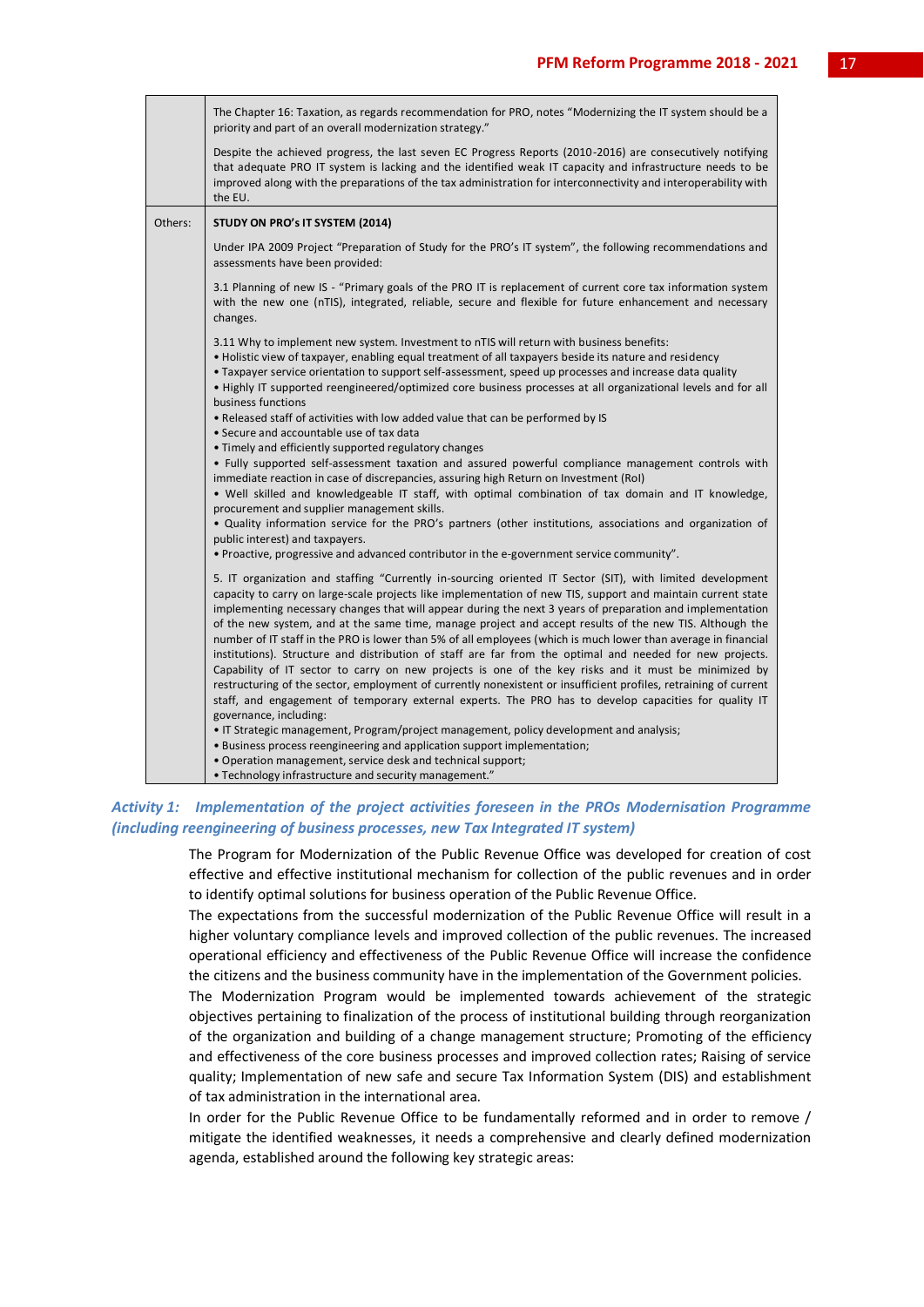|         | The Chapter 16: Taxation, as regards recommendation for PRO, notes "Modernizing the IT system should be a<br>priority and part of an overall modernization strategy."                                                                                                                                                                                                                                                                                                                                                                                                                                                                                                                                                                                                                                                                                                                                                                                                                                                                          |
|---------|------------------------------------------------------------------------------------------------------------------------------------------------------------------------------------------------------------------------------------------------------------------------------------------------------------------------------------------------------------------------------------------------------------------------------------------------------------------------------------------------------------------------------------------------------------------------------------------------------------------------------------------------------------------------------------------------------------------------------------------------------------------------------------------------------------------------------------------------------------------------------------------------------------------------------------------------------------------------------------------------------------------------------------------------|
|         | Despite the achieved progress, the last seven EC Progress Reports (2010-2016) are consecutively notifying<br>that adequate PRO IT system is lacking and the identified weak IT capacity and infrastructure needs to be<br>improved along with the preparations of the tax administration for interconnectivity and interoperability with<br>the EU.                                                                                                                                                                                                                                                                                                                                                                                                                                                                                                                                                                                                                                                                                            |
| Others: | STUDY ON PRO's IT SYSTEM (2014)                                                                                                                                                                                                                                                                                                                                                                                                                                                                                                                                                                                                                                                                                                                                                                                                                                                                                                                                                                                                                |
|         | Under IPA 2009 Project "Preparation of Study for the PRO's IT system", the following recommendations and<br>assessments have been provided:                                                                                                                                                                                                                                                                                                                                                                                                                                                                                                                                                                                                                                                                                                                                                                                                                                                                                                    |
|         | 3.1 Planning of new IS - "Primary goals of the PRO IT is replacement of current core tax information system<br>with the new one (nTIS), integrated, reliable, secure and flexible for future enhancement and necessary<br>changes.                                                                                                                                                                                                                                                                                                                                                                                                                                                                                                                                                                                                                                                                                                                                                                                                             |
|         | 3.11 Why to implement new system. Investment to nTIS will return with business benefits:<br>• Holistic view of taxpayer, enabling equal treatment of all taxpayers beside its nature and residency<br>• Taxpayer service orientation to support self-assessment, speed up processes and increase data quality<br>• Highly IT supported reengineered/optimized core business processes at all organizational levels and for all<br>business functions                                                                                                                                                                                                                                                                                                                                                                                                                                                                                                                                                                                           |
|         | . Released staff of activities with low added value that can be performed by IS<br>• Secure and accountable use of tax data                                                                                                                                                                                                                                                                                                                                                                                                                                                                                                                                                                                                                                                                                                                                                                                                                                                                                                                    |
|         | • Timely and efficiently supported regulatory changes<br>. Fully supported self-assessment taxation and assured powerful compliance management controls with<br>immediate reaction in case of discrepancies, assuring high Return on Investment (RoI)<br>. Well skilled and knowledgeable IT staff, with optimal combination of tax domain and IT knowledge,<br>procurement and supplier management skills.<br>. Quality information service for the PRO's partners (other institutions, associations and organization of<br>public interest) and taxpayers.<br>• Proactive, progressive and advanced contributor in the e-government service community".                                                                                                                                                                                                                                                                                                                                                                                      |
|         | 5. IT organization and staffing "Currently in-sourcing oriented IT Sector (SIT), with limited development<br>capacity to carry on large-scale projects like implementation of new TIS, support and maintain current state<br>implementing necessary changes that will appear during the next 3 years of preparation and implementation<br>of the new system, and at the same time, manage project and accept results of the new TIS. Although the<br>number of IT staff in the PRO is lower than 5% of all employees (which is much lower than average in financial<br>institutions). Structure and distribution of staff are far from the optimal and needed for new projects.<br>Capability of IT sector to carry on new projects is one of the key risks and it must be minimized by<br>restructuring of the sector, employment of currently nonexistent or insufficient profiles, retraining of current<br>staff, and engagement of temporary external experts. The PRO has to develop capacities for quality IT<br>governance, including: |
|         | • IT Strategic management, Program/project management, policy development and analysis;<br>. Business process reengineering and application support implementation;<br>. Operation management, service desk and technical support;                                                                                                                                                                                                                                                                                                                                                                                                                                                                                                                                                                                                                                                                                                                                                                                                             |
|         | • Technology infrastructure and security management."                                                                                                                                                                                                                                                                                                                                                                                                                                                                                                                                                                                                                                                                                                                                                                                                                                                                                                                                                                                          |

#### *Activity 1: Implementation of the project activities foreseen in the PROs Modernisation Programme (including reengineering of business processes, new Tax Integrated IT system)*

The Program for Modernization of the Public Revenue Office was developed for creation of cost effective and effective institutional mechanism for collection of the public revenues and in order to identify optimal solutions for business operation of the Public Revenue Office.

The expectations from the successful modernization of the Public Revenue Office will result in a higher voluntary compliance levels and improved collection of the public revenues. The increased operational efficiency and effectiveness of the Public Revenue Office will increase the confidence the citizens and the business community have in the implementation of the Government policies.

The Modernization Program would be implemented towards achievement of the strategic objectives pertaining to finalization of the process of institutional building through reorganization of the organization and building of a change management structure; Promoting of the efficiency and effectiveness of the core business processes and improved collection rates; Raising of service quality; Implementation of new safe and secure Tax Information System (DIS) and establishment of tax administration in the international area.

In order for the Public Revenue Office to be fundamentally reformed and in order to remove / mitigate the identified weaknesses, it needs a comprehensive and clearly defined modernization agenda, established around the following key strategic areas: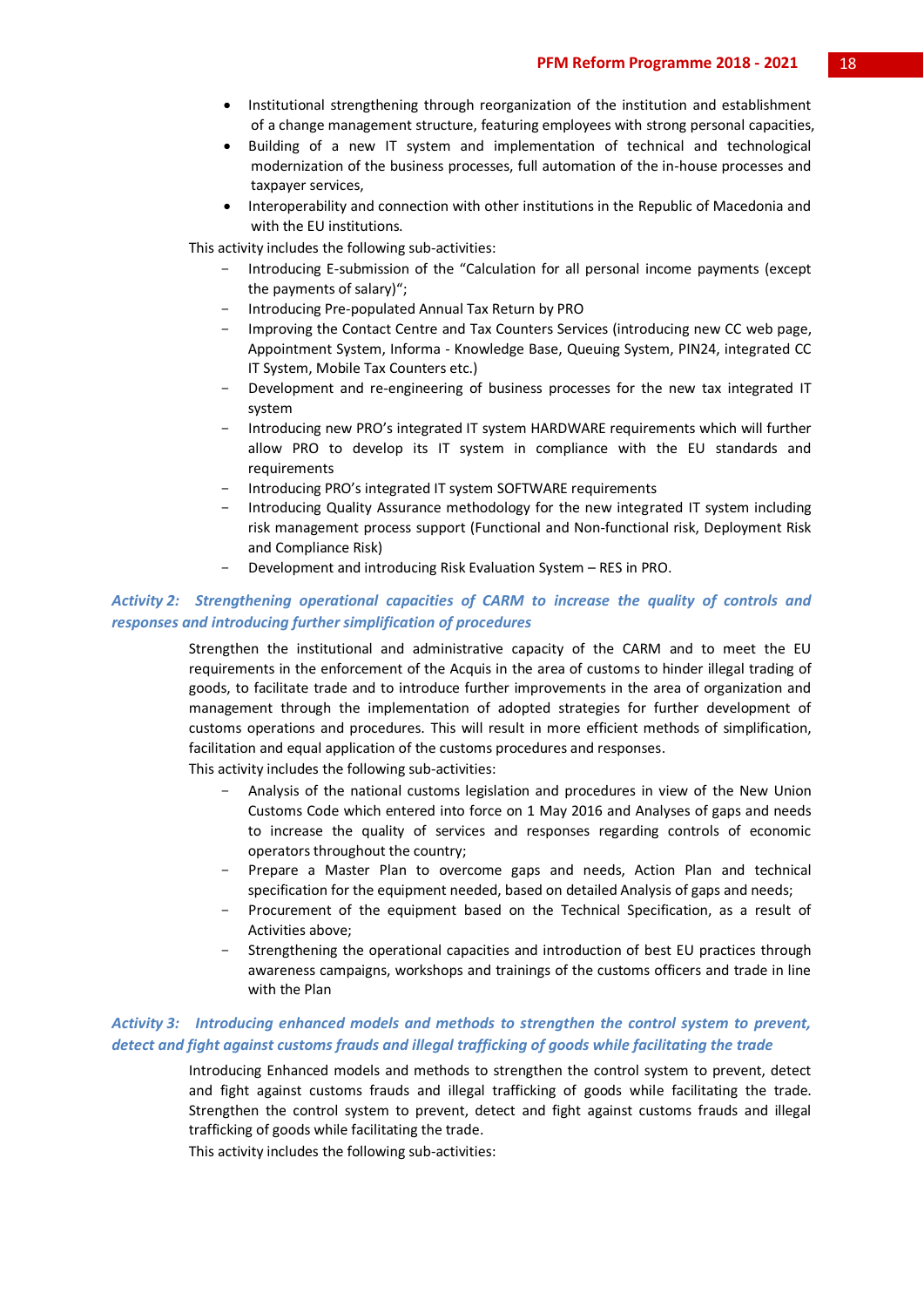- Institutional strengthening through reorganization of the institution and establishment of a change management structure, featuring employees with strong personal capacities,
- Building of a new IT system and implementation of technical and technological modernization of the business processes, full automation of the in-house processes and taxpayer services,
- Interoperability and connection with other institutions in the Republic of Macedonia and with the EU institutions.

This activity includes the following sub-activities:

- Introducing E-submission of the "Calculation for all personal income payments (except the payments of salary)";
- Introducing Pre-populated Annual Tax Return by PRO
- Improving the Contact Centre and Tax Counters Services (introducing new CC web page, Appointment System, Informa - Knowledge Base, Queuing System, PIN24, integrated CC IT System, Mobile Tax Counters etc.)
- Development and re-engineering of business processes for the new tax integrated IT system
- Introducing new PRO's integrated IT system HARDWARE requirements which will further allow PRO to develop its IT system in compliance with the EU standards and requirements
- Introducing PRO's integrated IT system SOFTWARE requirements
- Introducing Quality Assurance methodology for the new integrated IT system including risk management process support (Functional and Non-functional risk, Deployment Risk and Compliance Risk)
- Development and introducing Risk Evaluation System RES in PRO.

#### *Activity 2: Strengthening operational capacities of CARM to increase the quality of controls and responses and introducing further simplification of procedures*

Strengthen the institutional and administrative capacity of the CARM and to meet the EU requirements in the enforcement of the Аcquis in the area of customs to hinder illegal trading of goods, to facilitate trade and to introduce further improvements in the area of organization and management through the implementation of adopted strategies for further development of customs operations and procedures. This will result in more efficient methods of simplification, facilitation and equal application of the customs procedures and responses.

This activity includes the following sub-activities:

- Analysis of the national customs legislation and procedures in view of the New Union Customs Code which entered into force on 1 May 2016 and Analyses of gaps and needs to increase the quality of services and responses regarding controls of economic operators throughout the country;
- Prepare a Master Plan to overcome gaps and needs, Action Plan and technical specification for the equipment needed, based on detailed Analysis of gaps and needs;
- Procurement of the equipment based on the Technical Specification, as a result of Activities above;
- Strengthening the operational capacities and introduction of best EU practices through awareness campaigns, workshops and trainings of the customs officers and trade in line with the Plan

#### *Activity 3: Introducing enhanced models and methods to strengthen the control system to prevent, detect and fight against customs frauds and illegal trafficking of goods while facilitating the trade*

Introducing Enhanced models and methods to strengthen the control system to prevent, detect and fight against customs frauds and illegal trafficking of goods while facilitating the trade. Strengthen the control system to prevent, detect and fight against customs frauds and illegal trafficking of goods while facilitating the trade.

This activity includes the following sub-activities: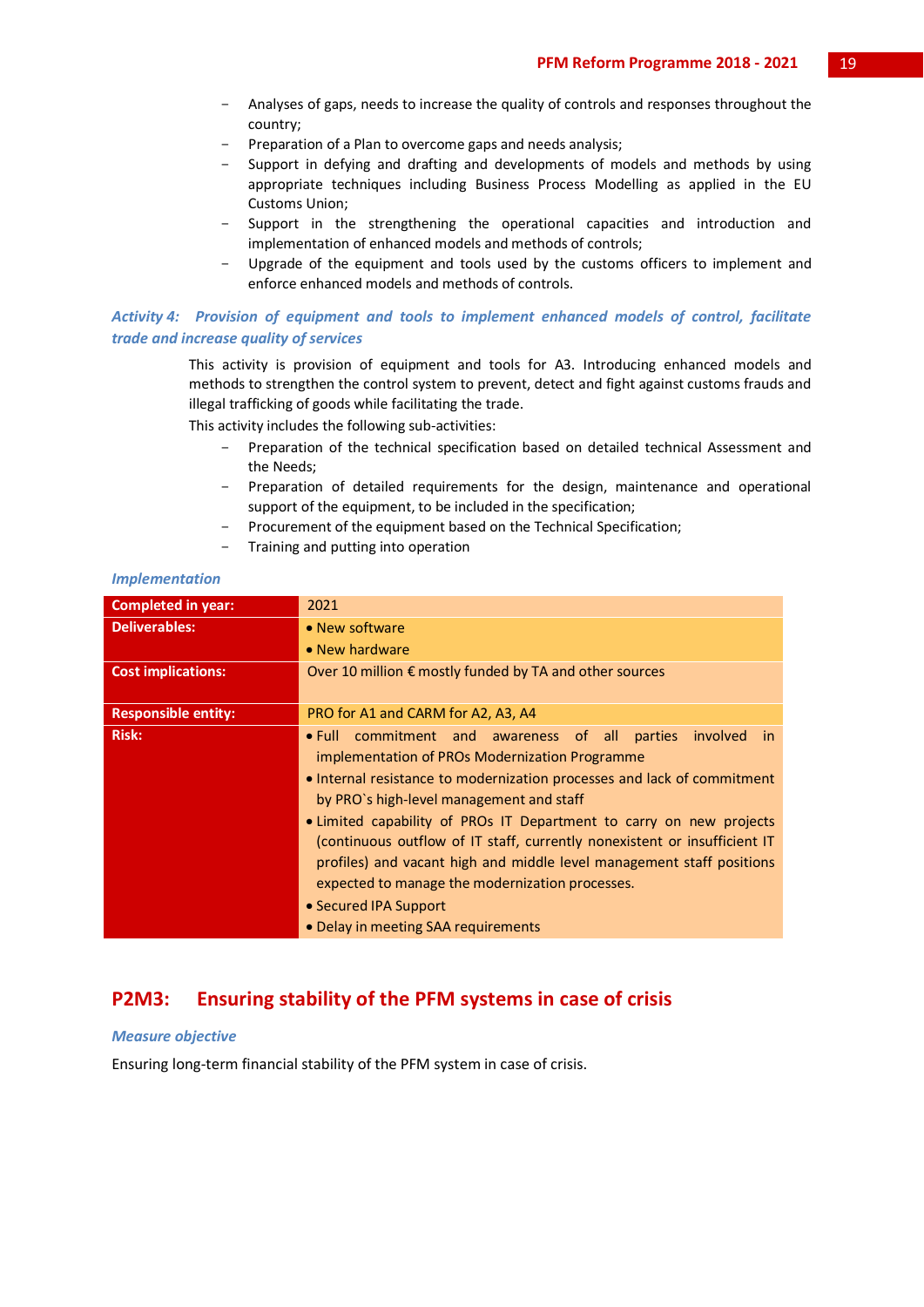- Analyses of gaps, needs to increase the quality of controls and responses throughout the country;
- Preparation of a Plan to overcome gaps and needs analysis;
- Support in defying and drafting and developments of models and methods by using appropriate techniques including Business Process Modelling as applied in the EU Customs Union;
- Support in the strengthening the operational capacities and introduction and implementation of enhanced models and methods of controls;
- Upgrade of the equipment and tools used by the customs officers to implement and enforce enhanced models and methods of controls.

#### *Activity 4: Provision of equipment and tools to implement enhanced models of control, facilitate trade and increase quality of services*

This activity is provision of equipment and tools for A3. Introducing enhanced models and methods to strengthen the control system to prevent, detect and fight against customs frauds and illegal trafficking of goods while facilitating the trade.

This activity includes the following sub-activities:

- Preparation of the technical specification based on detailed technical Assessment and the Needs;
- Preparation of detailed requirements for the design, maintenance and operational support of the equipment, to be included in the specification;
- Procurement of the equipment based on the Technical Specification;
- Training and putting into operation

#### *Implementation*

| <b>Completed in year:</b>  | 2021                                                                                                                                                                                                                                                                                                                                                                                                                                                                                                                                                                                       |
|----------------------------|--------------------------------------------------------------------------------------------------------------------------------------------------------------------------------------------------------------------------------------------------------------------------------------------------------------------------------------------------------------------------------------------------------------------------------------------------------------------------------------------------------------------------------------------------------------------------------------------|
| <b>Deliverables:</b>       | • New software                                                                                                                                                                                                                                                                                                                                                                                                                                                                                                                                                                             |
|                            | • New hardware                                                                                                                                                                                                                                                                                                                                                                                                                                                                                                                                                                             |
| <b>Cost implications:</b>  | Over 10 million € mostly funded by TA and other sources                                                                                                                                                                                                                                                                                                                                                                                                                                                                                                                                    |
| <b>Responsible entity:</b> | PRO for A1 and CARM for A2, A3, A4                                                                                                                                                                                                                                                                                                                                                                                                                                                                                                                                                         |
| <b>Risk:</b>               | • Full commitment and awareness of all parties<br>involved<br>-in<br>implementation of PROs Modernization Programme<br>• Internal resistance to modernization processes and lack of commitment<br>by PRO's high-level management and staff<br>• Limited capability of PROs IT Department to carry on new projects<br>(continuous outflow of IT staff, currently nonexistent or insufficient IT<br>profiles) and vacant high and middle level management staff positions<br>expected to manage the modernization processes.<br>• Secured IPA Support<br>• Delay in meeting SAA requirements |

### **P2M3: Ensuring stability of the PFM systems in case of crisis**

#### *Measure objective*

Ensuring long-term financial stability of the PFM system in case of crisis.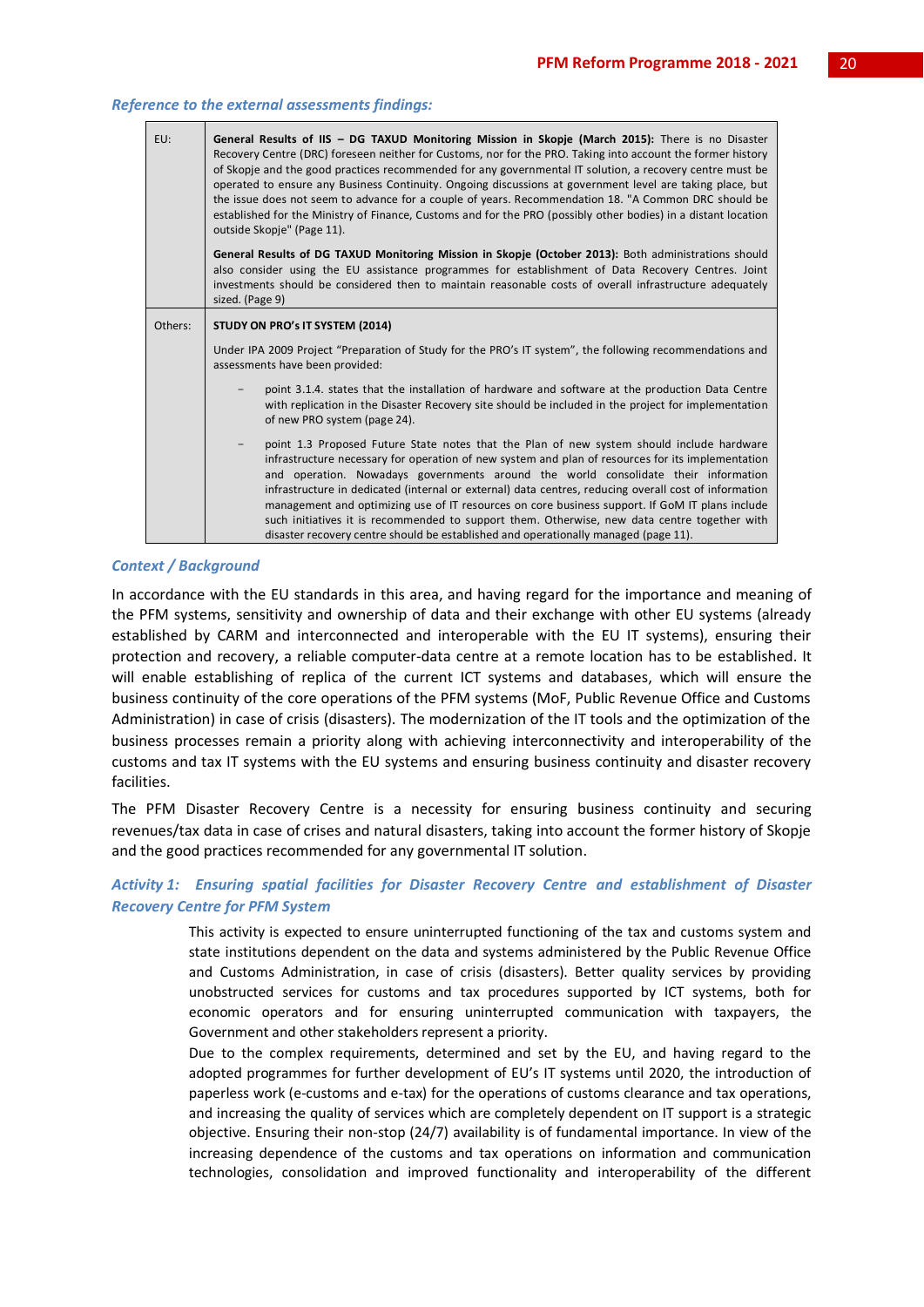|                                            | EU: | General Results of IIS - DG TAXUD Monitoring Mission in Skopje (March 2015): There is no Disaster<br>Recovery Centre (DRC) foreseen neither for Customs, nor for the PRO. Taking into account the former history<br>of Skopje and the good practices recommended for any governmental IT solution, a recovery centre must be<br>operated to ensure any Business Continuity. Ongoing discussions at government level are taking place, but<br>the issue does not seem to advance for a couple of years. Recommendation 18. "A Common DRC should be<br>established for the Ministry of Finance, Customs and for the PRO (possibly other bodies) in a distant location<br>outside Skopje" (Page 11).<br>General Results of DG TAXUD Monitoring Mission in Skopje (October 2013): Both administrations should<br>also consider using the EU assistance programmes for establishment of Data Recovery Centres. Joint<br>investments should be considered then to maintain reasonable costs of overall infrastructure adequately<br>sized. (Page 9) |  |
|--------------------------------------------|-----|-----------------------------------------------------------------------------------------------------------------------------------------------------------------------------------------------------------------------------------------------------------------------------------------------------------------------------------------------------------------------------------------------------------------------------------------------------------------------------------------------------------------------------------------------------------------------------------------------------------------------------------------------------------------------------------------------------------------------------------------------------------------------------------------------------------------------------------------------------------------------------------------------------------------------------------------------------------------------------------------------------------------------------------------------|--|
| Others:<br>STUDY ON PRO's IT SYSTEM (2014) |     |                                                                                                                                                                                                                                                                                                                                                                                                                                                                                                                                                                                                                                                                                                                                                                                                                                                                                                                                                                                                                                               |  |
|                                            |     | Under IPA 2009 Project "Preparation of Study for the PRO's IT system", the following recommendations and<br>assessments have been provided:                                                                                                                                                                                                                                                                                                                                                                                                                                                                                                                                                                                                                                                                                                                                                                                                                                                                                                   |  |
|                                            |     | point 3.1.4. states that the installation of hardware and software at the production Data Centre<br>with replication in the Disaster Recovery site should be included in the project for implementation<br>of new PRO system (page 24).                                                                                                                                                                                                                                                                                                                                                                                                                                                                                                                                                                                                                                                                                                                                                                                                       |  |
|                                            |     | point 1.3 Proposed Future State notes that the Plan of new system should include hardware<br>infrastructure necessary for operation of new system and plan of resources for its implementation<br>and operation. Nowadays governments around the world consolidate their information<br>infrastructure in dedicated (internal or external) data centres, reducing overall cost of information<br>management and optimizing use of IT resources on core business support. If GoM IT plans include<br>such initiatives it is recommended to support them. Otherwise, new data centre together with<br>disaster recovery centre should be established and operationally managed (page 11).                                                                                                                                                                                                                                                                                                                                                       |  |

#### *Reference to the external assessments findings:*

#### *Context / Background*

In accordance with the EU standards in this area, and having regard for the importance and meaning of the PFM systems, sensitivity and ownership of data and their exchange with other EU systems (already established by CARM and interconnected and interoperable with the EU IT systems), ensuring their protection and recovery, a reliable computer-data centre at a remote location has to be established. It will enable establishing of replica of the current ICT systems and databases, which will ensure the business continuity of the core operations of the PFM systems (MoF, Public Revenue Office and Customs Administration) in case of crisis (disasters). The modernization of the IT tools and the optimization of the business processes remain a priority along with achieving interconnectivity and interoperability of the customs and tax IT systems with the EU systems and ensuring business continuity and disaster recovery facilities.

The PFM Disaster Recovery Centre is a necessity for ensuring business continuity and securing revenues/tax data in case of crises and natural disasters, taking into account the former history of Skopje and the good practices recommended for any governmental IT solution.

#### *Activity 1: Ensuring spatial facilities for Disaster Recovery Centre and establishment of Disaster Recovery Centre for PFM System*

This activity is expected to ensure uninterrupted functioning of the tax and customs system and state institutions dependent on the data and systems administered by the Public Revenue Office and Customs Administration, in case of crisis (disasters). Better quality services by providing unobstructed services for customs and tax procedures supported by ICT systems, both for economic operators and for ensuring uninterrupted communication with taxpayers, the Government and other stakeholders represent a priority.

Due to the complex requirements, determined and set by the EU, and having regard to the adopted programmes for further development of EU's IT systems until 2020, the introduction of paperless work (e-customs and e-tax) for the operations of customs clearance and tax operations, and increasing the quality of services which are completely dependent on IT support is a strategic objective. Ensuring their non-stop (24/7) availability is of fundamental importance. In view of the increasing dependence of the customs and tax operations on information and communication technologies, consolidation and improved functionality and interoperability of the different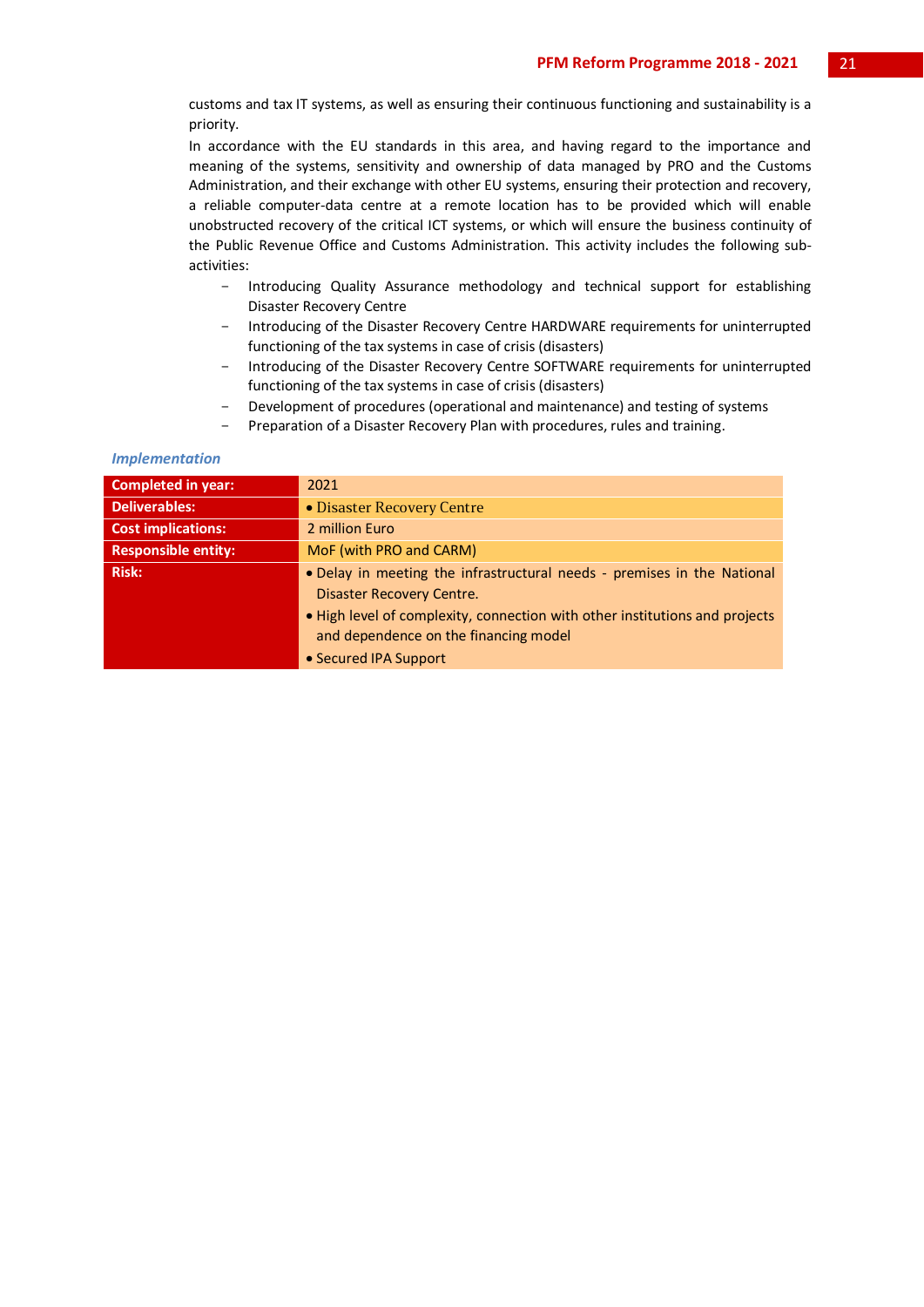customs and tax IT systems, as well as ensuring their continuous functioning and sustainability is a priority.

In accordance with the EU standards in this area, and having regard to the importance and meaning of the systems, sensitivity and ownership of data managed by PRO and the Customs Administration, and their exchange with other EU systems, ensuring their protection and recovery, a reliable computer-data centre at a remote location has to be provided which will enable unobstructed recovery of the critical ICT systems, or which will ensure the business continuity of the Public Revenue Office and Customs Administration. This activity includes the following subactivities:

- Introducing Quality Assurance methodology and technical support for establishing Disaster Recovery Centre
- Introducing of the Disaster Recovery Centre HARDWARE requirements for uninterrupted functioning of the tax systems in case of crisis (disasters)
- Introducing of the Disaster Recovery Centre SOFTWARE requirements for uninterrupted functioning of the tax systems in case of crisis (disasters)
- Development of procedures (operational and maintenance) and testing of systems
- Preparation of a Disaster Recovery Plan with procedures, rules and training.

#### *Implementation*

| <b>Completed in year:</b>  | 2021                                                                                                                 |
|----------------------------|----------------------------------------------------------------------------------------------------------------------|
| <b>Deliverables:</b>       | • Disaster Recovery Centre                                                                                           |
| <b>Cost implications:</b>  | 2 million Euro                                                                                                       |
| <b>Responsible entity:</b> | MoF (with PRO and CARM)                                                                                              |
| <b>Risk:</b>               | . Delay in meeting the infrastructural needs - premises in the National<br>Disaster Recovery Centre.                 |
|                            | . High level of complexity, connection with other institutions and projects<br>and dependence on the financing model |
|                            | • Secured IPA Support                                                                                                |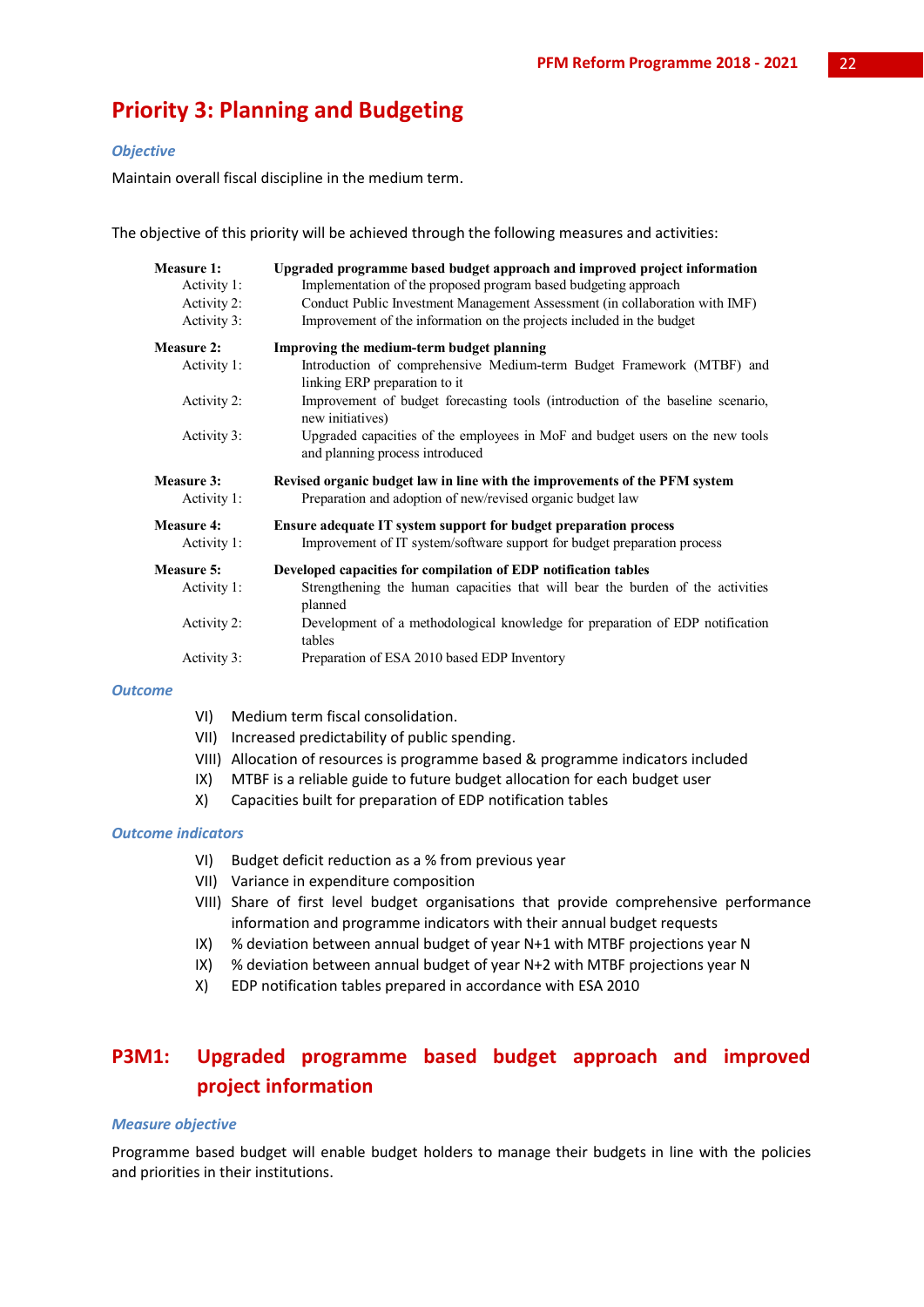## **Priority 3: Planning and Budgeting**

#### *Objective*

Maintain overall fiscal discipline in the medium term.

The objective of this priority will be achieved through the following measures and activities:

| <b>Measure 1:</b> | Upgraded programme based budget approach and improved project information                                                                |
|-------------------|------------------------------------------------------------------------------------------------------------------------------------------|
| Activity 1:       | Implementation of the proposed program based budgeting approach                                                                          |
| Activity 2:       | Conduct Public Investment Management Assessment (in collaboration with IMF)                                                              |
| Activity 3:       | Improvement of the information on the projects included in the budget                                                                    |
| <b>Measure 2:</b> | Improving the medium-term budget planning                                                                                                |
| Activity 1:       | Introduction of comprehensive Medium-term Budget Framework (MTBF) and<br>linking ERP preparation to it                                   |
| Activity 2:       | Improvement of budget forecasting tools (introduction of the baseline scenario,<br>new initiatives)                                      |
| Activity 3:       | Upgraded capacities of the employees in MoF and budget users on the new tools<br>and planning process introduced                         |
|                   |                                                                                                                                          |
| <b>Measure 3:</b> |                                                                                                                                          |
| Activity 1:       | Revised organic budget law in line with the improvements of the PFM system<br>Preparation and adoption of new/revised organic budget law |
| <b>Measure 4:</b> | Ensure adequate IT system support for budget preparation process                                                                         |
| Activity 1:       | Improvement of IT system/software support for budget preparation process                                                                 |
| <b>Measure 5:</b> | Developed capacities for compilation of EDP notification tables                                                                          |
| Activity 1:       | Strengthening the human capacities that will bear the burden of the activities<br>planned                                                |
| Activity 2:       | Development of a methodological knowledge for preparation of EDP notification<br>tables                                                  |

#### *Outcome*

- VI) Medium term fiscal consolidation.
- VII) Increased predictability of public spending.
- VIII) Allocation of resources is programme based & programme indicators included
- IX) MTBF is a reliable guide to future budget allocation for each budget user
- X) Capacities built for preparation of EDP notification tables

#### *Outcome indicators*

- VI) Budget deficit reduction as a % from previous year
- VII) Variance in expenditure composition
- VIII) Share of first level budget organisations that provide comprehensive performance information and programme indicators with their annual budget requests
- IX) % deviation between annual budget of year N+1 with MTBF projections year N
- IX) % deviation between annual budget of year N+2 with MTBF projections year N
- X) EDP notification tables prepared in accordance with ESA 2010

## **P3M1: Upgraded programme based budget approach and improved project information**

#### *Measure objective*

Programme based budget will enable budget holders to manage their budgets in line with the policies and priorities in their institutions.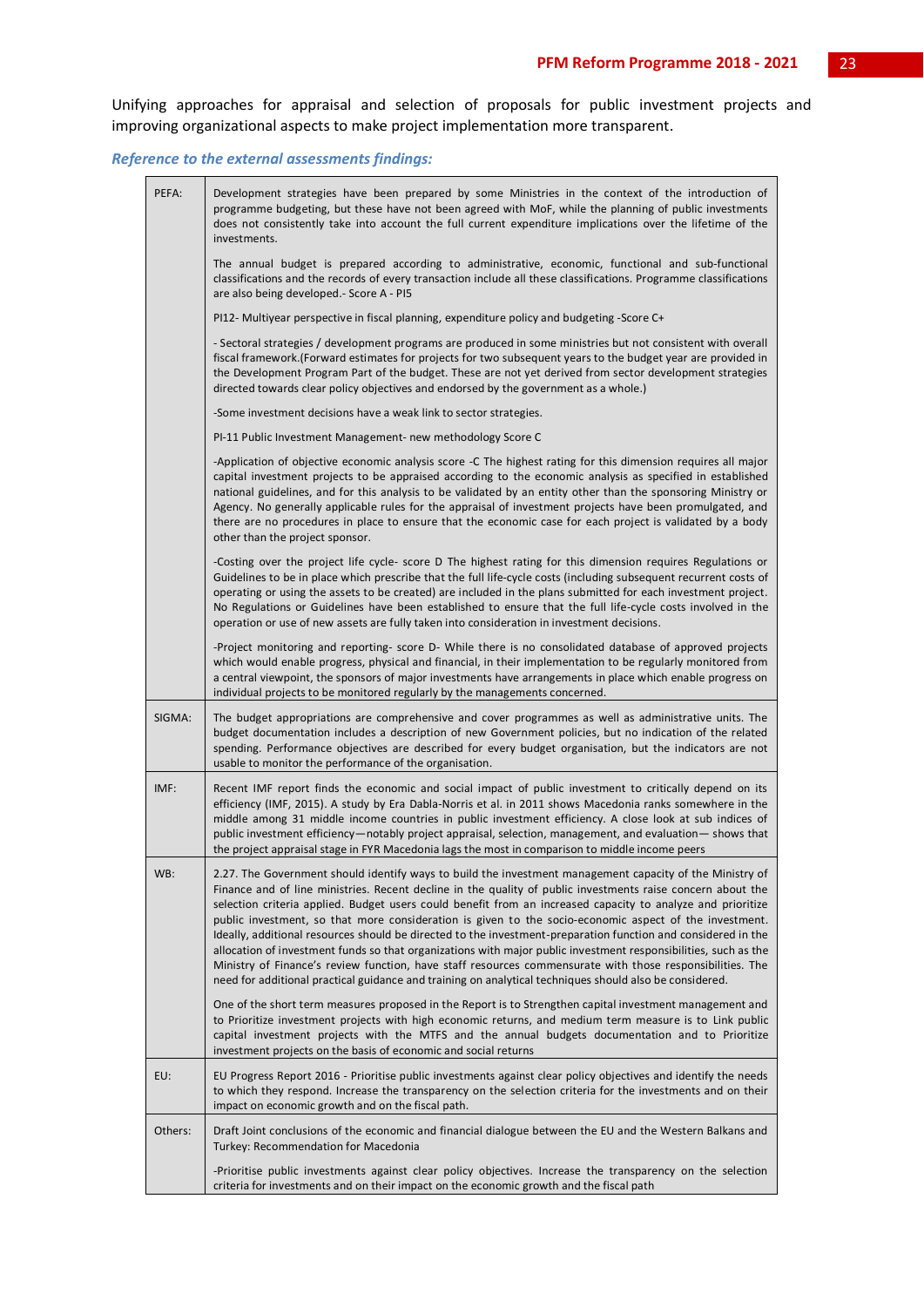Unifying approaches for appraisal and selection of proposals for public investment projects and improving organizational aspects to make project implementation more transparent.

#### *Reference to the external assessments findings:*

| PEFA:   | Development strategies have been prepared by some Ministries in the context of the introduction of<br>programme budgeting, but these have not been agreed with MoF, while the planning of public investments<br>does not consistently take into account the full current expenditure implications over the lifetime of the<br>investments.                                                                                                                                                                                                                                                                                                                                                                                                                                                                                                                                                                   |
|---------|--------------------------------------------------------------------------------------------------------------------------------------------------------------------------------------------------------------------------------------------------------------------------------------------------------------------------------------------------------------------------------------------------------------------------------------------------------------------------------------------------------------------------------------------------------------------------------------------------------------------------------------------------------------------------------------------------------------------------------------------------------------------------------------------------------------------------------------------------------------------------------------------------------------|
|         | The annual budget is prepared according to administrative, economic, functional and sub-functional<br>classifications and the records of every transaction include all these classifications. Programme classifications<br>are also being developed. - Score A - PI5                                                                                                                                                                                                                                                                                                                                                                                                                                                                                                                                                                                                                                         |
|         | PI12- Multiyear perspective in fiscal planning, expenditure policy and budgeting -Score C+                                                                                                                                                                                                                                                                                                                                                                                                                                                                                                                                                                                                                                                                                                                                                                                                                   |
|         | - Sectoral strategies / development programs are produced in some ministries but not consistent with overall<br>fiscal framework. (Forward estimates for projects for two subsequent years to the budget year are provided in<br>the Development Program Part of the budget. These are not yet derived from sector development strategies<br>directed towards clear policy objectives and endorsed by the government as a whole.)                                                                                                                                                                                                                                                                                                                                                                                                                                                                            |
|         | -Some investment decisions have a weak link to sector strategies.                                                                                                                                                                                                                                                                                                                                                                                                                                                                                                                                                                                                                                                                                                                                                                                                                                            |
|         | PI-11 Public Investment Management- new methodology Score C                                                                                                                                                                                                                                                                                                                                                                                                                                                                                                                                                                                                                                                                                                                                                                                                                                                  |
|         | -Application of objective economic analysis score -C The highest rating for this dimension requires all major<br>capital investment projects to be appraised according to the economic analysis as specified in established<br>national guidelines, and for this analysis to be validated by an entity other than the sponsoring Ministry or<br>Agency. No generally applicable rules for the appraisal of investment projects have been promulgated, and<br>there are no procedures in place to ensure that the economic case for each project is validated by a body<br>other than the project sponsor.                                                                                                                                                                                                                                                                                                    |
|         | -Costing over the project life cycle- score D The highest rating for this dimension requires Regulations or<br>Guidelines to be in place which prescribe that the full life-cycle costs (including subsequent recurrent costs of<br>operating or using the assets to be created) are included in the plans submitted for each investment project.<br>No Regulations or Guidelines have been established to ensure that the full life-cycle costs involved in the<br>operation or use of new assets are fully taken into consideration in investment decisions.                                                                                                                                                                                                                                                                                                                                               |
|         | -Project monitoring and reporting- score D- While there is no consolidated database of approved projects<br>which would enable progress, physical and financial, in their implementation to be regularly monitored from<br>a central viewpoint, the sponsors of major investments have arrangements in place which enable progress on<br>individual projects to be monitored regularly by the managements concerned.                                                                                                                                                                                                                                                                                                                                                                                                                                                                                         |
| SIGMA:  | The budget appropriations are comprehensive and cover programmes as well as administrative units. The<br>budget documentation includes a description of new Government policies, but no indication of the related<br>spending. Performance objectives are described for every budget organisation, but the indicators are not<br>usable to monitor the performance of the organisation.                                                                                                                                                                                                                                                                                                                                                                                                                                                                                                                      |
| IMF:    | Recent IMF report finds the economic and social impact of public investment to critically depend on its<br>efficiency (IMF, 2015). A study by Era Dabla-Norris et al. in 2011 shows Macedonia ranks somewhere in the<br>middle among 31 middle income countries in public investment efficiency. A close look at sub indices of<br>public investment efficiency—notably project appraisal, selection, management, and evaluation— shows that<br>the project appraisal stage in FYR Macedonia lags the most in comparison to middle income peers                                                                                                                                                                                                                                                                                                                                                              |
| WB:     | 2.27. The Government should identify ways to build the investment management capacity of the Ministry of<br>Finance and of line ministries. Recent decline in the quality of public investments raise concern about the<br>selection criteria applied. Budget users could benefit from an increased capacity to analyze and prioritize<br>public investment, so that more consideration is given to the socio-economic aspect of the investment.<br>Ideally, additional resources should be directed to the investment-preparation function and considered in the<br>allocation of investment funds so that organizations with major public investment responsibilities, such as the<br>Ministry of Finance's review function, have staff resources commensurate with those responsibilities. The<br>need for additional practical guidance and training on analytical techniques should also be considered. |
|         | One of the short term measures proposed in the Report is to Strengthen capital investment management and<br>to Prioritize investment projects with high economic returns, and medium term measure is to Link public<br>capital investment projects with the MTFS and the annual budgets documentation and to Prioritize<br>investment projects on the basis of economic and social returns                                                                                                                                                                                                                                                                                                                                                                                                                                                                                                                   |
| EU:     | EU Progress Report 2016 - Prioritise public investments against clear policy objectives and identify the needs<br>to which they respond. Increase the transparency on the selection criteria for the investments and on their<br>impact on economic growth and on the fiscal path.                                                                                                                                                                                                                                                                                                                                                                                                                                                                                                                                                                                                                           |
| Others: | Draft Joint conclusions of the economic and financial dialogue between the EU and the Western Balkans and<br>Turkey: Recommendation for Macedonia                                                                                                                                                                                                                                                                                                                                                                                                                                                                                                                                                                                                                                                                                                                                                            |
|         | -Prioritise public investments against clear policy objectives. Increase the transparency on the selection<br>criteria for investments and on their impact on the economic growth and the fiscal path                                                                                                                                                                                                                                                                                                                                                                                                                                                                                                                                                                                                                                                                                                        |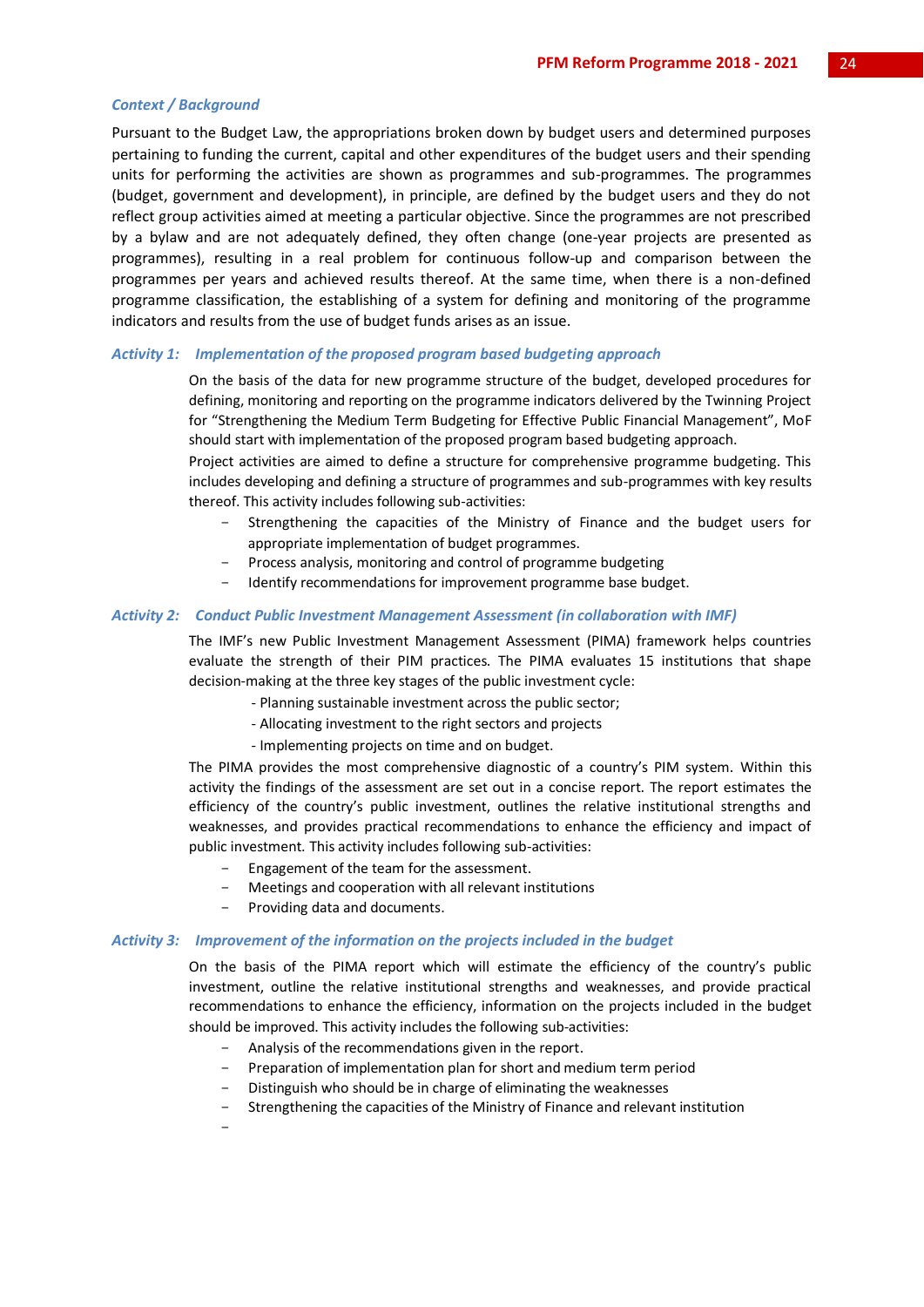#### *Context / Background*

Pursuant to the Budget Law, the appropriations broken down by budget users and determined purposes pertaining to funding the current, capital and other expenditures of the budget users and their spending units for performing the activities are shown as programmes and sub-programmes. The programmes (budget, government and development), in principle, are defined by the budget users and they do not reflect group activities aimed at meeting a particular objective. Since the programmes are not prescribed by a bylaw and are not adequately defined, they often change (one-year projects are presented as programmes), resulting in a real problem for continuous follow-up and comparison between the programmes per years and achieved results thereof. At the same time, when there is a non-defined programme classification, the establishing of a system for defining and monitoring of the programme indicators and results from the use of budget funds arises as an issue.

#### *Activity 1: Implementation of the proposed program based budgeting approach*

On the basis of the data for new programme structure of the budget, developed procedures for defining, monitoring and reporting on the programme indicators delivered by the Twinning Project for "Strengthening the Medium Term Budgeting for Effective Public Financial Management", MoF should start with implementation of the proposed program based budgeting approach.

Project activities are aimed to define a structure for comprehensive programme budgeting. This includes developing and defining a structure of programmes and sub-programmes with key results thereof. This activity includes following sub-activities:

- Strengthening the capacities of the Ministry of Finance and the budget users for appropriate implementation of budget programmes.
- Process analysis, monitoring and control of programme budgeting
- Identify recommendations for improvement programme base budget.

#### *Activity 2: Conduct Public Investment Management Assessment (in collaboration with IMF)*

The IMF's new Public Investment Management Assessment (PIMA) framework helps countries evaluate the strength of their PIM practices. The PIMA evaluates 15 institutions that shape decision-making at the three key stages of the public investment cycle:

- Planning sustainable investment across the public sector;
- Allocating investment to the right sectors and projects
- Implementing projects on time and on budget.

The PIMA provides the most comprehensive diagnostic of a country's PIM system. Within this activity the findings of the assessment are set out in a concise report. The report estimates the efficiency of the country's public investment, outlines the relative institutional strengths and weaknesses, and provides practical recommendations to enhance the efficiency and impact of public investment. This activity includes following sub-activities:

- Engagement of the team for the assessment.
- Meetings and cooperation with all relevant institutions
- Providing data and documents.

#### *Activity 3: Improvement of the information on the projects included in the budget*

On the basis of the PIMA report which will estimate the efficiency of the country's public investment, outline the relative institutional strengths and weaknesses, and provide practical recommendations to enhance the efficiency, information on the projects included in the budget should be improved. This activity includes the following sub-activities:

- Analysis of the recommendations given in the report.
- Preparation of implementation plan for short and medium term period
- Distinguish who should be in charge of eliminating the weaknesses
- Strengthening the capacities of the Ministry of Finance and relevant institution
- -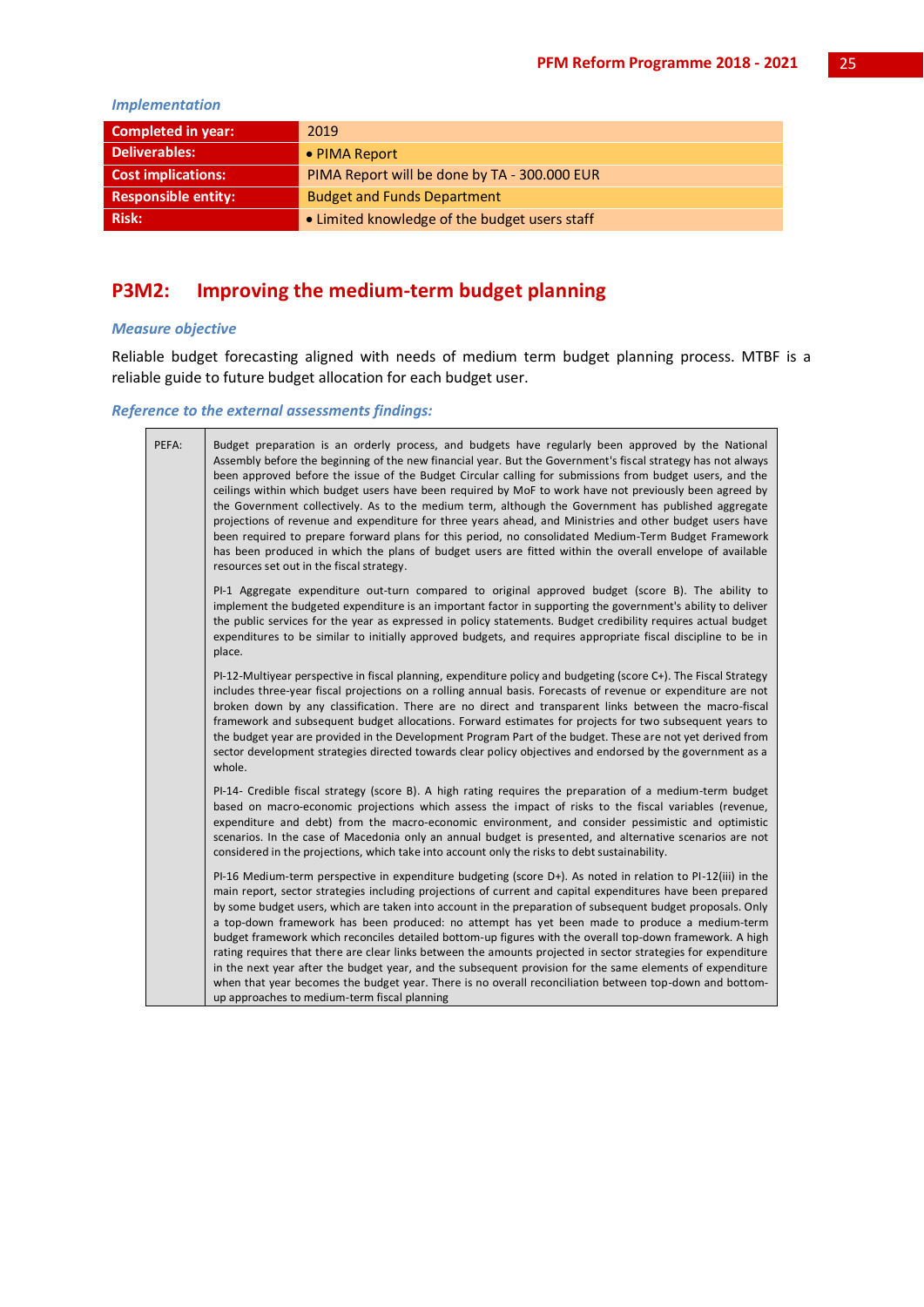#### *Implementation*

| <b>Completed in year:</b> | 2019                                          |
|---------------------------|-----------------------------------------------|
| <b>Deliverables:</b>      | • PIMA Report                                 |
| <b>Cost implications:</b> | PIMA Report will be done by TA - 300,000 EUR  |
| Responsible entity:       | <b>Budget and Funds Department</b>            |
| <b>Risk:</b>              | • Limited knowledge of the budget users staff |

## **P3M2: Improving the medium-term budget planning**

#### *Measure objective*

Reliable budget forecasting aligned with needs of medium term budget planning process. MTBF is a reliable guide to future budget allocation for each budget user.

#### *Reference to the external assessments findings:*

| PEFA: | Budget preparation is an orderly process, and budgets have regularly been approved by the National<br>Assembly before the beginning of the new financial year. But the Government's fiscal strategy has not always<br>been approved before the issue of the Budget Circular calling for submissions from budget users, and the<br>ceilings within which budget users have been required by MoF to work have not previously been agreed by<br>the Government collectively. As to the medium term, although the Government has published aggregate<br>projections of revenue and expenditure for three years ahead, and Ministries and other budget users have<br>been required to prepare forward plans for this period, no consolidated Medium-Term Budget Framework<br>has been produced in which the plans of budget users are fitted within the overall envelope of available<br>resources set out in the fiscal strategy.                   |
|-------|-------------------------------------------------------------------------------------------------------------------------------------------------------------------------------------------------------------------------------------------------------------------------------------------------------------------------------------------------------------------------------------------------------------------------------------------------------------------------------------------------------------------------------------------------------------------------------------------------------------------------------------------------------------------------------------------------------------------------------------------------------------------------------------------------------------------------------------------------------------------------------------------------------------------------------------------------|
|       | PI-1 Aggregate expenditure out-turn compared to original approved budget (score B). The ability to<br>implement the budgeted expenditure is an important factor in supporting the government's ability to deliver<br>the public services for the year as expressed in policy statements. Budget credibility requires actual budget<br>expenditures to be similar to initially approved budgets, and requires appropriate fiscal discipline to be in<br>place.                                                                                                                                                                                                                                                                                                                                                                                                                                                                                   |
|       | PI-12-Multiyear perspective in fiscal planning, expenditure policy and budgeting (score C+). The Fiscal Strategy<br>includes three-year fiscal projections on a rolling annual basis. Forecasts of revenue or expenditure are not<br>broken down by any classification. There are no direct and transparent links between the macro-fiscal<br>framework and subsequent budget allocations. Forward estimates for projects for two subsequent years to<br>the budget year are provided in the Development Program Part of the budget. These are not yet derived from<br>sector development strategies directed towards clear policy objectives and endorsed by the government as a<br>whole.                                                                                                                                                                                                                                                     |
|       | PI-14- Credible fiscal strategy (score B). A high rating requires the preparation of a medium-term budget<br>based on macro-economic projections which assess the impact of risks to the fiscal variables (revenue,<br>expenditure and debt) from the macro-economic environment, and consider pessimistic and optimistic<br>scenarios. In the case of Macedonia only an annual budget is presented, and alternative scenarios are not<br>considered in the projections, which take into account only the risks to debt sustainability.                                                                                                                                                                                                                                                                                                                                                                                                         |
|       | PI-16 Medium-term perspective in expenditure budgeting (score D+). As noted in relation to PI-12(iii) in the<br>main report, sector strategies including projections of current and capital expenditures have been prepared<br>by some budget users, which are taken into account in the preparation of subsequent budget proposals. Only<br>a top-down framework has been produced: no attempt has yet been made to produce a medium-term<br>budget framework which reconciles detailed bottom-up figures with the overall top-down framework. A high<br>rating requires that there are clear links between the amounts projected in sector strategies for expenditure<br>in the next year after the budget year, and the subsequent provision for the same elements of expenditure<br>when that year becomes the budget year. There is no overall reconciliation between top-down and bottom-<br>up approaches to medium-term fiscal planning |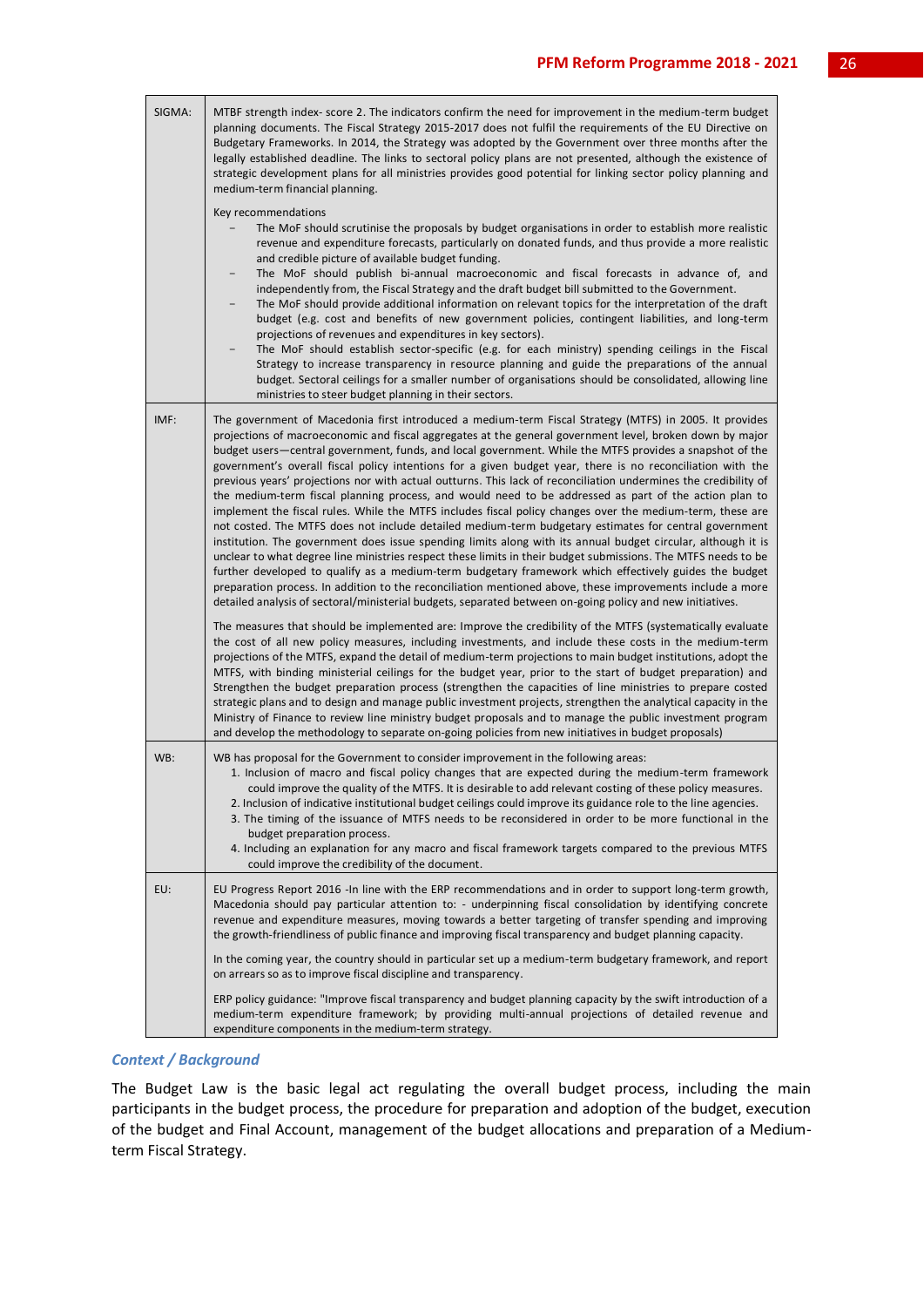| SIGMA: | MTBF strength index-score 2. The indicators confirm the need for improvement in the medium-term budget<br>planning documents. The Fiscal Strategy 2015-2017 does not fulfil the requirements of the EU Directive on<br>Budgetary Frameworks. In 2014, the Strategy was adopted by the Government over three months after the<br>legally established deadline. The links to sectoral policy plans are not presented, although the existence of<br>strategic development plans for all ministries provides good potential for linking sector policy planning and<br>medium-term financial planning.                                                                                                                                                                                                                                                                                                                                                                                                                                                                                                                                                                                                                                                                                                                                                                                                                                                                                                                                                                                                                                                                                                                                                                                                                                                                                                                                                                                                                                                                                                                                                     |
|--------|-------------------------------------------------------------------------------------------------------------------------------------------------------------------------------------------------------------------------------------------------------------------------------------------------------------------------------------------------------------------------------------------------------------------------------------------------------------------------------------------------------------------------------------------------------------------------------------------------------------------------------------------------------------------------------------------------------------------------------------------------------------------------------------------------------------------------------------------------------------------------------------------------------------------------------------------------------------------------------------------------------------------------------------------------------------------------------------------------------------------------------------------------------------------------------------------------------------------------------------------------------------------------------------------------------------------------------------------------------------------------------------------------------------------------------------------------------------------------------------------------------------------------------------------------------------------------------------------------------------------------------------------------------------------------------------------------------------------------------------------------------------------------------------------------------------------------------------------------------------------------------------------------------------------------------------------------------------------------------------------------------------------------------------------------------------------------------------------------------------------------------------------------------|
|        | Key recommendations<br>The MoF should scrutinise the proposals by budget organisations in order to establish more realistic<br>revenue and expenditure forecasts, particularly on donated funds, and thus provide a more realistic<br>and credible picture of available budget funding.<br>The MoF should publish bi-annual macroeconomic and fiscal forecasts in advance of, and<br>independently from, the Fiscal Strategy and the draft budget bill submitted to the Government.<br>The MoF should provide additional information on relevant topics for the interpretation of the draft<br>budget (e.g. cost and benefits of new government policies, contingent liabilities, and long-term<br>projections of revenues and expenditures in key sectors).<br>The MoF should establish sector-specific (e.g. for each ministry) spending ceilings in the Fiscal<br>Strategy to increase transparency in resource planning and guide the preparations of the annual<br>budget. Sectoral ceilings for a smaller number of organisations should be consolidated, allowing line<br>ministries to steer budget planning in their sectors.                                                                                                                                                                                                                                                                                                                                                                                                                                                                                                                                                                                                                                                                                                                                                                                                                                                                                                                                                                                                                |
| IMF:   | The government of Macedonia first introduced a medium-term Fiscal Strategy (MTFS) in 2005. It provides<br>projections of macroeconomic and fiscal aggregates at the general government level, broken down by major<br>budget users-central government, funds, and local government. While the MTFS provides a snapshot of the<br>government's overall fiscal policy intentions for a given budget year, there is no reconciliation with the<br>previous years' projections nor with actual outturns. This lack of reconciliation undermines the credibility of<br>the medium-term fiscal planning process, and would need to be addressed as part of the action plan to<br>implement the fiscal rules. While the MTFS includes fiscal policy changes over the medium-term, these are<br>not costed. The MTFS does not include detailed medium-term budgetary estimates for central government<br>institution. The government does issue spending limits along with its annual budget circular, although it is<br>unclear to what degree line ministries respect these limits in their budget submissions. The MTFS needs to be<br>further developed to qualify as a medium-term budgetary framework which effectively guides the budget<br>preparation process. In addition to the reconciliation mentioned above, these improvements include a more<br>detailed analysis of sectoral/ministerial budgets, separated between on-going policy and new initiatives.<br>The measures that should be implemented are: Improve the credibility of the MTFS (systematically evaluate<br>the cost of all new policy measures, including investments, and include these costs in the medium-term<br>projections of the MTFS, expand the detail of medium-term projections to main budget institutions, adopt the<br>MTFS, with binding ministerial ceilings for the budget year, prior to the start of budget preparation) and<br>Strengthen the budget preparation process (strengthen the capacities of line ministries to prepare costed<br>strategic plans and to design and manage public investment projects, strengthen the analytical capacity in the |
|        | Ministry of Finance to review line ministry budget proposals and to manage the public investment program<br>and develop the methodology to separate on-going policies from new initiatives in budget proposals)                                                                                                                                                                                                                                                                                                                                                                                                                                                                                                                                                                                                                                                                                                                                                                                                                                                                                                                                                                                                                                                                                                                                                                                                                                                                                                                                                                                                                                                                                                                                                                                                                                                                                                                                                                                                                                                                                                                                       |
| WB:    | WB has proposal for the Government to consider improvement in the following areas:<br>1. Inclusion of macro and fiscal policy changes that are expected during the medium-term framework<br>could improve the quality of the MTFS. It is desirable to add relevant costing of these policy measures.<br>2. Inclusion of indicative institutional budget ceilings could improve its guidance role to the line agencies.<br>3. The timing of the issuance of MTFS needs to be reconsidered in order to be more functional in the<br>budget preparation process.<br>4. Including an explanation for any macro and fiscal framework targets compared to the previous MTFS<br>could improve the credibility of the document.                                                                                                                                                                                                                                                                                                                                                                                                                                                                                                                                                                                                                                                                                                                                                                                                                                                                                                                                                                                                                                                                                                                                                                                                                                                                                                                                                                                                                               |
| EU:    | EU Progress Report 2016 -In line with the ERP recommendations and in order to support long-term growth,<br>Macedonia should pay particular attention to: - underpinning fiscal consolidation by identifying concrete<br>revenue and expenditure measures, moving towards a better targeting of transfer spending and improving<br>the growth-friendliness of public finance and improving fiscal transparency and budget planning capacity.                                                                                                                                                                                                                                                                                                                                                                                                                                                                                                                                                                                                                                                                                                                                                                                                                                                                                                                                                                                                                                                                                                                                                                                                                                                                                                                                                                                                                                                                                                                                                                                                                                                                                                           |
|        | In the coming year, the country should in particular set up a medium-term budgetary framework, and report<br>on arrears so as to improve fiscal discipline and transparency.                                                                                                                                                                                                                                                                                                                                                                                                                                                                                                                                                                                                                                                                                                                                                                                                                                                                                                                                                                                                                                                                                                                                                                                                                                                                                                                                                                                                                                                                                                                                                                                                                                                                                                                                                                                                                                                                                                                                                                          |
|        | ERP policy guidance: "Improve fiscal transparency and budget planning capacity by the swift introduction of a<br>medium-term expenditure framework; by providing multi-annual projections of detailed revenue and<br>expenditure components in the medium-term strategy.                                                                                                                                                                                                                                                                                                                                                                                                                                                                                                                                                                                                                                                                                                                                                                                                                                                                                                                                                                                                                                                                                                                                                                                                                                                                                                                                                                                                                                                                                                                                                                                                                                                                                                                                                                                                                                                                              |

#### *Context / Background*

The Budget Law is the basic legal act regulating the overall budget process, including the main participants in the budget process, the procedure for preparation and adoption of the budget, execution of the budget and Final Account, management of the budget allocations and preparation of a Mediumterm Fiscal Strategy.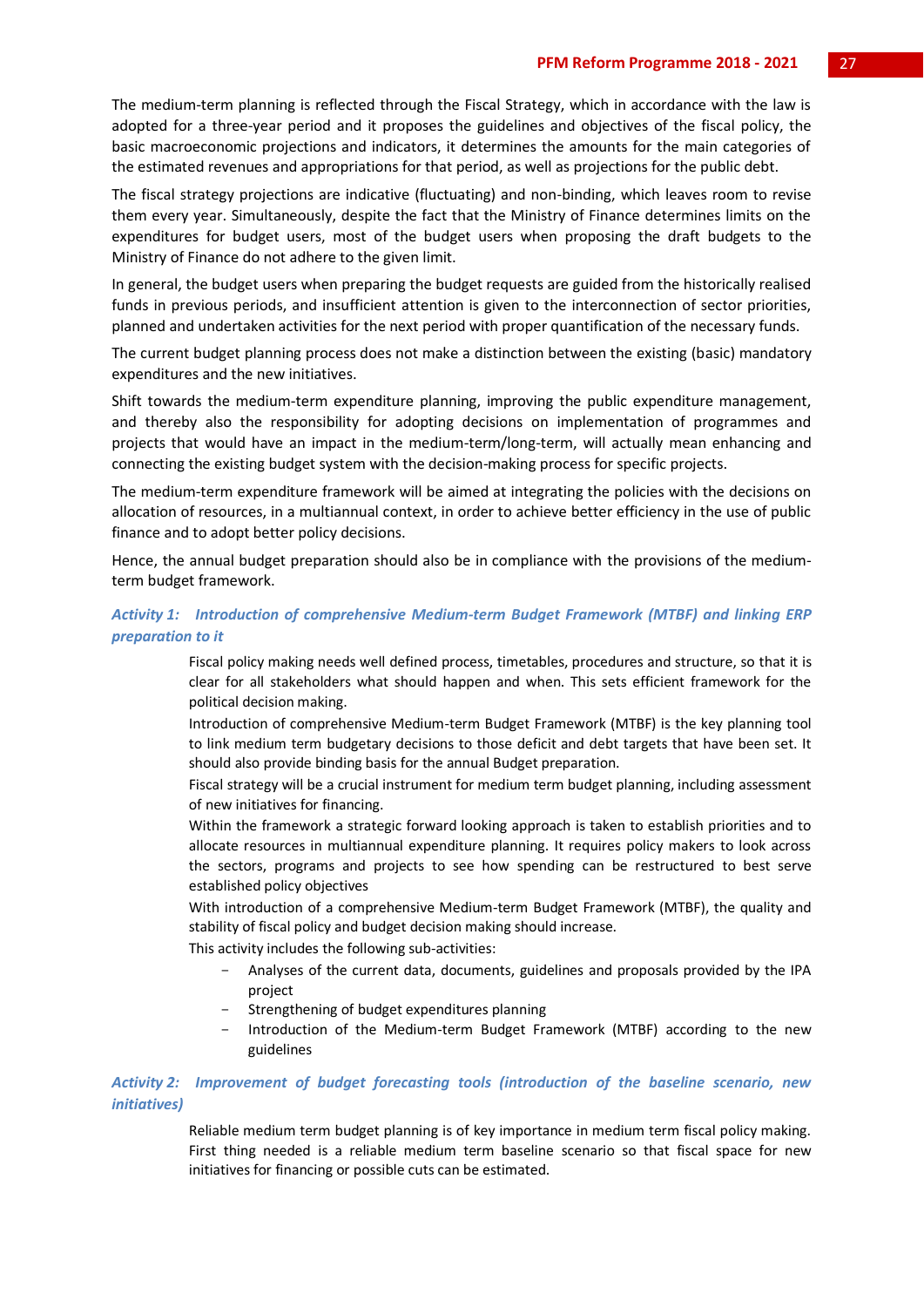The medium-term planning is reflected through the Fiscal Strategy, which in accordance with the law is adopted for a three-year period and it proposes the guidelines and objectives of the fiscal policy, the basic macroeconomic projections and indicators, it determines the amounts for the main categories of the estimated revenues and appropriations for that period, as well as projections for the public debt.

The fiscal strategy projections are indicative (fluctuating) and non-binding, which leaves room to revise them every year. Simultaneously, despite the fact that the Ministry of Finance determines limits on the expenditures for budget users, most of the budget users when proposing the draft budgets to the Ministry of Finance do not adhere to the given limit.

In general, the budget users when preparing the budget requests are guided from the historically realised funds in previous periods, and insufficient attention is given to the interconnection of sector priorities, planned and undertaken activities for the next period with proper quantification of the necessary funds.

The current budget planning process does not make a distinction between the existing (basic) mandatory expenditures and the new initiatives.

Shift towards the medium-term expenditure planning, improving the public expenditure management, and thereby also the responsibility for adopting decisions on implementation of programmes and projects that would have an impact in the medium-term/long-term, will actually mean enhancing and connecting the existing budget system with the decision-making process for specific projects.

The medium-term expenditure framework will be aimed at integrating the policies with the decisions on allocation of resources, in a multiannual context, in order to achieve better efficiency in the use of public finance and to adopt better policy decisions.

Hence, the annual budget preparation should also be in compliance with the provisions of the mediumterm budget framework.

#### *Activity 1: Introduction of comprehensive Medium-term Budget Framework (MTBF) and linking ERP preparation to it*

Fiscal policy making needs well defined process, timetables, procedures and structure, so that it is clear for all stakeholders what should happen and when. This sets efficient framework for the political decision making.

Introduction of comprehensive Medium-term Budget Framework (MTBF) is the key planning tool to link medium term budgetary decisions to those deficit and debt targets that have been set. It should also provide binding basis for the annual Budget preparation.

Fiscal strategy will be a crucial instrument for medium term budget planning, including assessment of new initiatives for financing.

Within the framework a strategic forward looking approach is taken to establish priorities and to allocate resources in multiannual expenditure planning. It requires policy makers to look across the sectors, programs and projects to see how spending can be restructured to best serve established policy objectives

With introduction of a comprehensive Medium-term Budget Framework (MTBF), the quality and stability of fiscal policy and budget decision making should increase.

This activity includes the following sub-activities:

- Analyses of the current data, documents, guidelines and proposals provided by the IPA project
- Strengthening of budget expenditures planning
- Introduction of the Medium-term Budget Framework (MTBF) according to the new guidelines

#### *Activity 2: Improvement of budget forecasting tools (introduction of the baseline scenario, new initiatives)*

Reliable medium term budget planning is of key importance in medium term fiscal policy making. First thing needed is a reliable medium term baseline scenario so that fiscal space for new initiatives for financing or possible cuts can be estimated.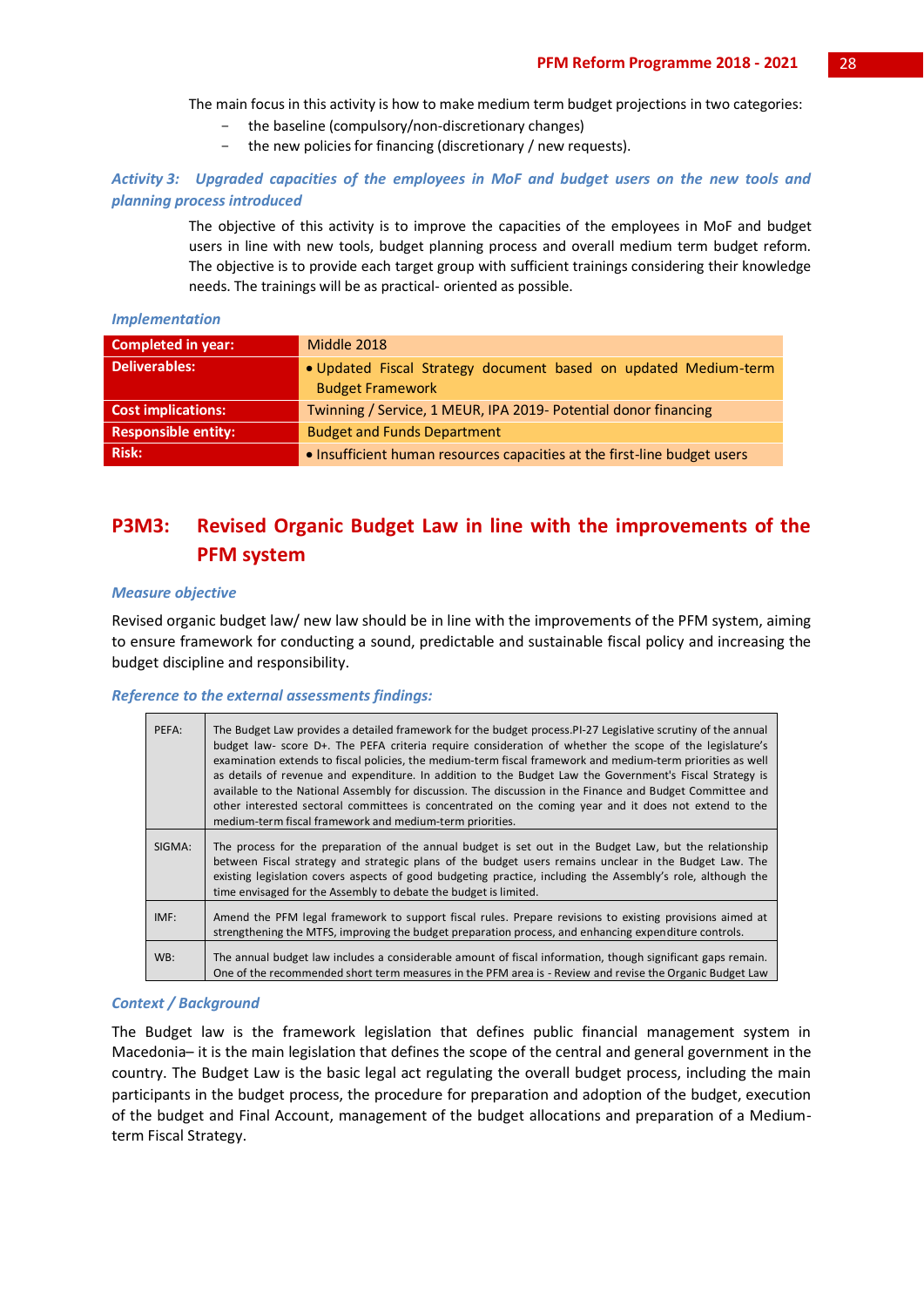The main focus in this activity is how to make medium term budget projections in two categories:

- the baseline (compulsory/non-discretionary changes)
- the new policies for financing (discretionary / new requests).

*Activity 3: Upgraded capacities of the employees in MoF and budget users on the new tools and planning process introduced*

> The objective of this activity is to improve the capacities of the employees in MoF and budget users in line with new tools, budget planning process and overall medium term budget reform. The objective is to provide each target group with sufficient trainings considering their knowledge needs. The trainings will be as practical- oriented as possible.

#### *Implementation*

| <b>Completed in year:</b>  | Middle 2018                                                                                |
|----------------------------|--------------------------------------------------------------------------------------------|
| <b>Deliverables:</b>       | . Updated Fiscal Strategy document based on updated Medium-term<br><b>Budget Framework</b> |
| <b>Cost implications:</b>  | Twinning / Service, 1 MEUR, IPA 2019- Potential donor financing                            |
| <b>Responsible entity:</b> | <b>Budget and Funds Department</b>                                                         |
| <b>Risk:</b>               | • Insufficient human resources capacities at the first-line budget users                   |

## **P3M3: Revised Organic Budget Law in line with the improvements of the PFM system**

#### *Measure objective*

Revised organic budget law/ new law should be in line with the improvements of the PFM system, aiming to ensure framework for conducting a sound, predictable and sustainable fiscal policy and increasing the budget discipline and responsibility.

#### *Reference to the external assessments findings:*

| PEFA:  | The Budget Law provides a detailed framework for the budget process. PI-27 Legislative scrutiny of the annual<br>budget law- score D+. The PEFA criteria require consideration of whether the scope of the legislature's<br>examination extends to fiscal policies, the medium-term fiscal framework and medium-term priorities as well<br>as details of revenue and expenditure. In addition to the Budget Law the Government's Fiscal Strategy is<br>available to the National Assembly for discussion. The discussion in the Finance and Budget Committee and<br>other interested sectoral committees is concentrated on the coming year and it does not extend to the<br>medium-term fiscal framework and medium-term priorities. |
|--------|---------------------------------------------------------------------------------------------------------------------------------------------------------------------------------------------------------------------------------------------------------------------------------------------------------------------------------------------------------------------------------------------------------------------------------------------------------------------------------------------------------------------------------------------------------------------------------------------------------------------------------------------------------------------------------------------------------------------------------------|
| SIGMA: | The process for the preparation of the annual budget is set out in the Budget Law, but the relationship<br>between Fiscal strategy and strategic plans of the budget users remains unclear in the Budget Law. The<br>existing legislation covers aspects of good budgeting practice, including the Assembly's role, although the<br>time envisaged for the Assembly to debate the budget is limited.                                                                                                                                                                                                                                                                                                                                  |
| IMF:   | Amend the PFM legal framework to support fiscal rules. Prepare revisions to existing provisions aimed at<br>strengthening the MTFS, improving the budget preparation process, and enhancing expenditure controls.                                                                                                                                                                                                                                                                                                                                                                                                                                                                                                                     |
| WB:    | The annual budget law includes a considerable amount of fiscal information, though significant gaps remain.<br>One of the recommended short term measures in the PFM area is - Review and revise the Organic Budget Law                                                                                                                                                                                                                                                                                                                                                                                                                                                                                                               |

#### *Context / Background*

The Budget law is the framework legislation that defines public financial management system in Macedonia– it is the main legislation that defines the scope of the central and general government in the country. The Budget Law is the basic legal act regulating the overall budget process, including the main participants in the budget process, the procedure for preparation and adoption of the budget, execution of the budget and Final Account, management of the budget allocations and preparation of a Mediumterm Fiscal Strategy.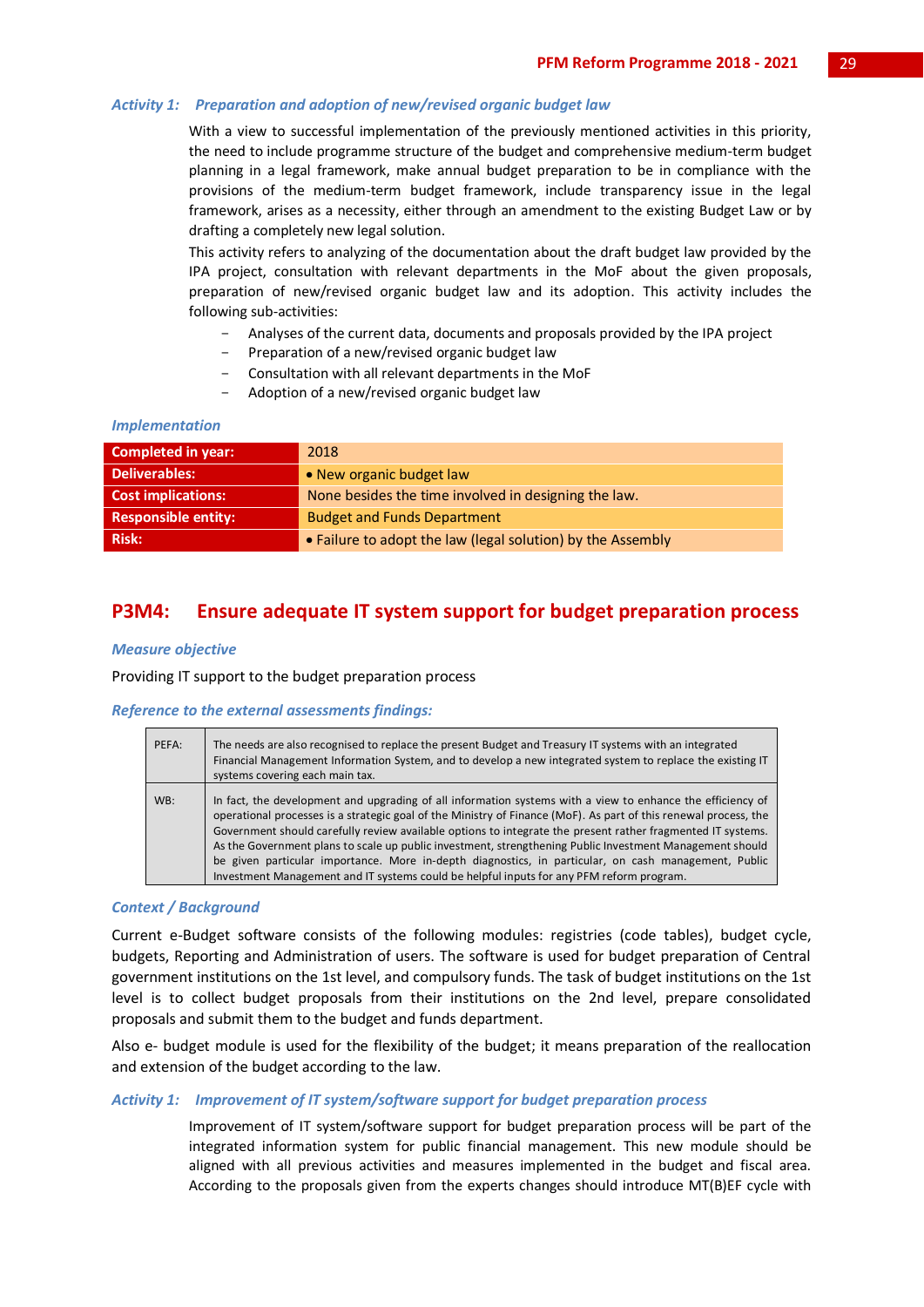#### *Activity 1: Preparation and adoption of new/revised organic budget law*

With a view to successful implementation of the previously mentioned activities in this priority, the need to include programme structure of the budget and comprehensive medium-term budget planning in a legal framework, make annual budget preparation to be in compliance with the provisions of the medium-term budget framework, include transparency issue in the legal framework, arises as a necessity, either through an amendment to the existing Budget Law or by drafting a completely new legal solution.

This activity refers to analyzing of the documentation about the draft budget law provided by the IPA project, consultation with relevant departments in the MoF about the given proposals, preparation of new/revised organic budget law and its adoption. This activity includes the following sub-activities:

- Analyses of the current data, documents and proposals provided by the IPA project
- Preparation of a new/revised organic budget law
	- Consultation with all relevant departments in the MoF
- Adoption of a new/revised organic budget law

#### *Implementation*

| <b>Completed in year:</b>  | 2018                                                        |
|----------------------------|-------------------------------------------------------------|
| <b>Deliverables:</b>       | . New organic budget law                                    |
| <b>Cost implications:</b>  | None besides the time involved in designing the law.        |
| <b>Responsible entity:</b> | <b>Budget and Funds Department</b>                          |
| <b>Risk:</b>               | • Failure to adopt the law (legal solution) by the Assembly |

### **P3M4: Ensure adequate IT system support for budget preparation process**

#### *Measure objective*

Providing IT support to the budget preparation process

#### *Reference to the external assessments findings:*

| PEFA: | The needs are also recognised to replace the present Budget and Treasury IT systems with an integrated<br>Financial Management Information System, and to develop a new integrated system to replace the existing IT<br>systems covering each main tax.                                                                                                                                                                                                                                                                                                                                                                                                       |
|-------|---------------------------------------------------------------------------------------------------------------------------------------------------------------------------------------------------------------------------------------------------------------------------------------------------------------------------------------------------------------------------------------------------------------------------------------------------------------------------------------------------------------------------------------------------------------------------------------------------------------------------------------------------------------|
| WB:   | In fact, the development and upgrading of all information systems with a view to enhance the efficiency of<br>operational processes is a strategic goal of the Ministry of Finance (MoF). As part of this renewal process, the<br>Government should carefully review available options to integrate the present rather fragmented IT systems.<br>As the Government plans to scale up public investment, strengthening Public Investment Management should<br>be given particular importance. More in-depth diagnostics, in particular, on cash management, Public<br>Investment Management and IT systems could be helpful inputs for any PFM reform program. |

#### *Context / Background*

Current e-Budget software consists of the following modules: registries (code tables), budget cycle, budgets, Reporting and Administration of users. The software is used for budget preparation of Central government institutions on the 1st level, and compulsory funds. The task of budget institutions on the 1st level is to collect budget proposals from their institutions on the 2nd level, prepare consolidated proposals and submit them to the budget and funds department.

Also e- budget module is used for the flexibility of the budget; it means preparation of the reallocation and extension of the budget according to the law.

#### *Activity 1: Improvement of IT system/software support for budget preparation process*

Improvement of IT system/software support for budget preparation process will be part of the integrated information system for public financial management. This new module should be aligned with all previous activities and measures implemented in the budget and fiscal area. According to the proposals given from the experts changes should introduce MT(B)EF cycle with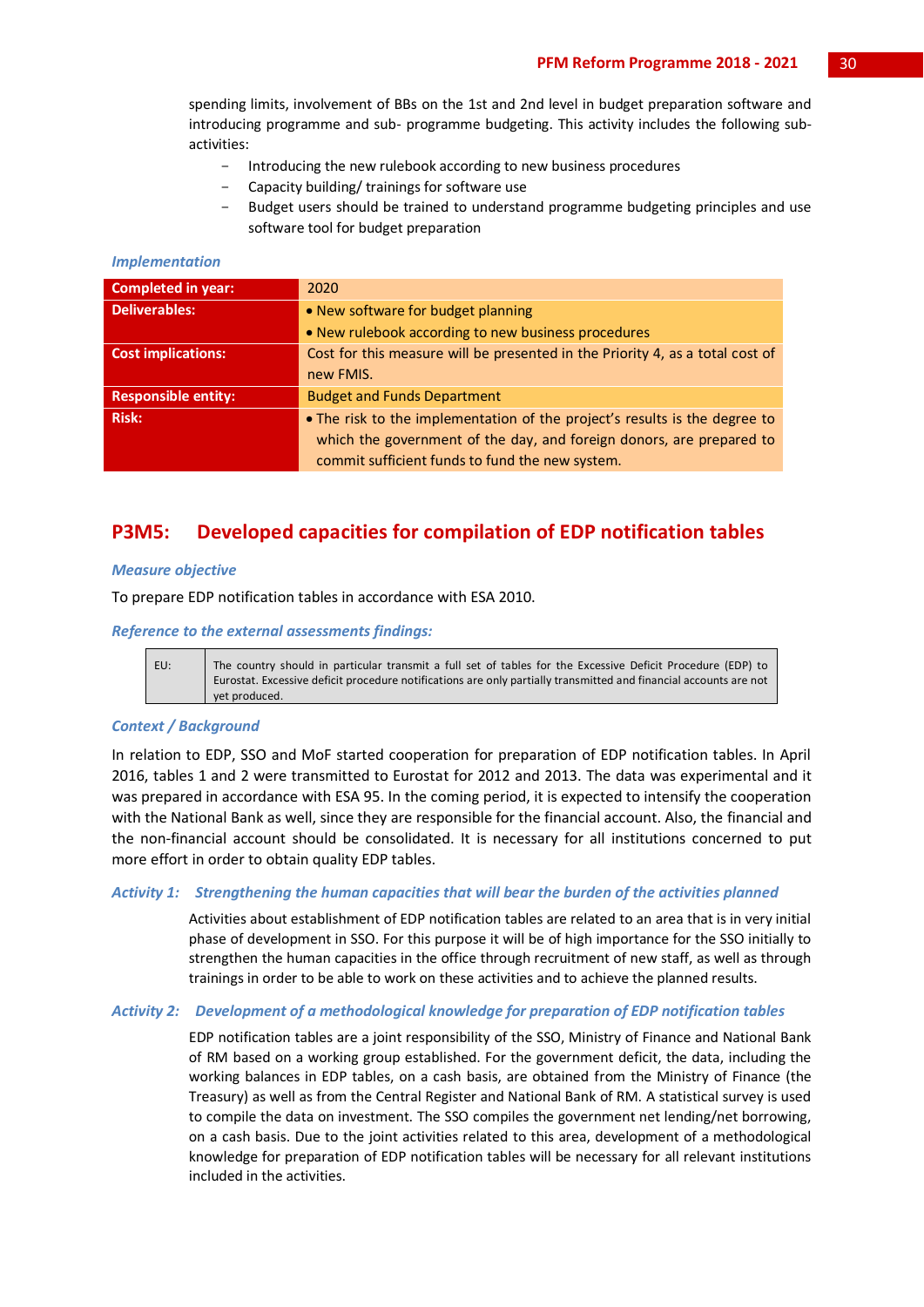spending limits, involvement of BBs on the 1st and 2nd level in budget preparation software and introducing programme and sub- programme budgeting. This activity includes the following subactivities:

- Introducing the new rulebook according to new business procedures
- Capacity building/ trainings for software use
- Budget users should be trained to understand programme budgeting principles and use software tool for budget preparation

#### *Implementation*

| <b>Completed in year:</b>  | 2020                                                                                                                                               |
|----------------------------|----------------------------------------------------------------------------------------------------------------------------------------------------|
| Deliverables:              | • New software for budget planning                                                                                                                 |
|                            | • New rulebook according to new business procedures                                                                                                |
| <b>Cost implications:</b>  | Cost for this measure will be presented in the Priority 4, as a total cost of                                                                      |
|                            | new FMIS.                                                                                                                                          |
| <b>Responsible entity:</b> | <b>Budget and Funds Department</b>                                                                                                                 |
| <b>Risk:</b>               | • The risk to the implementation of the project's results is the degree to<br>which the government of the day, and foreign donors, are prepared to |
|                            | commit sufficient funds to fund the new system.                                                                                                    |

## **P3M5: Developed capacities for compilation of EDP notification tables**

#### *Measure objective*

To prepare EDP notification tables in accordance with ESA 2010.

#### *Reference to the external assessments findings:*

EU: The country should in particular transmit a full set of tables for the Excessive Deficit Procedure (EDP) to Eurostat. Excessive deficit procedure notifications are only partially transmitted and financial accounts are not yet produced.

#### *Context / Background*

In relation to EDP, SSO and MoF started cooperation for preparation of EDP notification tables. In April 2016, tables 1 and 2 were transmitted to Eurostat for 2012 and 2013. The data was experimental and it was prepared in accordance with ESA 95. In the coming period, it is expected to intensify the cooperation with the National Bank as well, since they are responsible for the financial account. Also, the financial and the non-financial account should be consolidated. It is necessary for all institutions concerned to put more effort in order to obtain quality EDP tables.

#### *Activity 1: Strengthening the human capacities that will bear the burden of the activities planned*

Activities about establishment of EDP notification tables are related to an area that is in very initial phase of development in SSO. For this purpose it will be of high importance for the SSO initially to strengthen the human capacities in the office through recruitment of new staff, as well as through trainings in order to be able to work on these activities and to achieve the planned results.

#### *Activity 2: Development of a methodological knowledge for preparation of EDP notification tables*

EDP notification tables are a joint responsibility of the SSO, Ministry of Finance and National Bank of RM based on a working group established. For the government deficit, the data, including the working balances in EDP tables, on a cash basis, are obtained from the Ministry of Finance (the Treasury) as well as from the Central Register and National Bank of RM. A statistical survey is used to compile the data on investment. The SSO compiles the government net lending/net borrowing, on a cash basis. Due to the joint activities related to this area, development of a methodological knowledge for preparation of EDP notification tables will be necessary for all relevant institutions included in the activities.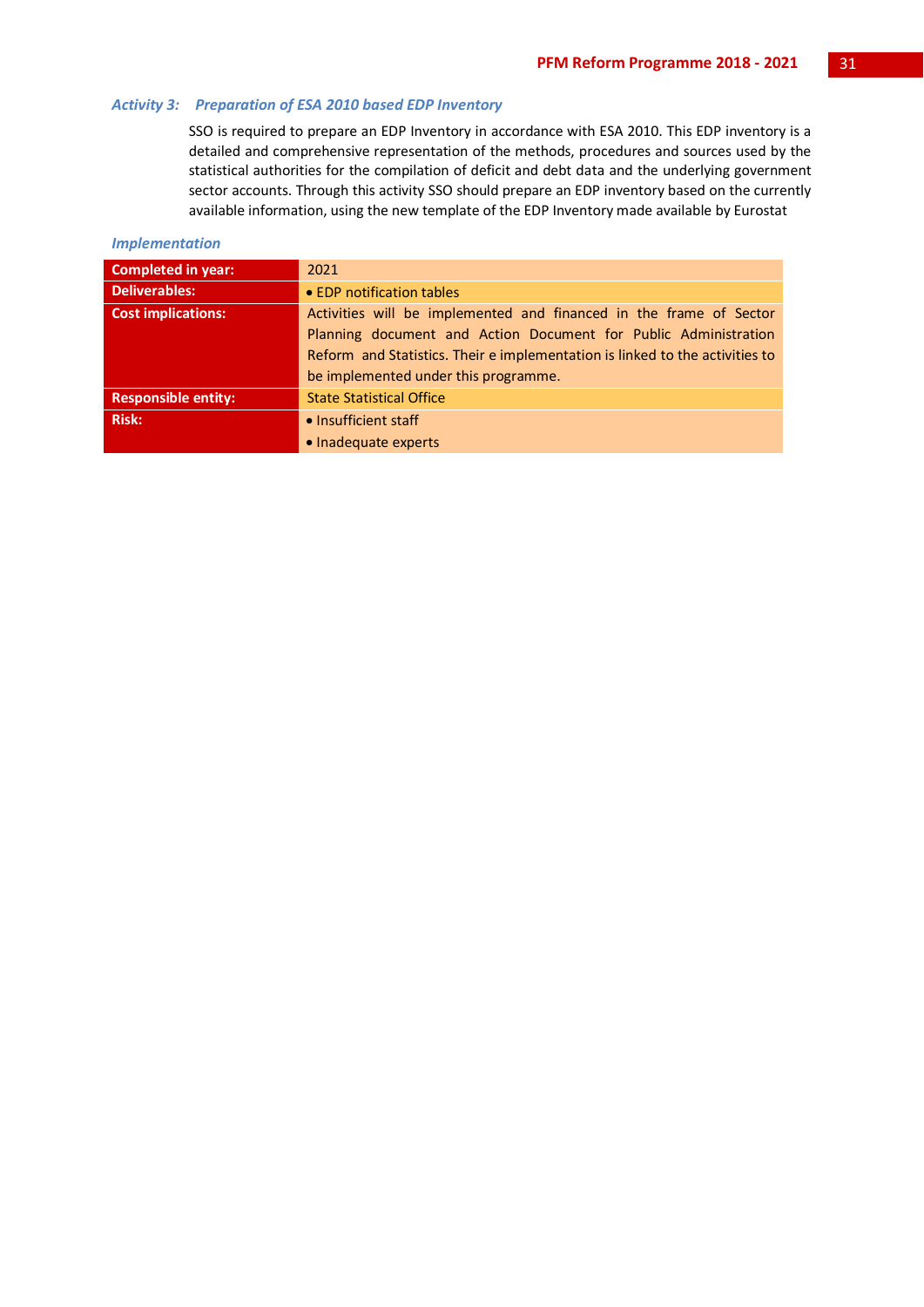#### *Activity 3: Preparation of ESA 2010 based EDP Inventory*

SSO is required to prepare an EDP Inventory in accordance with ESA 2010. This EDP inventory is a detailed and comprehensive representation of the methods, procedures and sources used by the statistical authorities for the compilation of deficit and debt data and the underlying government sector accounts. Through this activity SSO should prepare an EDP inventory based on the currently available information, using the new template of the EDP Inventory made available by Eurostat

#### *Implementation*

| <b>Completed in year:</b>  | 2021                                                                         |
|----------------------------|------------------------------------------------------------------------------|
| <b>Deliverables:</b>       | • EDP notification tables                                                    |
| <b>Cost implications:</b>  | Activities will be implemented and financed in the frame of Sector           |
|                            | Planning document and Action Document for Public Administration              |
|                            | Reform and Statistics. Their e implementation is linked to the activities to |
|                            | be implemented under this programme.                                         |
| <b>Responsible entity:</b> | <b>State Statistical Office</b>                                              |
| <b>Risk:</b>               | • Insufficient staff                                                         |
|                            | • Inadequate experts                                                         |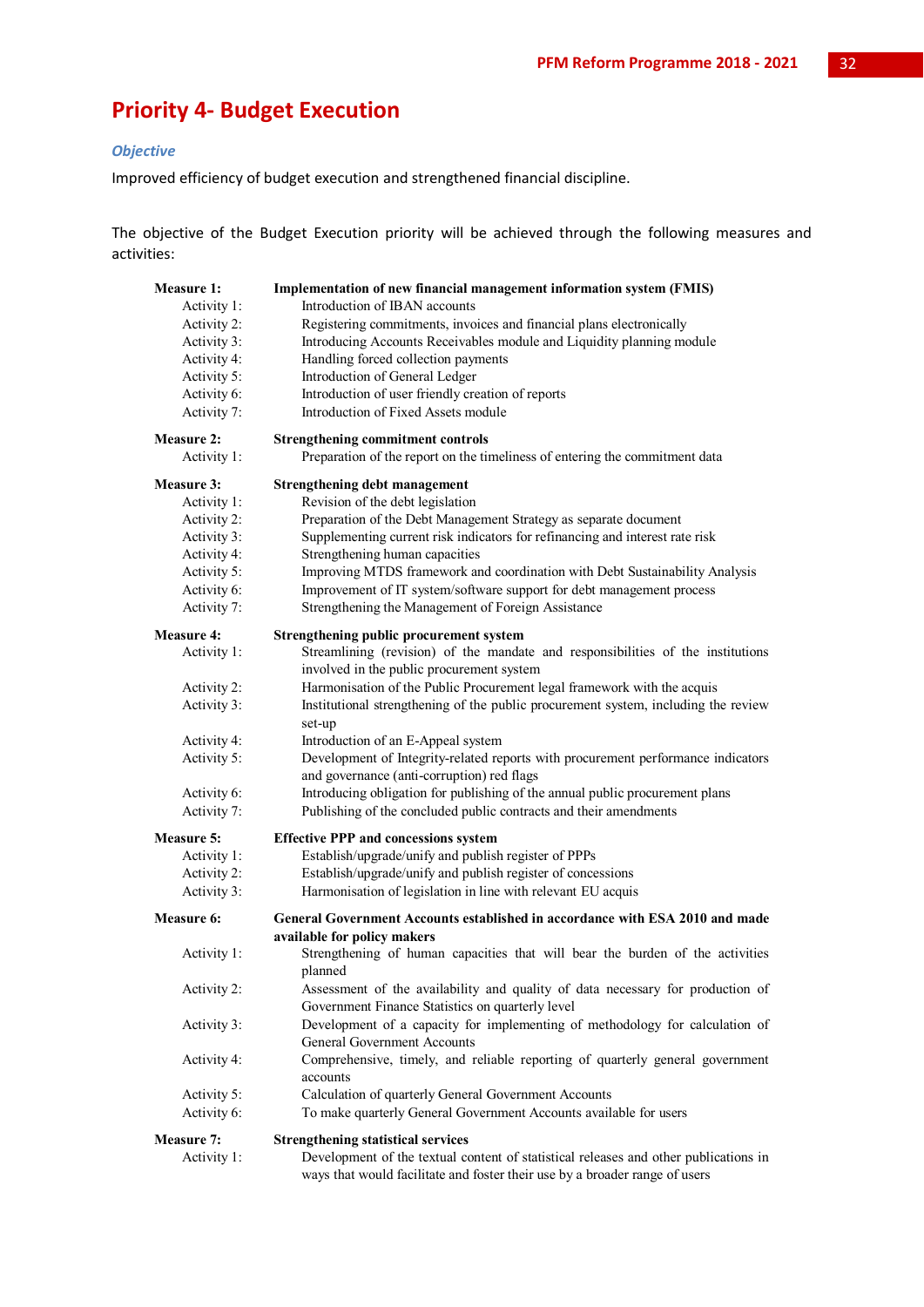## **Priority 4- Budget Execution**

#### *Objective*

Improved efficiency of budget execution and strengthened financial discipline.

The objective of the Budget Execution priority will be achieved through the following measures and activities:

| <b>Measure 1:</b> | Implementation of new financial management information system (FMIS)                                                                                                |
|-------------------|---------------------------------------------------------------------------------------------------------------------------------------------------------------------|
| Activity 1:       | Introduction of IBAN accounts                                                                                                                                       |
| Activity 2:       | Registering commitments, invoices and financial plans electronically                                                                                                |
| Activity 3:       | Introducing Accounts Receivables module and Liquidity planning module                                                                                               |
| Activity 4:       | Handling forced collection payments                                                                                                                                 |
| Activity 5:       | Introduction of General Ledger                                                                                                                                      |
| Activity 6:       | Introduction of user friendly creation of reports                                                                                                                   |
| Activity 7:       | Introduction of Fixed Assets module                                                                                                                                 |
| Measure 2:        | <b>Strengthening commitment controls</b>                                                                                                                            |
| Activity 1:       | Preparation of the report on the timeliness of entering the commitment data                                                                                         |
| <b>Measure 3:</b> | <b>Strengthening debt management</b>                                                                                                                                |
| Activity 1:       | Revision of the debt legislation                                                                                                                                    |
| Activity 2:       | Preparation of the Debt Management Strategy as separate document                                                                                                    |
| Activity 3:       | Supplementing current risk indicators for refinancing and interest rate risk                                                                                        |
| Activity 4:       | Strengthening human capacities                                                                                                                                      |
| Activity 5:       | Improving MTDS framework and coordination with Debt Sustainability Analysis                                                                                         |
| Activity 6:       | Improvement of IT system/software support for debt management process                                                                                               |
| Activity 7:       | Strengthening the Management of Foreign Assistance                                                                                                                  |
| <b>Measure 4:</b> | Strengthening public procurement system                                                                                                                             |
| Activity 1:       | Streamlining (revision) of the mandate and responsibilities of the institutions                                                                                     |
|                   | involved in the public procurement system                                                                                                                           |
| Activity 2:       | Harmonisation of the Public Procurement legal framework with the acquis                                                                                             |
| Activity 3:       | Institutional strengthening of the public procurement system, including the review<br>set-up                                                                        |
| Activity 4:       | Introduction of an E-Appeal system                                                                                                                                  |
| Activity 5:       | Development of Integrity-related reports with procurement performance indicators<br>and governance (anti-corruption) red flags                                      |
| Activity 6:       | Introducing obligation for publishing of the annual public procurement plans                                                                                        |
| Activity 7:       | Publishing of the concluded public contracts and their amendments                                                                                                   |
| Measure 5:        | <b>Effective PPP and concessions system</b>                                                                                                                         |
| Activity 1:       | Establish/upgrade/unify and publish register of PPPs                                                                                                                |
| Activity 2:       | Establish/upgrade/unify and publish register of concessions                                                                                                         |
| Activity 3:       | Harmonisation of legislation in line with relevant EU acquis                                                                                                        |
| Measure 6:        | General Government Accounts established in accordance with ESA 2010 and made<br>available for policy makers                                                         |
| Activity 1:       | Strengthening of human capacities that will bear the burden of the activities<br>planned                                                                            |
| Activity 2:       | Assessment of the availability and quality of data necessary for production of<br>Government Finance Statistics on quarterly level                                  |
| Activity 3:       | Development of a capacity for implementing of methodology for calculation of<br><b>General Government Accounts</b>                                                  |
| Activity 4:       | Comprehensive, timely, and reliable reporting of quarterly general government<br>accounts                                                                           |
| Activity 5:       | Calculation of quarterly General Government Accounts                                                                                                                |
| Activity 6:       | To make quarterly General Government Accounts available for users                                                                                                   |
| <b>Measure 7:</b> | <b>Strengthening statistical services</b>                                                                                                                           |
| Activity 1:       | Development of the textual content of statistical releases and other publications in<br>ways that would facilitate and foster their use by a broader range of users |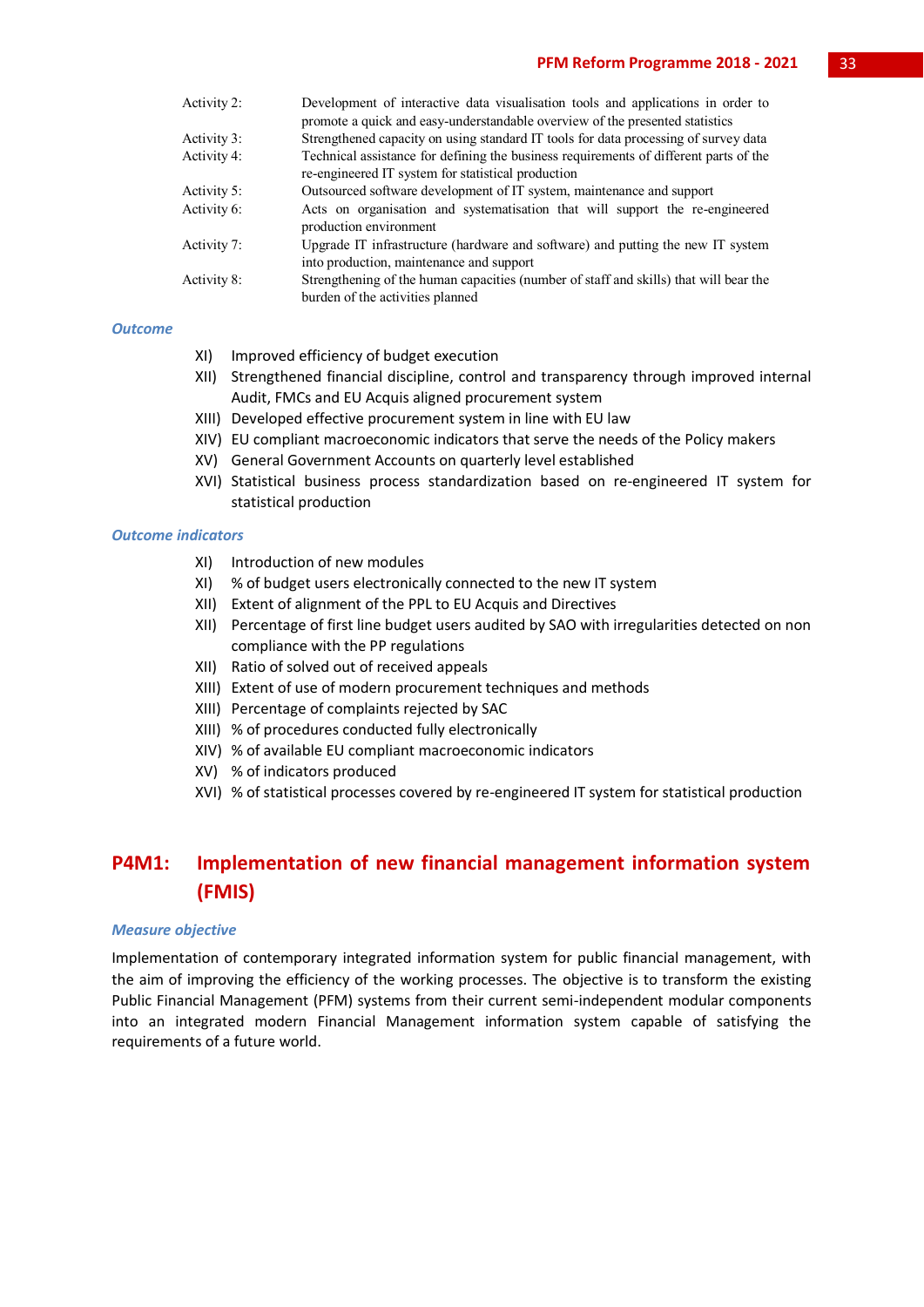#### **PFM Reform Programme 2018 - 2021** 33

| Activity 2: | Development of interactive data visualisation tools and applications in order to                                            |
|-------------|-----------------------------------------------------------------------------------------------------------------------------|
|             | promote a quick and easy-understandable overview of the presented statistics                                                |
| Activity 3: | Strengthened capacity on using standard IT tools for data processing of survey data                                         |
| Activity 4: | Technical assistance for defining the business requirements of different parts of the                                       |
|             | re-engineered IT system for statistical production                                                                          |
| Activity 5: | Outsourced software development of IT system, maintenance and support                                                       |
| Activity 6: | Acts on organisation and systematisation that will support the re-engineered<br>production environment                      |
| Activity 7: | Upgrade IT infrastructure (hardware and software) and putting the new IT system<br>into production, maintenance and support |
| Activity 8: | Strengthening of the human capacities (number of staff and skills) that will bear the<br>burden of the activities planned   |

#### *Outcome*

- XI) Improved efficiency of budget execution
- XII) Strengthened financial discipline, control and transparency through improved internal Audit, FMCs and EU Acquis aligned procurement system
- XIII) Developed effective procurement system in line with EU law
- XIV) EU compliant macroeconomic indicators that serve the needs of the Policy makers
- XV) General Government Accounts on quarterly level established
- XVI) Statistical business process standardization based on re-engineered IT system for statistical production

#### *Outcome indicators*

- XI) Introduction of new modules
- XI) % of budget users electronically connected to the new IT system
- XII) Extent of alignment of the PPL to EU Acquis and Directives
- XII) Percentage of first line budget users audited by SAO with irregularities detected on non compliance with the PP regulations
- XII) Ratio of solved out of received appeals
- XIII) Extent of use of modern procurement techniques and methods
- XIII) Percentage of complaints rejected by SAC
- XIII) % of procedures conducted fully electronically
- XIV) % of available EU compliant macroeconomic indicators
- XV) % of indicators produced
- XVI) % of statistical processes covered by re-engineered IT system for statistical production

## **P4M1: Implementation of new financial management information system (FMIS)**

#### *Measure objective*

Implementation of contemporary integrated information system for public financial management, with the aim of improving the efficiency of the working processes. The objective is to transform the existing Public Financial Management (PFM) systems from their current semi-independent modular components into an integrated modern Financial Management information system capable of satisfying the requirements of a future world.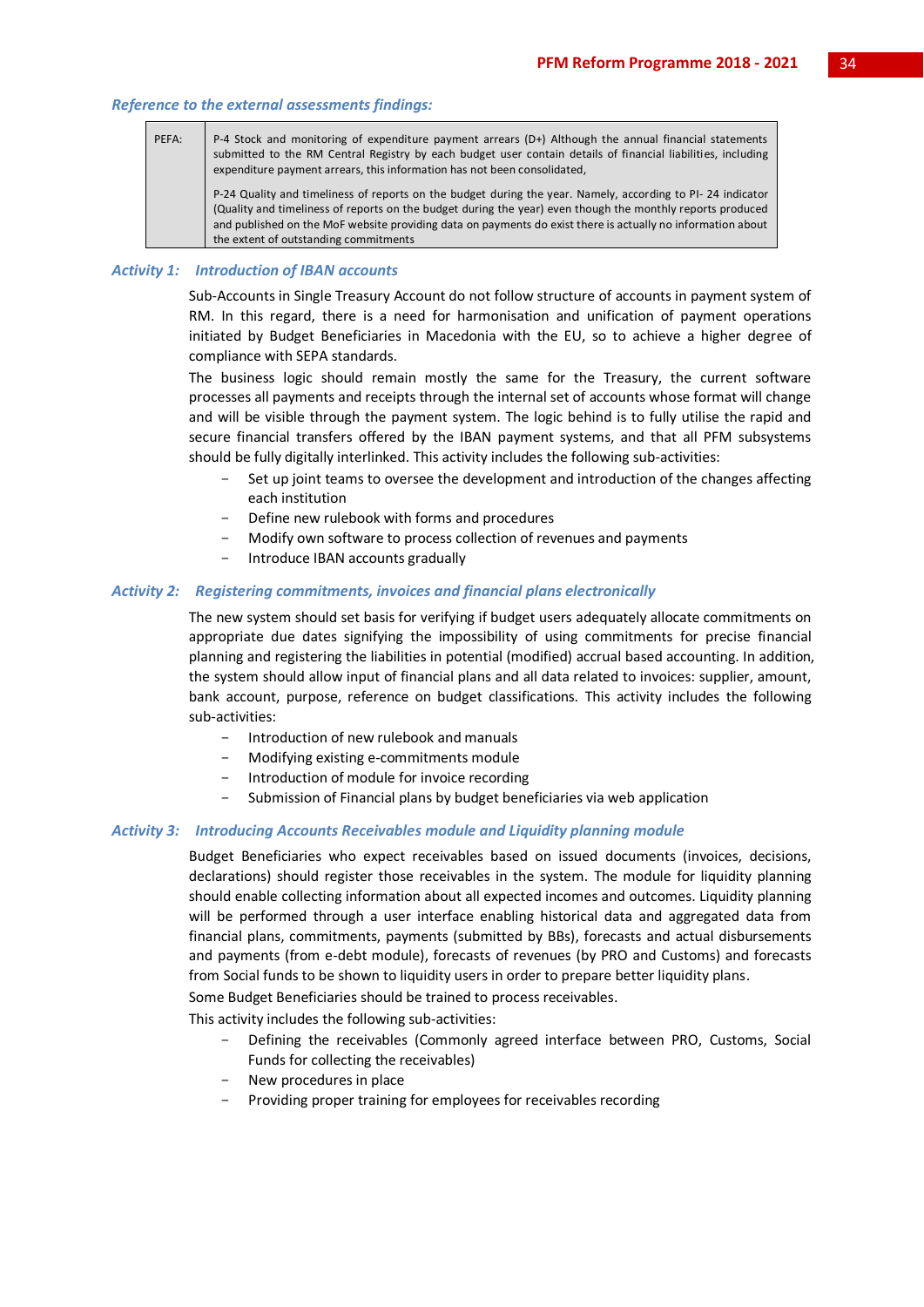#### *Reference to the external assessments findings:*

PEFA: P-4 Stock and monitoring of expenditure payment arrears (D+) Although the annual financial statements submitted to the RM Central Registry by each budget user contain details of financial liabilities, including expenditure payment arrears, this information has not been consolidated, P-24 Quality and timeliness of reports on the budget during the year. Namely, according to PI- 24 indicator

(Quality and timeliness of reports on the budget during the year) even though the monthly reports produced and published on the MoF website providing data on payments do exist there is actually no information about the extent of outstanding commitments

#### *Activity 1: Introduction of IBAN accounts*

Sub-Accounts in Single Treasury Account do not follow structure of accounts in payment system of RM. In this regard, there is a need for harmonisation and unification of payment operations initiated by Budget Beneficiaries in Macedonia with the EU, so to achieve a higher degree of compliance with SEPA standards.

The business logic should remain mostly the same for the Treasury, the current software processes all payments and receipts through the internal set of accounts whose format will change and will be visible through the payment system. The logic behind is to fully utilise the rapid and secure financial transfers offered by the IBAN payment systems, and that all PFM subsystems should be fully digitally interlinked. This activity includes the following sub-activities:

- Set up joint teams to oversee the development and introduction of the changes affecting each institution
- Define new rulebook with forms and procedures
	- Modify own software to process collection of revenues and payments
- Introduce IBAN accounts gradually

#### *Activity 2: Registering commitments, invoices and financial plans electronically*

The new system should set basis for verifying if budget users adequately allocate commitments on appropriate due dates signifying the impossibility of using commitments for precise financial planning and registering the liabilities in potential (modified) accrual based accounting. In addition, the system should allow input of financial plans and all data related to invoices: supplier, amount, bank account, purpose, reference on budget classifications. This activity includes the following sub-activities:

- Introduction of new rulebook and manuals
- Modifying existing e-commitments module
- Introduction of module for invoice recording
- Submission of Financial plans by budget beneficiaries via web application

#### *Activity 3: Introducing Accounts Receivables module and Liquidity planning module*

Budget Beneficiaries who expect receivables based on issued documents (invoices, decisions, declarations) should register those receivables in the system. The module for liquidity planning should enable collecting information about all expected incomes and outcomes. Liquidity planning will be performed through a user interface enabling historical data and aggregated data from financial plans, commitments, payments (submitted by BBs), forecasts and actual disbursements and payments (from e-debt module), forecasts of revenues (by PRO and Customs) and forecasts from Social funds to be shown to liquidity users in order to prepare better liquidity plans.

Some Budget Beneficiaries should be trained to process receivables.

This activity includes the following sub-activities:

- Defining the receivables (Commonly agreed interface between PRO, Customs, Social Funds for collecting the receivables)
- New procedures in place
- Providing proper training for employees for receivables recording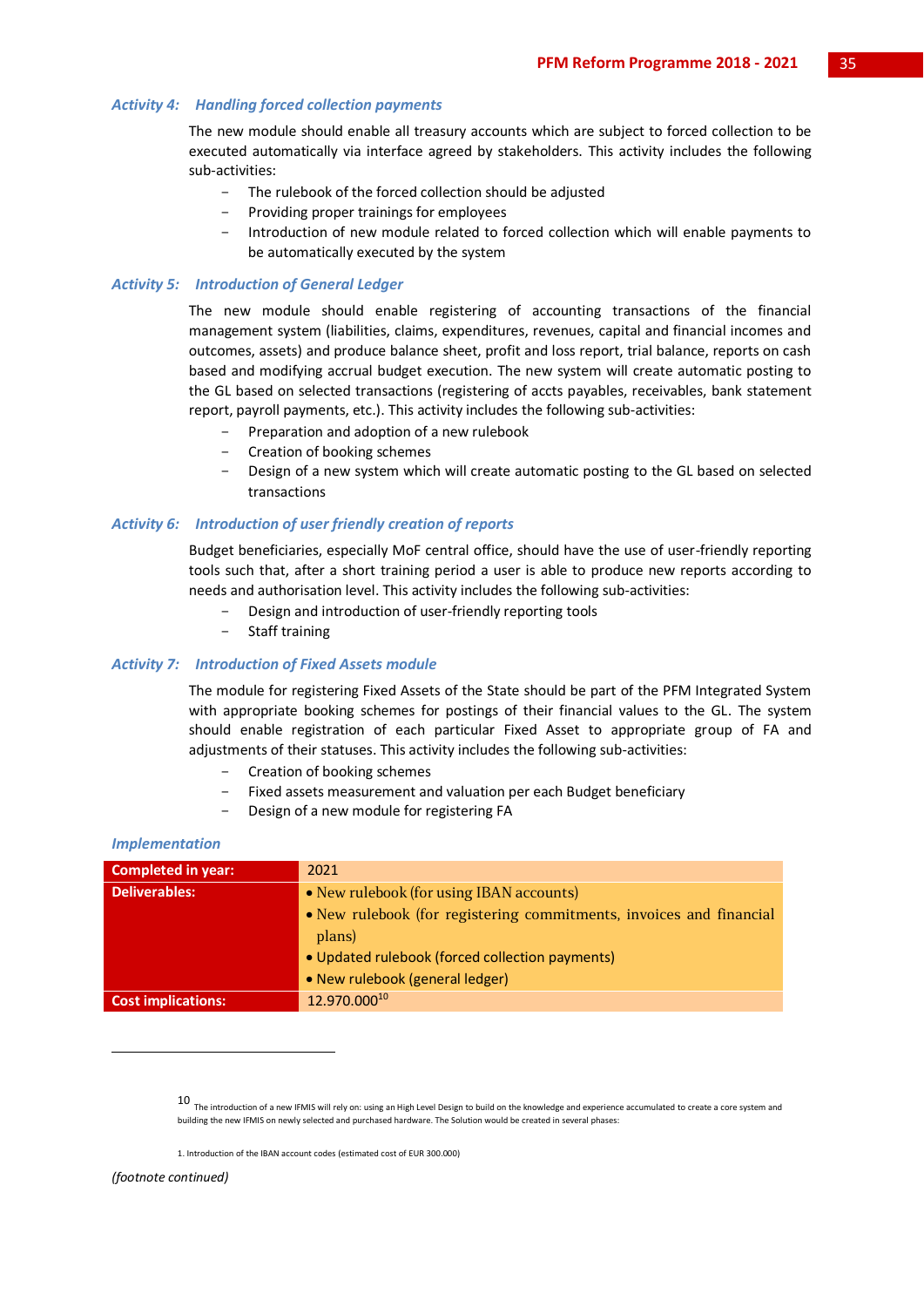#### *Activity 4: Handling forced collection payments*

The new module should enable all treasury accounts which are subject to forced collection to be executed automatically via interface agreed by stakeholders. This activity includes the following sub-activities:

- The rulebook of the forced collection should be adjusted
- Providing proper trainings for employees
- Introduction of new module related to forced collection which will enable payments to be automatically executed by the system

#### *Activity 5: Introduction of General Ledger*

The new module should enable registering of accounting transactions of the financial management system (liabilities, claims, expenditures, revenues, capital and financial incomes and outcomes, assets) and produce balance sheet, profit and loss report, trial balance, reports on cash based and modifying accrual budget execution. The new system will create automatic posting to the GL based on selected transactions (registering of accts payables, receivables, bank statement report, payroll payments, etc.). This activity includes the following sub-activities:

- Preparation and adoption of a new rulebook
- Creation of booking schemes
- Design of a new system which will create automatic posting to the GL based on selected transactions

#### *Activity 6: Introduction of user friendly creation of reports*

Budget beneficiaries, especially MoF central office, should have the use of user-friendly reporting tools such that, after a short training period a user is able to produce new reports according to needs and authorisation level. This activity includes the following sub-activities:

- Design and introduction of user-friendly reporting tools
- Staff training

#### *Activity 7: Introduction of Fixed Assets module*

The module for registering Fixed Assets of the State should be part of the PFM Integrated System with appropriate booking schemes for postings of their financial values to the GL. The system should enable registration of each particular Fixed Asset to appropriate group of FA and adjustments of their statuses. This activity includes the following sub-activities:

- Creation of booking schemes
- Fixed assets measurement and valuation per each Budget beneficiary
- Design of a new module for registering FA

#### *Implementation*

| <b>Completed in year:</b> | 2021                                                                |
|---------------------------|---------------------------------------------------------------------|
| <b>Deliverables:</b>      | • New rulebook (for using IBAN accounts)                            |
|                           | • New rulebook (for registering commitments, invoices and financial |
|                           | plans)                                                              |
|                           | • Updated rulebook (forced collection payments)                     |
|                           | • New rulebook (general ledger)                                     |
| <b>Cost implications:</b> | 12.970.00010                                                        |

*(footnote continued)*

-

 $10$  The introduction of a new IFMIS will rely on: using an High Level Design to build on the knowledge and experience accumulated to create a core system and building the new IFMIS on newly selected and purchased hardware. The Solution would be created in several phases:

<sup>1.</sup> Introduction of the IBAN account codes (estimated cost of EUR 300.000)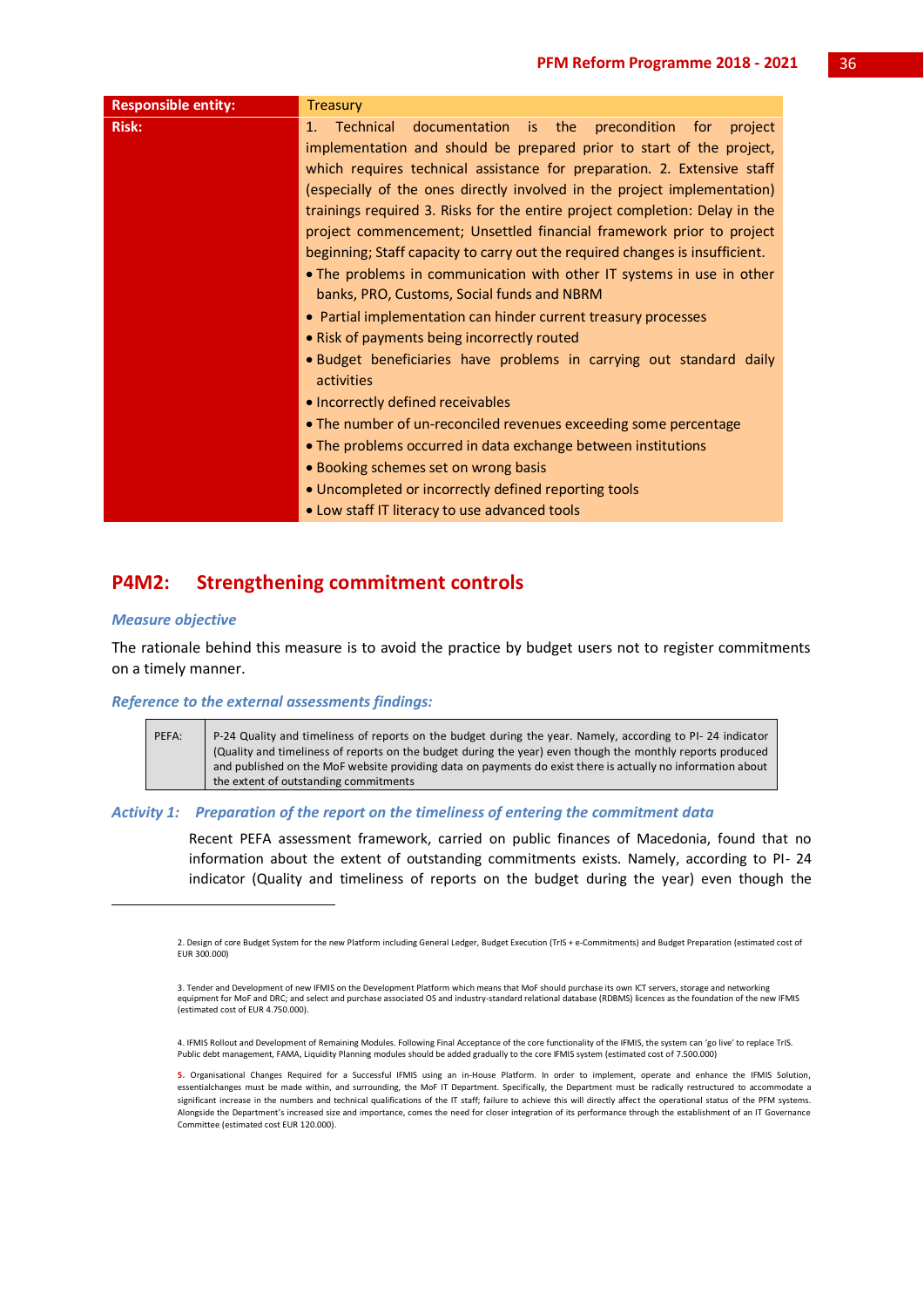| <b>Risk:</b><br>documentation is the<br>Technical<br>$1_{-}$<br>implementation and should be prepared prior to start of the project,<br>which requires technical assistance for preparation. 2. Extensive staff<br>(especially of the ones directly involved in the project implementation)<br>trainings required 3. Risks for the entire project completion: Delay in the<br>project commencement; Unsettled financial framework prior to project<br>beginning; Staff capacity to carry out the required changes is insufficient.<br>. The problems in communication with other IT systems in use in other<br>banks, PRO, Customs, Social funds and NBRM<br>• Partial implementation can hinder current treasury processes<br>• Risk of payments being incorrectly routed<br>• Budget beneficiaries have problems in carrying out standard daily | <b>Responsible entity:</b> | <b>Treasury</b>          |
|---------------------------------------------------------------------------------------------------------------------------------------------------------------------------------------------------------------------------------------------------------------------------------------------------------------------------------------------------------------------------------------------------------------------------------------------------------------------------------------------------------------------------------------------------------------------------------------------------------------------------------------------------------------------------------------------------------------------------------------------------------------------------------------------------------------------------------------------------|----------------------------|--------------------------|
| activities<br>• Incorrectly defined receivables<br>• The number of un-reconciled revenues exceeding some percentage<br>• The problems occurred in data exchange between institutions<br>• Booking schemes set on wrong basis<br>• Uncompleted or incorrectly defined reporting tools<br>. Low staff IT literacy to use advanced tools                                                                                                                                                                                                                                                                                                                                                                                                                                                                                                             |                            | precondition for project |

## **P4M2: Strengthening commitment controls**

## *Measure objective*

1

The rationale behind this measure is to avoid the practice by budget users not to register commitments on a timely manner.

## *Reference to the external assessments findings:*

| PEFA: | P-24 Quality and timeliness of reports on the budget during the year. Namely, according to PI-24 indicator  |
|-------|-------------------------------------------------------------------------------------------------------------|
|       | (Quality and timeliness of reports on the budget during the year) even though the monthly reports produced  |
|       | and published on the MoF website providing data on payments do exist there is actually no information about |
|       | the extent of outstanding commitments                                                                       |

## *Activity 1: Preparation of the report on the timeliness of entering the commitment data*

Recent PEFA assessment framework, carried on public finances of Macedonia, found that no information about the extent of outstanding commitments exists. Namely, according to PI- 24 indicator (Quality and timeliness of reports on the budget during the year) even though the

<sup>2.</sup> Design of core Budget System for the new Platform including General Ledger, Budget Execution (TrIS + e-Commitments) and Budget Preparation (estimated cost of EUR 300.000)

<sup>3.</sup> Tender and Development of new IFMIS on the Development Platform which means that MoF should purchase its own ICT servers, storage and networking equipment for MoF and DRC; and select and purchase associated OS and industry-standard relational database (RDBMS) licences as the foundation of the new IFMIS (estimated cost of EUR 4.750.000).

<sup>4.</sup> IFMIS Rollout and Development of Remaining Modules. Following Final Acceptance of the core functionality of the IFMIS, the system can 'go live' to replace TrIS. Public debt management, FAMA, Liquidity Planning modules should be added gradually to the core IFMIS system (estimated cost of 7.500.000)

**<sup>5.</sup>** Organisational Changes Required for a Successful IFMIS using an in-House Platform. In order to implement, operate and enhance the IFMIS Solution, essentialchanges must be made within, and surrounding, the MoF IT Department. Specifically, the Department must be radically restructured to accommodate a significant increase in the numbers and technical qualifications of the IT staff; failure to achieve this will directly affect the operational status of the PFM systems. Alongside the Department's increased size and importance, comes the need for closer integration of its performance through the establishment of an IT Governance Committee (estimated cost EUR 120.000).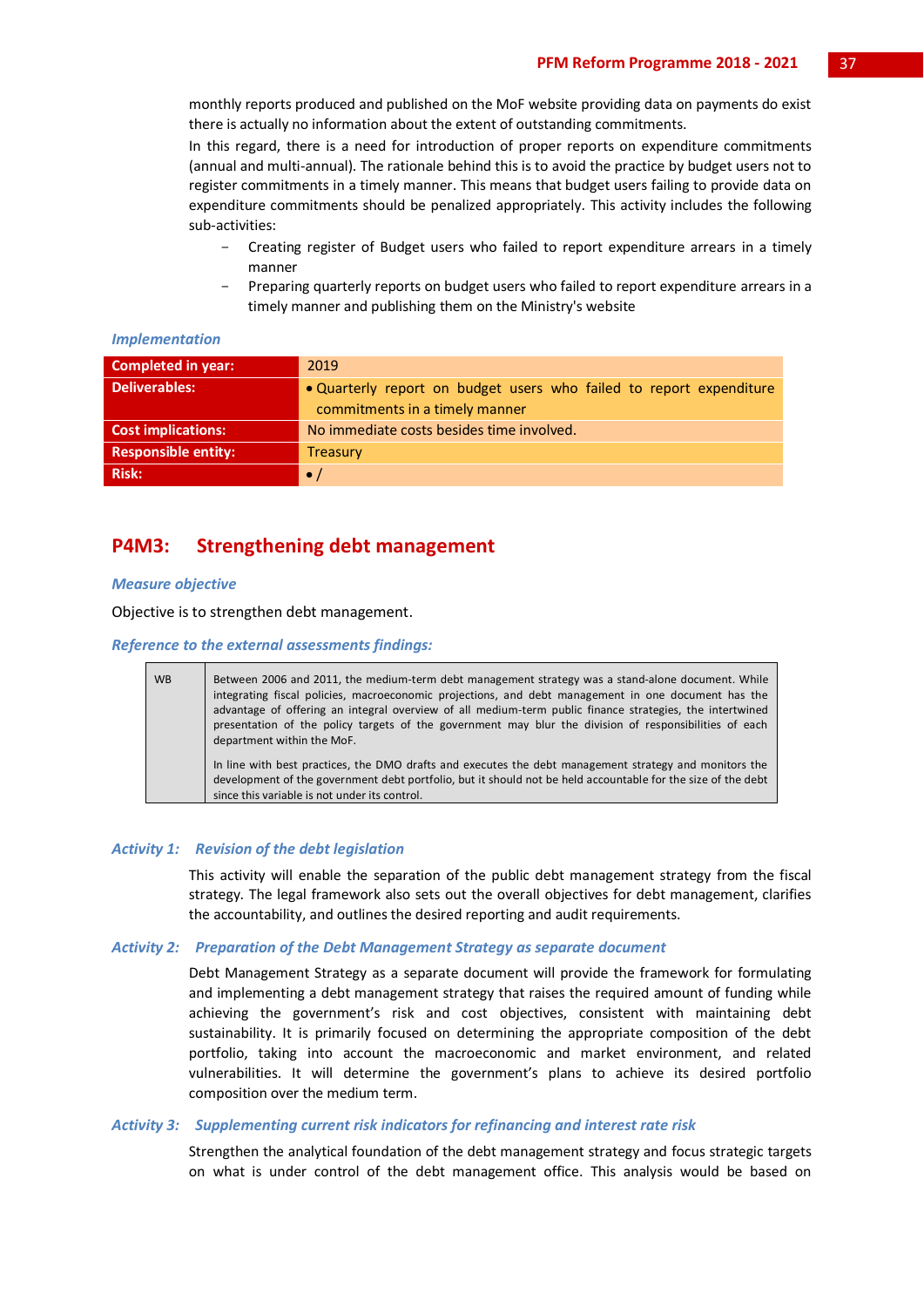monthly reports produced and published on the MoF website providing data on payments do exist there is actually no information about the extent of outstanding commitments.

In this regard, there is a need for introduction of proper reports on expenditure commitments (annual and multi-annual). The rationale behind this is to avoid the practice by budget users not to register commitments in a timely manner. This means that budget users failing to provide data on expenditure commitments should be penalized appropriately. This activity includes the following sub-activities:

- Creating register of Budget users who failed to report expenditure arrears in a timely manner
- Preparing quarterly reports on budget users who failed to report expenditure arrears in a timely manner and publishing them on the Ministry's website

| Completed in year:         | 2019                                                                                                  |
|----------------------------|-------------------------------------------------------------------------------------------------------|
| <b>Deliverables:</b>       | • Quarterly report on budget users who failed to report expenditure<br>commitments in a timely manner |
| <b>Cost implications:</b>  | No immediate costs besides time involved.                                                             |
| <b>Responsible entity:</b> | <b>Treasury</b>                                                                                       |
| Risk:                      | $\bullet$ /                                                                                           |

## *Implementation*

## **P4M3: Strengthening debt management**

## *Measure objective*

Objective is to strengthen debt management.

*Reference to the external assessments findings:*

| <b>WB</b> | Between 2006 and 2011, the medium-term debt management strategy was a stand-alone document. While<br>integrating fiscal policies, macroeconomic projections, and debt management in one document has the<br>advantage of offering an integral overview of all medium-term public finance strategies, the intertwined<br>presentation of the policy targets of the government may blur the division of responsibilities of each<br>department within the MoF. |
|-----------|--------------------------------------------------------------------------------------------------------------------------------------------------------------------------------------------------------------------------------------------------------------------------------------------------------------------------------------------------------------------------------------------------------------------------------------------------------------|
|           | In line with best practices, the DMO drafts and executes the debt management strategy and monitors the<br>development of the government debt portfolio, but it should not be held accountable for the size of the debt<br>since this variable is not under its control.                                                                                                                                                                                      |

#### *Activity 1: Revision of the debt legislation*

This activity will enable the separation of the public debt management strategy from the fiscal strategy. The legal framework also sets out the overall objectives for debt management, clarifies the accountability, and outlines the desired reporting and audit requirements.

#### *Activity 2: Preparation of the Debt Management Strategy as separate document*

Debt Management Strategy as a separate document will provide the framework for formulating and implementing a debt management strategy that raises the required amount of funding while achieving the government's risk and cost objectives, consistent with maintaining debt sustainability. It is primarily focused on determining the appropriate composition of the debt portfolio, taking into account the macroeconomic and market environment, and related vulnerabilities. It will determine the government's plans to achieve its desired portfolio composition over the medium term.

#### *Activity 3: Supplementing current risk indicators for refinancing and interest rate risk*

Strengthen the analytical foundation of the debt management strategy and focus strategic targets on what is under control of the debt management office. This analysis would be based on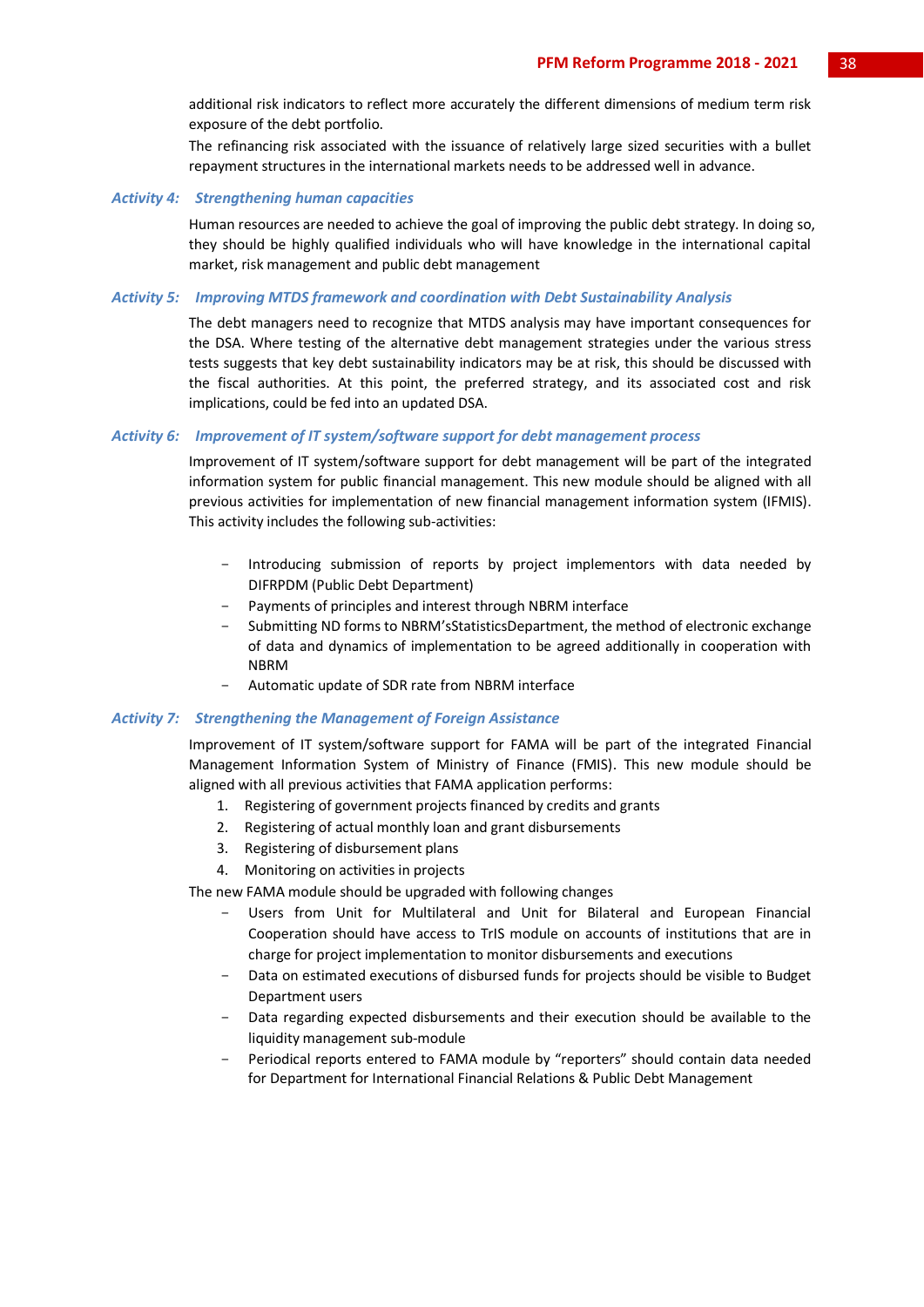additional risk indicators to reflect more accurately the different dimensions of medium term risk exposure of the debt portfolio.

The refinancing risk associated with the issuance of relatively large sized securities with a bullet repayment structures in the international markets needs to be addressed well in advance.

#### *Activity 4: Strengthening human capacities*

Human resources are needed to achieve the goal of improving the public debt strategy. In doing so, they should be highly qualified individuals who will have knowledge in the international capital market, risk management and public debt management

## *Activity 5: Improving MTDS framework and coordination with Debt Sustainability Analysis*

The debt managers need to recognize that MTDS analysis may have important consequences for the DSA. Where testing of the alternative debt management strategies under the various stress tests suggests that key debt sustainability indicators may be at risk, this should be discussed with the fiscal authorities. At this point, the preferred strategy, and its associated cost and risk implications, could be fed into an updated DSA.

## *Activity 6: Improvement of IT system/software support for debt management process*

Improvement of IT system/software support for debt management will be part of the integrated information system for public financial management. This new module should be aligned with all previous activities for implementation of new financial management information system (IFMIS). This activity includes the following sub-activities:

- Introducing submission of reports by project implementors with data needed by DIFRPDM (Public Debt Department)
- Payments of principles and interest through NBRM interface
- Submitting ND forms to NBRM'sStatisticsDepartment, the method of electronic exchange of data and dynamics of implementation to be agreed additionally in cooperation with NBRM
- Automatic update of SDR rate from NBRM interface

#### *Activity 7: Strengthening the Management of Foreign Assistance*

Improvement of IT system/software support for FAMA will be part of the integrated Financial Management Information System of Ministry of Finance (FMIS). This new module should be aligned with all previous activities that FAMA application performs:

- 1. Registering of government projects financed by credits and grants
- 2. Registering of actual monthly loan and grant disbursements
- 3. Registering of disbursement plans
- 4. Monitoring on activities in projects

The new FAMA module should be upgraded with following changes

- Users from Unit for Multilateral and Unit for Bilateral and European Financial Cooperation should have access to TrIS module on accounts of institutions that are in charge for project implementation to monitor disbursements and executions
- Data on estimated executions of disbursed funds for projects should be visible to Budget Department users
- Data regarding expected disbursements and their execution should be available to the liquidity management sub-module
- Periodical reports entered to FAMA module by "reporters" should contain data needed for Department for International Financial Relations & Public Debt Management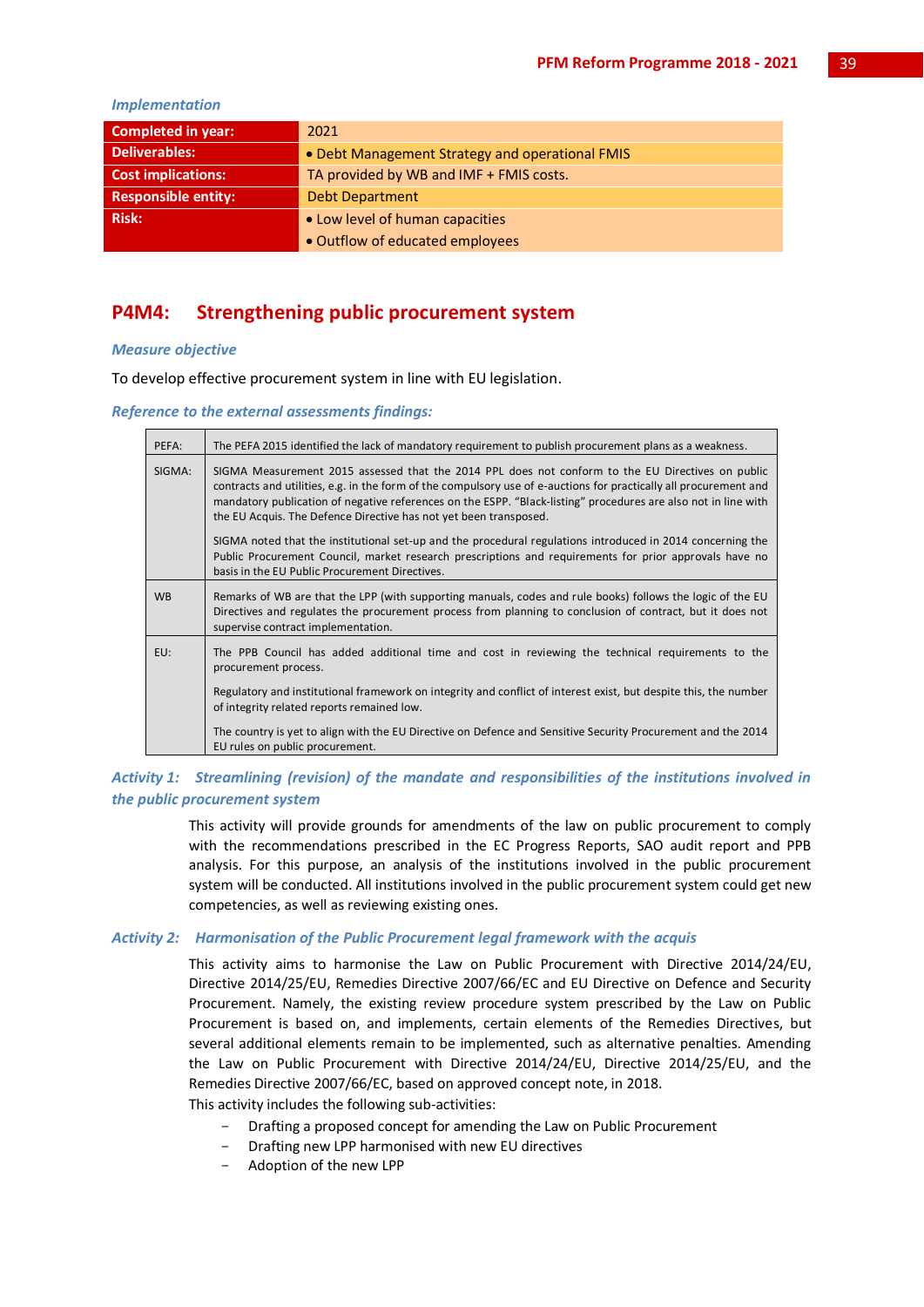## *Implementation*

| <b>Completed in year:</b>  | 2021                                            |
|----------------------------|-------------------------------------------------|
| <b>Deliverables:</b>       | • Debt Management Strategy and operational FMIS |
| <b>Cost implications:</b>  | TA provided by WB and IMF + FMIS costs.         |
| <b>Responsible entity:</b> | <b>Debt Department</b>                          |
| <b>Risk:</b>               | • Low level of human capacities                 |
|                            | • Outflow of educated employees                 |

## **P4M4: Strengthening public procurement system**

## *Measure objective*

To develop effective procurement system in line with EU legislation.

#### *Reference to the external assessments findings:*

| PEFA:     | The PEFA 2015 identified the lack of mandatory requirement to publish procurement plans as a weakness.                                                                                                                                                                                                                                                                                                        |
|-----------|---------------------------------------------------------------------------------------------------------------------------------------------------------------------------------------------------------------------------------------------------------------------------------------------------------------------------------------------------------------------------------------------------------------|
| SIGMA:    | SIGMA Measurement 2015 assessed that the 2014 PPL does not conform to the EU Directives on public<br>contracts and utilities, e.g. in the form of the compulsory use of e-auctions for practically all procurement and<br>mandatory publication of negative references on the ESPP. "Black-listing" procedures are also not in line with<br>the EU Acquis. The Defence Directive has not yet been transposed. |
|           | SIGMA noted that the institutional set-up and the procedural regulations introduced in 2014 concerning the<br>Public Procurement Council, market research prescriptions and requirements for prior approvals have no<br>basis in the EU Public Procurement Directives.                                                                                                                                        |
| <b>WB</b> | Remarks of WB are that the LPP (with supporting manuals, codes and rule books) follows the logic of the EU<br>Directives and regulates the procurement process from planning to conclusion of contract, but it does not<br>supervise contract implementation.                                                                                                                                                 |
| EU:       | The PPB Council has added additional time and cost in reviewing the technical requirements to the<br>procurement process.                                                                                                                                                                                                                                                                                     |
|           | Regulatory and institutional framework on integrity and conflict of interest exist, but despite this, the number<br>of integrity related reports remained low.                                                                                                                                                                                                                                                |
|           | The country is yet to align with the EU Directive on Defence and Sensitive Security Procurement and the 2014<br>EU rules on public procurement.                                                                                                                                                                                                                                                               |

## *Activity 1: Streamlining (revision) of the mandate and responsibilities of the institutions involved in the public procurement system*

This activity will provide grounds for amendments of the law on public procurement to comply with the recommendations prescribed in the EC Progress Reports, SAO audit report and PPB analysis. For this purpose, an analysis of the institutions involved in the public procurement system will be conducted. All institutions involved in the public procurement system could get new competencies, as well as reviewing existing ones.

## *Activity 2: Harmonisation of the Public Procurement legal framework with the acquis*

This activity aims to harmonise the Law on Public Procurement with Directive 2014/24/EU, Directive 2014/25/ЕU, Remedies Directive 2007/66/ЕC and EU Directive on Defence and Security Procurement. Namely, the existing review procedure system prescribed by the Law on Public Procurement is based on, and implements, certain elements of the Remedies Directives, but several additional elements remain to be implemented, such as alternative penalties. Amending the Law on Public Procurement with Directive 2014/24/EU, Directive 2014/25/ЕU, and the Remedies Directive 2007/66/ЕC, based on approved concept note, in 2018.

This activity includes the following sub-activities:

- Drafting a proposed concept for amending the Law on Public Procurement
- Drafting new LPP harmonised with new EU directives
- Adoption of the new LPP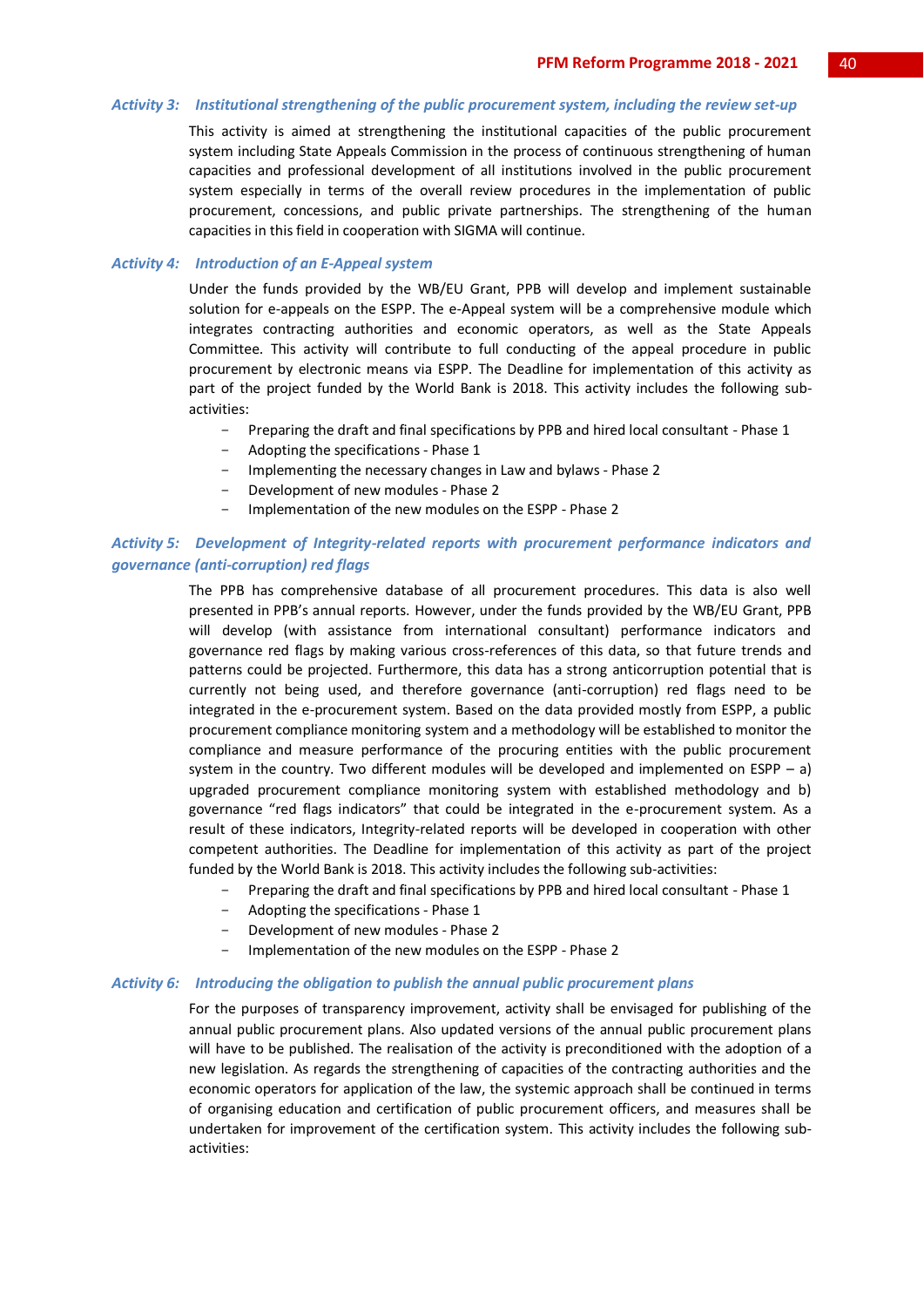#### *Activity 3: Institutional strengthening of the public procurement system, including the review set-up*

This activity is aimed at strengthening the institutional capacities of the public procurement system including State Appeals Commission in the process of continuous strengthening of human capacities and professional development of all institutions involved in the public procurement system especially in terms of the overall review procedures in the implementation of public procurement, concessions, and public private partnerships. The strengthening of the human capacities in this field in cooperation with SIGMA will continue.

#### *Activity 4: Introduction of an E-Appeal system*

Under the funds provided by the WB/EU Grant, PPB will develop and implement sustainable solution for e-appeals on the ESPP. The e-Appeal system will be a comprehensive module which integrates contracting authorities and economic operators, as well as the State Appeals Committee. This activity will contribute to full conducting of the appeal procedure in public procurement by electronic means via ESPP. The Deadline for implementation of this activity as part of the project funded by the World Bank is 2018. This activity includes the following subactivities:

- Preparing the draft and final specifications by PPB and hired local consultant Phase 1
- Adopting the specifications Phase 1
- Implementing the necessary changes in Law and bylaws Phase 2
- Development of new modules Phase 2
- Implementation of the new modules on the ESPP Phase 2

## *Activity 5: Development of Integrity-related reports with procurement performance indicators and governance (anti-corruption) red flags*

The PPB has comprehensive database of all procurement procedures. This data is also well presented in PPB's annual reports. However, under the funds provided by the WB/EU Grant, PPB will develop (with assistance from international consultant) performance indicators and governance red flags by making various cross-references of this data, so that future trends and patterns could be projected. Furthermore, this data has a strong anticorruption potential that is currently not being used, and therefore governance (anti-corruption) red flags need to be integrated in the e-procurement system. Based on the data provided mostly from ESPP, a public procurement compliance monitoring system and a methodology will be established to monitor the compliance and measure performance of the procuring entities with the public procurement system in the country. Two different modules will be developed and implemented on ESPP  $-$  a) upgraded procurement compliance monitoring system with established methodology and b) governance "red flags indicators" that could be integrated in the e-procurement system. As a result of these indicators, Integrity-related reports will be developed in cooperation with other competent authorities. The Deadline for implementation of this activity as part of the project funded by the World Bank is 2018. This activity includes the following sub-activities:

- Preparing the draft and final specifications by PPB and hired local consultant Phase 1
- Adopting the specifications Phase 1
- Development of new modules Phase 2
- Implementation of the new modules on the ESPP Phase 2

#### *Activity 6: Introducing the obligation to publish the annual public procurement plans*

For the purposes of transparency improvement, activity shall be envisaged for publishing of the annual public procurement plans. Also updated versions of the annual public procurement plans will have to be published. The realisation of the activity is preconditioned with the adoption of a new legislation. As regards the strengthening of capacities of the contracting authorities and the economic operators for application of the law, the systemic approach shall be continued in terms of organising education and certification of public procurement officers, and measures shall be undertaken for improvement of the certification system. This activity includes the following subactivities: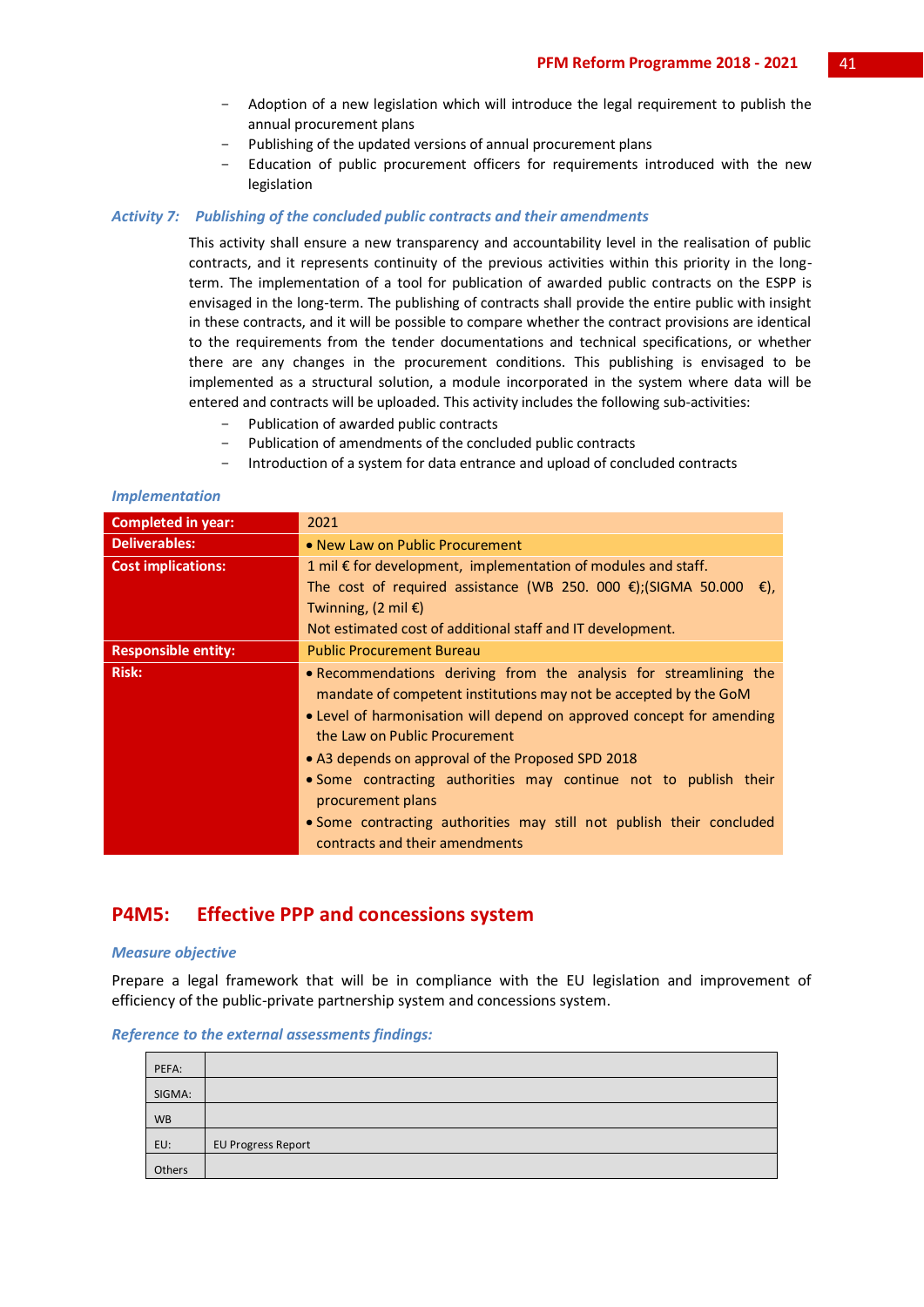- Adoption of a new legislation which will introduce the legal requirement to publish the annual procurement plans
- Publishing of the updated versions of annual procurement plans
- Education of public procurement officers for requirements introduced with the new legislation

## *Activity 7: Publishing of the concluded public contracts and their amendments*

This activity shall ensure a new transparency and accountability level in the realisation of public contracts, and it represents continuity of the previous activities within this priority in the longterm. The implementation of a tool for publication of awarded public contracts on the ESPP is envisaged in the long-term. The publishing of contracts shall provide the entire public with insight in these contracts, and it will be possible to compare whether the contract provisions are identical to the requirements from the tender documentations and technical specifications, or whether there are any changes in the procurement conditions. This publishing is envisaged to be implemented as a structural solution, a module incorporated in the system where data will be entered and contracts will be uploaded. This activity includes the following sub-activities:

- Publication of awarded public contracts
- Publication of amendments of the concluded public contracts
- Introduction of a system for data entrance and upload of concluded contracts

## *Implementation*

| <b>Completed in year:</b>  | 2021                                                                                                                                                                                                                                                                                                                                                                                                                                                                                                    |
|----------------------------|---------------------------------------------------------------------------------------------------------------------------------------------------------------------------------------------------------------------------------------------------------------------------------------------------------------------------------------------------------------------------------------------------------------------------------------------------------------------------------------------------------|
| <b>Deliverables:</b>       | • New Law on Public Procurement                                                                                                                                                                                                                                                                                                                                                                                                                                                                         |
| <b>Cost implications:</b>  | 1 mil $\epsilon$ for development, implementation of modules and staff.                                                                                                                                                                                                                                                                                                                                                                                                                                  |
|                            | The cost of required assistance (WB 250. 000 $\epsilon$ ); (SIGMA 50.000 $\epsilon$ ),                                                                                                                                                                                                                                                                                                                                                                                                                  |
|                            | Twinning, $(2 \text{ mil } \epsilon)$                                                                                                                                                                                                                                                                                                                                                                                                                                                                   |
|                            | Not estimated cost of additional staff and IT development.                                                                                                                                                                                                                                                                                                                                                                                                                                              |
| <b>Responsible entity:</b> | <b>Public Procurement Bureau</b>                                                                                                                                                                                                                                                                                                                                                                                                                                                                        |
| <b>Risk:</b>               | • Recommendations deriving from the analysis for streamlining the<br>mandate of competent institutions may not be accepted by the GoM<br>• Level of harmonisation will depend on approved concept for amending<br>the Law on Public Procurement<br>• A3 depends on approval of the Proposed SPD 2018<br>• Some contracting authorities may continue not to publish their<br>procurement plans<br>• Some contracting authorities may still not publish their concluded<br>contracts and their amendments |

## **P4M5: Effective PPP and concessions system**

#### *Measure objective*

Prepare a legal framework that will be in compliance with the EU legislation and improvement of efficiency of the public-private partnership system and concessions system.

*Reference to the external assessments findings:*

| PEFA:     |                           |
|-----------|---------------------------|
| SIGMA:    |                           |
| <b>WB</b> |                           |
| EU:       | <b>EU Progress Report</b> |
| Others    |                           |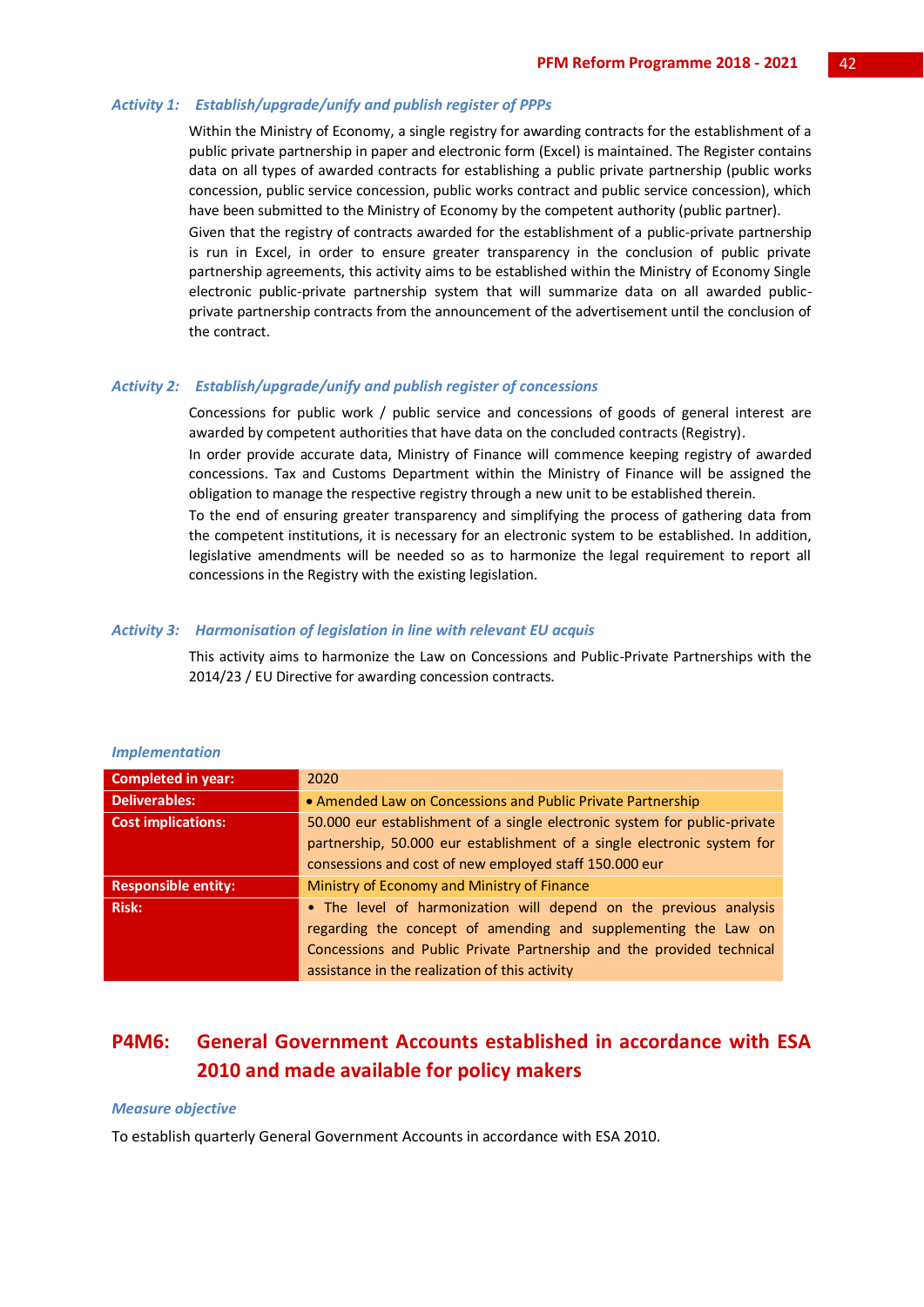## *Activity 1: Establish/upgrade/unify and publish register of PPPs*

Within the Ministry of Economy, a single registry for awarding contracts for the establishment of a public private partnership in paper and electronic form (Excel) is maintained. The Register contains data on all types of awarded contracts for establishing a public private partnership (public works concession, public service concession, public works contract and public service concession), which have been submitted to the Ministry of Economy by the competent authority (public partner).

Given that the registry of contracts awarded for the establishment of a public-private partnership is run in Excel, in order to ensure greater transparency in the conclusion of public private partnership agreements, this activity aims to be established within the Ministry of Economy Single electronic public-private partnership system that will summarize data on all awarded publicprivate partnership contracts from the announcement of the advertisement until the conclusion of the contract.

#### *Activity 2: Establish/upgrade/unify and publish register of concessions*

Concessions for public work / public service and concessions of goods of general interest are awarded by competent authorities that have data on the concluded contracts (Registry).

In order provide accurate data, Ministry of Finance will commence keeping registry of awarded concessions. Tax and Customs Department within the Ministry of Finance will be assigned the obligation to manage the respective registry through a new unit to be established therein.

To the end of ensuring greater transparency and simplifying the process of gathering data from the competent institutions, it is necessary for an electronic system to be established. In addition, legislative amendments will be needed so as to harmonize the legal requirement to report all concessions in the Registry with the existing legislation.

#### *Activity 3: Harmonisation of legislation in line with relevant EU acquis*

This activity aims to harmonize the Law on Concessions and Public-Private Partnerships with the 2014/23 / EU Directive for awarding concession contracts.

| <b>Completed in year:</b>  | 2020                                                                      |
|----------------------------|---------------------------------------------------------------------------|
| <b>Deliverables:</b>       | • Amended Law on Concessions and Public Private Partnership               |
| <b>Cost implications:</b>  | 50.000 eur establishment of a single electronic system for public-private |
|                            | partnership, 50.000 eur establishment of a single electronic system for   |
|                            | consessions and cost of new employed staff 150.000 eur                    |
| <b>Responsible entity:</b> | Ministry of Economy and Ministry of Finance                               |
| <b>Risk:</b>               | . The level of harmonization will depend on the previous analysis         |
|                            | regarding the concept of amending and supplementing the Law on            |
|                            | Concessions and Public Private Partnership and the provided technical     |
|                            | assistance in the realization of this activity                            |

## *Implementation*

## **P4M6: General Government Accounts established in accordance with ESA 2010 and made available for policy makers**

#### *Measure objective*

To establish quarterly General Government Accounts in accordance with ESA 2010.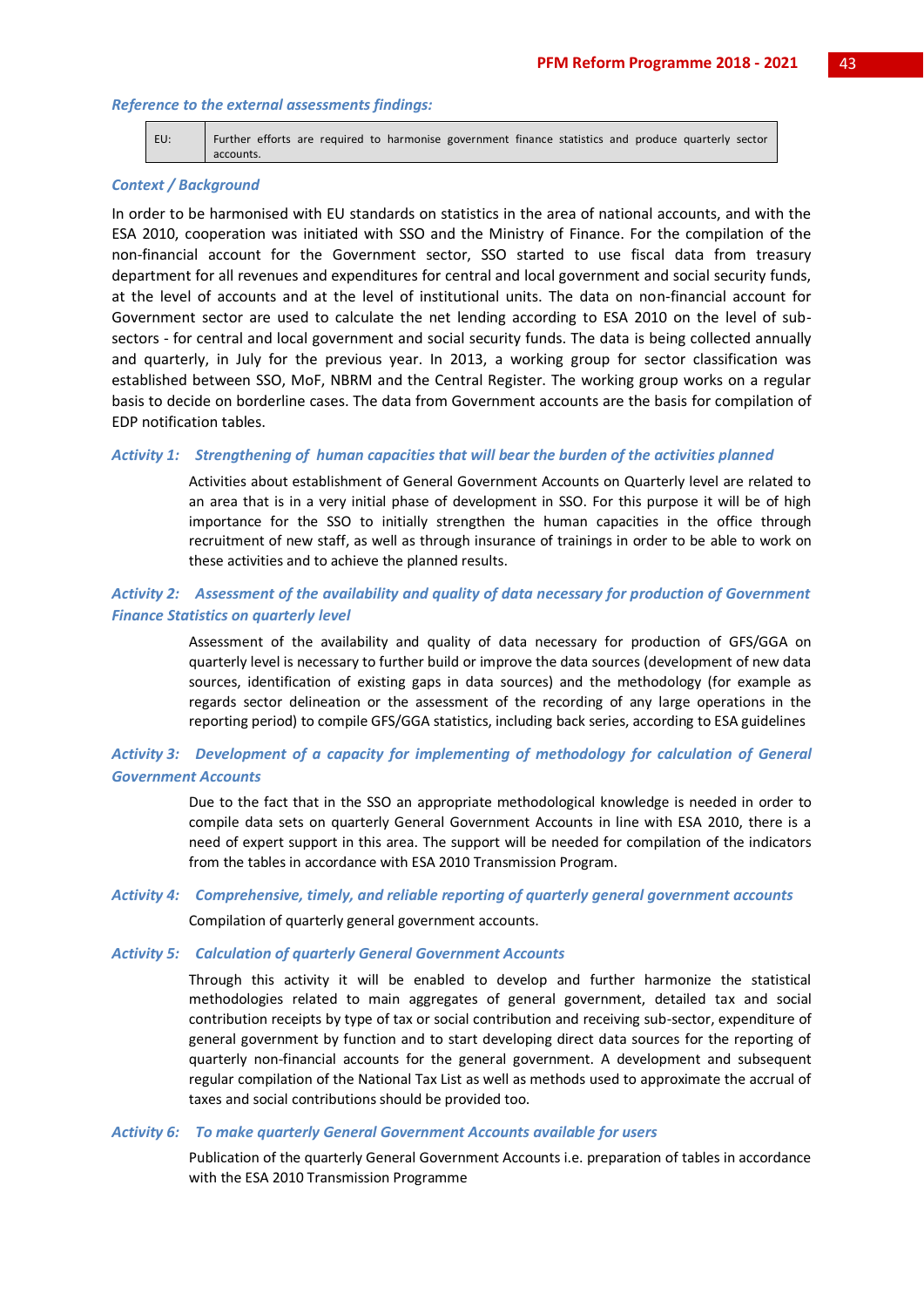#### *Reference to the external assessments findings:*

| EU: |           |  |  | Further efforts are required to harmonise government finance statistics and produce quarterly sector |  |  |  |
|-----|-----------|--|--|------------------------------------------------------------------------------------------------------|--|--|--|
|     | accounts. |  |  |                                                                                                      |  |  |  |

#### *Context / Background*

In order to be harmonised with EU standards on statistics in the area of national accounts, and with the ESA 2010, cooperation was initiated with SSO and the Ministry of Finance. For the compilation of the non-financial account for the Government sector, SSO started to use fiscal data from treasury department for all revenues and expenditures for central and local government and social security funds, at the level of accounts and at the level of institutional units. The data on non-financial account for Government sector are used to calculate the net lending according to ESA 2010 on the level of subsectors - for central and local government and social security funds. The data is being collected annually and quarterly, in July for the previous year. In 2013, a working group for sector classification was established between SSO, MoF, NBRM and the Central Register. The working group works on a regular basis to decide on borderline cases. The data from Government accounts are the basis for compilation of EDP notification tables.

## *Activity 1: Strengthening of human capacities that will bear the burden of the activities planned*

Activities about establishment of General Government Accounts on Quarterly level are related to an area that is in a very initial phase of development in SSO. For this purpose it will be of high importance for the SSO to initially strengthen the human capacities in the office through recruitment of new staff, as well as through insurance of trainings in order to be able to work on these activities and to achieve the planned results.

## *Activity 2: Assessment of the availability and quality of data necessary for production of Government Finance Statistics on quarterly level*

Assessment of the availability and quality of data necessary for production of GFS/GGA on quarterly level is necessary to further build or improve the data sources (development of new data sources, identification of existing gaps in data sources) and the methodology (for example as regards sector delineation or the assessment of the recording of any large operations in the reporting period) to compile GFS/GGA statistics, including back series, according to ESA guidelines

## *Activity 3: Development of a capacity for implementing of methodology for calculation of General Government Accounts*

Due to the fact that in the SSO an appropriate methodological knowledge is needed in order to compile data sets on quarterly General Government Accounts in line with ESA 2010, there is a need of expert support in this area. The support will be needed for compilation of the indicators from the tables in accordance with ESA 2010 Transmission Program.

## *Activity 4: Comprehensive, timely, and reliable reporting of quarterly general government accounts*

Compilation of quarterly general government accounts.

## *Activity 5: Calculation of quarterly General Government Accounts*

Through this activity it will be enabled to develop and further harmonize the statistical methodologies related to main aggregates of general government, detailed tax and social contribution receipts by type of tax or social contribution and receiving sub-sector, expenditure of general government by function and to start developing direct data sources for the reporting of quarterly non-financial accounts for the general government. A development and subsequent regular compilation of the National Tax List as well as methods used to approximate the accrual of taxes and social contributions should be provided too.

#### *Activity 6: To make quarterly General Government Accounts available for users*

Publication of the quarterly General Government Accounts i.e. preparation of tables in accordance with the ESA 2010 Transmission Programme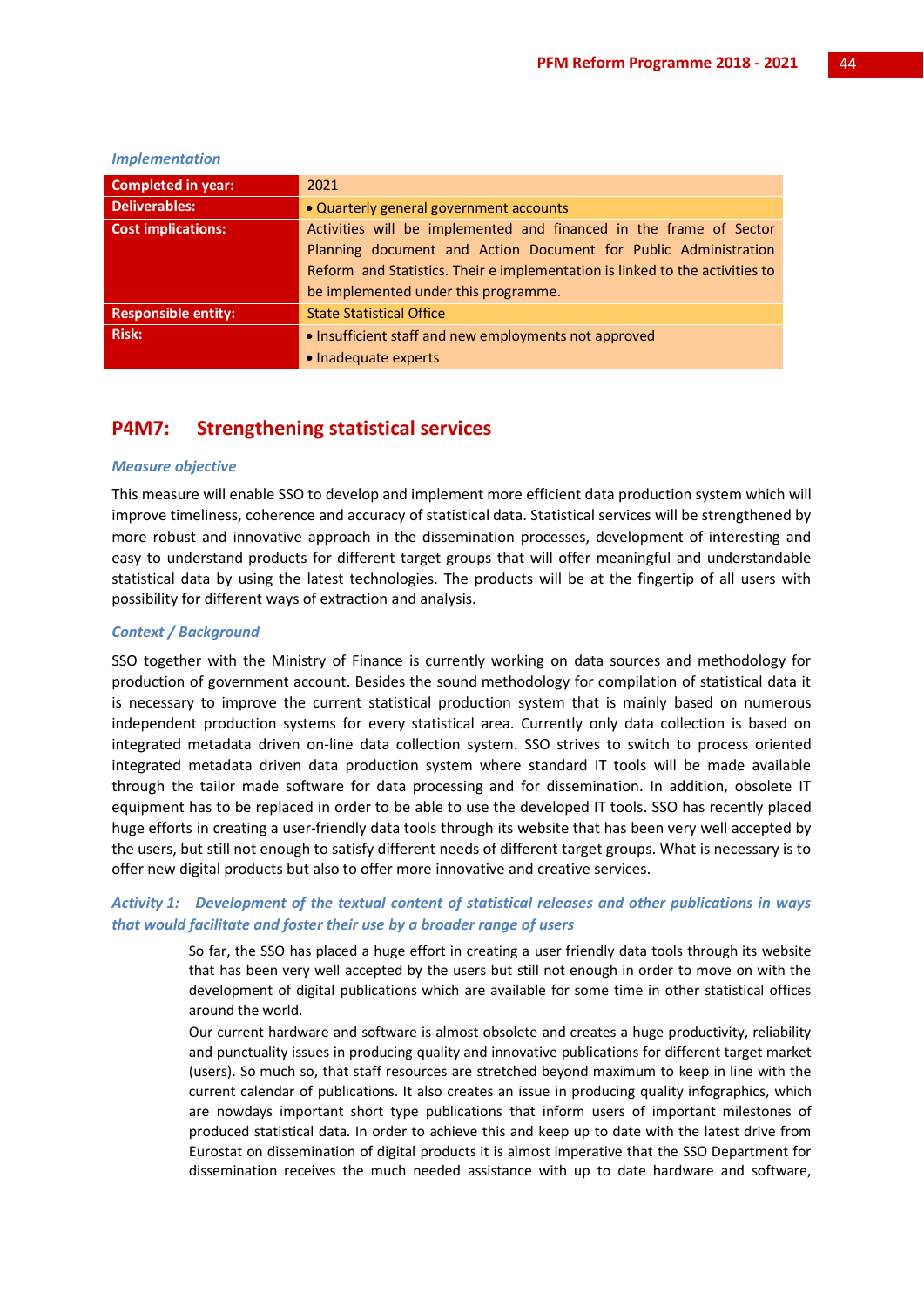| <b>Completed in year:</b>  | 2021                                                                         |
|----------------------------|------------------------------------------------------------------------------|
| <b>Deliverables:</b>       | . Quarterly general government accounts                                      |
| <b>Cost implications:</b>  | Activities will be implemented and financed in the frame of Sector           |
|                            | Planning document and Action Document for Public Administration              |
|                            | Reform and Statistics. Their e implementation is linked to the activities to |
|                            | be implemented under this programme.                                         |
| <b>Responsible entity:</b> | <b>State Statistical Office</b>                                              |
| <b>Risk:</b>               | • Insufficient staff and new employments not approved                        |

#### *Implementation*

## **P4M7: Strengthening statistical services**

• Inadequate experts

## *Measure objective*

This measure will enable SSO to develop and implement more efficient data production system which will improve timeliness, coherence and accuracy of statistical data. Statistical services will be strengthened by more robust and innovative approach in the dissemination processes, development of interesting and easy to understand products for different target groups that will offer meaningful and understandable statistical data by using the latest technologies. The products will be at the fingertip of all users with possibility for different ways of extraction and analysis.

## *Context / Background*

SSO together with the Ministry of Finance is currently working on data sources and methodology for production of government account. Besides the sound methodology for compilation of statistical data it is necessary to improve the current statistical production system that is mainly based on numerous independent production systems for every statistical area. Currently only data collection is based on integrated metadata driven on-line data collection system. SSO strives to switch to process oriented integrated metadata driven data production system where standard IT tools will be made available through the tailor made software for data processing and for dissemination. In addition, obsolete IT equipment has to be replaced in order to be able to use the developed IT tools. SSO has recently placed huge efforts in creating a user-friendly data tools through its website that has been very well accepted by the users, but still not enough to satisfy different needs of different target groups. What is necessary is to offer new digital products but also to offer more innovative and creative services.

## *Activity 1: Development of the textual content of statistical releases and other publications in ways that would facilitate and foster their use by a broader range of users*

So far, the SSO has placed a huge effort in creating a user friendly data tools through its website that has been very well accepted by the users but still not enough in order to move on with the development of digital publications which are available for some time in other statistical offices around the world.

Our current hardware and software is almost obsolete and creates a huge productivity, reliability and punctuality issues in producing quality and innovative publications for different target market (users). So much so, that staff resources are stretched beyond maximum to keep in line with the current calendar of publications. It also creates an issue in producing quality infographics, which are nowdays important short type publications that inform users of important milestones of produced statistical data. In order to achieve this and keep up to date with the latest drive from Eurostat on dissemination of digital products it is almost imperative that the SSO Department for dissemination receives the much needed assistance with up to date hardware and software,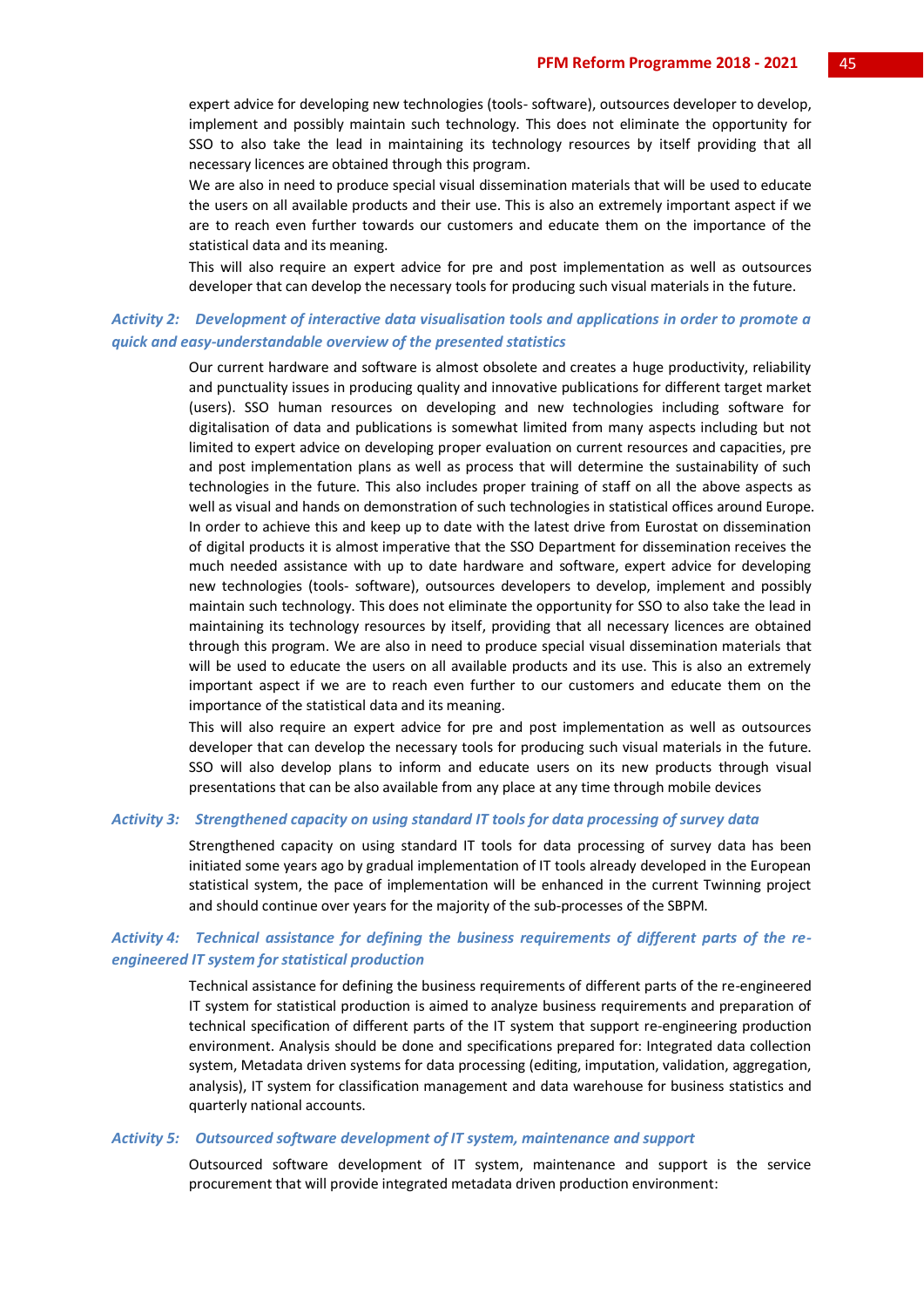expert advice for developing new technologies (tools- software), outsources developer to develop, implement and possibly maintain such technology. This does not eliminate the opportunity for SSO to also take the lead in maintaining its technology resources by itself providing that all necessary licences are obtained through this program.

We are also in need to produce special visual dissemination materials that will be used to educate the users on all available products and their use. This is also an extremely important aspect if we are to reach even further towards our customers and educate them on the importance of the statistical data and its meaning.

This will also require an expert advice for pre and post implementation as well as outsources developer that can develop the necessary tools for producing such visual materials in the future.

## *Activity 2: Development of interactive data visualisation tools and applications in order to promote a quick and easy-understandable overview of the presented statistics*

Our current hardware and software is almost obsolete and creates a huge productivity, reliability and punctuality issues in producing quality and innovative publications for different target market (users). SSO human resources on developing and new technologies including software for digitalisation of data and publications is somewhat limited from many aspects including but not limited to expert advice on developing proper evaluation on current resources and capacities, pre and post implementation plans as well as process that will determine the sustainability of such technologies in the future. This also includes proper training of staff on all the above aspects as well as visual and hands on demonstration of such technologies in statistical offices around Europe. In order to achieve this and keep up to date with the latest drive from Eurostat on dissemination of digital products it is almost imperative that the SSO Department for dissemination receives the much needed assistance with up to date hardware and software, expert advice for developing new technologies (tools- software), outsources developers to develop, implement and possibly maintain such technology. This does not eliminate the opportunity for SSO to also take the lead in maintaining its technology resources by itself, providing that all necessary licences are obtained through this program. We are also in need to produce special visual dissemination materials that will be used to educate the users on all available products and its use. This is also an extremely important aspect if we are to reach even further to our customers and educate them on the importance of the statistical data and its meaning.

This will also require an expert advice for pre and post implementation as well as outsources developer that can develop the necessary tools for producing such visual materials in the future. SSO will also develop plans to inform and educate users on its new products through visual presentations that can be also available from any place at any time through mobile devices

### *Activity 3: Strengthened capacity on using standard IT tools for data processing of survey data*

Strengthened capacity on using standard IT tools for data processing of survey data has been initiated some years ago by gradual implementation of IT tools already developed in the European statistical system, the pace of implementation will be enhanced in the current Twinning project and should continue over years for the majority of the sub-processes of the SBPM.

## *Activity 4: Technical assistance for defining the business requirements of different parts of the reengineered IT system for statistical production*

Technical assistance for defining the business requirements of different parts of the re-engineered IT system for statistical production is aimed to analyze business requirements and preparation of technical specification of different parts of the IT system that support re-engineering production environment. Analysis should be done and specifications prepared for: Integrated data collection system, Metadata driven systems for data processing (editing, imputation, validation, aggregation, analysis), IT system for classification management and data warehouse for business statistics and quarterly national accounts.

#### *Activity 5: Outsourced software development of IT system, maintenance and support*

Outsourced software development of IT system, maintenance and support is the service procurement that will provide integrated metadata driven production environment: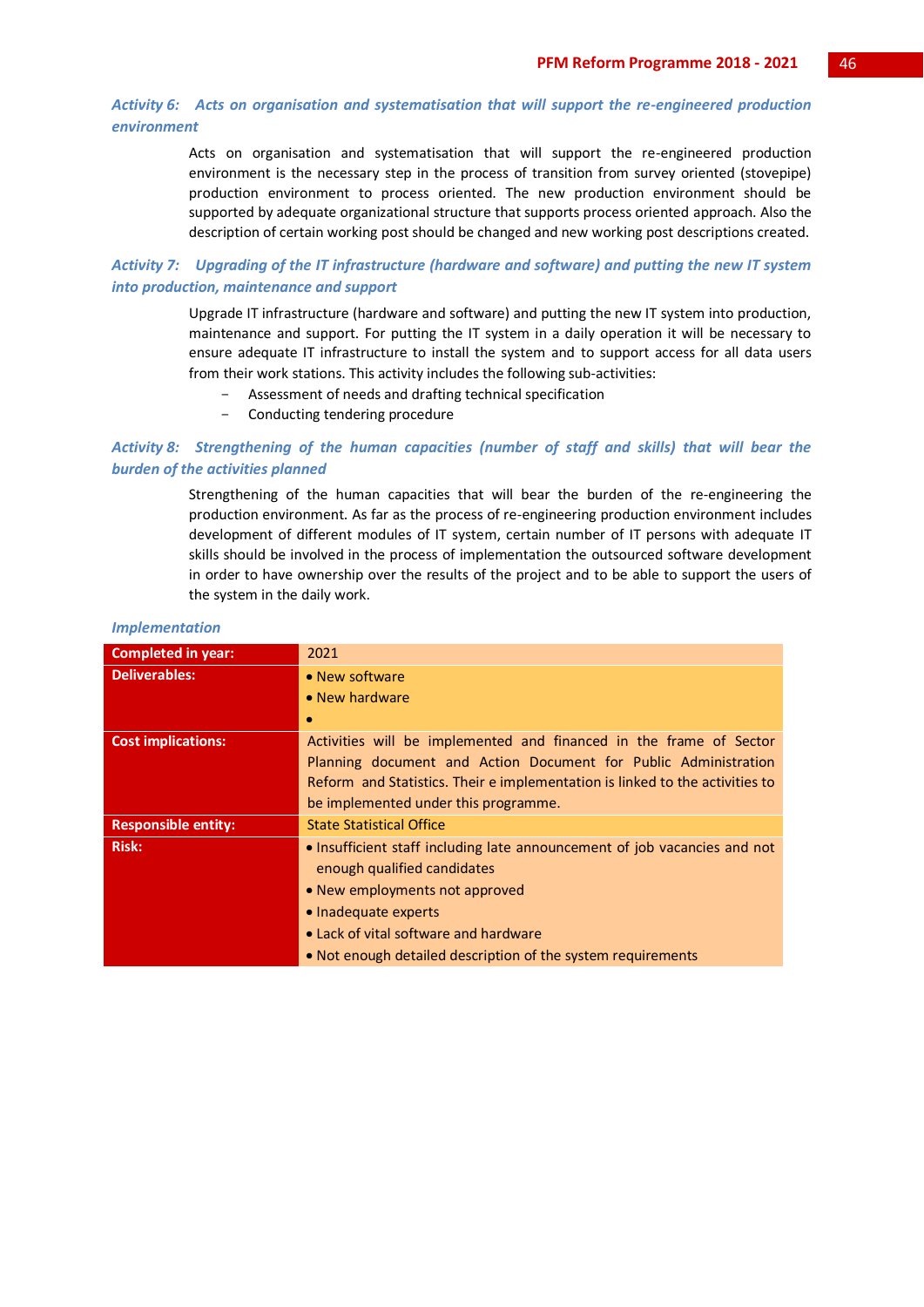## *Activity 6: Acts on organisation and systematisation that will support the re-engineered production environment*

Acts on organisation and systematisation that will support the re-engineered production environment is the necessary step in the process of transition from survey oriented (stovepipe) production environment to process oriented. The new production environment should be supported by adequate organizational structure that supports process oriented approach. Also the description of certain working post should be changed and new working post descriptions created.

*Activity 7: Upgrading of the IT infrastructure (hardware and software) and putting the new IT system into production, maintenance and support*

> Upgrade IT infrastructure (hardware and software) and putting the new IT system into production, maintenance and support. For putting the IT system in a daily operation it will be necessary to ensure adequate IT infrastructure to install the system and to support access for all data users from their work stations. This activity includes the following sub-activities:

- Assessment of needs and drafting technical specification
- Conducting tendering procedure

## *Activity 8: Strengthening of the human capacities (number of staff and skills) that will bear the burden of the activities planned*

Strengthening of the human capacities that will bear the burden of the re-engineering the production environment. As far as the process of re-engineering production environment includes development of different modules of IT system, certain number of IT persons with adequate IT skills should be involved in the process of implementation the outsourced software development in order to have ownership over the results of the project and to be able to support the users of the system in the daily work.

| <b>Completed in year:</b>  | 2021                                                                         |
|----------------------------|------------------------------------------------------------------------------|
| <b>Deliverables:</b>       | • New software                                                               |
|                            | $\bullet$ New hardware                                                       |
|                            | $\bullet$                                                                    |
| <b>Cost implications:</b>  | Activities will be implemented and financed in the frame of Sector           |
|                            | Planning document and Action Document for Public Administration              |
|                            | Reform and Statistics. Their e implementation is linked to the activities to |
|                            | be implemented under this programme.                                         |
| <b>Responsible entity:</b> | <b>State Statistical Office</b>                                              |
| <b>Risk:</b>               | • Insufficient staff including late announcement of job vacancies and not    |
|                            | enough qualified candidates                                                  |
|                            | • New employments not approved                                               |
|                            | • Inadequate experts                                                         |
|                            | • Lack of vital software and hardware                                        |
|                            | • Not enough detailed description of the system requirements                 |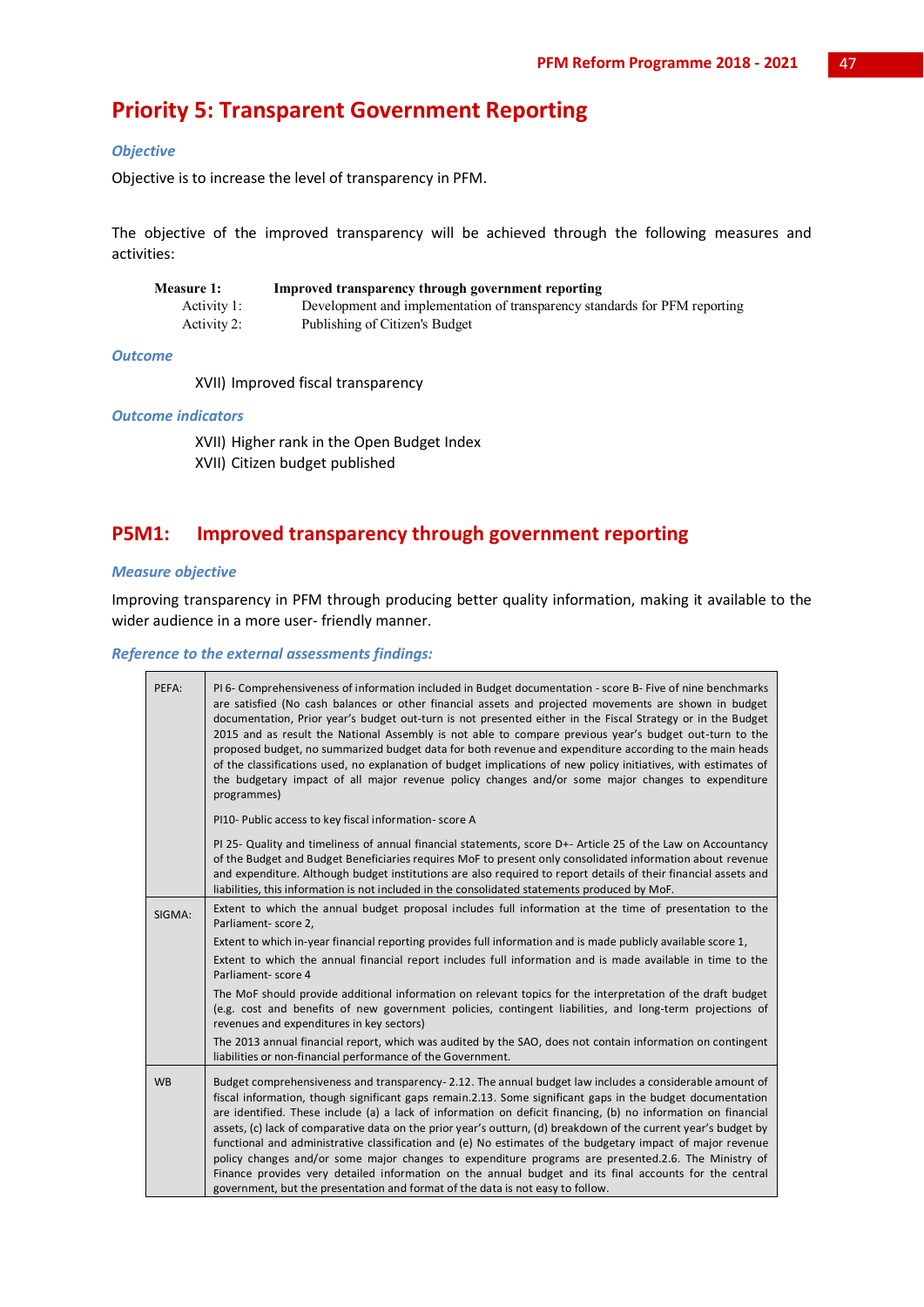## **Priority 5: Transparent Government Reporting**

## *Objective*

Objective is to increase the level of transparency in PFM.

The objective of the improved transparency will be achieved through the following measures and activities:

| <b>Measure 1:</b> | Improved transparency through government reporting                         |
|-------------------|----------------------------------------------------------------------------|
| Activity 1:       | Development and implementation of transparency standards for PFM reporting |
| Activity 2:       | Publishing of Citizen's Budget                                             |

## *Outcome*

XVII) Improved fiscal transparency

## *Outcome indicators*

XVII) Higher rank in the Open Budget Index XVII) Citizen budget published

## **P5M1: Improved transparency through government reporting**

## *Measure objective*

Improving transparency in PFM through producing better quality information, making it available to the wider audience in a more user- friendly manner.

## *Reference to the external assessments findings:*

| PEFA:     | PI 6- Comprehensiveness of information included in Budget documentation - score B- Five of nine benchmarks<br>are satisfied (No cash balances or other financial assets and projected movements are shown in budget<br>documentation, Prior year's budget out-turn is not presented either in the Fiscal Strategy or in the Budget<br>2015 and as result the National Assembly is not able to compare previous year's budget out-turn to the<br>proposed budget, no summarized budget data for both revenue and expenditure according to the main heads<br>of the classifications used, no explanation of budget implications of new policy initiatives, with estimates of<br>the budgetary impact of all major revenue policy changes and/or some major changes to expenditure<br>programmes)                                                                               |
|-----------|------------------------------------------------------------------------------------------------------------------------------------------------------------------------------------------------------------------------------------------------------------------------------------------------------------------------------------------------------------------------------------------------------------------------------------------------------------------------------------------------------------------------------------------------------------------------------------------------------------------------------------------------------------------------------------------------------------------------------------------------------------------------------------------------------------------------------------------------------------------------------|
|           | PI10- Public access to key fiscal information-score A                                                                                                                                                                                                                                                                                                                                                                                                                                                                                                                                                                                                                                                                                                                                                                                                                        |
|           | PI 25- Quality and timeliness of annual financial statements, score D+- Article 25 of the Law on Accountancy<br>of the Budget and Budget Beneficiaries requires MoF to present only consolidated information about revenue<br>and expenditure. Although budget institutions are also required to report details of their financial assets and<br>liabilities, this information is not included in the consolidated statements produced by MoF.                                                                                                                                                                                                                                                                                                                                                                                                                               |
| SIGMA:    | Extent to which the annual budget proposal includes full information at the time of presentation to the<br>Parliament- score 2,                                                                                                                                                                                                                                                                                                                                                                                                                                                                                                                                                                                                                                                                                                                                              |
|           | Extent to which in-year financial reporting provides full information and is made publicly available score 1,                                                                                                                                                                                                                                                                                                                                                                                                                                                                                                                                                                                                                                                                                                                                                                |
|           | Extent to which the annual financial report includes full information and is made available in time to the<br>Parliament-score 4                                                                                                                                                                                                                                                                                                                                                                                                                                                                                                                                                                                                                                                                                                                                             |
|           | The MoF should provide additional information on relevant topics for the interpretation of the draft budget<br>(e.g. cost and benefits of new government policies, contingent liabilities, and long-term projections of<br>revenues and expenditures in key sectors)                                                                                                                                                                                                                                                                                                                                                                                                                                                                                                                                                                                                         |
|           | The 2013 annual financial report, which was audited by the SAO, does not contain information on contingent<br>liabilities or non-financial performance of the Government.                                                                                                                                                                                                                                                                                                                                                                                                                                                                                                                                                                                                                                                                                                    |
| <b>WB</b> | Budget comprehensiveness and transparency - 2.12. The annual budget law includes a considerable amount of<br>fiscal information, though significant gaps remain.2.13. Some significant gaps in the budget documentation<br>are identified. These include (a) a lack of information on deficit financing, (b) no information on financial<br>assets, (c) lack of comparative data on the prior year's outturn, (d) breakdown of the current year's budget by<br>functional and administrative classification and (e) No estimates of the budgetary impact of major revenue<br>policy changes and/or some major changes to expenditure programs are presented.2.6. The Ministry of<br>Finance provides very detailed information on the annual budget and its final accounts for the central<br>government, but the presentation and format of the data is not easy to follow. |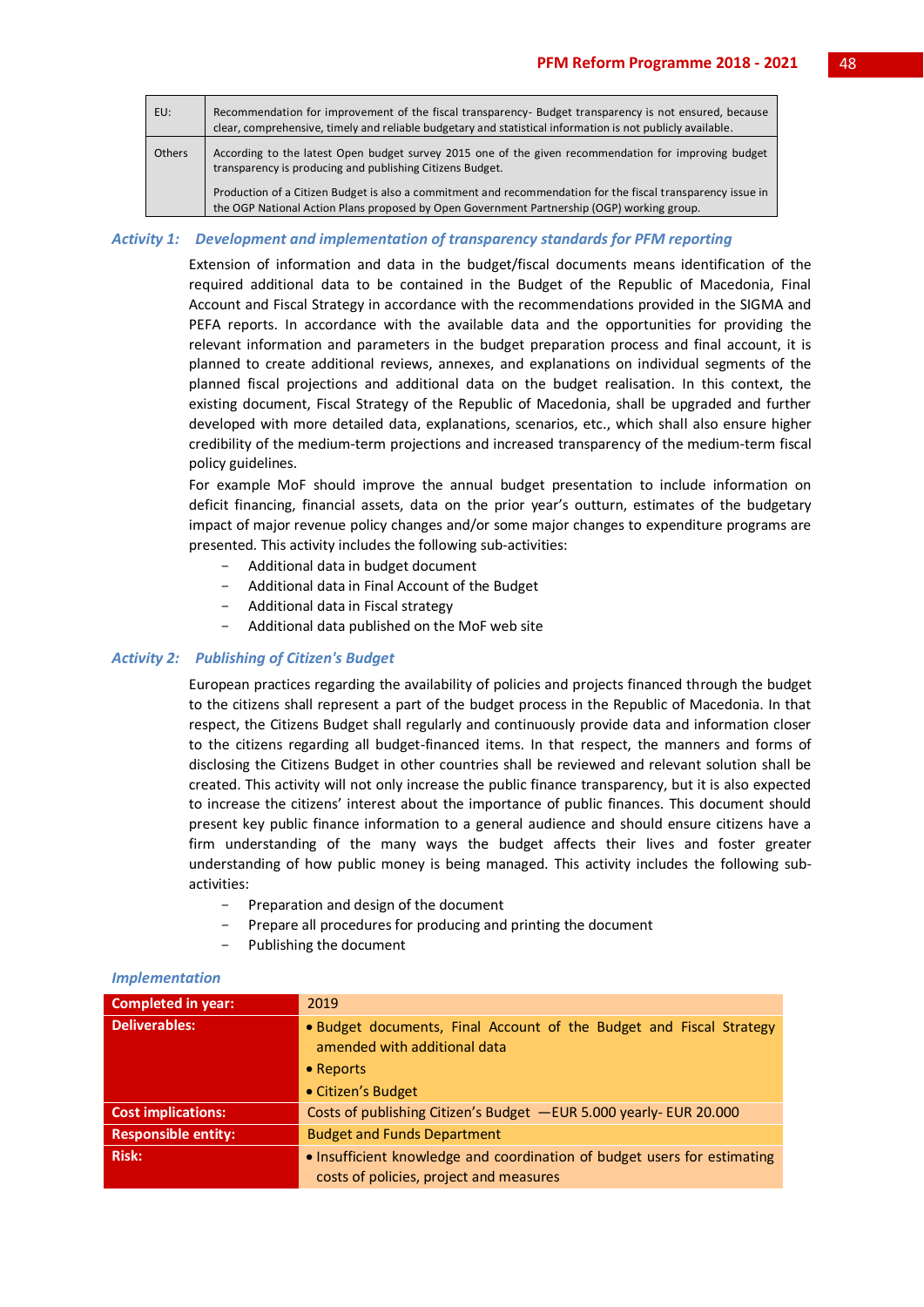| EU:    | Recommendation for improvement of the fiscal transparency- Budget transparency is not ensured, because<br>clear, comprehensive, timely and reliable budgetary and statistical information is not publicly available. |
|--------|----------------------------------------------------------------------------------------------------------------------------------------------------------------------------------------------------------------------|
| Others | According to the latest Open budget survey 2015 one of the given recommendation for improving budget<br>transparency is producing and publishing Citizens Budget.                                                    |
|        | Production of a Citizen Budget is also a commitment and recommendation for the fiscal transparency issue in<br>the OGP National Action Plans proposed by Open Government Partnership (OGP) working group.            |

#### *Activity 1: Development and implementation of transparency standards for PFM reporting*

Extension of information and data in the budget/fiscal documents means identification of the required additional data to be contained in the Budget of the Republic of Macedonia, Final Account and Fiscal Strategy in accordance with the recommendations provided in the SIGMA and PEFA reports. In accordance with the available data and the opportunities for providing the relevant information and parameters in the budget preparation process and final account, it is planned to create additional reviews, annexes, and explanations on individual segments of the planned fiscal projections and additional data on the budget realisation. In this context, the existing document, Fiscal Strategy of the Republic of Macedonia, shall be upgraded and further developed with more detailed data, explanations, scenarios, etc., which shall also ensure higher credibility of the medium-term projections and increased transparency of the medium-term fiscal policy guidelines.

For example MoF should improve the annual budget presentation to include information on deficit financing, financial assets, data on the prior year's outturn, estimates of the budgetary impact of major revenue policy changes and/or some major changes to expenditure programs are presented. This activity includes the following sub-activities:

- Additional data in budget document
- Additional data in Final Account of the Budget
- Additional data in Fiscal strategy
- Additional data published on the MoF web site

## *Activity 2: Publishing of Citizen's Budget*

European practices regarding the availability of policies and projects financed through the budget to the citizens shall represent a part of the budget process in the Republic of Macedonia. In that respect, the Citizens Budget shall regularly and continuously provide data and information closer to the citizens regarding all budget-financed items. In that respect, the manners and forms of disclosing the Citizens Budget in other countries shall be reviewed and relevant solution shall be created. This activity will not only increase the public finance transparency, but it is also expected to increase the citizens' interest about the importance of public finances. This document should present key public finance information to a general audience and should ensure citizens have a firm understanding of the many ways the budget affects their lives and foster greater understanding of how public money is being managed. This activity includes the following subactivities:

- Preparation and design of the document
- Prepare all procedures for producing and printing the document
- Publishing the document

| <b>Completed in year:</b>  | 2019                                                                                                                                   |
|----------------------------|----------------------------------------------------------------------------------------------------------------------------------------|
| <b>Deliverables:</b>       | . Budget documents, Final Account of the Budget and Fiscal Strategy<br>amended with additional data<br>• Reports<br>• Citizen's Budget |
|                            |                                                                                                                                        |
| <b>Cost implications:</b>  | Costs of publishing Citizen's Budget -EUR 5.000 yearly- EUR 20.000                                                                     |
| <b>Responsible entity:</b> | <b>Budget and Funds Department</b>                                                                                                     |
| <b>Risk:</b>               | • Insufficient knowledge and coordination of budget users for estimating                                                               |
|                            | costs of policies, project and measures                                                                                                |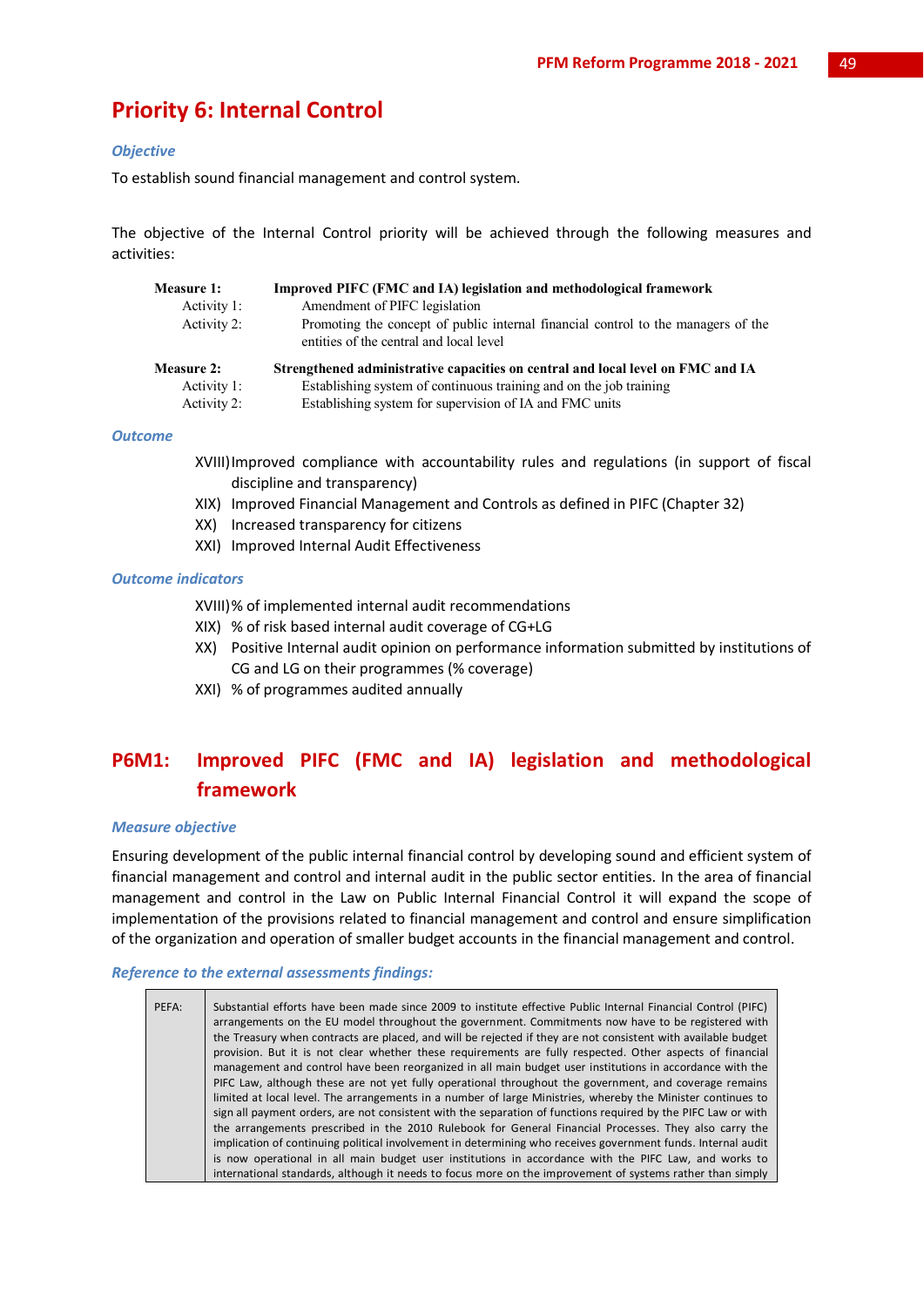## **Priority 6: Internal Control**

## *Objective*

To establish sound financial management and control system.

The objective of the Internal Control priority will be achieved through the following measures and activities:

| <b>Measure 1:</b><br>Activity 1:<br>Activity 2: | Improved PIFC (FMC and IA) legislation and methodological framework<br>Amendment of PIFC legislation<br>Promoting the concept of public internal financial control to the managers of the<br>entities of the central and local level |
|-------------------------------------------------|--------------------------------------------------------------------------------------------------------------------------------------------------------------------------------------------------------------------------------------|
| <b>Measure 2:</b>                               | Strengthened administrative capacities on central and local level on FMC and IA                                                                                                                                                      |
| Activity 1:                                     | Establishing system of continuous training and on the job training                                                                                                                                                                   |
| Activity 2:                                     | Establishing system for supervision of IA and FMC units                                                                                                                                                                              |

## *Outcome*

- XVIII)Improved compliance with accountability rules and regulations (in support of fiscal discipline and transparency)
- XIX) Improved Financial Management and Controls as defined in PIFC (Chapter 32)
- XX) Increased transparency for citizens
- XXI) Improved Internal Audit Effectiveness

### *Outcome indicators*

XVIII)% of implemented internal audit recommendations

- XIX) % of risk based internal audit coverage of CG+LG
- XX) Positive Internal audit opinion on performance information submitted by institutions of CG and LG on their programmes (% coverage)
- XXI) % of programmes audited annually

## **P6M1: Improved PIFC (FMC and IA) legislation and methodological framework**

## *Measure objective*

Ensuring development of the public internal financial control by developing sound and efficient system of financial management and control and internal audit in the public sector entities. In the area of financial management and control in the Law on Public Internal Financial Control it will expand the scope of implementation of the provisions related to financial management and control and ensure simplification of the organization and operation of smaller budget accounts in the financial management and control.

#### *Reference to the external assessments findings:*

| PEFA: | Substantial efforts have been made since 2009 to institute effective Public Internal Financial Control (PIFC)<br>arrangements on the EU model throughout the government. Commitments now have to be registered with<br>the Treasury when contracts are placed, and will be rejected if they are not consistent with available budget<br>provision. But it is not clear whether these requirements are fully respected. Other aspects of financial<br>management and control have been reorganized in all main budget user institutions in accordance with the<br>PIFC Law, although these are not yet fully operational throughout the government, and coverage remains<br>limited at local level. The arrangements in a number of large Ministries, whereby the Minister continues to<br>sign all payment orders, are not consistent with the separation of functions required by the PIFC Law or with<br>the arrangements prescribed in the 2010 Rulebook for General Financial Processes. They also carry the<br>implication of continuing political involvement in determining who receives government funds. Internal audit |
|-------|----------------------------------------------------------------------------------------------------------------------------------------------------------------------------------------------------------------------------------------------------------------------------------------------------------------------------------------------------------------------------------------------------------------------------------------------------------------------------------------------------------------------------------------------------------------------------------------------------------------------------------------------------------------------------------------------------------------------------------------------------------------------------------------------------------------------------------------------------------------------------------------------------------------------------------------------------------------------------------------------------------------------------------------------------------------------------------------------------------------------------------|
|       | is now operational in all main budget user institutions in accordance with the PIFC Law, and works to<br>international standards, although it needs to focus more on the improvement of systems rather than simply                                                                                                                                                                                                                                                                                                                                                                                                                                                                                                                                                                                                                                                                                                                                                                                                                                                                                                               |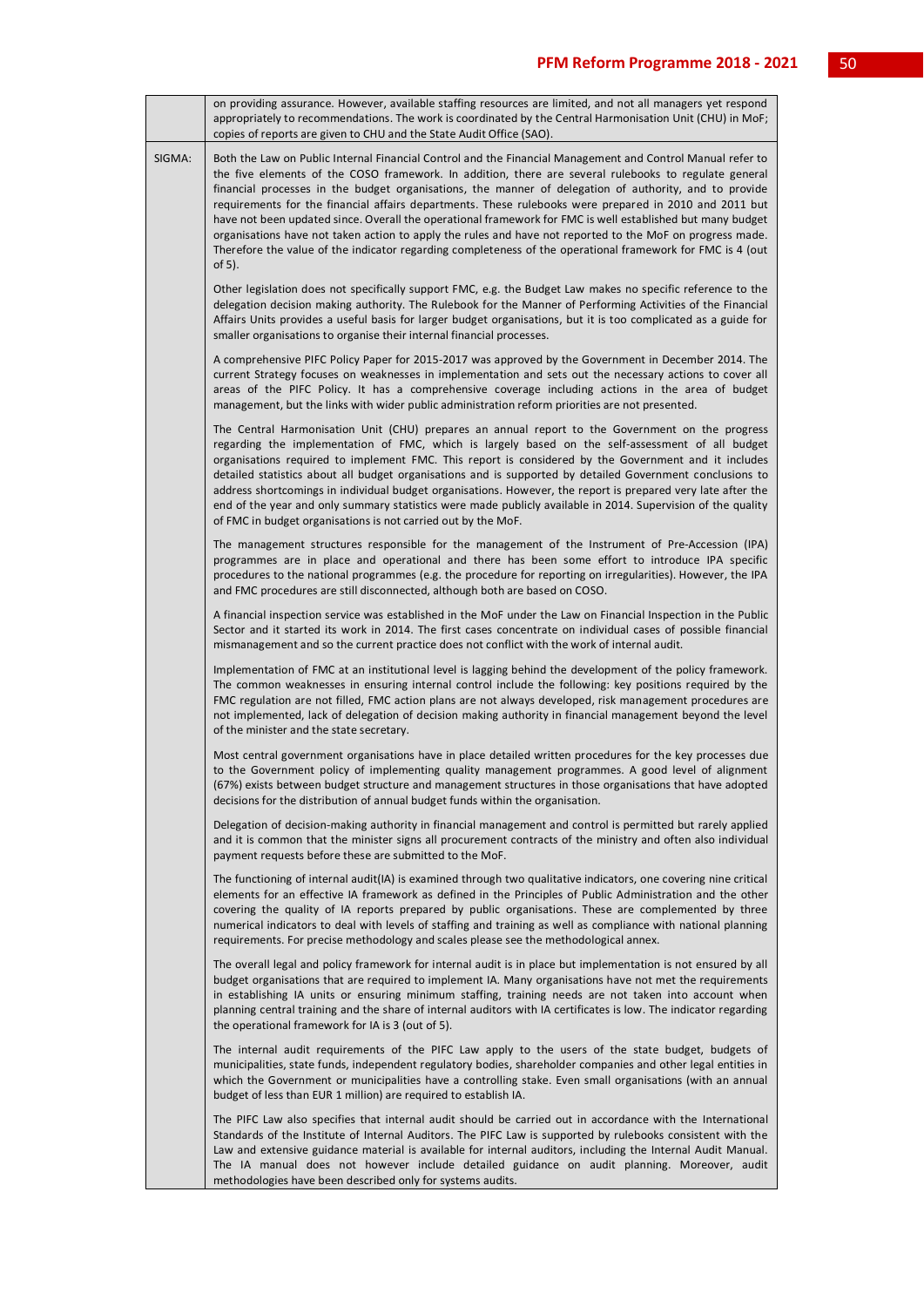|        | on providing assurance. However, available staffing resources are limited, and not all managers yet respond<br>appropriately to recommendations. The work is coordinated by the Central Harmonisation Unit (CHU) in MoF;<br>copies of reports are given to CHU and the State Audit Office (SAO).                                                                                                                                                                                                                                                                                                                                                                                                                                                                                           |
|--------|--------------------------------------------------------------------------------------------------------------------------------------------------------------------------------------------------------------------------------------------------------------------------------------------------------------------------------------------------------------------------------------------------------------------------------------------------------------------------------------------------------------------------------------------------------------------------------------------------------------------------------------------------------------------------------------------------------------------------------------------------------------------------------------------|
| SIGMA: | Both the Law on Public Internal Financial Control and the Financial Management and Control Manual refer to<br>the five elements of the COSO framework. In addition, there are several rulebooks to regulate general<br>financial processes in the budget organisations, the manner of delegation of authority, and to provide<br>requirements for the financial affairs departments. These rulebooks were prepared in 2010 and 2011 but<br>have not been updated since. Overall the operational framework for FMC is well established but many budget<br>organisations have not taken action to apply the rules and have not reported to the MoF on progress made.<br>Therefore the value of the indicator regarding completeness of the operational framework for FMC is 4 (out<br>of 5). |
|        | Other legislation does not specifically support FMC, e.g. the Budget Law makes no specific reference to the<br>delegation decision making authority. The Rulebook for the Manner of Performing Activities of the Financial<br>Affairs Units provides a useful basis for larger budget organisations, but it is too complicated as a guide for<br>smaller organisations to organise their internal financial processes.                                                                                                                                                                                                                                                                                                                                                                     |
|        | A comprehensive PIFC Policy Paper for 2015-2017 was approved by the Government in December 2014. The<br>current Strategy focuses on weaknesses in implementation and sets out the necessary actions to cover all<br>areas of the PIFC Policy. It has a comprehensive coverage including actions in the area of budget<br>management, but the links with wider public administration reform priorities are not presented.                                                                                                                                                                                                                                                                                                                                                                   |
|        | The Central Harmonisation Unit (CHU) prepares an annual report to the Government on the progress<br>regarding the implementation of FMC, which is largely based on the self-assessment of all budget<br>organisations required to implement FMC. This report is considered by the Government and it includes<br>detailed statistics about all budget organisations and is supported by detailed Government conclusions to<br>address shortcomings in individual budget organisations. However, the report is prepared very late after the<br>end of the year and only summary statistics were made publicly available in 2014. Supervision of the quality<br>of FMC in budget organisations is not carried out by the MoF.                                                                 |
|        | The management structures responsible for the management of the Instrument of Pre-Accession (IPA)<br>programmes are in place and operational and there has been some effort to introduce IPA specific<br>procedures to the national programmes (e.g. the procedure for reporting on irregularities). However, the IPA<br>and FMC procedures are still disconnected, although both are based on COSO.                                                                                                                                                                                                                                                                                                                                                                                       |
|        | A financial inspection service was established in the MoF under the Law on Financial Inspection in the Public<br>Sector and it started its work in 2014. The first cases concentrate on individual cases of possible financial<br>mismanagement and so the current practice does not conflict with the work of internal audit.                                                                                                                                                                                                                                                                                                                                                                                                                                                             |
|        | Implementation of FMC at an institutional level is lagging behind the development of the policy framework.<br>The common weaknesses in ensuring internal control include the following: key positions required by the<br>FMC regulation are not filled, FMC action plans are not always developed, risk management procedures are<br>not implemented, lack of delegation of decision making authority in financial management beyond the level<br>of the minister and the state secretary.                                                                                                                                                                                                                                                                                                 |
|        | Most central government organisations have in place detailed written procedures for the key processes due<br>to the Government policy of implementing quality management programmes. A good level of alignment<br>(67%) exists between budget structure and management structures in those organisations that have adopted<br>decisions for the distribution of annual budget funds within the organisation.                                                                                                                                                                                                                                                                                                                                                                               |
|        | Delegation of decision-making authority in financial management and control is permitted but rarely applied<br>and it is common that the minister signs all procurement contracts of the ministry and often also individual<br>payment requests before these are submitted to the MoF.                                                                                                                                                                                                                                                                                                                                                                                                                                                                                                     |
|        | The functioning of internal audit(IA) is examined through two qualitative indicators, one covering nine critical<br>elements for an effective IA framework as defined in the Principles of Public Administration and the other<br>covering the quality of IA reports prepared by public organisations. These are complemented by three<br>numerical indicators to deal with levels of staffing and training as well as compliance with national planning<br>requirements. For precise methodology and scales please see the methodological annex.                                                                                                                                                                                                                                          |
|        | The overall legal and policy framework for internal audit is in place but implementation is not ensured by all<br>budget organisations that are required to implement IA. Many organisations have not met the requirements<br>in establishing IA units or ensuring minimum staffing, training needs are not taken into account when<br>planning central training and the share of internal auditors with IA certificates is low. The indicator regarding<br>the operational framework for IA is 3 (out of 5).                                                                                                                                                                                                                                                                              |
|        | The internal audit requirements of the PIFC Law apply to the users of the state budget, budgets of<br>municipalities, state funds, independent regulatory bodies, shareholder companies and other legal entities in<br>which the Government or municipalities have a controlling stake. Even small organisations (with an annual<br>budget of less than EUR 1 million) are required to establish IA.                                                                                                                                                                                                                                                                                                                                                                                       |
|        | The PIFC Law also specifies that internal audit should be carried out in accordance with the International<br>Standards of the Institute of Internal Auditors. The PIFC Law is supported by rulebooks consistent with the<br>Law and extensive guidance material is available for internal auditors, including the Internal Audit Manual.<br>The IA manual does not however include detailed guidance on audit planning. Moreover, audit<br>methodologies have been described only for systems audits.                                                                                                                                                                                                                                                                                     |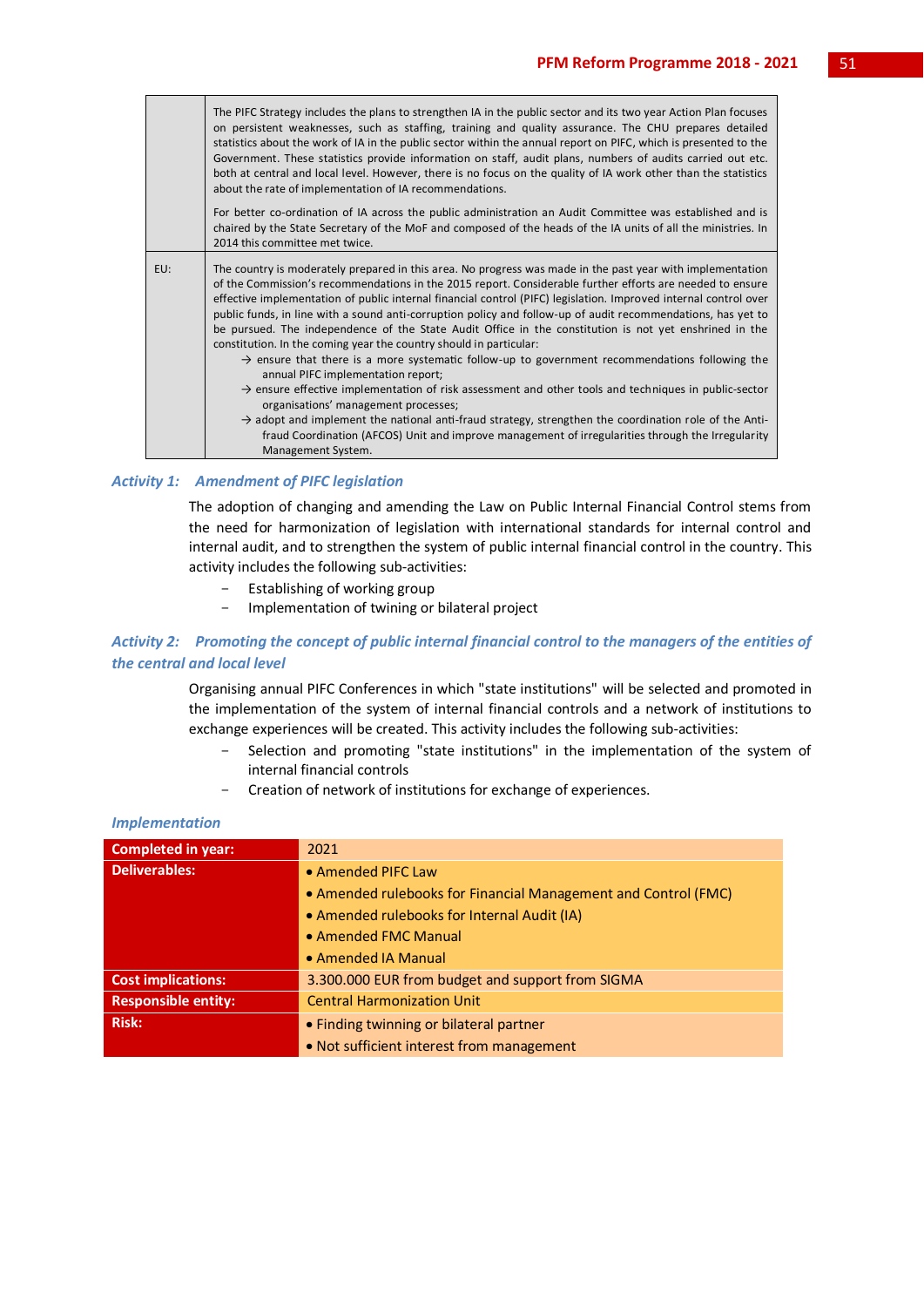|     | The PIFC Strategy includes the plans to strengthen IA in the public sector and its two year Action Plan focuses<br>on persistent weaknesses, such as staffing, training and quality assurance. The CHU prepares detailed<br>statistics about the work of IA in the public sector within the annual report on PIFC, which is presented to the<br>Government. These statistics provide information on staff, audit plans, numbers of audits carried out etc.<br>both at central and local level. However, there is no focus on the quality of IA work other than the statistics<br>about the rate of implementation of IA recommendations.                                                                                                                                                                                                                                                                                                                                                                                                                                                                                                                                                                    |
|-----|-------------------------------------------------------------------------------------------------------------------------------------------------------------------------------------------------------------------------------------------------------------------------------------------------------------------------------------------------------------------------------------------------------------------------------------------------------------------------------------------------------------------------------------------------------------------------------------------------------------------------------------------------------------------------------------------------------------------------------------------------------------------------------------------------------------------------------------------------------------------------------------------------------------------------------------------------------------------------------------------------------------------------------------------------------------------------------------------------------------------------------------------------------------------------------------------------------------|
|     | For better co-ordination of IA across the public administration an Audit Committee was established and is<br>chaired by the State Secretary of the MoF and composed of the heads of the IA units of all the ministries. In<br>2014 this committee met twice.                                                                                                                                                                                                                                                                                                                                                                                                                                                                                                                                                                                                                                                                                                                                                                                                                                                                                                                                                |
| EU: | The country is moderately prepared in this area. No progress was made in the past year with implementation<br>of the Commission's recommendations in the 2015 report. Considerable further efforts are needed to ensure<br>effective implementation of public internal financial control (PIFC) legislation. Improved internal control over<br>public funds, in line with a sound anti-corruption policy and follow-up of audit recommendations, has yet to<br>be pursued. The independence of the State Audit Office in the constitution is not yet enshrined in the<br>constitution. In the coming year the country should in particular:<br>$\rightarrow$ ensure that there is a more systematic follow-up to government recommendations following the<br>annual PIFC implementation report;<br>$\rightarrow$ ensure effective implementation of risk assessment and other tools and techniques in public-sector<br>organisations' management processes;<br>$\rightarrow$ adopt and implement the national anti-fraud strategy, strengthen the coordination role of the Anti-<br>fraud Coordination (AFCOS) Unit and improve management of irregularities through the Irregularity<br>Management System. |

## *Activity 1: Amendment of PIFC legislation*

The adoption of changing and amending the Law on Public Internal Financial Control stems from the need for harmonization of legislation with international standards for internal control and internal audit, and to strengthen the system of public internal financial control in the country. This activity includes the following sub-activities:

- Establishing of working group
- Implementation of twining or bilateral project

## *Activity 2: Promoting the concept of public internal financial control to the managers of the entities of the central and local level*

Organising annual PIFC Conferences in which "state institutions" will be selected and promoted in the implementation of the system of internal financial controls and a network of institutions to exchange experiences will be created. This activity includes the following sub-activities:

- Selection and promoting "state institutions" in the implementation of the system of internal financial controls
- Creation of network of institutions for exchange of experiences.

| <b>Completed in year:</b>  | 2021                                                           |
|----------------------------|----------------------------------------------------------------|
| <b>Deliverables:</b>       | • Amended PIFC Law                                             |
|                            | • Amended rulebooks for Financial Management and Control (FMC) |
|                            | • Amended rulebooks for Internal Audit (IA)                    |
|                            | • Amended FMC Manual                                           |
|                            | • Amended IA Manual                                            |
| <b>Cost implications:</b>  | 3.300.000 EUR from budget and support from SIGMA               |
| <b>Responsible entity:</b> | <b>Central Harmonization Unit</b>                              |
| <b>Risk:</b>               | • Finding twinning or bilateral partner                        |
|                            | • Not sufficient interest from management                      |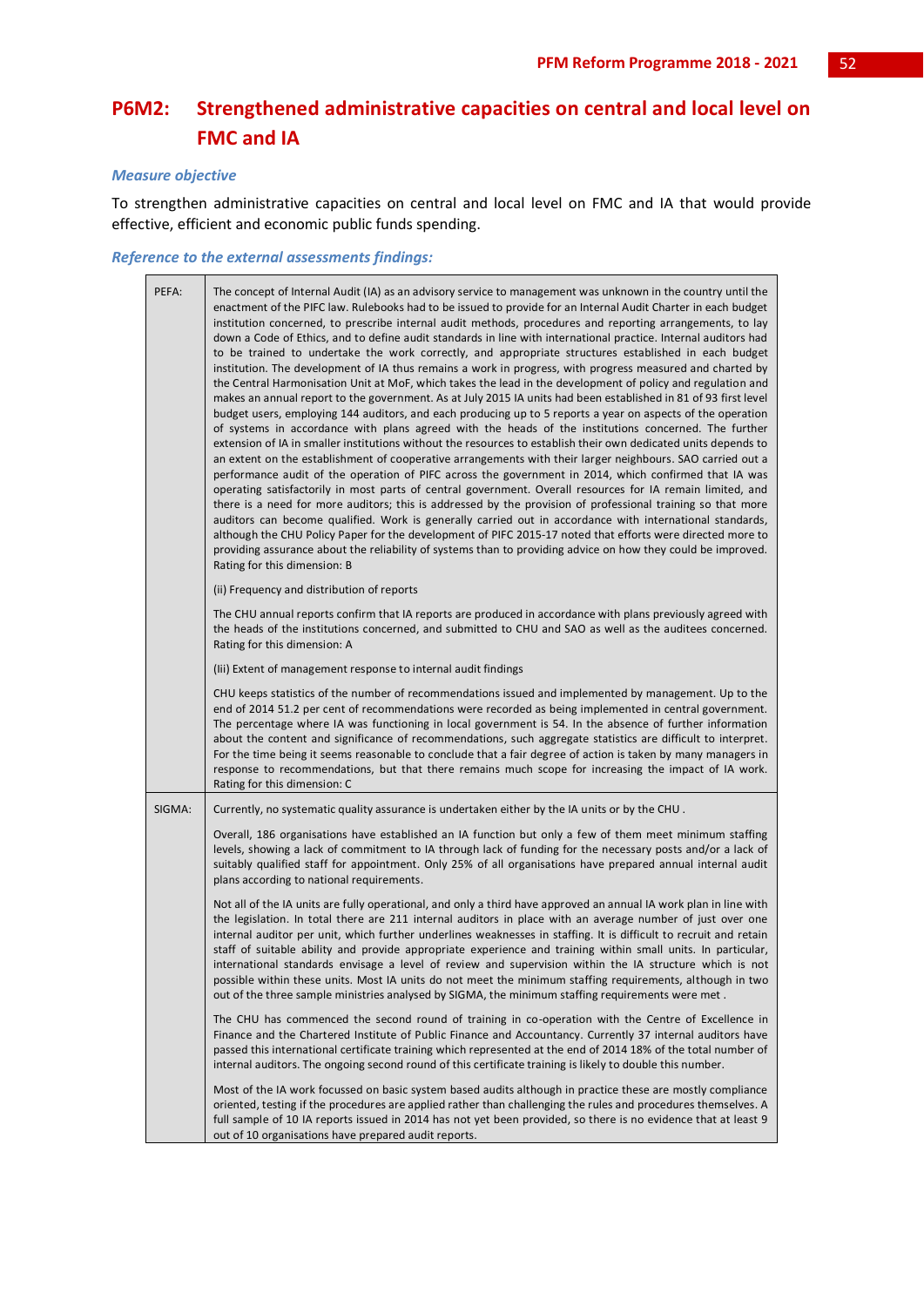## **P6M2: Strengthened administrative capacities on central and local level on FMC and IA**

## *Measure objective*

To strengthen administrative capacities on central and local level on FMC and IA that would provide effective, efficient and economic public funds spending.

## *Reference to the external assessments findings:*

| PEFA:  | The concept of Internal Audit (IA) as an advisory service to management was unknown in the country until the<br>enactment of the PIFC law. Rulebooks had to be issued to provide for an Internal Audit Charter in each budget<br>institution concerned, to prescribe internal audit methods, procedures and reporting arrangements, to lay<br>down a Code of Ethics, and to define audit standards in line with international practice. Internal auditors had<br>to be trained to undertake the work correctly, and appropriate structures established in each budget<br>institution. The development of IA thus remains a work in progress, with progress measured and charted by<br>the Central Harmonisation Unit at MoF, which takes the lead in the development of policy and regulation and<br>makes an annual report to the government. As at July 2015 IA units had been established in 81 of 93 first level<br>budget users, employing 144 auditors, and each producing up to 5 reports a year on aspects of the operation<br>of systems in accordance with plans agreed with the heads of the institutions concerned. The further<br>extension of IA in smaller institutions without the resources to establish their own dedicated units depends to<br>an extent on the establishment of cooperative arrangements with their larger neighbours. SAO carried out a<br>performance audit of the operation of PIFC across the government in 2014, which confirmed that IA was<br>operating satisfactorily in most parts of central government. Overall resources for IA remain limited, and<br>there is a need for more auditors; this is addressed by the provision of professional training so that more<br>auditors can become qualified. Work is generally carried out in accordance with international standards,<br>although the CHU Policy Paper for the development of PIFC 2015-17 noted that efforts were directed more to<br>providing assurance about the reliability of systems than to providing advice on how they could be improved.<br>Rating for this dimension: B<br>(ii) Frequency and distribution of reports<br>The CHU annual reports confirm that IA reports are produced in accordance with plans previously agreed with<br>the heads of the institutions concerned, and submitted to CHU and SAO as well as the auditees concerned.<br>Rating for this dimension: A<br>(Iii) Extent of management response to internal audit findings<br>CHU keeps statistics of the number of recommendations issued and implemented by management. Up to the<br>end of 2014 51.2 per cent of recommendations were recorded as being implemented in central government.<br>The percentage where IA was functioning in local government is 54. In the absence of further information |
|--------|--------------------------------------------------------------------------------------------------------------------------------------------------------------------------------------------------------------------------------------------------------------------------------------------------------------------------------------------------------------------------------------------------------------------------------------------------------------------------------------------------------------------------------------------------------------------------------------------------------------------------------------------------------------------------------------------------------------------------------------------------------------------------------------------------------------------------------------------------------------------------------------------------------------------------------------------------------------------------------------------------------------------------------------------------------------------------------------------------------------------------------------------------------------------------------------------------------------------------------------------------------------------------------------------------------------------------------------------------------------------------------------------------------------------------------------------------------------------------------------------------------------------------------------------------------------------------------------------------------------------------------------------------------------------------------------------------------------------------------------------------------------------------------------------------------------------------------------------------------------------------------------------------------------------------------------------------------------------------------------------------------------------------------------------------------------------------------------------------------------------------------------------------------------------------------------------------------------------------------------------------------------------------------------------------------------------------------------------------------------------------------------------------------------------------------------------------------------------------------------------------------------------------------------------------------------------------------------------------------------------------------------------------------------------------------------------------------------------------------------------------------------------------------------------------------|
|        | about the content and significance of recommendations, such aggregate statistics are difficult to interpret.<br>For the time being it seems reasonable to conclude that a fair degree of action is taken by many managers in<br>response to recommendations, but that there remains much scope for increasing the impact of IA work.<br>Rating for this dimension: C                                                                                                                                                                                                                                                                                                                                                                                                                                                                                                                                                                                                                                                                                                                                                                                                                                                                                                                                                                                                                                                                                                                                                                                                                                                                                                                                                                                                                                                                                                                                                                                                                                                                                                                                                                                                                                                                                                                                                                                                                                                                                                                                                                                                                                                                                                                                                                                                                                   |
| SIGMA: | Currently, no systematic quality assurance is undertaken either by the IA units or by the CHU.                                                                                                                                                                                                                                                                                                                                                                                                                                                                                                                                                                                                                                                                                                                                                                                                                                                                                                                                                                                                                                                                                                                                                                                                                                                                                                                                                                                                                                                                                                                                                                                                                                                                                                                                                                                                                                                                                                                                                                                                                                                                                                                                                                                                                                                                                                                                                                                                                                                                                                                                                                                                                                                                                                         |
|        | Overall, 186 organisations have established an IA function but only a few of them meet minimum staffing<br>levels, showing a lack of commitment to IA through lack of funding for the necessary posts and/or a lack of<br>suitably qualified staff for appointment. Only 25% of all organisations have prepared annual internal audit<br>plans according to national requirements.                                                                                                                                                                                                                                                                                                                                                                                                                                                                                                                                                                                                                                                                                                                                                                                                                                                                                                                                                                                                                                                                                                                                                                                                                                                                                                                                                                                                                                                                                                                                                                                                                                                                                                                                                                                                                                                                                                                                                                                                                                                                                                                                                                                                                                                                                                                                                                                                                     |
|        | Not all of the IA units are fully operational, and only a third have approved an annual IA work plan in line with<br>the legislation. In total there are 211 internal auditors in place with an average number of just over one<br>internal auditor per unit, which further underlines weaknesses in staffing. It is difficult to recruit and retain<br>staff of suitable ability and provide appropriate experience and training within small units. In particular,<br>international standards envisage a level of review and supervision within the IA structure which is not<br>possible within these units. Most IA units do not meet the minimum staffing requirements, although in two<br>out of the three sample ministries analysed by SIGMA, the minimum staffing requirements were met.                                                                                                                                                                                                                                                                                                                                                                                                                                                                                                                                                                                                                                                                                                                                                                                                                                                                                                                                                                                                                                                                                                                                                                                                                                                                                                                                                                                                                                                                                                                                                                                                                                                                                                                                                                                                                                                                                                                                                                                                      |
|        | The CHU has commenced the second round of training in co-operation with the Centre of Excellence in<br>Finance and the Chartered Institute of Public Finance and Accountancy. Currently 37 internal auditors have<br>passed this international certificate training which represented at the end of 2014 18% of the total number of<br>internal auditors. The ongoing second round of this certificate training is likely to double this number.                                                                                                                                                                                                                                                                                                                                                                                                                                                                                                                                                                                                                                                                                                                                                                                                                                                                                                                                                                                                                                                                                                                                                                                                                                                                                                                                                                                                                                                                                                                                                                                                                                                                                                                                                                                                                                                                                                                                                                                                                                                                                                                                                                                                                                                                                                                                                       |
|        | Most of the IA work focussed on basic system based audits although in practice these are mostly compliance<br>oriented, testing if the procedures are applied rather than challenging the rules and procedures themselves. A<br>full sample of 10 IA reports issued in 2014 has not yet been provided, so there is no evidence that at least 9<br>out of 10 organisations have prepared audit reports.                                                                                                                                                                                                                                                                                                                                                                                                                                                                                                                                                                                                                                                                                                                                                                                                                                                                                                                                                                                                                                                                                                                                                                                                                                                                                                                                                                                                                                                                                                                                                                                                                                                                                                                                                                                                                                                                                                                                                                                                                                                                                                                                                                                                                                                                                                                                                                                                 |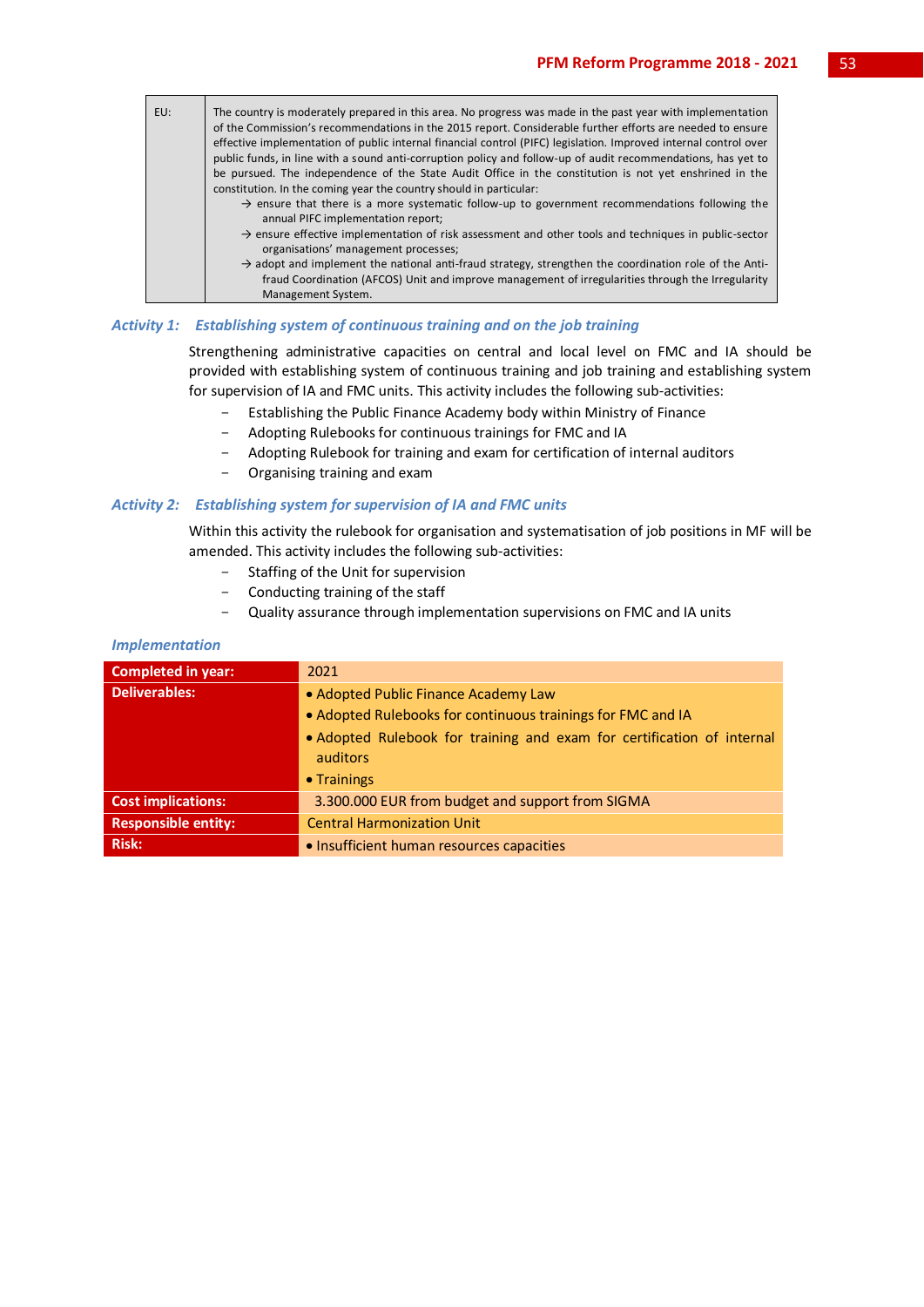

## *Activity 1: Establishing system of continuous training and on the job training*

Strengthening administrative capacities on central and local level on FMC and IA should be provided with establishing system of continuous training and job training and establishing system for supervision of IA and FMC units. This activity includes the following sub-activities:

- Establishing the Public Finance Academy body within Ministry of Finance
- Adopting Rulebooks for continuous trainings for FMC and IA
- Adopting Rulebook for training and exam for certification of internal auditors
- Organising training and exam

## *Activity 2: Establishing system for supervision of IA and FMC units*

Within this activity the rulebook for organisation and systematisation of job positions in MF will be amended. This activity includes the following sub-activities:

- Staffing of the Unit for supervision
- Conducting training of the staff
- Quality assurance through implementation supervisions on FMC and IA units

| <b>Completed in year:</b>  | 2021                                                                   |
|----------------------------|------------------------------------------------------------------------|
| Deliverables:              | • Adopted Public Finance Academy Law                                   |
|                            | • Adopted Rulebooks for continuous trainings for FMC and IA            |
|                            | • Adopted Rulebook for training and exam for certification of internal |
|                            | auditors                                                               |
|                            | $\bullet$ Trainings                                                    |
| <b>Cost implications:</b>  | 3.300.000 EUR from budget and support from SIGMA                       |
| <b>Responsible entity:</b> | <b>Central Harmonization Unit</b>                                      |
| <b>Risk:</b>               | • Insufficient human resources capacities                              |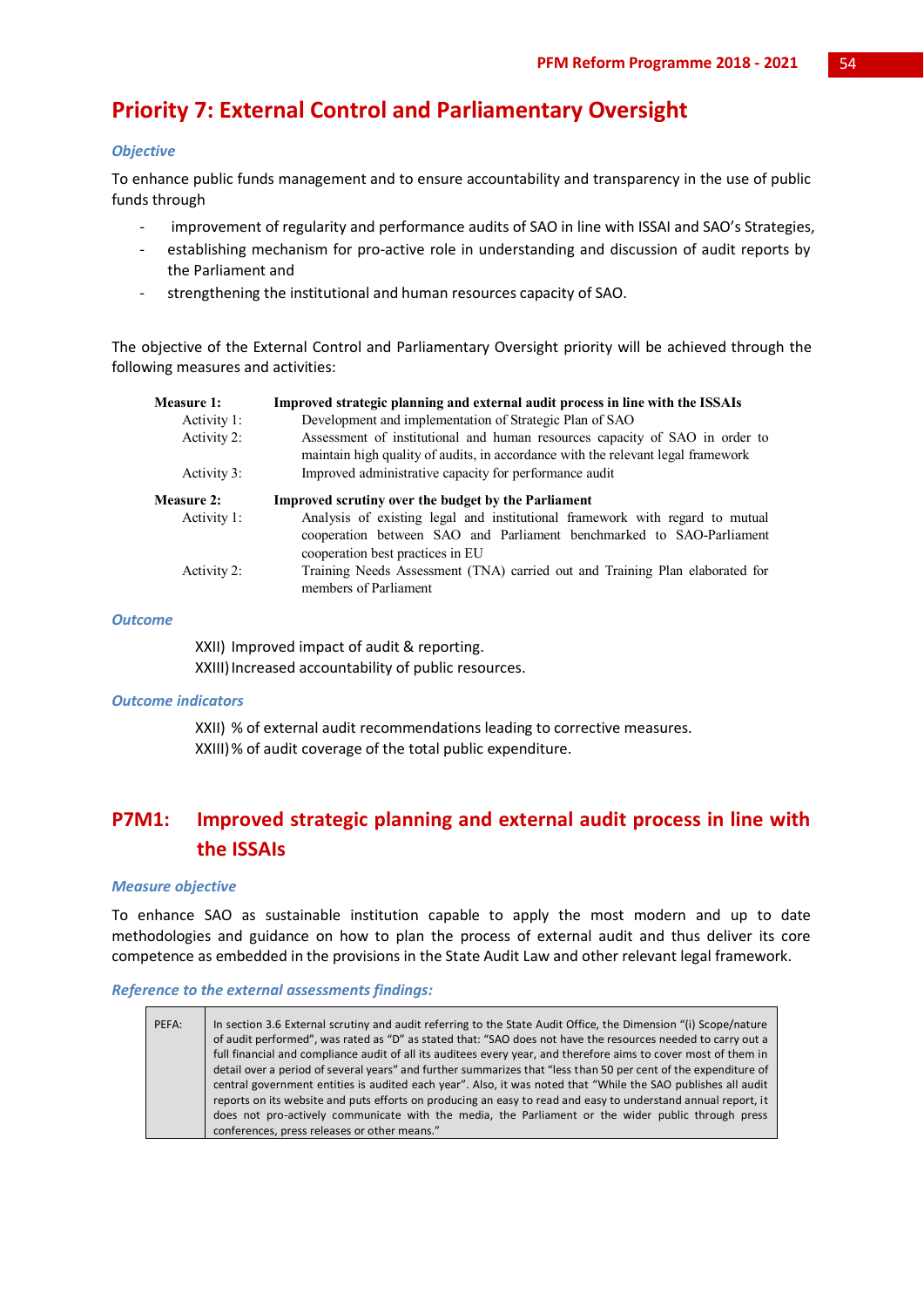## **Priority 7: External Control and Parliamentary Oversight**

## *Objective*

To enhance public funds management and to ensure accountability and transparency in the use of public funds through

- improvement of regularity and performance audits of SAO in line with ISSAI and SAO's Strategies,
- establishing mechanism for pro-active role in understanding and discussion of audit reports by the Parliament and
- strengthening the institutional and human resources capacity of SAO.

The objective of the External Control and Parliamentary Oversight priority will be achieved through the following measures and activities:

| <b>Measure 1:</b> | Improved strategic planning and external audit process in line with the ISSAIs                                                                                                           |
|-------------------|------------------------------------------------------------------------------------------------------------------------------------------------------------------------------------------|
| Activity 1:       | Development and implementation of Strategic Plan of SAO                                                                                                                                  |
| Activity 2:       | Assessment of institutional and human resources capacity of SAO in order to<br>maintain high quality of audits, in accordance with the relevant legal framework                          |
| Activity 3:       | Improved administrative capacity for performance audit                                                                                                                                   |
| <b>Measure 2:</b> | Improved scrutiny over the budget by the Parliament                                                                                                                                      |
| Activity 1:       | Analysis of existing legal and institutional framework with regard to mutual<br>cooperation between SAO and Parliament benchmarked to SAO-Parliament<br>cooperation best practices in EU |
| Activity 2:       | Training Needs Assessment (TNA) carried out and Training Plan elaborated for<br>members of Parliament                                                                                    |

## *Outcome*

XXII) Improved impact of audit & reporting. XXIII) Increased accountability of public resources.

#### *Outcome indicators*

XXII) % of external audit recommendations leading to corrective measures. XXIII)% of audit coverage of the total public expenditure.

## **P7M1: Improved strategic planning and external audit process in line with the ISSAIs**

#### *Measure objective*

To enhance SAO as sustainable institution capable to apply the most modern and up to date methodologies and guidance on how to plan the process of external audit and thus deliver its core competence as embedded in the provisions in the State Audit Law and other relevant legal framework.

## *Reference to the external assessments findings:*

| PEFA: | In section 3.6 External scrutiny and audit referring to the State Audit Office, the Dimension "(i) Scope/nature<br>of audit performed", was rated as "D" as stated that: "SAO does not have the resources needed to carry out a<br>full financial and compliance audit of all its auditees every year, and therefore aims to cover most of them in<br>detail over a period of several years" and further summarizes that "less than 50 per cent of the expenditure of<br>central government entities is audited each year". Also, it was noted that "While the SAO publishes all audit<br>reports on its website and puts efforts on producing an easy to read and easy to understand annual report, it<br>does not pro-actively communicate with the media, the Parliament or the wider public through press |
|-------|---------------------------------------------------------------------------------------------------------------------------------------------------------------------------------------------------------------------------------------------------------------------------------------------------------------------------------------------------------------------------------------------------------------------------------------------------------------------------------------------------------------------------------------------------------------------------------------------------------------------------------------------------------------------------------------------------------------------------------------------------------------------------------------------------------------|
|       | conferences, press releases or other means."                                                                                                                                                                                                                                                                                                                                                                                                                                                                                                                                                                                                                                                                                                                                                                  |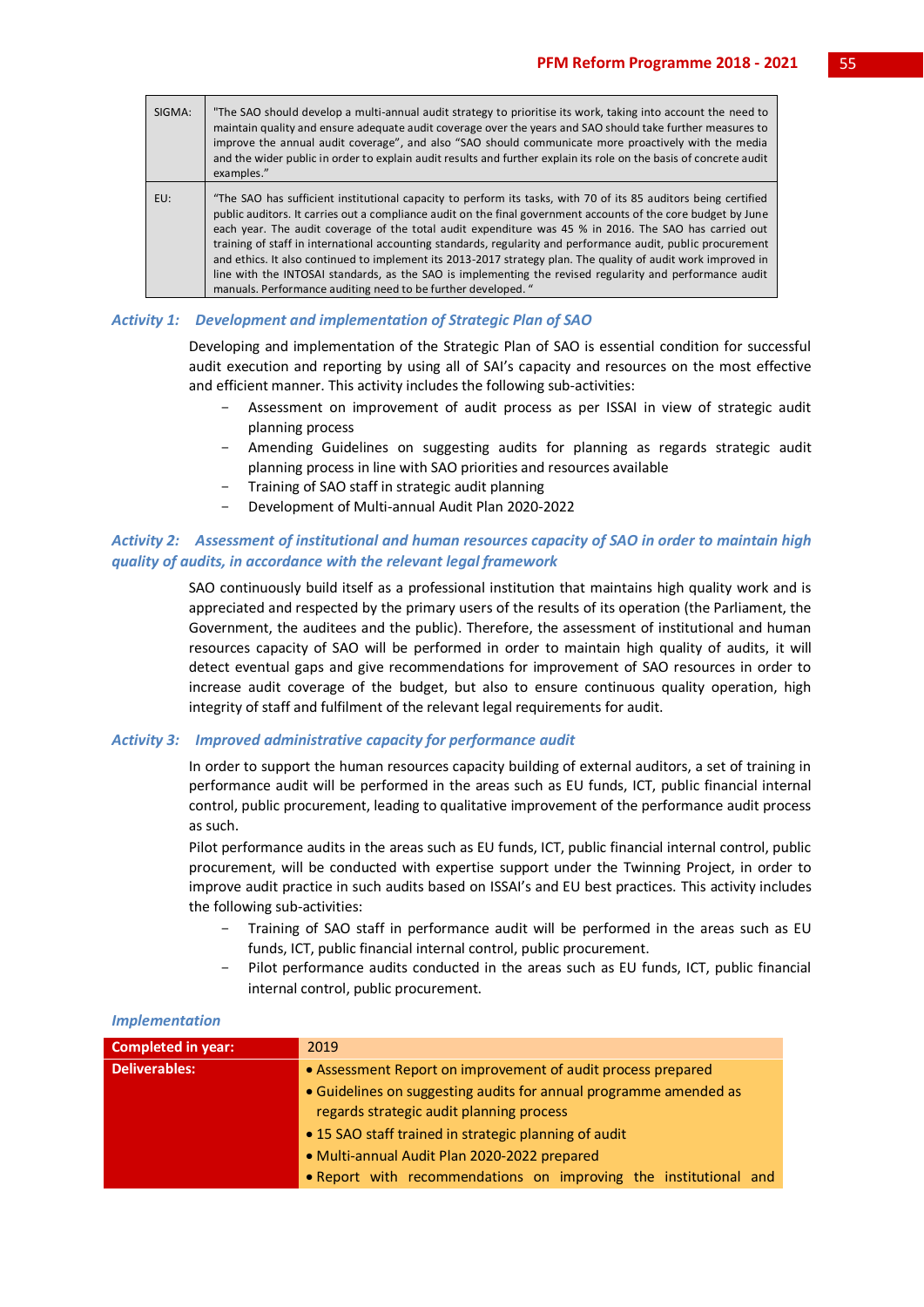| SIGMA: | "The SAO should develop a multi-annual audit strategy to prioritise its work, taking into account the need to<br>maintain quality and ensure adequate audit coverage over the years and SAO should take further measures to<br>improve the annual audit coverage", and also "SAO should communicate more proactively with the media<br>and the wider public in order to explain audit results and further explain its role on the basis of concrete audit<br>examples."                                                                                                                                                                                                                                                                                    |
|--------|------------------------------------------------------------------------------------------------------------------------------------------------------------------------------------------------------------------------------------------------------------------------------------------------------------------------------------------------------------------------------------------------------------------------------------------------------------------------------------------------------------------------------------------------------------------------------------------------------------------------------------------------------------------------------------------------------------------------------------------------------------|
| EU:    | "The SAO has sufficient institutional capacity to perform its tasks, with 70 of its 85 auditors being certified<br>public auditors. It carries out a compliance audit on the final government accounts of the core budget by June<br>each year. The audit coverage of the total audit expenditure was 45 % in 2016. The SAO has carried out<br>training of staff in international accounting standards, regularity and performance audit, public procurement<br>and ethics. It also continued to implement its 2013-2017 strategy plan. The quality of audit work improved in<br>line with the INTOSAI standards, as the SAO is implementing the revised regularity and performance audit<br>manuals. Performance auditing need to be further developed. " |

## *Activity 1: Development and implementation of Strategic Plan of SAO*

Developing and implementation of the Strategic Plan of SAO is essential condition for successful audit execution and reporting by using all of SAI's capacity and resources on the most effective and efficient manner. This activity includes the following sub-activities:

- Assessment on improvement of audit process as per ISSAI in view of strategic audit planning process
- Amending Guidelines on suggesting audits for planning as regards strategic audit planning process in line with SAO priorities and resources available
- Training of SAO staff in strategic audit planning
- Development of Multi-annual Audit Plan 2020-2022

## *Activity 2: Assessment of institutional and human resources capacity of SAO in order to maintain high quality of audits, in accordance with the relevant legal framework*

SAO continuously build itself as a professional institution that maintains high quality work and is appreciated and respected by the primary users of the results of its operation (the Parliament, the Government, the auditees and the public). Therefore, the assessment of institutional and human resources capacity of SAO will be performed in order to maintain high quality of audits, it will detect eventual gaps and give recommendations for improvement of SAO resources in order to increase audit coverage of the budget, but also to ensure continuous quality operation, high integrity of staff and fulfilment of the relevant legal requirements for audit.

## *Activity 3: Improved administrative capacity for performance audit*

In order to support the human resources capacity building of external auditors, a set of training in performance audit will be performed in the areas such as EU funds, ICT, public financial internal control, public procurement, leading to qualitative improvement of the performance audit process as such.

Pilot performance audits in the areas such as EU funds, ICT, public financial internal control, public procurement, will be conducted with expertise support under the Twinning Project, in order to improve audit practice in such audits based on ISSAI's and EU best practices. This activity includes the following sub-activities:

- Training of SAO staff in performance audit will be performed in the areas such as EU funds, ICT, public financial internal control, public procurement.
- Pilot performance audits conducted in the areas such as EU funds, ICT, public financial internal control, public procurement.

| <b>Completed in year:</b> | 2019                                                              |  |  |  |  |  |  |  |  |  |  |
|---------------------------|-------------------------------------------------------------------|--|--|--|--|--|--|--|--|--|--|
| <b>Deliverables:</b>      | • Assessment Report on improvement of audit process prepared      |  |  |  |  |  |  |  |  |  |  |
|                           | • Guidelines on suggesting audits for annual programme amended as |  |  |  |  |  |  |  |  |  |  |
|                           | regards strategic audit planning process                          |  |  |  |  |  |  |  |  |  |  |
|                           | • 15 SAO staff trained in strategic planning of audit             |  |  |  |  |  |  |  |  |  |  |
|                           | · Multi-annual Audit Plan 2020-2022 prepared                      |  |  |  |  |  |  |  |  |  |  |
|                           | . Report with recommendations on improving the institutional and  |  |  |  |  |  |  |  |  |  |  |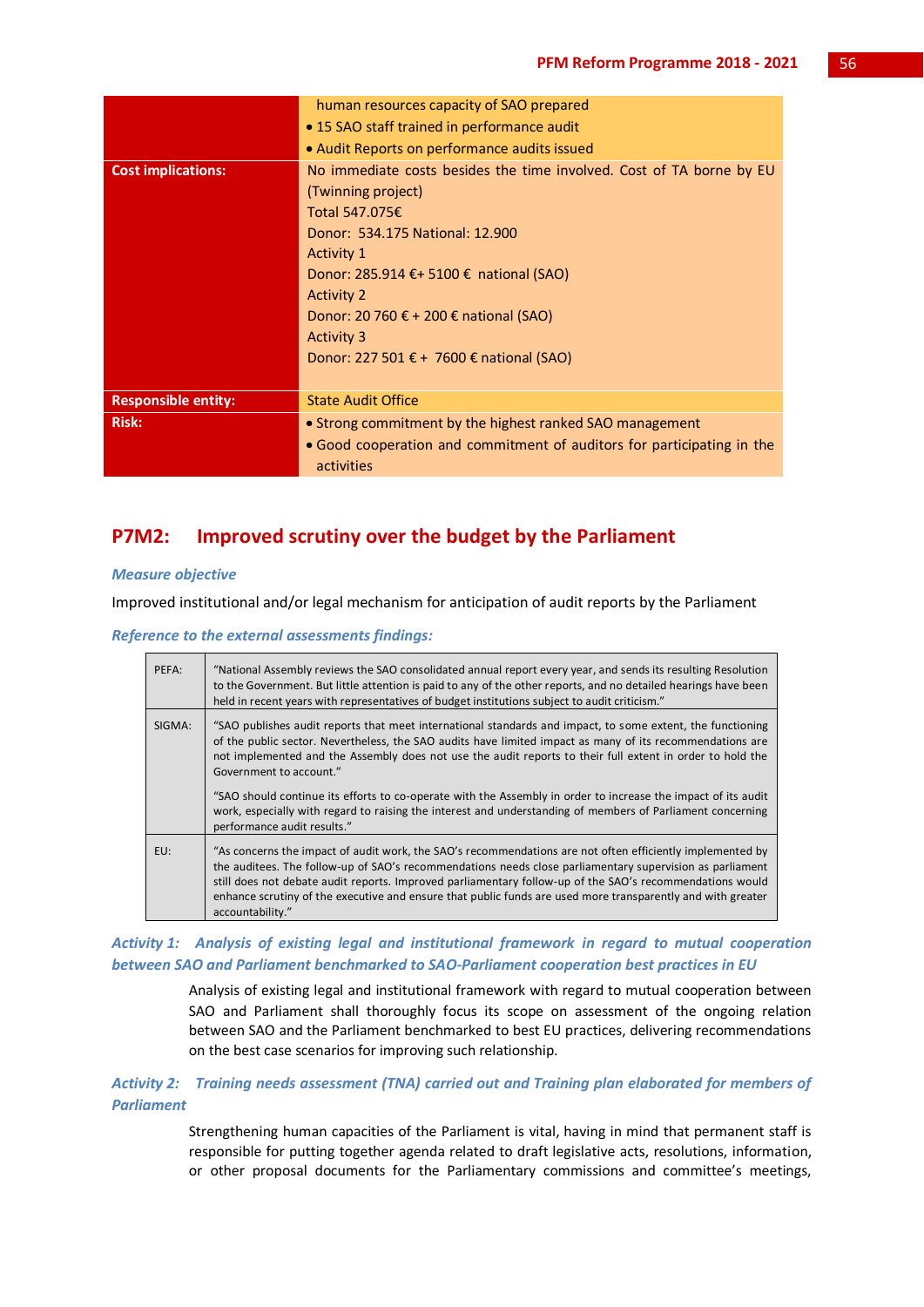|                            | human resources capacity of SAO prepared                               |  |  |  |  |  |  |
|----------------------------|------------------------------------------------------------------------|--|--|--|--|--|--|
|                            | • 15 SAO staff trained in performance audit                            |  |  |  |  |  |  |
|                            | • Audit Reports on performance audits issued                           |  |  |  |  |  |  |
| <b>Cost implications:</b>  | No immediate costs besides the time involved. Cost of TA borne by EU   |  |  |  |  |  |  |
|                            | (Twinning project)                                                     |  |  |  |  |  |  |
|                            | Total 547.075€                                                         |  |  |  |  |  |  |
|                            | Donor: 534.175 National: 12.900                                        |  |  |  |  |  |  |
|                            | <b>Activity 1</b>                                                      |  |  |  |  |  |  |
|                            | Donor: 285.914 €+ 5100 € national (SAO)                                |  |  |  |  |  |  |
|                            | <b>Activity 2</b>                                                      |  |  |  |  |  |  |
|                            | Donor: 20 760 € + 200 € national (SAO)                                 |  |  |  |  |  |  |
|                            | <b>Activity 3</b>                                                      |  |  |  |  |  |  |
|                            | Donor: 227 501 € + 7600 € national (SAO)                               |  |  |  |  |  |  |
|                            |                                                                        |  |  |  |  |  |  |
| <b>Responsible entity:</b> | <b>State Audit Office</b>                                              |  |  |  |  |  |  |
| <b>Risk:</b>               | • Strong commitment by the highest ranked SAO management               |  |  |  |  |  |  |
|                            | • Good cooperation and commitment of auditors for participating in the |  |  |  |  |  |  |
|                            | activities                                                             |  |  |  |  |  |  |

## **P7M2: Improved scrutiny over the budget by the Parliament**

## *Measure objective*

Improved institutional and/or legal mechanism for anticipation of audit reports by the Parliament

```
Reference to the external assessments findings:
```

| PEFA:  | "National Assembly reviews the SAO consolidated annual report every year, and sends its resulting Resolution<br>to the Government. But little attention is paid to any of the other reports, and no detailed hearings have been<br>held in recent years with representatives of budget institutions subject to audit criticism."                                                                                                                                     |
|--------|----------------------------------------------------------------------------------------------------------------------------------------------------------------------------------------------------------------------------------------------------------------------------------------------------------------------------------------------------------------------------------------------------------------------------------------------------------------------|
| SIGMA: | "SAO publishes audit reports that meet international standards and impact, to some extent, the functioning<br>of the public sector. Nevertheless, the SAO audits have limited impact as many of its recommendations are<br>not implemented and the Assembly does not use the audit reports to their full extent in order to hold the<br>Government to account."                                                                                                      |
|        | "SAO should continue its efforts to co-operate with the Assembly in order to increase the impact of its audit<br>work, especially with regard to raising the interest and understanding of members of Parliament concerning<br>performance audit results."                                                                                                                                                                                                           |
| EU:    | "As concerns the impact of audit work, the SAO's recommendations are not often efficiently implemented by<br>the auditees. The follow-up of SAO's recommendations needs close parliamentary supervision as parliament<br>still does not debate audit reports. Improved parliamentary follow-up of the SAO's recommendations would<br>enhance scrutiny of the executive and ensure that public funds are used more transparently and with greater<br>accountability." |

## *Activity 1: Analysis of existing legal and institutional framework in regard to mutual cooperation between SAO and Parliament benchmarked to SAO-Parliament cooperation best practices in EU*

Analysis of existing legal and institutional framework with regard to mutual cooperation between SAO and Parliament shall thoroughly focus its scope on assessment of the ongoing relation between SAO and the Parliament benchmarked to best EU practices, delivering recommendations on the best case scenarios for improving such relationship.

## *Activity 2: Training needs assessment (TNA) carried out and Training plan elaborated for members of Parliament*

Strengthening human capacities of the Parliament is vital, having in mind that permanent staff is responsible for putting together agenda related to draft legislative acts, resolutions, information, or other proposal documents for the Parliamentary commissions and committee's meetings,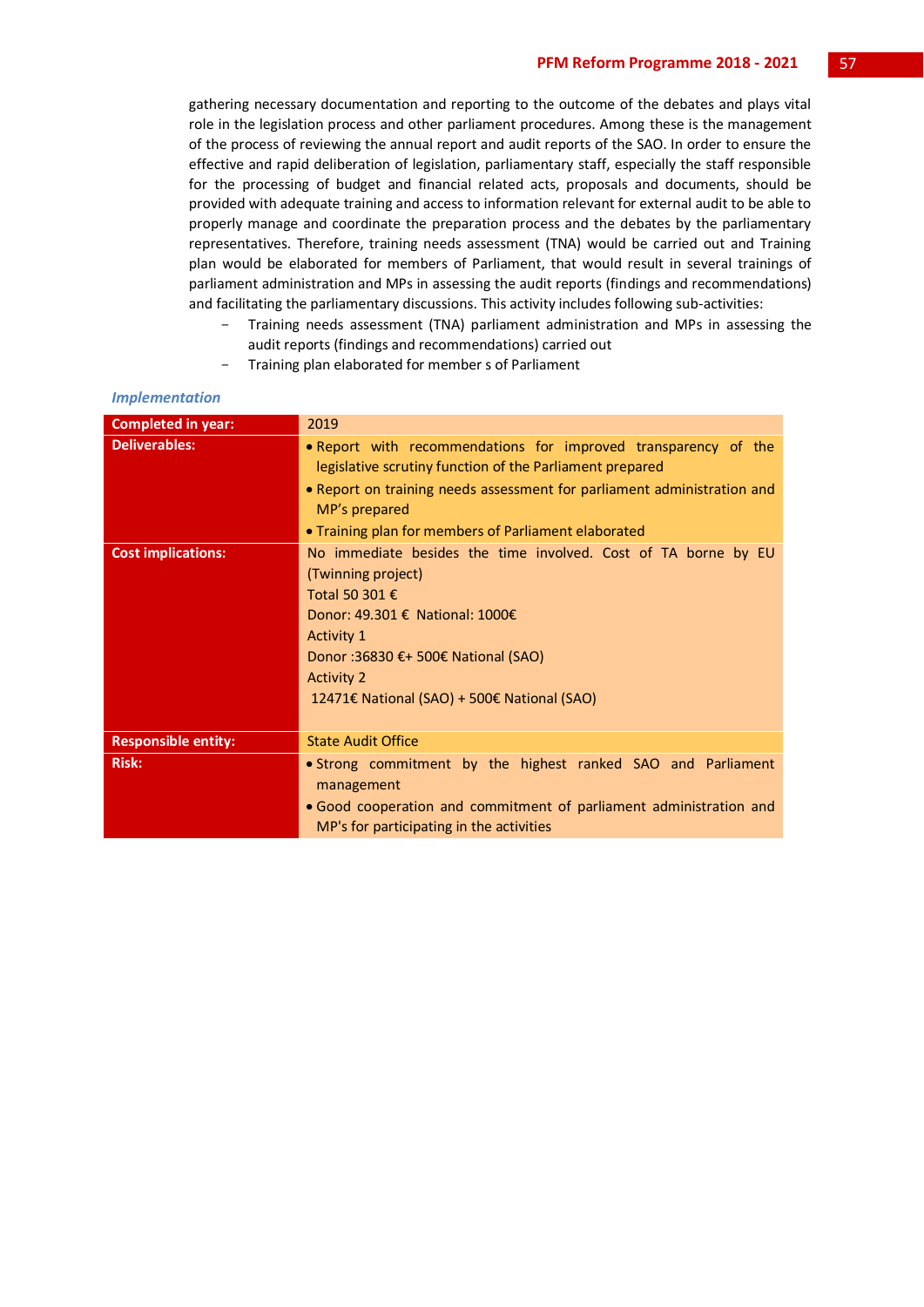gathering necessary documentation and reporting to the outcome of the debates and plays vital role in the legislation process and other parliament procedures. Among these is the management of the process of reviewing the annual report and audit reports of the SAO. In order to ensure the effective and rapid deliberation of legislation, parliamentary staff, especially the staff responsible for the processing of budget and financial related acts, proposals and documents, should be provided with adequate training and access to information relevant for external audit to be able to properly manage and coordinate the preparation process and the debates by the parliamentary representatives. Therefore, training needs assessment (TNA) would be carried out and Training plan would be elaborated for members of Parliament, that would result in several trainings of parliament administration and MPs in assessing the audit reports (findings and recommendations) and facilitating the parliamentary discussions. This activity includes following sub-activities:

- Training needs assessment (TNA) parliament administration and MPs in assessing the audit reports (findings and recommendations) carried out
- Training plan elaborated for member s of Parliament

| <b>Completed in year:</b>  | 2019                                                                                                                       |  |  |  |  |  |  |  |  |  |  |  |
|----------------------------|----------------------------------------------------------------------------------------------------------------------------|--|--|--|--|--|--|--|--|--|--|--|
| <b>Deliverables:</b>       | • Report with recommendations for improved transparency of the<br>legislative scrutiny function of the Parliament prepared |  |  |  |  |  |  |  |  |  |  |  |
|                            | • Report on training needs assessment for parliament administration and<br>MP's prepared                                   |  |  |  |  |  |  |  |  |  |  |  |
|                            | • Training plan for members of Parliament elaborated                                                                       |  |  |  |  |  |  |  |  |  |  |  |
| <b>Cost implications:</b>  | No immediate besides the time involved. Cost of TA borne by EU                                                             |  |  |  |  |  |  |  |  |  |  |  |
|                            | (Twinning project)<br>Total 50 301 €                                                                                       |  |  |  |  |  |  |  |  |  |  |  |
|                            |                                                                                                                            |  |  |  |  |  |  |  |  |  |  |  |
|                            | Donor: 49.301 € National: 1000€                                                                                            |  |  |  |  |  |  |  |  |  |  |  |
|                            | <b>Activity 1</b>                                                                                                          |  |  |  |  |  |  |  |  |  |  |  |
|                            | Donor :36830 €+ 500€ National (SAO)                                                                                        |  |  |  |  |  |  |  |  |  |  |  |
|                            | <b>Activity 2</b>                                                                                                          |  |  |  |  |  |  |  |  |  |  |  |
|                            | 12471€ National (SAO) + 500€ National (SAO)                                                                                |  |  |  |  |  |  |  |  |  |  |  |
| <b>Responsible entity:</b> | <b>State Audit Office</b>                                                                                                  |  |  |  |  |  |  |  |  |  |  |  |
| <b>Risk:</b>               | • Strong commitment by the highest ranked SAO and Parliament                                                               |  |  |  |  |  |  |  |  |  |  |  |
|                            | management                                                                                                                 |  |  |  |  |  |  |  |  |  |  |  |
|                            | . Good cooperation and commitment of parliament administration and                                                         |  |  |  |  |  |  |  |  |  |  |  |
|                            | MP's for participating in the activities                                                                                   |  |  |  |  |  |  |  |  |  |  |  |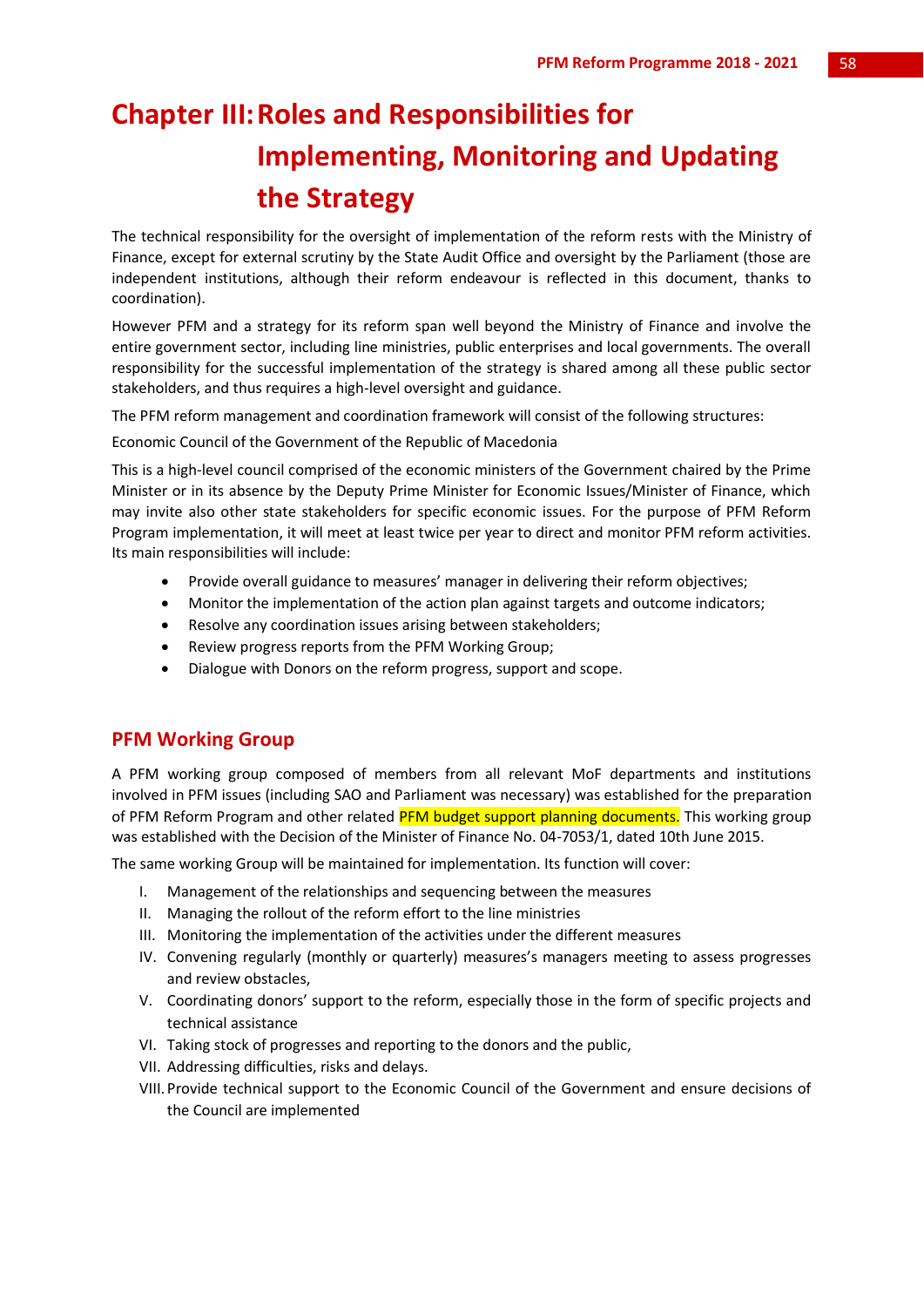# **Chapter III:Roles and Responsibilities for Implementing, Monitoring and Updating the Strategy**

The technical responsibility for the oversight of implementation of the reform rests with the Ministry of Finance, except for external scrutiny by the State Audit Office and oversight by the Parliament (those are independent institutions, although their reform endeavour is reflected in this document, thanks to coordination).

However PFM and a strategy for its reform span well beyond the Ministry of Finance and involve the entire government sector, including line ministries, public enterprises and local governments. The overall responsibility for the successful implementation of the strategy is shared among all these public sector stakeholders, and thus requires a high-level oversight and guidance.

The PFM reform management and coordination framework will consist of the following structures:

Economic Council of the Government of the Republic of Macedonia

This is a high-level council comprised of the economic ministers of the Government chaired by the Prime Minister or in its absence by the Deputy Prime Minister for Economic Issues/Minister of Finance, which may invite also other state stakeholders for specific economic issues. For the purpose of PFM Reform Program implementation, it will meet at least twice per year to direct and monitor PFM reform activities. Its main responsibilities will include:

- Provide overall guidance to measures' manager in delivering their reform objectives;
- Monitor the implementation of the action plan against targets and outcome indicators;
- Resolve any coordination issues arising between stakeholders;
- Review progress reports from the PFM Working Group;
- Dialogue with Donors on the reform progress, support and scope.

## **PFM Working Group**

A PFM working group composed of members from all relevant MoF departments and institutions involved in PFM issues (including SAO and Parliament was necessary) was established for the preparation of PFM Reform Program and other related PFM budget support planning documents. This working group was established with the Decision of the Minister of Finance No. 04-7053/1, dated 10th June 2015.

The same working Group will be maintained for implementation. Its function will cover:

- I. Management of the relationships and sequencing between the measures
- II. Managing the rollout of the reform effort to the line ministries
- III. Monitoring the implementation of the activities under the different measures
- IV. Convening regularly (monthly or quarterly) measures's managers meeting to assess progresses and review obstacles,
- V. Coordinating donors' support to the reform, especially those in the form of specific projects and technical assistance
- VI. Taking stock of progresses and reporting to the donors and the public,
- VII. Addressing difficulties, risks and delays.
- VIII. Provide technical support to the Economic Council of the Government and ensure decisions of the Council are implemented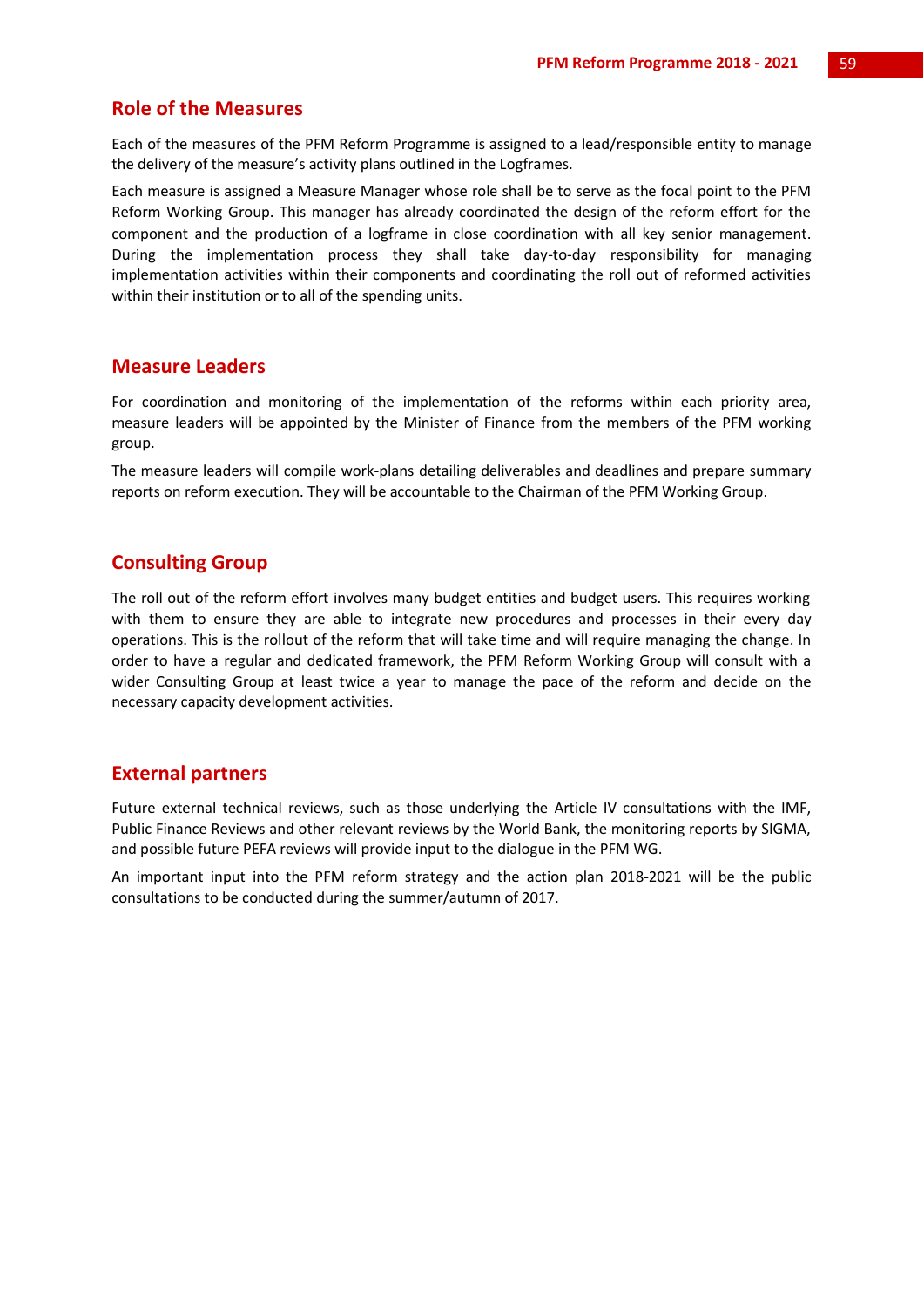## **Role of the Measures**

Each of the measures of the PFM Reform Programme is assigned to a lead/responsible entity to manage the delivery of the measure's activity plans outlined in the Logframes.

Each measure is assigned a Measure Manager whose role shall be to serve as the focal point to the PFM Reform Working Group. This manager has already coordinated the design of the reform effort for the component and the production of a logframe in close coordination with all key senior management. During the implementation process they shall take day-to-day responsibility for managing implementation activities within their components and coordinating the roll out of reformed activities within their institution or to all of the spending units.

## **Measure Leaders**

For coordination and monitoring of the implementation of the reforms within each priority area, measure leaders will be appointed by the Minister of Finance from the members of the PFM working group.

The measure leaders will compile work-plans detailing deliverables and deadlines and prepare summary reports on reform execution. They will be accountable to the Chairman of the PFM Working Group.

## **Consulting Group**

The roll out of the reform effort involves many budget entities and budget users. This requires working with them to ensure they are able to integrate new procedures and processes in their every day operations. This is the rollout of the reform that will take time and will require managing the change. In order to have a regular and dedicated framework, the PFM Reform Working Group will consult with a wider Consulting Group at least twice a year to manage the pace of the reform and decide on the necessary capacity development activities.

## **External partners**

Future external technical reviews, such as those underlying the Article IV consultations with the IMF, Public Finance Reviews and other relevant reviews by the World Bank, the monitoring reports by SIGMA, and possible future PEFA reviews will provide input to the dialogue in the PFM WG.

An important input into the PFM reform strategy and the action plan 2018-2021 will be the public consultations to be conducted during the summer/autumn of 2017.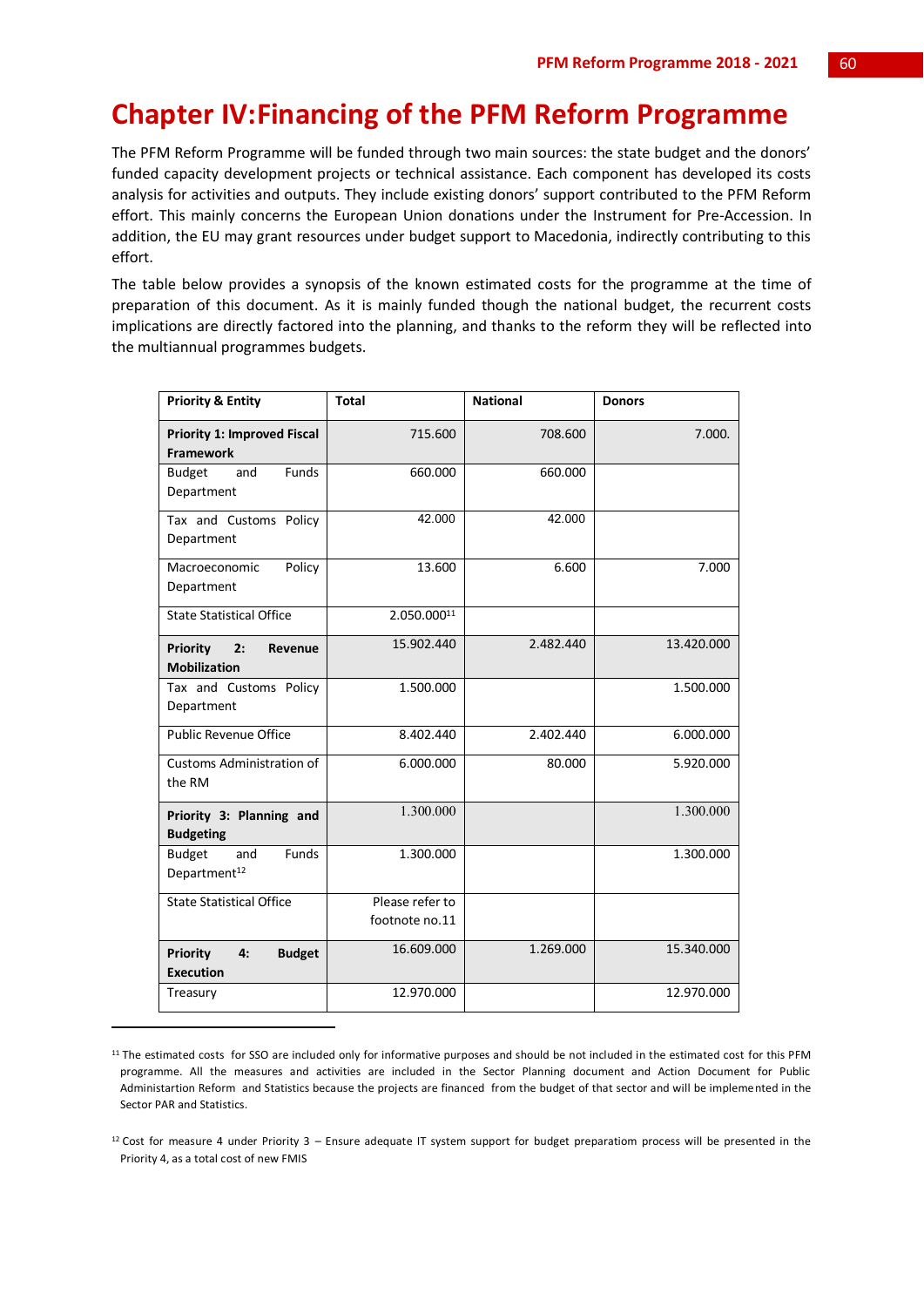## **Chapter IV:Financing of the PFM Reform Programme**

The PFM Reform Programme will be funded through two main sources: the state budget and the donors' funded capacity development projects or technical assistance. Each component has developed its costs analysis for activities and outputs. They include existing donors' support contributed to the PFM Reform effort. This mainly concerns the European Union donations under the Instrument for Pre-Accession. In addition, the EU may grant resources under budget support to Macedonia, indirectly contributing to this effort.

The table below provides a synopsis of the known estimated costs for the programme at the time of preparation of this document. As it is mainly funded though the national budget, the recurrent costs implications are directly factored into the planning, and thanks to the reform they will be reflected into the multiannual programmes budgets.

| <b>Priority &amp; Entity</b>                               | <b>Total</b>                      | <b>National</b> | <b>Donors</b> |
|------------------------------------------------------------|-----------------------------------|-----------------|---------------|
| <b>Priority 1: Improved Fiscal</b><br><b>Framework</b>     | 715.600                           | 708.600         | 7.000.        |
| Funds<br><b>Budget</b><br>and<br>Department                | 660.000                           | 660.000         |               |
| Tax and Customs Policy<br>Department                       | 42.000                            | 42.000          |               |
| Policy<br>Macroeconomic<br>Department                      | 13.600                            | 6.600           | 7.000         |
| <b>State Statistical Office</b>                            | 2.050.00011                       |                 |               |
| <b>Priority</b><br>2:<br>Revenue<br><b>Mobilization</b>    | 15.902.440                        | 2.482.440       | 13.420.000    |
| Tax and Customs Policy<br>Department                       | 1.500.000                         |                 | 1.500.000     |
| <b>Public Revenue Office</b>                               | 8.402.440                         | 2.402.440       | 6.000.000     |
| <b>Customs Administration of</b><br>the RM                 | 6.000.000                         | 80.000          | 5.920.000     |
| Priority 3: Planning and<br><b>Budgeting</b>               | 1.300.000                         |                 | 1.300.000     |
| Funds<br><b>Budget</b><br>and<br>Department <sup>12</sup>  | 1.300.000                         |                 | 1.300.000     |
| <b>State Statistical Office</b>                            | Please refer to<br>footnote no.11 |                 |               |
| <b>Priority</b><br><b>Budget</b><br>4:<br><b>Execution</b> | 16.609.000                        | 1.269.000       | 15.340.000    |
| Treasury                                                   | 12.970.000                        |                 | 12.970.000    |

 $11$  The estimated costs for SSO are included only for informative purposes and should be not included in the estimated cost for this PFM programme. All the measures and activities are included in the Sector Planning document and Action Document for Public Administartion Reform and Statistics because the projects are financed from the budget of that sector and will be implemented in the Sector PAR and Statistics.

**.** 

 $12$  Cost for measure 4 under Priority 3 – Ensure adequate IT system support for budget preparatiom process will be presented in the Priority 4, as a total cost of new FMIS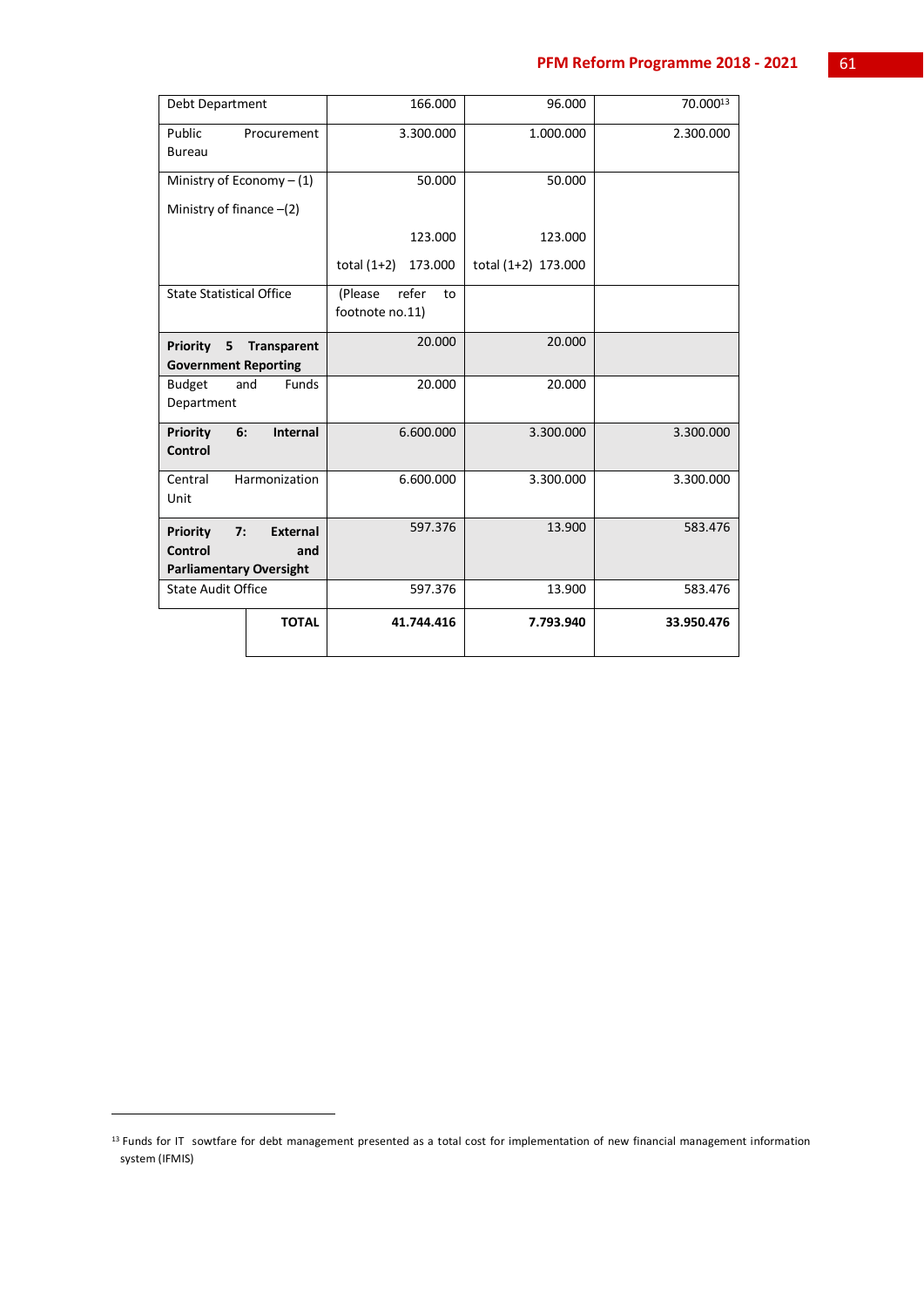## **PFM Reform Programme 2018 - 2021** 61

| Debt Department                    |               | 166.000                                   | 96.000              | 70.00013   |
|------------------------------------|---------------|-------------------------------------------|---------------------|------------|
| Public<br>Bureau                   | Procurement   | 3.300.000                                 | 1.000.000           | 2.300.000  |
| Ministry of Economy $- (1)$        |               | 50.000                                    | 50.000              |            |
| Ministry of finance $-(2)$         |               |                                           |                     |            |
|                                    |               | 123.000                                   | 123.000             |            |
|                                    |               | total $(1+2)$<br>173.000                  | total (1+2) 173.000 |            |
| <b>State Statistical Office</b>    |               | (Please<br>refer<br>to<br>footnote no.11) |                     |            |
| Priority<br>5                      | Transparent   | 20.000                                    | 20.000              |            |
| <b>Government Reporting</b>        |               |                                           |                     |            |
| <b>Budget</b><br>and<br>Department | Funds         | 20.000                                    | 20.000              |            |
| Priority<br>6:<br><b>Control</b>   | Internal      | 6.600.000                                 | 3.300.000           | 3.300.000  |
| Central<br>Unit                    | Harmonization | 6.600.000                                 | 3.300.000           | 3.300.000  |
| Priority<br>7:                     | External      | 597.376                                   | 13.900              | 583.476    |
| Control                            | and           |                                           |                     |            |
| <b>Parliamentary Oversight</b>     |               |                                           |                     |            |
| <b>State Audit Office</b>          |               | 597.376                                   | 13.900              | 583.476    |
|                                    | <b>TOTAL</b>  | 41.744.416                                | 7.793.940           | 33.950.476 |

1

<sup>&</sup>lt;sup>13</sup> Funds for IT sowtfare for debt management presented as a total cost for implementation of new financial management information system (IFMIS)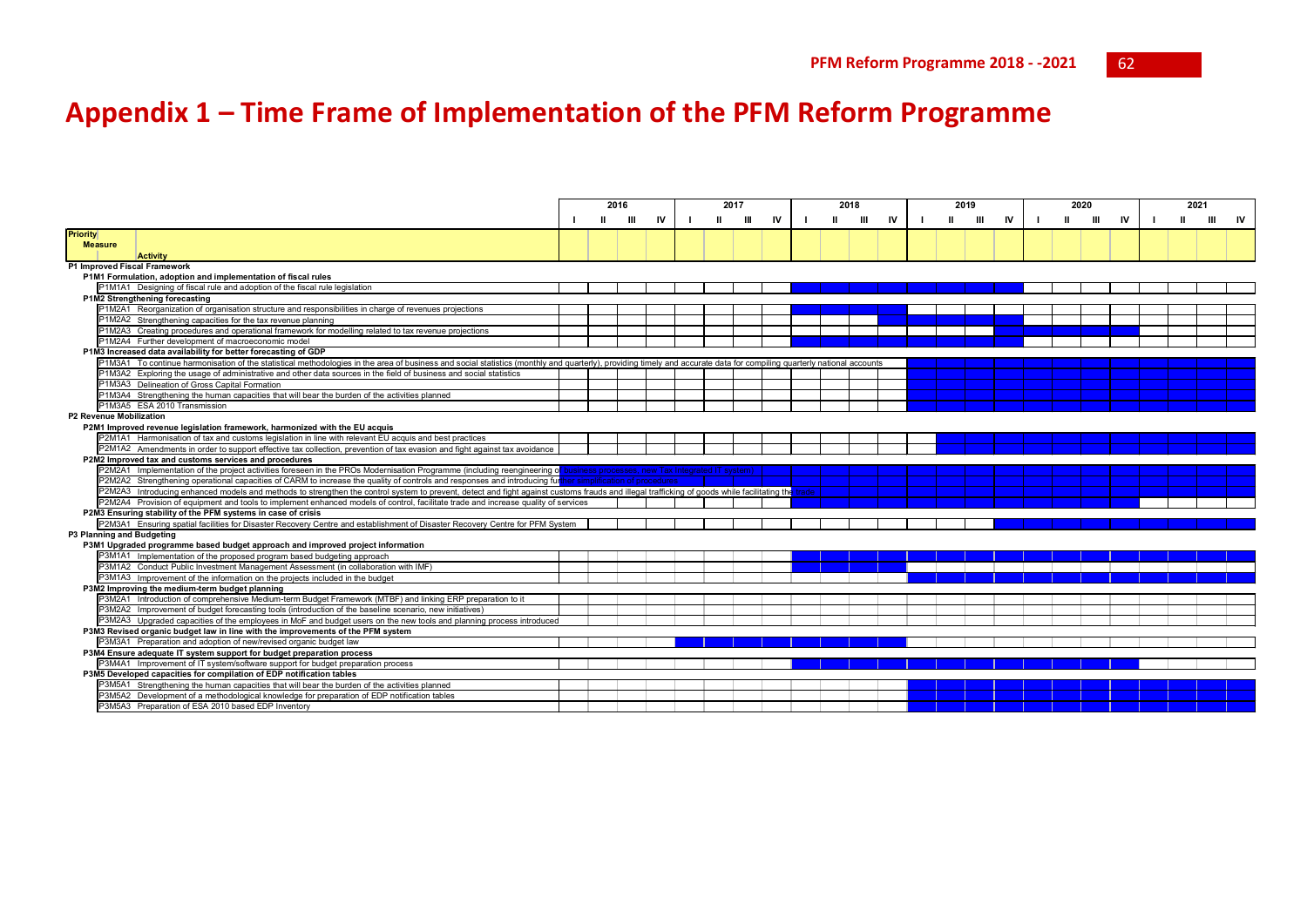## **Appendix 1 – Time Frame of Implementation of the PFM Reform Programme**

|                                                                                 |                                                                                                                                                                                                                       |  |   | 2016  |    | 2017<br>2018<br>2019 |    |   | 2020 |       |   |    | 2021 |   |    |   |       |    |  |  |      |           |
|---------------------------------------------------------------------------------|-----------------------------------------------------------------------------------------------------------------------------------------------------------------------------------------------------------------------|--|---|-------|----|----------------------|----|---|------|-------|---|----|------|---|----|---|-------|----|--|--|------|-----------|
|                                                                                 |                                                                                                                                                                                                                       |  | ш | - 111 | IV |                      | Ш. | ш | IV   |       | ш | IV |      | ш | IV | ш | - 111 | IV |  |  | -111 | <b>IV</b> |
| <b>Priority</b>                                                                 |                                                                                                                                                                                                                       |  |   |       |    |                      |    |   |      |       |   |    |      |   |    |   |       |    |  |  |      |           |
| <b>Measure</b>                                                                  |                                                                                                                                                                                                                       |  |   |       |    |                      |    |   |      |       |   |    |      |   |    |   |       |    |  |  |      |           |
|                                                                                 | <b>Activity</b>                                                                                                                                                                                                       |  |   |       |    |                      |    |   |      |       |   |    |      |   |    |   |       |    |  |  |      |           |
|                                                                                 | P1 Improved Fiscal Framework                                                                                                                                                                                          |  |   |       |    |                      |    |   |      |       |   |    |      |   |    |   |       |    |  |  |      |           |
|                                                                                 | P1M1 Formulation, adoption and implementation of fiscal rules                                                                                                                                                         |  |   |       |    |                      |    |   |      |       |   |    |      |   |    |   |       |    |  |  |      |           |
|                                                                                 | P1M1A1 Designing of fiscal rule and adoption of the fiscal rule legislation                                                                                                                                           |  |   |       |    |                      |    |   |      |       |   |    |      |   |    |   |       |    |  |  |      |           |
|                                                                                 | P1M2 Strengthening forecasting                                                                                                                                                                                        |  |   |       |    |                      |    |   |      |       |   |    |      |   |    |   |       |    |  |  |      |           |
|                                                                                 | P1M2A1 Reorganization of organisation structure and responsibilities in charge of revenues projections                                                                                                                |  |   |       |    |                      |    |   |      |       |   |    |      |   |    |   |       |    |  |  |      |           |
|                                                                                 | P1M2A2 Strengthening capacities for the tax revenue planning                                                                                                                                                          |  |   |       |    |                      |    |   |      |       |   |    |      |   |    |   |       |    |  |  |      |           |
|                                                                                 | P1M2A3 Creating procedures and operational framework for modelling related to tax revenue projections                                                                                                                 |  |   |       |    |                      |    |   |      |       |   |    |      |   |    |   |       |    |  |  |      |           |
|                                                                                 | P1M2A4 Further development of macroeconomic model                                                                                                                                                                     |  |   |       |    |                      |    |   |      |       |   |    |      |   |    |   |       |    |  |  |      |           |
|                                                                                 | P1M3 Increased data availability for better forecasting of GDP                                                                                                                                                        |  |   |       |    |                      |    |   |      |       |   |    |      |   |    |   |       |    |  |  |      |           |
|                                                                                 | P1M3A1 To continue harmonisation of the statistical methodologies in the area of business and social statistics (monthly and quarterly), providing timely and accurate data for compiling quarterly national accounts |  |   |       |    |                      |    |   |      |       |   |    |      |   |    |   |       |    |  |  |      |           |
|                                                                                 | P1M3A2 Exploring the usage of administrative and other data sources in the field of business and social statistics                                                                                                    |  |   |       |    |                      |    |   |      |       |   |    |      |   |    |   |       |    |  |  |      |           |
|                                                                                 | P1M3A3 Delineation of Gross Capital Formation                                                                                                                                                                         |  |   |       |    |                      |    |   |      |       |   |    |      |   |    |   |       |    |  |  |      |           |
|                                                                                 | P1M3A4 Strengthening the human capacities that will bear the burden of the activities planned                                                                                                                         |  |   |       |    |                      |    |   |      |       |   |    |      |   |    |   |       |    |  |  |      |           |
|                                                                                 | P1M3A5 ESA 2010 Transmission                                                                                                                                                                                          |  |   |       |    |                      |    |   |      |       |   |    |      |   |    |   |       |    |  |  |      |           |
|                                                                                 | P2 Revenue Mobilization                                                                                                                                                                                               |  |   |       |    |                      |    |   |      |       |   |    |      |   |    |   |       |    |  |  |      |           |
|                                                                                 | P2M1 Improved revenue legislation framework, harmonized with the EU acquis                                                                                                                                            |  |   |       |    |                      |    |   |      |       |   |    |      |   |    |   |       |    |  |  |      |           |
|                                                                                 | P2M1A1 Harmonisation of tax and customs legislation in line with relevant EU acquis and best practices                                                                                                                |  |   |       |    |                      |    |   |      |       |   |    |      |   |    |   |       |    |  |  |      |           |
|                                                                                 | P2M1A2 Amendments in order to support effective tax collection, prevention of tax evasion and fight against tax avoidance                                                                                             |  |   |       |    |                      |    |   |      |       |   |    |      |   |    |   |       |    |  |  |      |           |
|                                                                                 | P2M2 Improved tax and customs services and procedures                                                                                                                                                                 |  |   |       |    |                      |    |   |      |       |   |    |      |   |    |   |       |    |  |  |      |           |
|                                                                                 | P2M2A1 Implementation of the project activities foreseen in the PROs Modernisation Programme (including reengineering of business processes, new Tax Integrated IT system)                                            |  |   |       |    |                      |    |   |      |       |   |    |      |   |    |   |       |    |  |  |      |           |
|                                                                                 | P2M2A2 Strengthening operational capacities of CARM to increase the quality of controls and responses and introducing further simplification of procedures                                                            |  |   |       |    |                      |    |   |      |       |   |    |      |   |    |   |       |    |  |  |      |           |
|                                                                                 | P2M2A3 Introducing enhanced models and methods to strengthen the control system to prevent, detect and fight against customs frauds and illegal trafficking of goods while facilitating the                           |  |   |       |    |                      |    |   |      | trade |   |    |      |   |    |   |       |    |  |  |      |           |
|                                                                                 | P2M2A4 Provision of equipment and tools to implement enhanced models of control, facilitate trade and increase quality of services                                                                                    |  |   |       |    |                      |    |   |      |       |   |    |      |   |    |   |       |    |  |  |      |           |
|                                                                                 | P2M3 Ensuring stability of the PFM systems in case of crisis                                                                                                                                                          |  |   |       |    |                      |    |   |      |       |   |    |      |   |    |   |       |    |  |  |      |           |
|                                                                                 | P2M3A1 Ensuring spatial facilities for Disaster Recovery Centre and establishment of Disaster Recovery Centre for PFM System                                                                                          |  |   |       |    |                      |    |   |      |       |   |    |      |   |    |   |       |    |  |  |      |           |
|                                                                                 | P3 Planning and Budgeting                                                                                                                                                                                             |  |   |       |    |                      |    |   |      |       |   |    |      |   |    |   |       |    |  |  |      |           |
|                                                                                 | P3M1 Upgraded programme based budget approach and improved project information                                                                                                                                        |  |   |       |    |                      |    |   |      |       |   |    |      |   |    |   |       |    |  |  |      |           |
|                                                                                 | P3M1A1 Implementation of the proposed program based budgeting approach                                                                                                                                                |  |   |       |    |                      |    |   |      |       |   |    |      |   |    |   |       |    |  |  |      |           |
|                                                                                 | P3M1A2 Conduct Public Investment Management Assessment (in collaboration with IMF)                                                                                                                                    |  |   |       |    |                      |    |   |      |       |   |    |      |   |    |   |       |    |  |  |      |           |
|                                                                                 | P3M1A3 Improvement of the information on the projects included in the budget                                                                                                                                          |  |   |       |    |                      |    |   |      |       |   |    |      |   |    |   |       |    |  |  |      |           |
|                                                                                 | P3M2 Improving the medium-term budget planning                                                                                                                                                                        |  |   |       |    |                      |    |   |      |       |   |    |      |   |    |   |       |    |  |  |      |           |
|                                                                                 | P3M2A1 Introduction of comprehensive Medium-term Budget Framework (MTBF) and linking ERP preparation to it                                                                                                            |  |   |       |    |                      |    |   |      |       |   |    |      |   |    |   |       |    |  |  |      |           |
|                                                                                 | P3M2A2 Improvement of budget forecasting tools (introduction of the baseline scenario, new initiatives)                                                                                                               |  |   |       |    |                      |    |   |      |       |   |    |      |   |    |   |       |    |  |  |      |           |
|                                                                                 | P3M2A3 Upgraded capacities of the employees in MoF and budget users on the new tools and planning process introduced                                                                                                  |  |   |       |    |                      |    |   |      |       |   |    |      |   |    |   |       |    |  |  |      |           |
|                                                                                 | P3M3 Revised organic budget law in line with the improvements of the PFM system                                                                                                                                       |  |   |       |    |                      |    |   |      |       |   |    |      |   |    |   |       |    |  |  |      |           |
|                                                                                 | P3M3A1 Preparation and adoption of new/revised organic budget law                                                                                                                                                     |  |   |       |    |                      |    |   |      |       |   |    |      |   |    |   |       |    |  |  |      |           |
| P3M4 Ensure adequate IT system support for budget preparation process           |                                                                                                                                                                                                                       |  |   |       |    |                      |    |   |      |       |   |    |      |   |    |   |       |    |  |  |      |           |
| P3M4A1 Improvement of IT system/software support for budget preparation process |                                                                                                                                                                                                                       |  |   |       |    |                      |    |   |      |       |   |    |      |   |    |   |       |    |  |  |      |           |
|                                                                                 | P3M5 Developed capacities for compilation of EDP notification tables                                                                                                                                                  |  |   |       |    |                      |    |   |      |       |   |    |      |   |    |   |       |    |  |  |      |           |
|                                                                                 | P3M5A1 Strengthening the human capacities that will bear the burden of the activities planned                                                                                                                         |  |   |       |    |                      |    |   |      |       |   |    |      |   |    |   |       |    |  |  |      |           |
|                                                                                 | P3M5A2 Development of a methodological knowledge for preparation of EDP notification tables                                                                                                                           |  |   |       |    |                      |    |   |      |       |   |    |      |   |    |   |       |    |  |  |      |           |
|                                                                                 | P3M5A3 Preparation of ESA 2010 based EDP Inventory                                                                                                                                                                    |  |   |       |    |                      |    |   |      |       |   |    |      |   |    |   |       |    |  |  |      |           |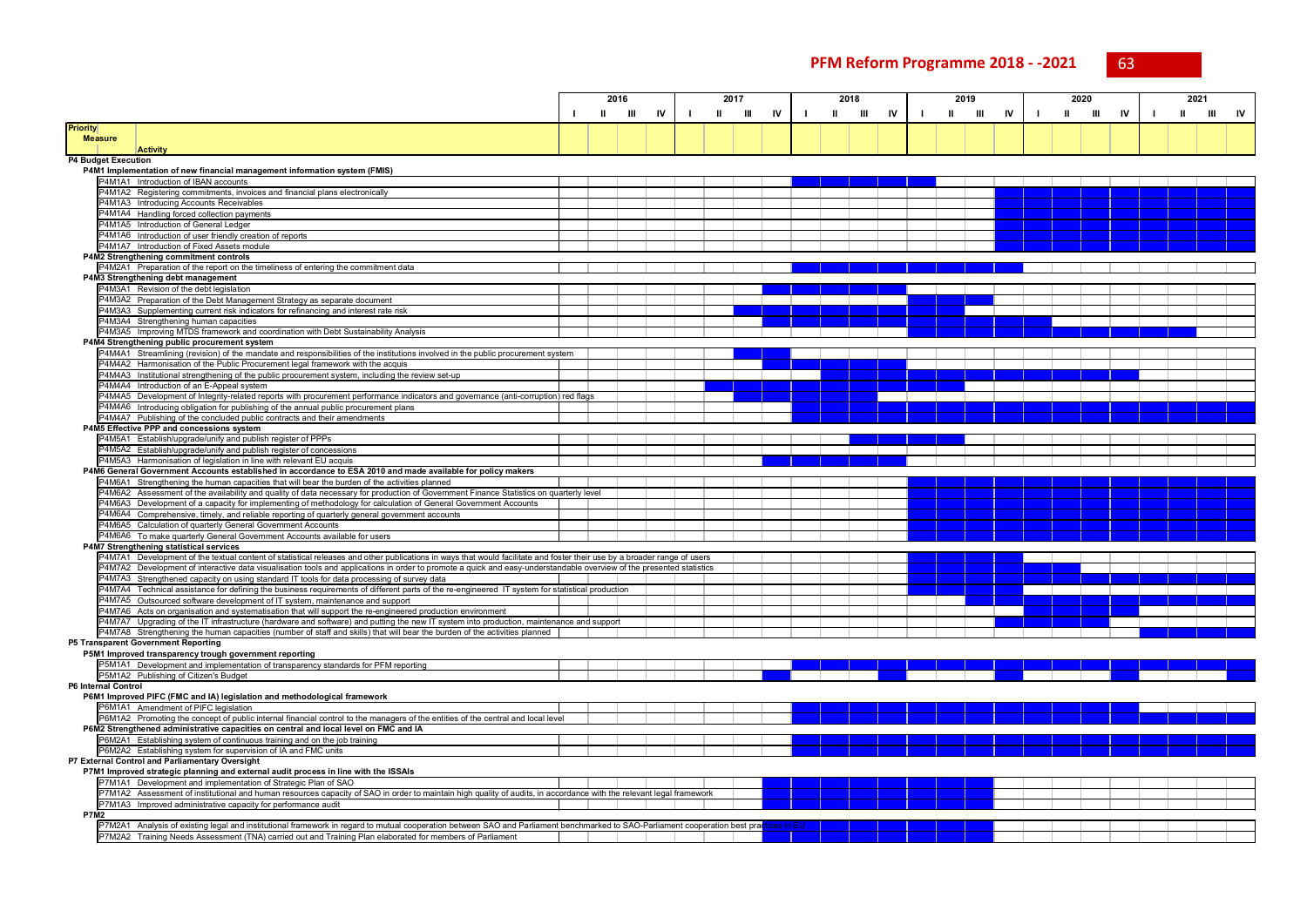**PFM Reform Programme 2018 - -2021** 63

|                                                                                                                                                                                                                                                                        |   | 2016 |    | 2017 |   |    | 2018 |   |    |              | 2019 |    | 2020 |        |    | 2021 |   |   |    |
|------------------------------------------------------------------------------------------------------------------------------------------------------------------------------------------------------------------------------------------------------------------------|---|------|----|------|---|----|------|---|----|--------------|------|----|------|--------|----|------|---|---|----|
|                                                                                                                                                                                                                                                                        | Ш | Ш    | IV | Ш    | Ш | IV | Ш    | Ш | IV | $\mathbf{u}$ | Ш    | IV | - 1  | Ш<br>Ш | IV |      | ш | Ш | IV |
| <b>Priority</b>                                                                                                                                                                                                                                                        |   |      |    |      |   |    |      |   |    |              |      |    |      |        |    |      |   |   |    |
| <b>Measure</b>                                                                                                                                                                                                                                                         |   |      |    |      |   |    |      |   |    |              |      |    |      |        |    |      |   |   |    |
| <b>Activity</b>                                                                                                                                                                                                                                                        |   |      |    |      |   |    |      |   |    |              |      |    |      |        |    |      |   |   |    |
| P4 Budget Execution                                                                                                                                                                                                                                                    |   |      |    |      |   |    |      |   |    |              |      |    |      |        |    |      |   |   |    |
| P4M1 Implementation of new financial management information system (FMIS)                                                                                                                                                                                              |   |      |    |      |   |    |      |   |    |              |      |    |      |        |    |      |   |   |    |
| P4M1A1 Introduction of IBAN accounts<br>P4M1A2 Registering commitments, invoices and financial plans electronically                                                                                                                                                    |   |      |    |      |   |    |      |   |    |              |      |    |      |        |    |      |   |   |    |
| P4M1A3 Introducing Accounts Receivables                                                                                                                                                                                                                                |   |      |    |      |   |    |      |   |    |              |      |    |      |        |    |      |   |   |    |
| P4M1A4 Handling forced collection payments                                                                                                                                                                                                                             |   |      |    |      |   |    |      |   |    |              |      |    |      |        |    |      |   |   |    |
| P4M1A5 Introduction of General Ledger                                                                                                                                                                                                                                  |   |      |    |      |   |    |      |   |    |              |      |    |      |        |    |      |   |   |    |
| P4M1A6 Introduction of user friendly creation of reports                                                                                                                                                                                                               |   |      |    |      |   |    |      |   |    |              |      |    |      |        |    |      |   |   |    |
| P4M1A7 Introduction of Fixed Assets module                                                                                                                                                                                                                             |   |      |    |      |   |    |      |   |    |              |      |    |      |        |    |      |   |   |    |
| P4M2 Strengthening commitment controls                                                                                                                                                                                                                                 |   |      |    |      |   |    |      |   |    |              |      |    |      |        |    |      |   |   |    |
| P4M2A1 Preparation of the report on the timeliness of entering the commitment data                                                                                                                                                                                     |   |      |    |      |   |    |      |   |    |              |      |    |      |        |    |      |   |   |    |
| P4M3 Strengthening debt management                                                                                                                                                                                                                                     |   |      |    |      |   |    |      |   |    |              |      |    |      |        |    |      |   |   |    |
| P4M3A1 Revision of the debt legislation                                                                                                                                                                                                                                |   |      |    |      |   |    |      |   |    |              |      |    |      |        |    |      |   |   |    |
| <sup>2</sup> 4M3A2 Preparation of the Debt Management Strategy as separate document                                                                                                                                                                                    |   |      |    |      |   |    |      |   |    |              |      |    |      |        |    |      |   |   |    |
| P4M3A3 Supplementing current risk indicators for refinancing and interest rate risk                                                                                                                                                                                    |   |      |    |      |   |    |      |   |    |              |      |    |      |        |    |      |   |   |    |
| P4M3A4 Strengthening human capacities<br>P4M3A5 Improving MTDS framework and coordination with Debt Sustainability Analysis                                                                                                                                            |   |      |    |      |   |    |      |   |    |              |      |    |      |        |    |      |   |   |    |
| P4M4 Strengthening public procurement system                                                                                                                                                                                                                           |   |      |    |      |   |    |      |   |    |              |      |    |      |        |    |      |   |   |    |
| P4M4A1 Streamlining (revision) of the mandate and responsibilities of the institutions involved in the public procurement system                                                                                                                                       |   |      |    |      |   |    |      |   |    |              |      |    |      |        |    |      |   |   |    |
| P4M4A2 Harmonisation of the Public Procurement legal framework with the acquis                                                                                                                                                                                         |   |      |    |      |   |    |      |   |    |              |      |    |      |        |    |      |   |   |    |
| P4M4A3 Institutional strengthening of the public procurement system, including the review set-up                                                                                                                                                                       |   |      |    |      |   |    |      |   |    |              |      |    |      |        |    |      |   |   |    |
| P4M4A4 Introduction of an E-Appeal system                                                                                                                                                                                                                              |   |      |    |      |   |    |      |   |    |              |      |    |      |        |    |      |   |   |    |
| 24M4A5 Development of Integrity-related reports with procurement performance indicators and governance (anti-corruption) red flags                                                                                                                                     |   |      |    |      |   |    |      |   |    |              |      |    |      |        |    |      |   |   |    |
| P4M4A6 Introducing obligation for publishing of the annual public procurement plans                                                                                                                                                                                    |   |      |    |      |   |    |      |   |    |              |      |    |      |        |    |      |   |   |    |
| P4M4A7 Publishing of the concluded public contracts and their amendments                                                                                                                                                                                               |   |      |    |      |   |    |      |   |    |              |      |    |      |        |    |      |   |   |    |
| P4M5 Effective PPP and concessions system                                                                                                                                                                                                                              |   |      |    |      |   |    |      |   |    |              |      |    |      |        |    |      |   |   |    |
| P4M5A1 Establish/upgrade/unify and publish register of PPPs                                                                                                                                                                                                            |   |      |    |      |   |    |      |   |    |              |      |    |      |        |    |      |   |   |    |
| P4M5A2 Establish/upgrade/unify and publish register of concessions                                                                                                                                                                                                     |   |      |    |      |   |    |      |   |    |              |      |    |      |        |    |      |   |   |    |
| P4M5A3 Harmonisation of legislation in line with relevant EU acquis                                                                                                                                                                                                    |   |      |    |      |   |    |      |   |    |              |      |    |      |        |    |      |   |   |    |
| P4M6 General Government Accounts established in accordance to ESA 2010 and made available for policy makers<br>P4M6A1 Strengthening the human capacities that will bear the burden of the activities planned                                                           |   |      |    |      |   |    |      |   |    |              |      |    |      |        |    |      |   |   |    |
| P4M6A2 Assessment of the availability and quality of data necessary for production of Government Finance Statistics on quarterly level                                                                                                                                 |   |      |    |      |   |    |      |   |    |              |      |    |      |        |    |      |   |   |    |
| P4M6A3 Development of a capacity for implementing of methodology for calculation of General Government Accounts                                                                                                                                                        |   |      |    |      |   |    |      |   |    |              |      |    |      |        |    |      |   |   |    |
| P4M6A4 Comprehensive, timely, and reliable reporting of quarterly general government accounts                                                                                                                                                                          |   |      |    |      |   |    |      |   |    |              |      |    |      |        |    |      |   |   |    |
| P4M6A5 Calculation of quarterly General Government Accounts                                                                                                                                                                                                            |   |      |    |      |   |    |      |   |    |              |      |    |      |        |    |      |   |   |    |
| P4M6A6 To make quarterly General Government Accounts available for users                                                                                                                                                                                               |   |      |    |      |   |    |      |   |    |              |      |    |      |        |    |      |   |   |    |
| P4M7 Strengthening statistical services                                                                                                                                                                                                                                |   |      |    |      |   |    |      |   |    |              |      |    |      |        |    |      |   |   |    |
| P4M7A1 Development of the textual content of statistical releases and other publications in ways that would facilitate and foster their use by a broader range of users                                                                                                |   |      |    |      |   |    |      |   |    |              |      |    |      |        |    |      |   |   |    |
| 94M7A2 Development of interactive data visualisation tools and applications in order to promote a quick and easy-understandable overview of the presented statistics                                                                                                   |   |      |    |      |   |    |      |   |    |              |      |    |      |        |    |      |   |   |    |
| P4M7A3 Strengthened capacity on using standard IT tools for data processing of survey data                                                                                                                                                                             |   |      |    |      |   |    |      |   |    |              |      |    |      |        |    |      |   |   |    |
| P4M7A4 Technical assistance for defining the business requirements of different parts of the re-engineered IT system for statistical production                                                                                                                        |   |      |    |      |   |    |      |   |    |              |      |    |      |        |    |      |   |   |    |
| P4M7A5 Outsourced software development of IT system, maintenance and support                                                                                                                                                                                           |   |      |    |      |   |    |      |   |    |              |      |    |      |        |    |      |   |   |    |
| P4M7A6 Acts on organisation and systematisation that will support the re-engineered production environment                                                                                                                                                             |   |      |    |      |   |    |      |   |    |              |      |    |      |        |    |      |   |   |    |
| 24M7A7 Upgrading of the IT infrastructure (hardware and software) and putting the new IT system into production, maintenance and support<br>P4M7A8 Strengthening the human capacities (number of staff and skills) that will bear the burden of the activities planned |   |      |    |      |   |    |      |   |    |              |      |    |      |        |    |      |   |   |    |
| P5 Transparent Government Reporting                                                                                                                                                                                                                                    |   |      |    |      |   |    |      |   |    |              |      |    |      |        |    |      |   |   |    |
| P5M1 Improved transparency trough government reporting                                                                                                                                                                                                                 |   |      |    |      |   |    |      |   |    |              |      |    |      |        |    |      |   |   |    |
| P5M1A1 Development and implementation of transparency standards for PFM reporting                                                                                                                                                                                      |   |      |    |      |   |    |      |   |    |              |      |    |      |        |    |      |   |   |    |
| P5M1A2 Publishing of Citizen's Budget                                                                                                                                                                                                                                  |   |      |    |      |   |    |      |   |    |              |      |    |      |        |    |      |   |   |    |
| <b>P6 Internal Control</b>                                                                                                                                                                                                                                             |   |      |    |      |   |    |      |   |    |              |      |    |      |        |    |      |   |   |    |
| P6M1 Improved PIFC (FMC and IA) legislation and methodological framework                                                                                                                                                                                               |   |      |    |      |   |    |      |   |    |              |      |    |      |        |    |      |   |   |    |
| P6M1A1 Amendment of PIFC legislation                                                                                                                                                                                                                                   |   |      |    |      |   |    |      |   |    |              |      |    |      |        |    |      |   |   |    |
| P6M1A2 Promoting the concept of public internal financial control to the managers of the entities of the central and local level                                                                                                                                       |   |      |    |      |   |    |      |   |    |              |      |    |      |        |    |      |   |   |    |
| P6M2 Strengthened administrative capacities on central and local level on FMC and IA                                                                                                                                                                                   |   |      |    |      |   |    |      |   |    |              |      |    |      |        |    |      |   |   |    |
| P6M2A1 Establishing system of continuous training and on the job training                                                                                                                                                                                              |   |      |    |      |   |    |      |   |    |              |      |    |      |        |    |      |   |   |    |
| P6M2A2 Establishing system for supervision of IA and FMC units                                                                                                                                                                                                         |   |      |    |      |   |    |      |   |    |              |      |    |      |        |    |      |   |   |    |
| P7 External Control and Parliamentary Oversight                                                                                                                                                                                                                        |   |      |    |      |   |    |      |   |    |              |      |    |      |        |    |      |   |   |    |
| P7M1 Improved strategic planning and external audit process in line with the ISSAIs<br>P7M1A1 Development and implementation of Strategic Plan of SAO                                                                                                                  |   |      |    |      |   |    |      |   |    |              |      |    |      |        |    |      |   |   |    |
| 7M1A2 Assessment of institutional and human resources capacity of SAO in order to maintain high quality of audits, in accordance with the relevant legal framework                                                                                                     |   |      |    |      |   |    |      |   |    |              |      |    |      |        |    |      |   |   |    |
| P7M1A3 Improved administrative capacity for performance audit                                                                                                                                                                                                          |   |      |    |      |   |    |      |   |    |              |      |    |      |        |    |      |   |   |    |
| <b>P7M2</b>                                                                                                                                                                                                                                                            |   |      |    |      |   |    |      |   |    |              |      |    |      |        |    |      |   |   |    |
| P7M2A1 Analysis of existing legal and institutional framework in regard to mutual cooperation between SAO and Parliament benchmarked to SAO-Parliament cooperation best prae                                                                                           |   |      |    |      |   |    |      |   |    |              |      |    |      |        |    |      |   |   |    |
| P7M2A2 Training Needs Assessment (TNA) carried out and Training Plan elaborated for members of Parliament                                                                                                                                                              |   |      |    |      |   |    |      |   |    |              |      |    |      |        |    |      |   |   |    |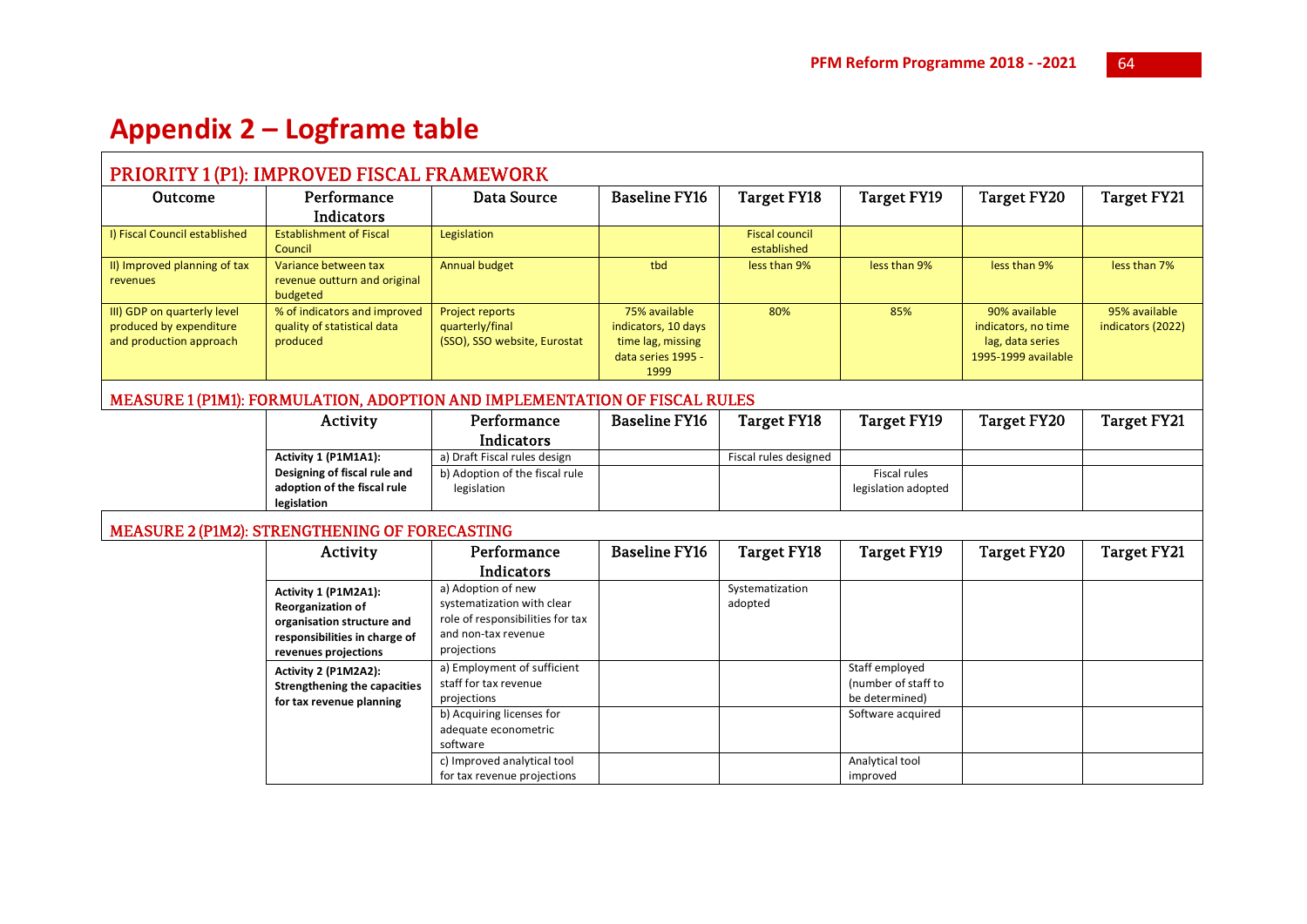## **Appendix 2 – Logframe table**

## PRIORITY 1 (P1): IMPROVED FISCAL FRAMEWORK

| Outcome                                                                           | Performance                                                             | Data Source                                                               | <b>Baseline FY16</b>                                                                    | Target FY18                          | Target FY19  | Target FY20                                                                     | Target FY21                        |  |  |  |  |  |  |
|-----------------------------------------------------------------------------------|-------------------------------------------------------------------------|---------------------------------------------------------------------------|-----------------------------------------------------------------------------------------|--------------------------------------|--------------|---------------------------------------------------------------------------------|------------------------------------|--|--|--|--|--|--|
|                                                                                   | Indicators                                                              |                                                                           |                                                                                         |                                      |              |                                                                                 |                                    |  |  |  |  |  |  |
| I) Fiscal Council established                                                     | <b>Establishment of Fiscal</b><br>Council                               | Legislation                                                               |                                                                                         | <b>Fiscal council</b><br>established |              |                                                                                 |                                    |  |  |  |  |  |  |
| II) Improved planning of tax<br>revenues                                          | Variance between tax<br>revenue outturn and original<br>budgeted        | Annual budget                                                             | tbd                                                                                     | less than 9%                         | less than 9% | less than 9%                                                                    | less than 7%                       |  |  |  |  |  |  |
| III) GDP on quarterly level<br>produced by expenditure<br>and production approach | % of indicators and improved<br>quality of statistical data<br>produced | <b>Project reports</b><br>quarterly/final<br>(SSO), SSO website, Eurostat | 75% available<br>indicators, 10 days<br>time lag, missing<br>data series 1995 -<br>1999 | 80%                                  | 85%          | 90% available<br>indicators, no time<br>lag, data series<br>1995-1999 available | 95% available<br>indicators (2022) |  |  |  |  |  |  |

## MEASURE 1 (P1M1): FORMULATION, ADOPTION AND IMPLEMENTATION OF FISCAL RULES

| Activity                     | Performance                    | <b>Baseline FY16</b> | Target FY18           | Target FY19         | Target FY20 | Target FY21 |
|------------------------------|--------------------------------|----------------------|-----------------------|---------------------|-------------|-------------|
|                              | <b>Indicators</b>              |                      |                       |                     |             |             |
| Activity 1 (P1M1A1):         | a) Draft Fiscal rules design   |                      | Fiscal rules designed |                     |             |             |
| Designing of fiscal rule and | b) Adoption of the fiscal rule |                      |                       | Fiscal rules        |             |             |
| adoption of the fiscal rule  | legislation                    |                      |                       | legislation adopted |             |             |
| legislation                  |                                |                      |                       |                     |             |             |

## MEASURE 2 (P1M2): STRENGTHENING OF FORECASTING

| Activity                                                                                                                                | Performance                                                                                                                | <b>Baseline FY16</b> | <b>Target FY18</b>         | <b>Target FY19</b>                                      | <b>Target FY20</b> | Target FY21 |
|-----------------------------------------------------------------------------------------------------------------------------------------|----------------------------------------------------------------------------------------------------------------------------|----------------------|----------------------------|---------------------------------------------------------|--------------------|-------------|
|                                                                                                                                         | Indicators                                                                                                                 |                      |                            |                                                         |                    |             |
| Activity 1 (P1M2A1):<br><b>Reorganization of</b><br>organisation structure and<br>responsibilities in charge of<br>revenues projections | a) Adoption of new<br>systematization with clear<br>role of responsibilities for tax<br>and non-tax revenue<br>projections |                      | Systematization<br>adopted |                                                         |                    |             |
| Activity 2 (P1M2A2):<br><b>Strengthening the capacities</b><br>for tax revenue planning                                                 | a) Employment of sufficient<br>staff for tax revenue<br>projections                                                        |                      |                            | Staff employed<br>(number of staff to<br>be determined) |                    |             |
|                                                                                                                                         | b) Acquiring licenses for<br>adequate econometric<br>software                                                              |                      |                            | Software acquired                                       |                    |             |
|                                                                                                                                         | c) Improved analytical tool<br>for tax revenue projections                                                                 |                      |                            | Analytical tool<br>improved                             |                    |             |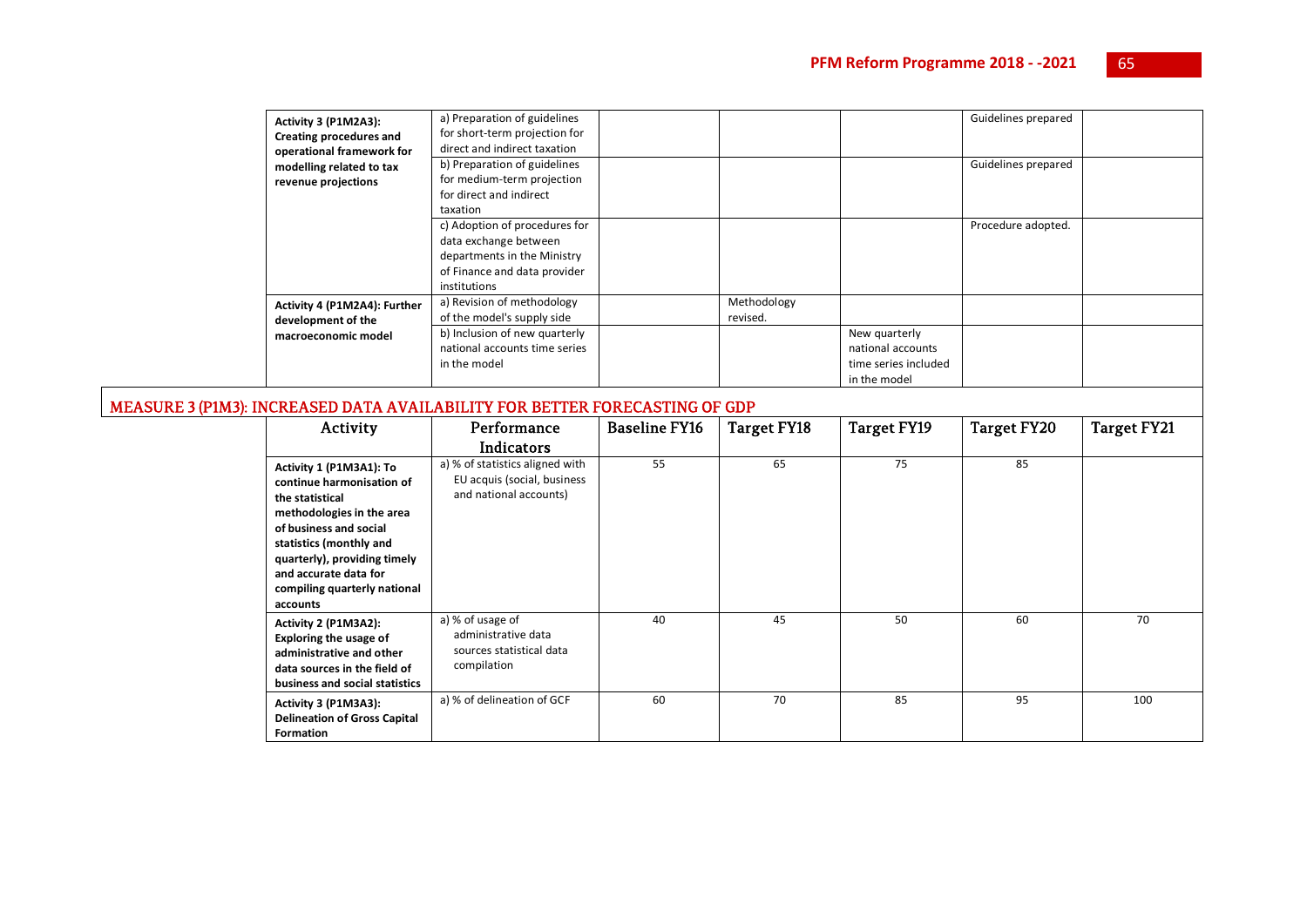| Activity 3 (P1M2A3):<br>Creating procedures and<br>operational framework for<br>modelling related to tax<br>revenue projections | a) Preparation of guidelines<br>for short-term projection for<br>direct and indirect taxation<br>b) Preparation of guidelines<br>for medium-term projection<br>for direct and indirect<br>taxation |                         |                                                                            | Guidelines prepared<br>Guidelines prepared |  |
|---------------------------------------------------------------------------------------------------------------------------------|----------------------------------------------------------------------------------------------------------------------------------------------------------------------------------------------------|-------------------------|----------------------------------------------------------------------------|--------------------------------------------|--|
|                                                                                                                                 | c) Adoption of procedures for<br>data exchange between<br>departments in the Ministry<br>of Finance and data provider<br>institutions                                                              |                         |                                                                            | Procedure adopted.                         |  |
| Activity 4 (P1M2A4): Further<br>development of the                                                                              | a) Revision of methodology<br>of the model's supply side                                                                                                                                           | Methodology<br>revised. |                                                                            |                                            |  |
| macroeconomic model                                                                                                             | b) Inclusion of new quarterly<br>national accounts time series<br>in the model                                                                                                                     |                         | New quarterly<br>national accounts<br>time series included<br>in the model |                                            |  |

## MEASURE 3 (P1M3): INCREASED DATA AVAILABILITY FOR BETTER FORECASTING OF GDP

| Activity                                                                                                                                                                                                                                                       | Performance<br>Indicators                                                                | <b>Baseline FY16</b> | Target FY18 | <b>Target FY19</b> | <b>Target FY20</b> | Target FY21 |
|----------------------------------------------------------------------------------------------------------------------------------------------------------------------------------------------------------------------------------------------------------------|------------------------------------------------------------------------------------------|----------------------|-------------|--------------------|--------------------|-------------|
| Activity 1 (P1M3A1): To<br>continue harmonisation of<br>the statistical<br>methodologies in the area<br>of business and social<br>statistics (monthly and<br>quarterly), providing timely<br>and accurate data for<br>compiling quarterly national<br>accounts | a) % of statistics aligned with<br>EU acquis (social, business<br>and national accounts) | 55                   | 65          | 75                 | 85                 |             |
| Activity 2 (P1M3A2):<br><b>Exploring the usage of</b><br>administrative and other<br>data sources in the field of<br>business and social statistics                                                                                                            | a) % of usage of<br>administrative data<br>sources statistical data<br>compilation       | 40                   | 45          | 50                 | 60                 | 70          |
| Activity 3 (P1M3A3):<br><b>Delineation of Gross Capital</b><br><b>Formation</b>                                                                                                                                                                                | a) % of delineation of GCF                                                               | 60                   | 70          | 85                 | 95                 | 100         |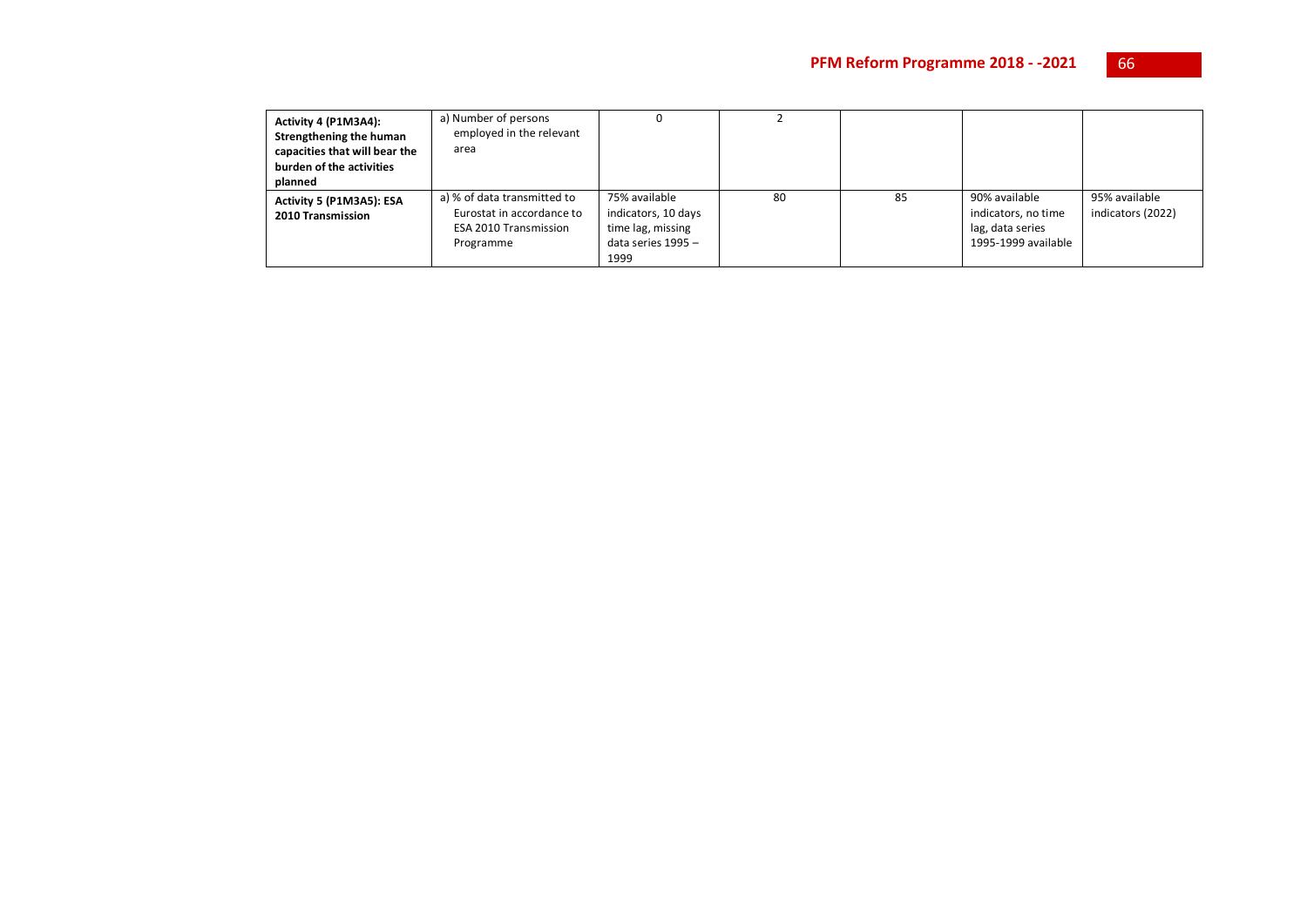| Activity 4 (P1M3A4):<br>Strengthening the human<br>capacities that will bear the<br>burden of the activities<br>planned | a) Number of persons<br>employed in the relevant<br>area                                              |                                                                                         |    |    |                                                                                 |                                    |
|-------------------------------------------------------------------------------------------------------------------------|-------------------------------------------------------------------------------------------------------|-----------------------------------------------------------------------------------------|----|----|---------------------------------------------------------------------------------|------------------------------------|
| Activity 5 (P1M3A5): ESA<br>2010 Transmission                                                                           | a) % of data transmitted to<br>Eurostat in accordance to<br><b>ESA 2010 Transmission</b><br>Programme | 75% available<br>indicators, 10 days<br>time lag, missing<br>data series 1995 -<br>1999 | 80 | 85 | 90% available<br>indicators, no time<br>lag, data series<br>1995-1999 available | 95% available<br>indicators (2022) |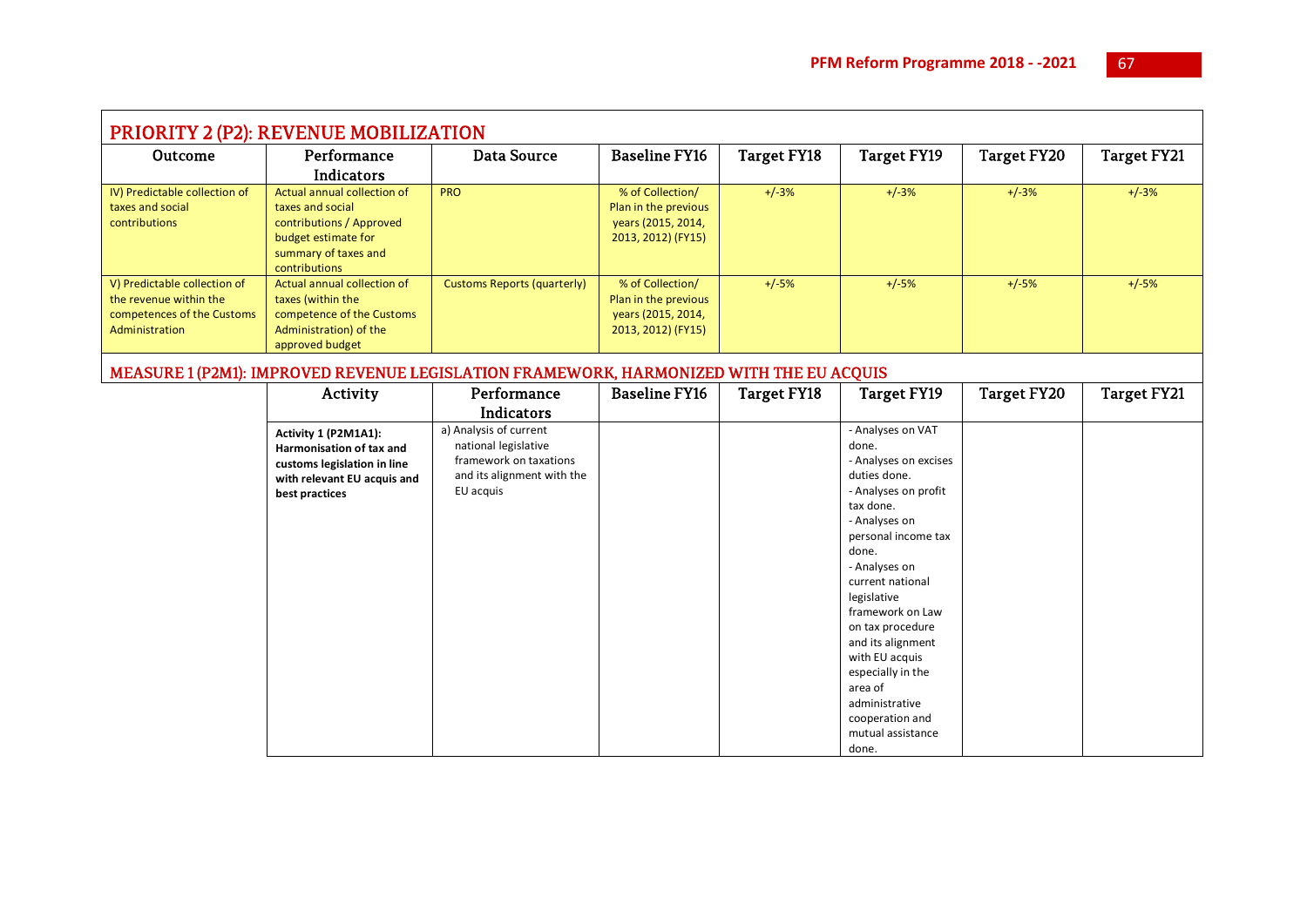| <b>PRIORITY 2 (P2): REVENUE MOBILIZATION</b> |                                           |                                                                                         |                      |                    |                                   |                    |             |  |  |
|----------------------------------------------|-------------------------------------------|-----------------------------------------------------------------------------------------|----------------------|--------------------|-----------------------------------|--------------------|-------------|--|--|
| Outcome                                      | Performance                               | <b>Data Source</b>                                                                      | <b>Baseline FY16</b> | <b>Target FY18</b> | <b>Target FY19</b>                | <b>Target FY20</b> | Target FY21 |  |  |
|                                              | <b>Indicators</b>                         |                                                                                         |                      |                    |                                   |                    |             |  |  |
| IV) Predictable collection of                | Actual annual collection of               | <b>PRO</b>                                                                              | % of Collection/     | $+/-3%$            | $+/-3%$                           | $+/-3%$            | $+/-3%$     |  |  |
| taxes and social                             | taxes and social                          |                                                                                         | Plan in the previous |                    |                                   |                    |             |  |  |
| contributions                                | contributions / Approved                  |                                                                                         | years (2015, 2014,   |                    |                                   |                    |             |  |  |
|                                              | budget estimate for                       |                                                                                         | 2013, 2012) (FY15)   |                    |                                   |                    |             |  |  |
|                                              | summary of taxes and                      |                                                                                         |                      |                    |                                   |                    |             |  |  |
|                                              | contributions                             |                                                                                         |                      |                    |                                   |                    |             |  |  |
| V) Predictable collection of                 | Actual annual collection of               | <b>Customs Reports (quarterly)</b>                                                      | % of Collection/     | $+/-5%$            | $+/-5%$                           | $+/-5%$            | $+/-5%$     |  |  |
| the revenue within the                       | taxes (within the                         |                                                                                         | Plan in the previous |                    |                                   |                    |             |  |  |
| competences of the Customs                   | competence of the Customs                 |                                                                                         | years (2015, 2014,   |                    |                                   |                    |             |  |  |
| Administration                               | Administration) of the<br>approved budget |                                                                                         | 2013, 2012) (FY15)   |                    |                                   |                    |             |  |  |
|                                              |                                           |                                                                                         |                      |                    |                                   |                    |             |  |  |
|                                              |                                           | MEASURE 1 (P2M1): IMPROVED REVENUE LEGISLATION FRAMEWORK, HARMONIZED WITH THE EU ACQUIS |                      |                    |                                   |                    |             |  |  |
|                                              | Activity                                  | Performance                                                                             | <b>Baseline FY16</b> | <b>Target FY18</b> | <b>Target FY19</b>                | <b>Target FY20</b> | Target FY21 |  |  |
|                                              |                                           | Indicators                                                                              |                      |                    |                                   |                    |             |  |  |
|                                              | Activity 1 (P2M1A1):                      | a) Analysis of current                                                                  |                      |                    | - Analyses on VAT                 |                    |             |  |  |
|                                              | Harmonisation of tax and                  | national legislative                                                                    |                      |                    | done.                             |                    |             |  |  |
|                                              | customs legislation in line               | framework on taxations                                                                  |                      |                    | - Analyses on excises             |                    |             |  |  |
|                                              | with relevant EU acquis and               | and its alignment with the                                                              |                      |                    | duties done.                      |                    |             |  |  |
|                                              | best practices                            | EU acquis                                                                               |                      |                    | - Analyses on profit              |                    |             |  |  |
|                                              |                                           |                                                                                         |                      |                    | tax done.                         |                    |             |  |  |
|                                              |                                           |                                                                                         |                      |                    | - Analyses on                     |                    |             |  |  |
|                                              |                                           |                                                                                         |                      |                    | personal income tax               |                    |             |  |  |
|                                              |                                           |                                                                                         |                      |                    | done.                             |                    |             |  |  |
|                                              |                                           |                                                                                         |                      |                    | - Analyses on<br>current national |                    |             |  |  |
|                                              |                                           |                                                                                         |                      |                    | legislative                       |                    |             |  |  |
|                                              |                                           |                                                                                         |                      |                    | framework on Law                  |                    |             |  |  |
|                                              |                                           |                                                                                         |                      |                    | on tax procedure                  |                    |             |  |  |
|                                              |                                           |                                                                                         |                      |                    | and its alignment                 |                    |             |  |  |
|                                              |                                           |                                                                                         |                      |                    | with EU acquis                    |                    |             |  |  |
|                                              |                                           |                                                                                         |                      |                    | especially in the                 |                    |             |  |  |
|                                              |                                           |                                                                                         |                      |                    | area of                           |                    |             |  |  |
|                                              |                                           |                                                                                         |                      |                    | administrative                    |                    |             |  |  |
|                                              |                                           |                                                                                         |                      |                    | cooperation and                   |                    |             |  |  |
|                                              |                                           |                                                                                         |                      |                    | mutual assistance                 |                    |             |  |  |
|                                              |                                           |                                                                                         |                      |                    | done.                             |                    |             |  |  |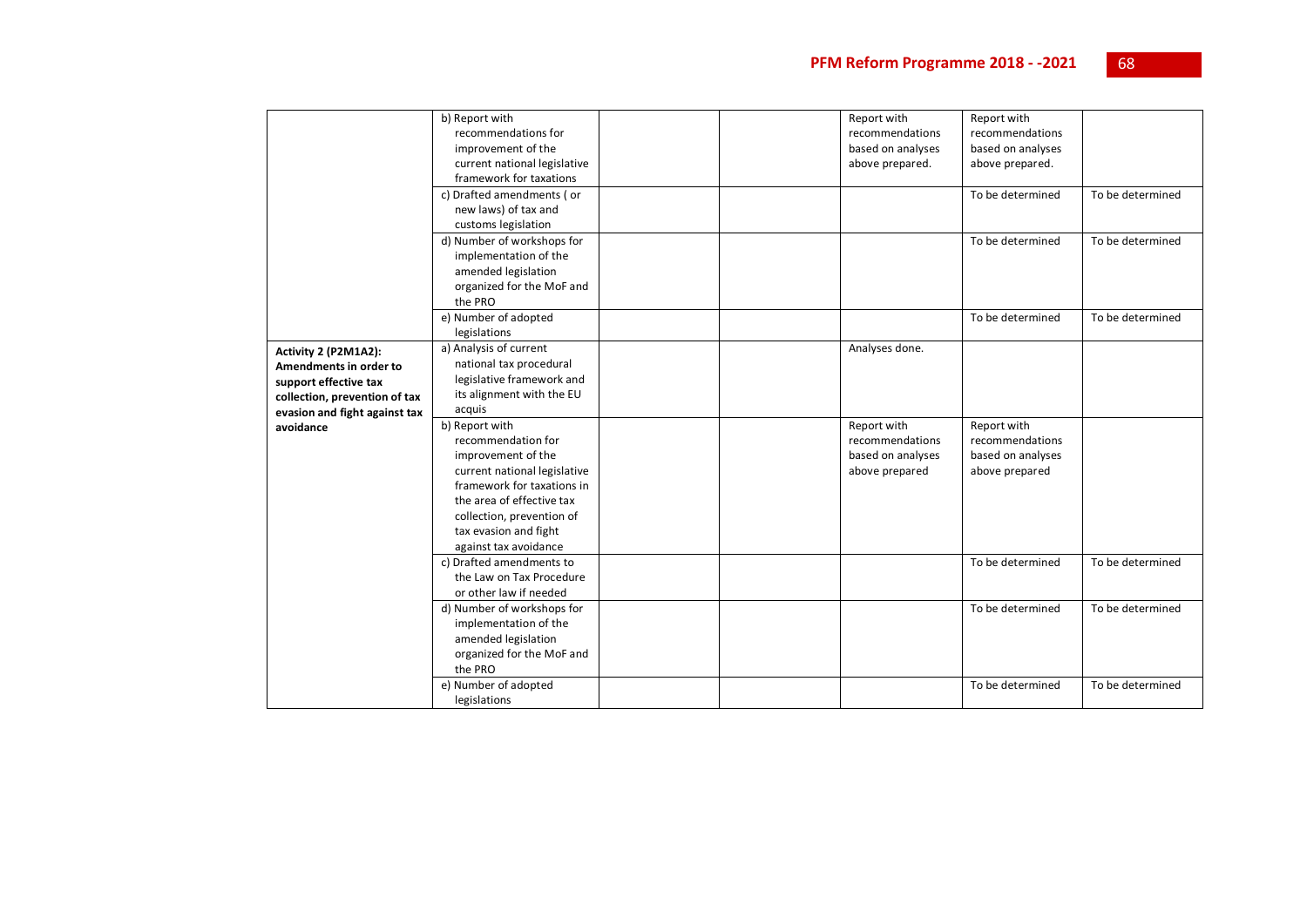|                               | b) Report with               |  | Report with       | Report with       |                  |
|-------------------------------|------------------------------|--|-------------------|-------------------|------------------|
|                               | recommendations for          |  | recommendations   | recommendations   |                  |
|                               | improvement of the           |  | based on analyses | based on analyses |                  |
|                               | current national legislative |  | above prepared.   | above prepared.   |                  |
|                               | framework for taxations      |  |                   |                   |                  |
|                               | c) Drafted amendments (or    |  |                   | To be determined  | To be determined |
|                               | new laws) of tax and         |  |                   |                   |                  |
|                               | customs legislation          |  |                   |                   |                  |
|                               | d) Number of workshops for   |  |                   | To be determined  | To be determined |
|                               | implementation of the        |  |                   |                   |                  |
|                               | amended legislation          |  |                   |                   |                  |
|                               | organized for the MoF and    |  |                   |                   |                  |
|                               | the PRO                      |  |                   |                   |                  |
|                               | e) Number of adopted         |  |                   | To be determined  | To be determined |
|                               | legislations                 |  |                   |                   |                  |
| Activity 2 (P2M1A2):          | a) Analysis of current       |  | Analyses done.    |                   |                  |
| Amendments in order to        | national tax procedural      |  |                   |                   |                  |
| support effective tax         | legislative framework and    |  |                   |                   |                  |
| collection, prevention of tax | its alignment with the EU    |  |                   |                   |                  |
| evasion and fight against tax | acquis                       |  |                   |                   |                  |
| avoidance                     | b) Report with               |  | Report with       | Report with       |                  |
|                               | recommendation for           |  | recommendations   | recommendations   |                  |
|                               | improvement of the           |  | based on analyses | based on analyses |                  |
|                               | current national legislative |  | above prepared    | above prepared    |                  |
|                               | framework for taxations in   |  |                   |                   |                  |
|                               | the area of effective tax    |  |                   |                   |                  |
|                               | collection, prevention of    |  |                   |                   |                  |
|                               | tax evasion and fight        |  |                   |                   |                  |
|                               | against tax avoidance        |  |                   |                   |                  |
|                               | c) Drafted amendments to     |  |                   | To be determined  | To be determined |
|                               | the Law on Tax Procedure     |  |                   |                   |                  |
|                               | or other law if needed       |  |                   |                   |                  |
|                               | d) Number of workshops for   |  |                   | To be determined  | To be determined |
|                               | implementation of the        |  |                   |                   |                  |
|                               | amended legislation          |  |                   |                   |                  |
|                               | organized for the MoF and    |  |                   |                   |                  |
|                               | the PRO                      |  |                   |                   |                  |
|                               | e) Number of adopted         |  |                   | To be determined  | To be determined |
|                               | legislations                 |  |                   |                   |                  |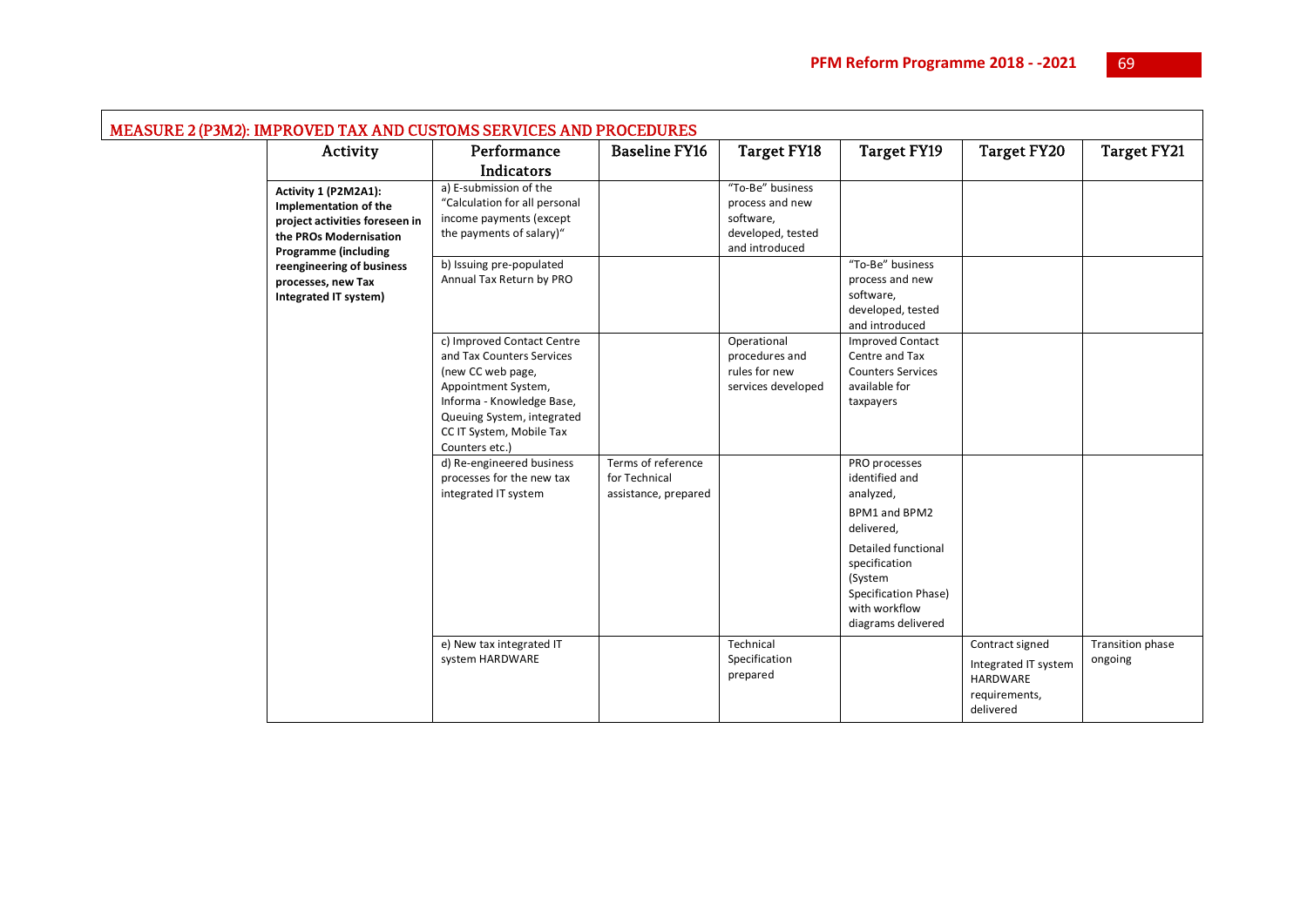| <b>MEASURE 2 (P3M2): IMPROVED TAX AND CUSTOMS SERVICES AND PROCEDURES</b> |                                                                                                                                          |                                                                                                                                                                                                              |                                                             |                                                                                         |                                                                                                                                                                                                      |                                                                                   |                             |  |
|---------------------------------------------------------------------------|------------------------------------------------------------------------------------------------------------------------------------------|--------------------------------------------------------------------------------------------------------------------------------------------------------------------------------------------------------------|-------------------------------------------------------------|-----------------------------------------------------------------------------------------|------------------------------------------------------------------------------------------------------------------------------------------------------------------------------------------------------|-----------------------------------------------------------------------------------|-----------------------------|--|
|                                                                           | Activity                                                                                                                                 | Performance                                                                                                                                                                                                  | <b>Baseline FY16</b>                                        | <b>Target FY18</b>                                                                      | <b>Target FY19</b>                                                                                                                                                                                   | <b>Target FY20</b>                                                                | Target FY21                 |  |
|                                                                           |                                                                                                                                          | Indicators                                                                                                                                                                                                   |                                                             |                                                                                         |                                                                                                                                                                                                      |                                                                                   |                             |  |
|                                                                           | Activity 1 (P2M2A1):<br>Implementation of the<br>project activities foreseen in<br>the PROs Modernisation<br><b>Programme (including</b> | a) E-submission of the<br>"Calculation for all personal<br>income payments (except<br>the payments of salary)"                                                                                               |                                                             | "To-Be" business<br>process and new<br>software,<br>developed, tested<br>and introduced |                                                                                                                                                                                                      |                                                                                   |                             |  |
| reengineering of business<br>processes, new Tax<br>Integrated IT system)  |                                                                                                                                          | b) Issuing pre-populated<br>Annual Tax Return by PRO                                                                                                                                                         |                                                             |                                                                                         | "To-Be" business<br>process and new<br>software,<br>developed, tested<br>and introduced                                                                                                              |                                                                                   |                             |  |
|                                                                           |                                                                                                                                          | c) Improved Contact Centre<br>and Tax Counters Services<br>(new CC web page,<br>Appointment System,<br>Informa - Knowledge Base,<br>Queuing System, integrated<br>CC IT System, Mobile Tax<br>Counters etc.) |                                                             | Operational<br>procedures and<br>rules for new<br>services developed                    | <b>Improved Contact</b><br>Centre and Tax<br><b>Counters Services</b><br>available for<br>taxpayers                                                                                                  |                                                                                   |                             |  |
|                                                                           |                                                                                                                                          | d) Re-engineered business<br>processes for the new tax<br>integrated IT system                                                                                                                               | Terms of reference<br>for Technical<br>assistance, prepared |                                                                                         | PRO processes<br>identified and<br>analyzed,<br>BPM1 and BPM2<br>delivered,<br><b>Detailed functional</b><br>specification<br>(System<br>Specification Phase)<br>with workflow<br>diagrams delivered |                                                                                   |                             |  |
|                                                                           |                                                                                                                                          | e) New tax integrated IT<br>system HARDWARE                                                                                                                                                                  |                                                             | Technical<br>Specification<br>prepared                                                  |                                                                                                                                                                                                      | Contract signed<br>Integrated IT system<br>HARDWARE<br>requirements,<br>delivered | Transition phase<br>ongoing |  |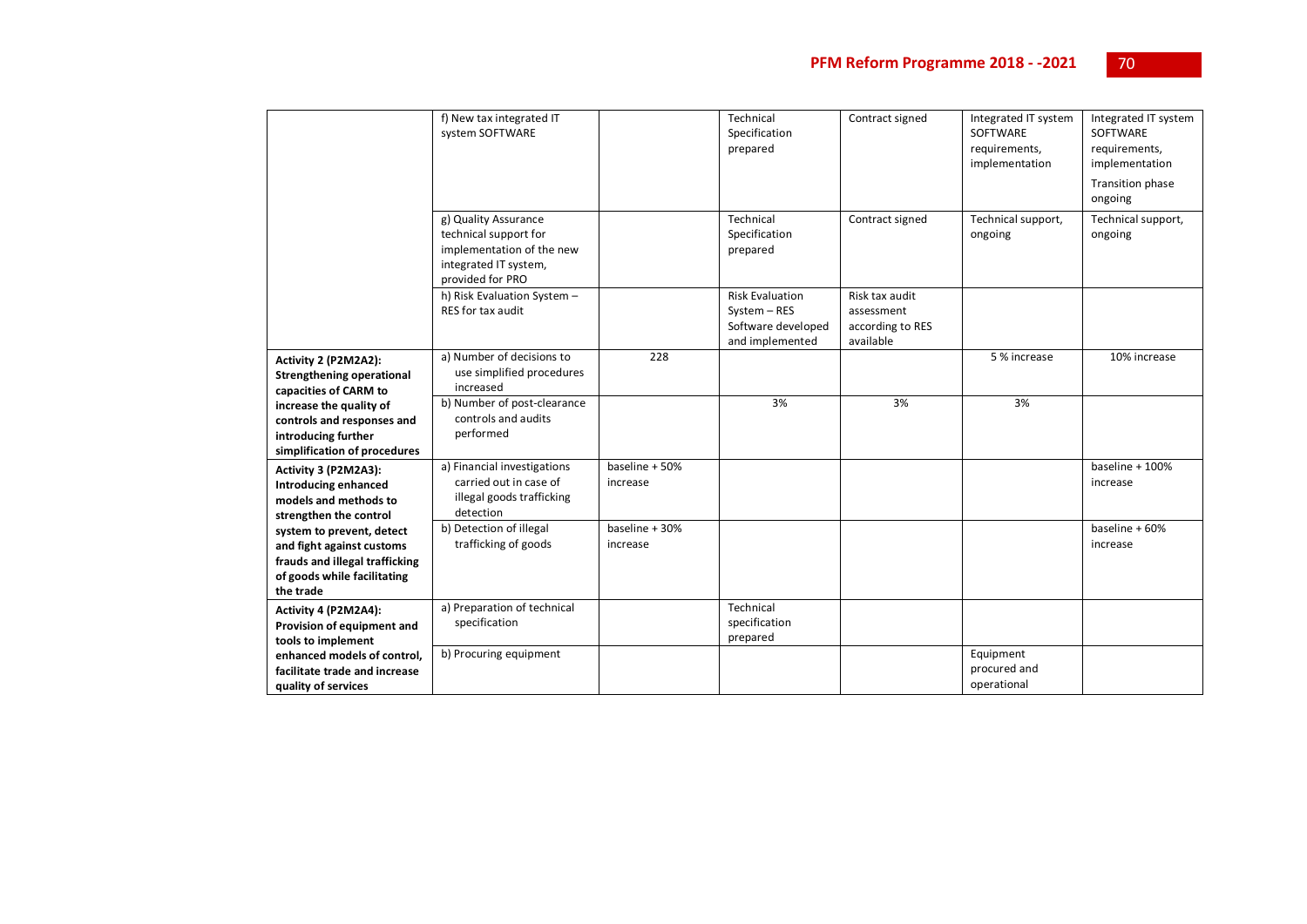|                                                                                                                                      | f) New tax integrated IT<br>system SOFTWARE                                                                             |                            | Technical<br>Specification<br>prepared                                          | Contract signed                                               | Integrated IT system<br>SOFTWARE<br>requirements,<br>implementation | Integrated IT system<br><b>SOFTWARE</b><br>requirements,<br>implementation<br>Transition phase<br>ongoing |
|--------------------------------------------------------------------------------------------------------------------------------------|-------------------------------------------------------------------------------------------------------------------------|----------------------------|---------------------------------------------------------------------------------|---------------------------------------------------------------|---------------------------------------------------------------------|-----------------------------------------------------------------------------------------------------------|
|                                                                                                                                      | g) Quality Assurance<br>technical support for<br>implementation of the new<br>integrated IT system,<br>provided for PRO |                            | Technical<br>Specification<br>prepared                                          | Contract signed                                               | Technical support,<br>ongoing                                       | Technical support,<br>ongoing                                                                             |
|                                                                                                                                      | h) Risk Evaluation System -<br>RES for tax audit                                                                        |                            | <b>Risk Evaluation</b><br>System - RES<br>Software developed<br>and implemented | Risk tax audit<br>assessment<br>according to RES<br>available |                                                                     |                                                                                                           |
| Activity 2 (P2M2A2):<br><b>Strengthening operational</b><br>capacities of CARM to                                                    | a) Number of decisions to<br>use simplified procedures<br>increased                                                     | 228                        |                                                                                 |                                                               | 5 % increase                                                        | 10% increase                                                                                              |
| increase the quality of<br>controls and responses and<br>introducing further<br>simplification of procedures                         | b) Number of post-clearance<br>controls and audits<br>performed                                                         |                            | 3%                                                                              | 3%                                                            | 3%                                                                  |                                                                                                           |
| Activity 3 (P2M2A3):<br><b>Introducing enhanced</b><br>models and methods to<br>strengthen the control                               | a) Financial investigations<br>carried out in case of<br>illegal goods trafficking<br>detection                         | baseline + 50%<br>increase |                                                                                 |                                                               |                                                                     | baseline $+100%$<br>increase                                                                              |
| system to prevent, detect<br>and fight against customs<br>frauds and illegal trafficking<br>of goods while facilitating<br>the trade | b) Detection of illegal<br>trafficking of goods                                                                         | baseline + 30%<br>increase |                                                                                 |                                                               |                                                                     | baseline + 60%<br>increase                                                                                |
| Activity 4 (P2M2A4):<br>Provision of equipment and<br>tools to implement                                                             | a) Preparation of technical<br>specification                                                                            |                            | Technical<br>specification<br>prepared                                          |                                                               |                                                                     |                                                                                                           |
| enhanced models of control,<br>facilitate trade and increase<br>quality of services                                                  | b) Procuring equipment                                                                                                  |                            |                                                                                 |                                                               | Equipment<br>procured and<br>operational                            |                                                                                                           |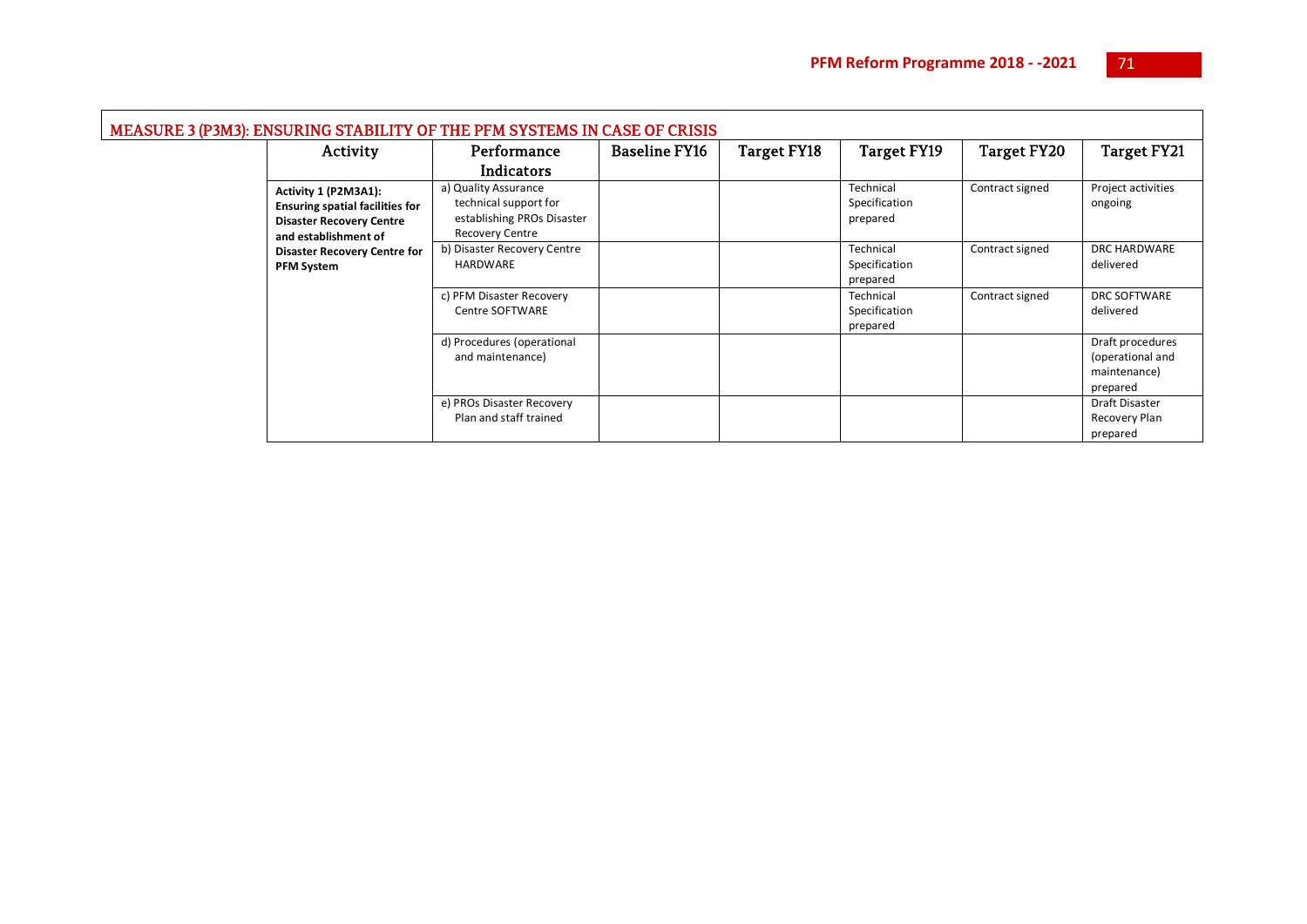| MEASURE 3 (P3M3): ENSURING STABILITY OF THE PFM SYSTEMS IN CASE OF CRISIS |                                                                                                                           |                                                                                                       |                      |                    |                                        |                    |                                                                  |  |  |
|---------------------------------------------------------------------------|---------------------------------------------------------------------------------------------------------------------------|-------------------------------------------------------------------------------------------------------|----------------------|--------------------|----------------------------------------|--------------------|------------------------------------------------------------------|--|--|
|                                                                           | Activity                                                                                                                  | Performance                                                                                           | <b>Baseline FY16</b> | <b>Target FY18</b> | Target FY19                            | <b>Target FY20</b> | Target FY21                                                      |  |  |
|                                                                           |                                                                                                                           | Indicators                                                                                            |                      |                    |                                        |                    |                                                                  |  |  |
|                                                                           | Activity 1 (P2M3A1):<br><b>Ensuring spatial facilities for</b><br><b>Disaster Recovery Centre</b><br>and establishment of | a) Quality Assurance<br>technical support for<br>establishing PROs Disaster<br><b>Recovery Centre</b> |                      |                    | Technical<br>Specification<br>prepared | Contract signed    | Project activities<br>ongoing                                    |  |  |
|                                                                           | <b>Disaster Recovery Centre for</b><br><b>PFM System</b>                                                                  | b) Disaster Recovery Centre<br>HARDWARE                                                               |                      |                    | Technical<br>Specification<br>prepared | Contract signed    | DRC HARDWARE<br>delivered                                        |  |  |
|                                                                           |                                                                                                                           | c) PFM Disaster Recovery<br>Centre SOFTWARE                                                           |                      |                    | Technical<br>Specification<br>prepared | Contract signed    | <b>DRC SOFTWARE</b><br>delivered                                 |  |  |
|                                                                           |                                                                                                                           | d) Procedures (operational<br>and maintenance)                                                        |                      |                    |                                        |                    | Draft procedures<br>(operational and<br>maintenance)<br>prepared |  |  |
|                                                                           |                                                                                                                           | e) PROs Disaster Recovery<br>Plan and staff trained                                                   |                      |                    |                                        |                    | Draft Disaster<br>Recovery Plan<br>prepared                      |  |  |

 $\blacksquare$ 

۰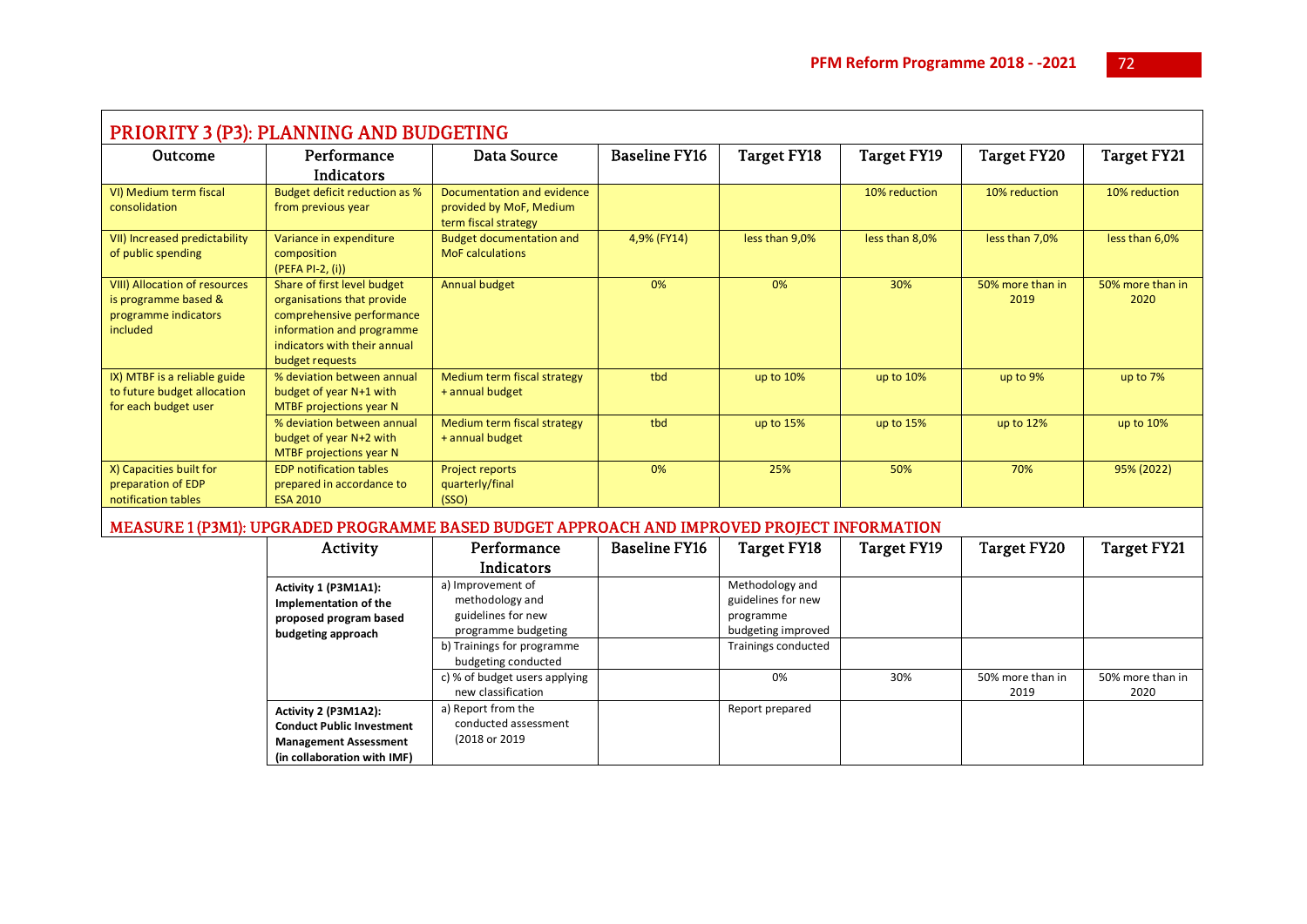| PRIORITY 3 (P3): PLANNING AND BUDGETING                                                   |                                                                                                                                                                        |                                                                               |                      |                    |                    |                          |                          |  |  |  |
|-------------------------------------------------------------------------------------------|------------------------------------------------------------------------------------------------------------------------------------------------------------------------|-------------------------------------------------------------------------------|----------------------|--------------------|--------------------|--------------------------|--------------------------|--|--|--|
| Outcome                                                                                   | Performance                                                                                                                                                            | Data Source                                                                   | <b>Baseline FY16</b> | <b>Target FY18</b> | <b>Target FY19</b> | <b>Target FY20</b>       | Target FY21              |  |  |  |
|                                                                                           | Indicators                                                                                                                                                             |                                                                               |                      |                    |                    |                          |                          |  |  |  |
| VI) Medium term fiscal<br>consolidation                                                   | Budget deficit reduction as %<br>from previous year                                                                                                                    | Documentation and evidence<br>provided by MoF, Medium<br>term fiscal strategy |                      |                    | 10% reduction      | 10% reduction            | 10% reduction            |  |  |  |
| VII) Increased predictability<br>of public spending                                       | Variance in expenditure<br>composition<br>$(PEFA PI-2, (i))$                                                                                                           | <b>Budget documentation and</b><br><b>MoF</b> calculations                    | 4,9% (FY14)          | less than 9,0%     | less than 8,0%     | less than 7,0%           | less than 6,0%           |  |  |  |
| VIII) Allocation of resources<br>is programme based &<br>programme indicators<br>included | Share of first level budget<br>organisations that provide<br>comprehensive performance<br>information and programme<br>indicators with their annual<br>budget requests | Annual budget                                                                 | 0%                   | 0%                 | 30%                | 50% more than in<br>2019 | 50% more than in<br>2020 |  |  |  |
| IX) MTBF is a reliable guide<br>to future budget allocation<br>for each budget user       | % deviation between annual<br>budget of year N+1 with<br>MTBF projections year N                                                                                       | Medium term fiscal strategy<br>+ annual budget                                | tbd                  | up to 10%          | up to 10%          | up to 9%                 | up to 7%                 |  |  |  |
|                                                                                           | % deviation between annual<br>budget of year N+2 with<br>MTBF projections year N                                                                                       | Medium term fiscal strategy<br>+ annual budget                                | tbd                  | up to 15%          | up to 15%          | up to 12%                | up to 10%                |  |  |  |
| X) Capacities built for<br>preparation of EDP<br>notification tables                      | <b>EDP notification tables</b><br>prepared in accordance to<br><b>ESA 2010</b>                                                                                         | Project reports<br>quarterly/final<br>(SSO)                                   | 0%                   | 25%                | 50%                | 70%                      | 95% (2022)               |  |  |  |

## MEASURE 1 (P3M1): UPGRADED PROGRAMME BASED BUDGET APPROACH AND IMPROVED PROJECT INFORMATION

| Activity                                                                                                                | Performance                                                                                                     | <b>Baseline FY16</b> | Target FY18                                                                                     | Target FY19 | Target FY20              | <b>Target FY21</b>       |
|-------------------------------------------------------------------------------------------------------------------------|-----------------------------------------------------------------------------------------------------------------|----------------------|-------------------------------------------------------------------------------------------------|-------------|--------------------------|--------------------------|
|                                                                                                                         | Indicators                                                                                                      |                      |                                                                                                 |             |                          |                          |
| Activity 1 (P3M1A1):<br>Implementation of the<br>proposed program based<br>budgeting approach                           | a) Improvement of<br>methodology and<br>guidelines for new<br>programme budgeting<br>b) Trainings for programme |                      | Methodology and<br>guidelines for new<br>programme<br>budgeting improved<br>Trainings conducted |             |                          |                          |
|                                                                                                                         | budgeting conducted<br>c) % of budget users applying<br>new classification                                      |                      | 0%                                                                                              | 30%         | 50% more than in<br>2019 | 50% more than in<br>2020 |
| Activity 2 (P3M1A2):<br><b>Conduct Public Investment</b><br><b>Management Assessment</b><br>(in collaboration with IMF) | a) Report from the<br>conducted assessment<br>(2018 or 2019)                                                    |                      | Report prepared                                                                                 |             |                          |                          |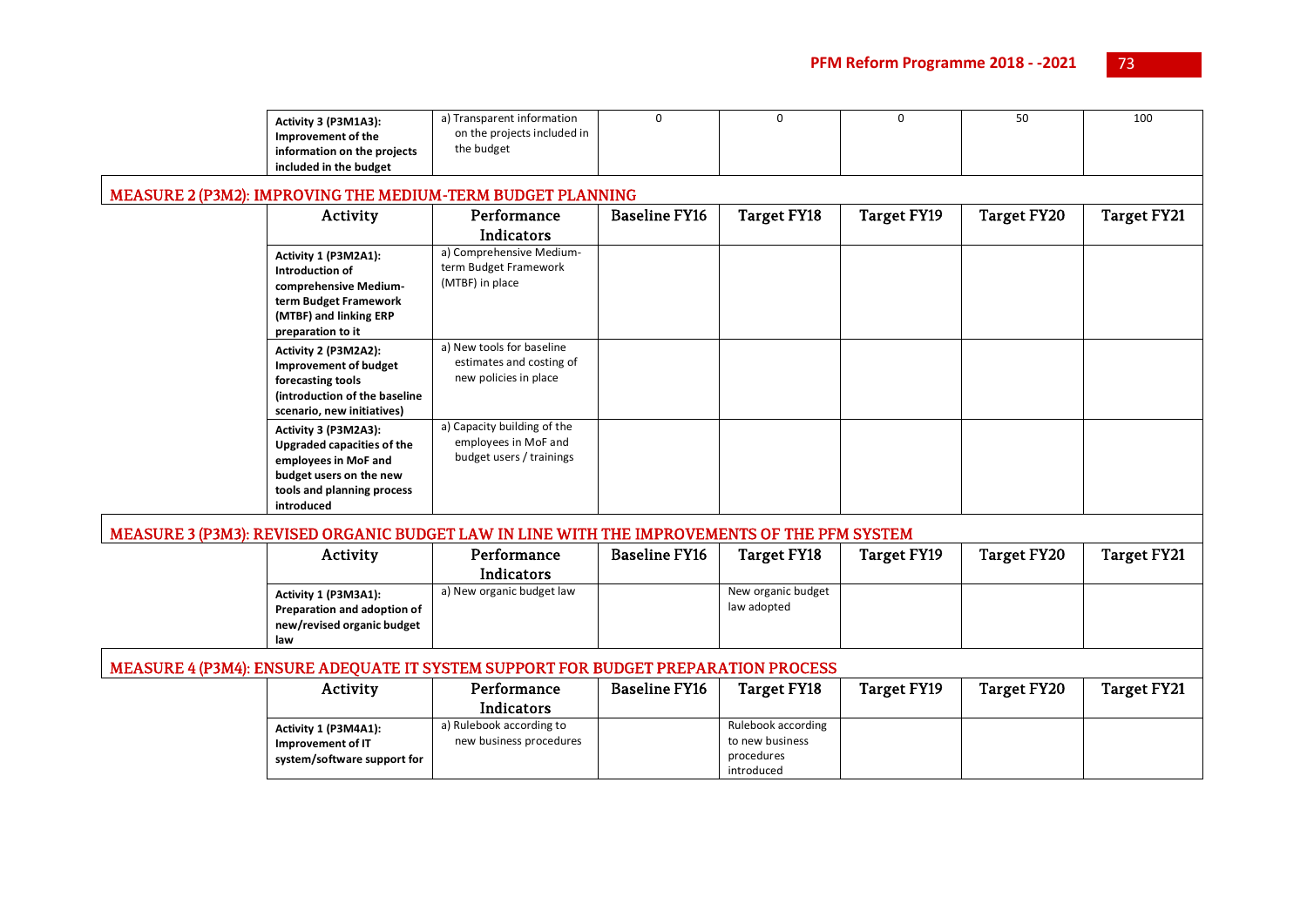| Activity 3 (P3M1A3):<br>Improvement of the<br>information on the projects<br>included in the budget                                               | a) Transparent information<br>on the projects included in<br>the budget                      | $\Omega$             | $\mathbf 0$        | 0                  | 50                 | 100                |
|---------------------------------------------------------------------------------------------------------------------------------------------------|----------------------------------------------------------------------------------------------|----------------------|--------------------|--------------------|--------------------|--------------------|
|                                                                                                                                                   | MEASURE 2 (P3M2): IMPROVING THE MEDIUM-TERM BUDGET PLANNING                                  |                      |                    |                    |                    |                    |
| Activity                                                                                                                                          | Performance                                                                                  | <b>Baseline FY16</b> | <b>Target FY18</b> | <b>Target FY19</b> | <b>Target FY20</b> | <b>Target FY21</b> |
|                                                                                                                                                   | <b>Indicators</b>                                                                            |                      |                    |                    |                    |                    |
| Activity 1 (P3M2A1):<br>Introduction of<br>comprehensive Medium-<br>term Budget Framework<br>(MTBF) and linking ERP<br>preparation to it          | a) Comprehensive Medium-<br>term Budget Framework<br>(MTBF) in place                         |                      |                    |                    |                    |                    |
| Activity 2 (P3M2A2):<br><b>Improvement of budget</b><br>forecasting tools<br>(introduction of the baseline<br>scenario, new initiatives)          | a) New tools for baseline<br>estimates and costing of<br>new policies in place               |                      |                    |                    |                    |                    |
| Activity 3 (P3M2A3):<br>Upgraded capacities of the<br>employees in MoF and<br>budget users on the new<br>tools and planning process<br>introduced | a) Capacity building of the<br>employees in MoF and<br>budget users / trainings              |                      |                    |                    |                    |                    |
|                                                                                                                                                   | MEASURE 3 (P3M3): REVISED ORGANIC BUDGET LAW IN LINE WITH THE IMPROVEMENTS OF THE PFM SYSTEM |                      |                    |                    |                    |                    |
| Activity                                                                                                                                          | Performance                                                                                  | <b>Baseline FY16</b> | Target FY18        | Target FY19        | <b>Target FY20</b> | <b>Target FY21</b> |

| Activity                                                                                 | Performance               | <b>Baseline FY16</b> | Target FY18                       | <b>Target FY19</b> | <b>Target FY20</b> | Target FY21 |
|------------------------------------------------------------------------------------------|---------------------------|----------------------|-----------------------------------|--------------------|--------------------|-------------|
|                                                                                          | Indicators                |                      |                                   |                    |                    |             |
| Activity 1 (P3M3A1):<br>Preparation and adoption of<br>new/revised organic budget<br>law | a) New organic budget law |                      | New organic budget<br>law adopted |                    |                    |             |

# MEASURE 4 (P3M4): ENSURE ADEQUATE IT SYSTEM SUPPORT FOR BUDGET PREPARATION PROCESS

| Activity                    | Performance              | <b>Baseline FY16</b> | Target FY18        | Target FY19 | Target FY20 | Target FY21 |
|-----------------------------|--------------------------|----------------------|--------------------|-------------|-------------|-------------|
|                             | <b>Indicators</b>        |                      |                    |             |             |             |
| Activity 1 (P3M4A1):        | a) Rulebook according to |                      | Rulebook according |             |             |             |
| Improvement of IT           | new business procedures  |                      | to new business    |             |             |             |
| system/software support for |                          |                      | procedures         |             |             |             |
|                             |                          |                      | introduced         |             |             |             |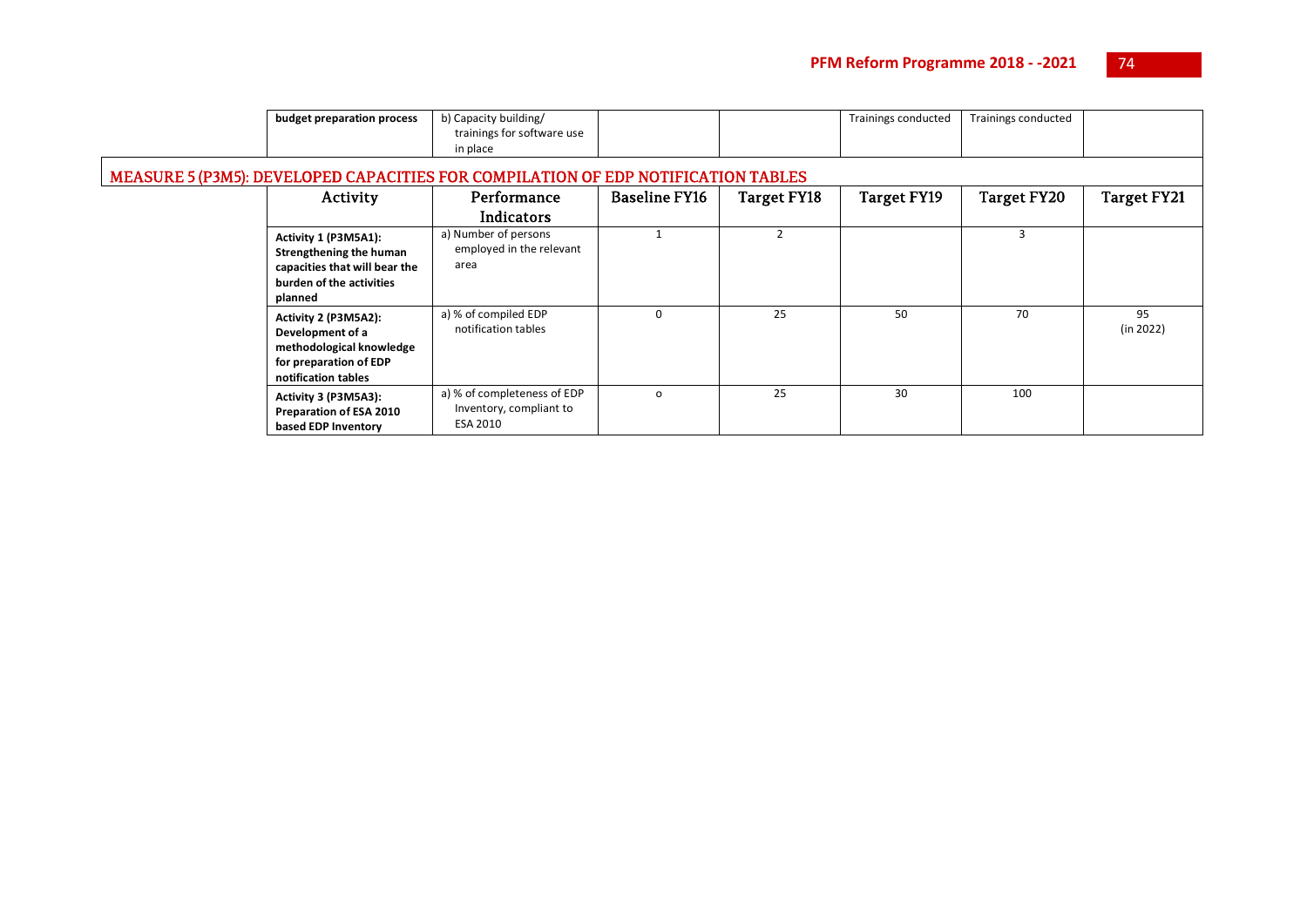| budget preparation process                                                                                              | b) Capacity building/                                                             |                      |                    | <b>Trainings conducted</b> | Trainings conducted |                 |
|-------------------------------------------------------------------------------------------------------------------------|-----------------------------------------------------------------------------------|----------------------|--------------------|----------------------------|---------------------|-----------------|
|                                                                                                                         | trainings for software use<br>in place                                            |                      |                    |                            |                     |                 |
|                                                                                                                         | MEASURE 5 (P3M5): DEVELOPED CAPACITIES FOR COMPILATION OF EDP NOTIFICATION TABLES |                      |                    |                            |                     |                 |
| Activity                                                                                                                | Performance                                                                       | <b>Baseline FY16</b> | <b>Target FY18</b> | <b>Target FY19</b>         | <b>Target FY20</b>  | Target FY21     |
|                                                                                                                         | <b>Indicators</b>                                                                 |                      |                    |                            |                     |                 |
| Activity 1 (P3M5A1):<br>Strengthening the human<br>capacities that will bear the<br>burden of the activities<br>planned | a) Number of persons<br>employed in the relevant<br>area                          |                      | $\overline{2}$     |                            | 3                   |                 |
| Activity 2 (P3M5A2):<br>Development of a<br>methodological knowledge<br>for preparation of EDP<br>notification tables   | a) % of compiled EDP<br>notification tables                                       | $\Omega$             | 25                 | 50                         | 70                  | 95<br>(in 2022) |
| Activity 3 (P3M5A3):<br>Preparation of ESA 2010<br>based EDP Inventory                                                  | a) % of completeness of EDP<br>Inventory, compliant to<br>ESA 2010                | $\circ$              | 25                 | 30                         | 100                 |                 |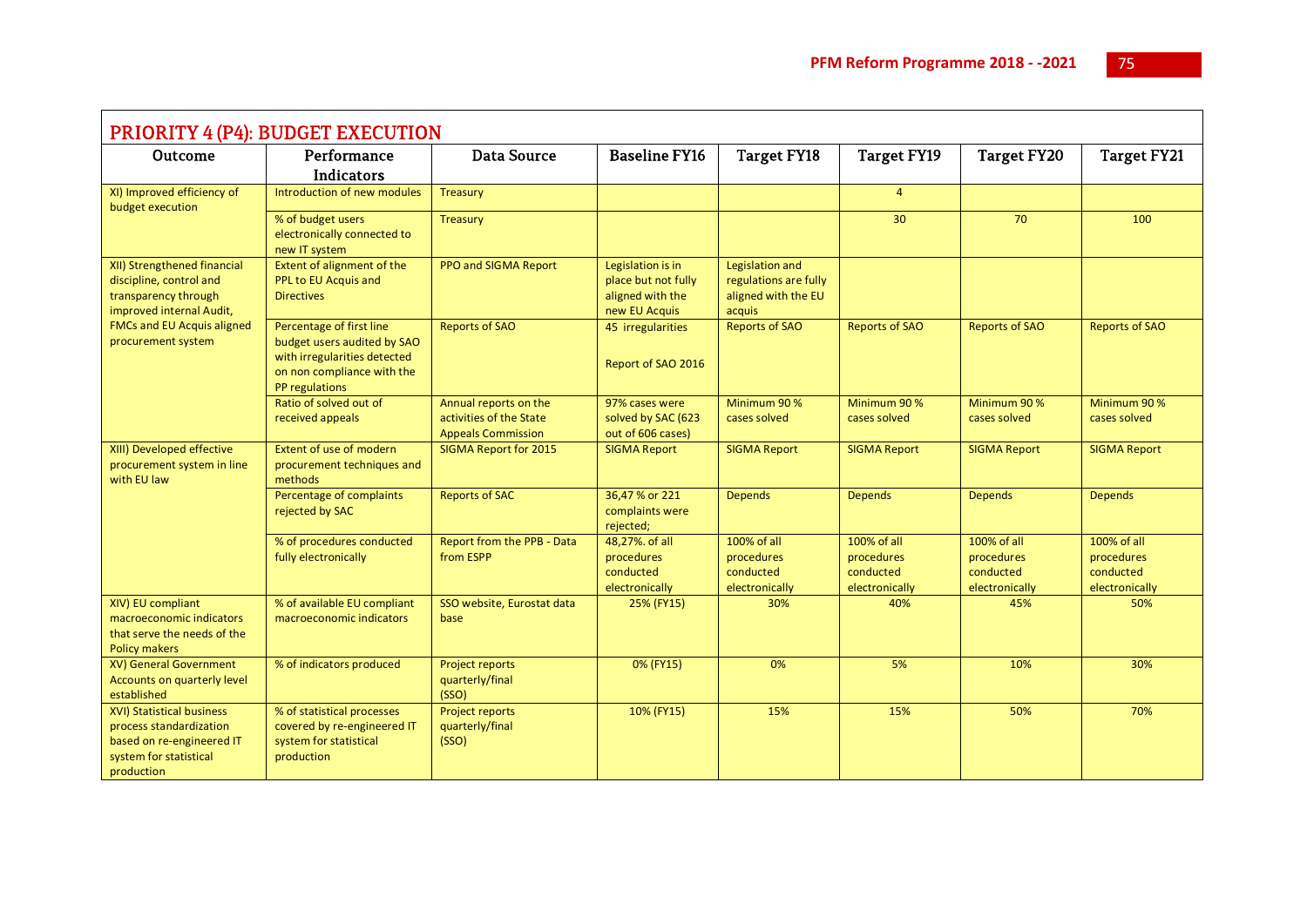| <b>PRIORITY 4 (P4): BUDGET EXECUTION</b>                                                                                                                       |                                                                                                                                         |                                                                               |                                                                               |                                                                           |                                                          |                                                          |                                                          |  |  |
|----------------------------------------------------------------------------------------------------------------------------------------------------------------|-----------------------------------------------------------------------------------------------------------------------------------------|-------------------------------------------------------------------------------|-------------------------------------------------------------------------------|---------------------------------------------------------------------------|----------------------------------------------------------|----------------------------------------------------------|----------------------------------------------------------|--|--|
| Outcome                                                                                                                                                        | Performance                                                                                                                             | <b>Data Source</b>                                                            | <b>Baseline FY16</b>                                                          | <b>Target FY18</b>                                                        | <b>Target FY19</b>                                       | <b>Target FY20</b>                                       | <b>Target FY21</b>                                       |  |  |
|                                                                                                                                                                | Indicators                                                                                                                              |                                                                               |                                                                               |                                                                           |                                                          |                                                          |                                                          |  |  |
| XI) Improved efficiency of<br>budget execution                                                                                                                 | Introduction of new modules                                                                                                             | Treasury                                                                      |                                                                               |                                                                           | $\overline{4}$                                           |                                                          |                                                          |  |  |
|                                                                                                                                                                | % of budget users<br>electronically connected to<br>new IT system                                                                       | Treasury                                                                      |                                                                               |                                                                           | 30                                                       | 70                                                       | 100                                                      |  |  |
| XII) Strengthened financial<br>discipline, control and<br>transparency through<br>improved internal Audit,<br>FMCs and EU Acquis aligned<br>procurement system | Extent of alignment of the<br>PPL to EU Acquis and<br><b>Directives</b>                                                                 | PPO and SIGMA Report                                                          | Legislation is in<br>place but not fully<br>aligned with the<br>new EU Acquis | Legislation and<br>regulations are fully<br>aligned with the EU<br>acquis |                                                          |                                                          |                                                          |  |  |
|                                                                                                                                                                | Percentage of first line<br>budget users audited by SAO<br>with irregularities detected<br>on non compliance with the<br>PP regulations | <b>Reports of SAO</b>                                                         | 45 irregularities<br>Report of SAO 2016                                       | <b>Reports of SAO</b>                                                     | <b>Reports of SAO</b>                                    | <b>Reports of SAO</b>                                    | <b>Reports of SAO</b>                                    |  |  |
|                                                                                                                                                                | Ratio of solved out of<br>received appeals                                                                                              | Annual reports on the<br>activities of the State<br><b>Appeals Commission</b> | 97% cases were<br>solved by SAC (623<br>out of 606 cases)                     | Minimum 90 %<br>cases solved                                              | Minimum 90 %<br>cases solved                             | Minimum 90 %<br>cases solved                             | Minimum 90 %<br>cases solved                             |  |  |
| XIII) Developed effective<br>procurement system in line<br>with EU law                                                                                         | Extent of use of modern<br>procurement techniques and<br>methods                                                                        | SIGMA Report for 2015                                                         | <b>SIGMA Report</b>                                                           | <b>SIGMA Report</b>                                                       | <b>SIGMA Report</b>                                      | <b>SIGMA Report</b>                                      | <b>SIGMA Report</b>                                      |  |  |
|                                                                                                                                                                | Percentage of complaints<br>rejected by SAC                                                                                             | <b>Reports of SAC</b>                                                         | 36,47 % or 221<br>complaints were<br>rejected;                                | <b>Depends</b>                                                            | <b>Depends</b>                                           | <b>Depends</b>                                           | <b>Depends</b>                                           |  |  |
|                                                                                                                                                                | % of procedures conducted<br>fully electronically                                                                                       | Report from the PPB - Data<br>from ESPP                                       | 48,27%. of all<br>procedures<br>conducted<br>electronically                   | 100% of all<br>procedures<br>conducted<br>electronically                  | 100% of all<br>procedures<br>conducted<br>electronically | 100% of all<br>procedures<br>conducted<br>electronically | 100% of all<br>procedures<br>conducted<br>electronically |  |  |
| XIV) EU compliant<br>macroeconomic indicators<br>that serve the needs of the<br><b>Policy makers</b>                                                           | % of available EU compliant<br>macroeconomic indicators                                                                                 | SSO website, Eurostat data<br>base                                            | 25% (FY15)                                                                    | 30%                                                                       | 40%                                                      | 45%                                                      | 50%                                                      |  |  |
| XV) General Government<br>Accounts on quarterly level<br>established                                                                                           | % of indicators produced                                                                                                                | <b>Project reports</b><br>quarterly/final<br>(SSO)                            | 0% (FY15)                                                                     | 0%                                                                        | 5%                                                       | 10%                                                      | 30%                                                      |  |  |
| XVI) Statistical business<br>process standardization<br>based on re-engineered IT<br>system for statistical<br>production                                      | % of statistical processes<br>covered by re-engineered IT<br>system for statistical<br>production                                       | Project reports<br>quarterly/final<br>(SSO)                                   | 10% (FY15)                                                                    | 15%                                                                       | 15%                                                      | 50%                                                      | 70%                                                      |  |  |

 $\mathsf{r}$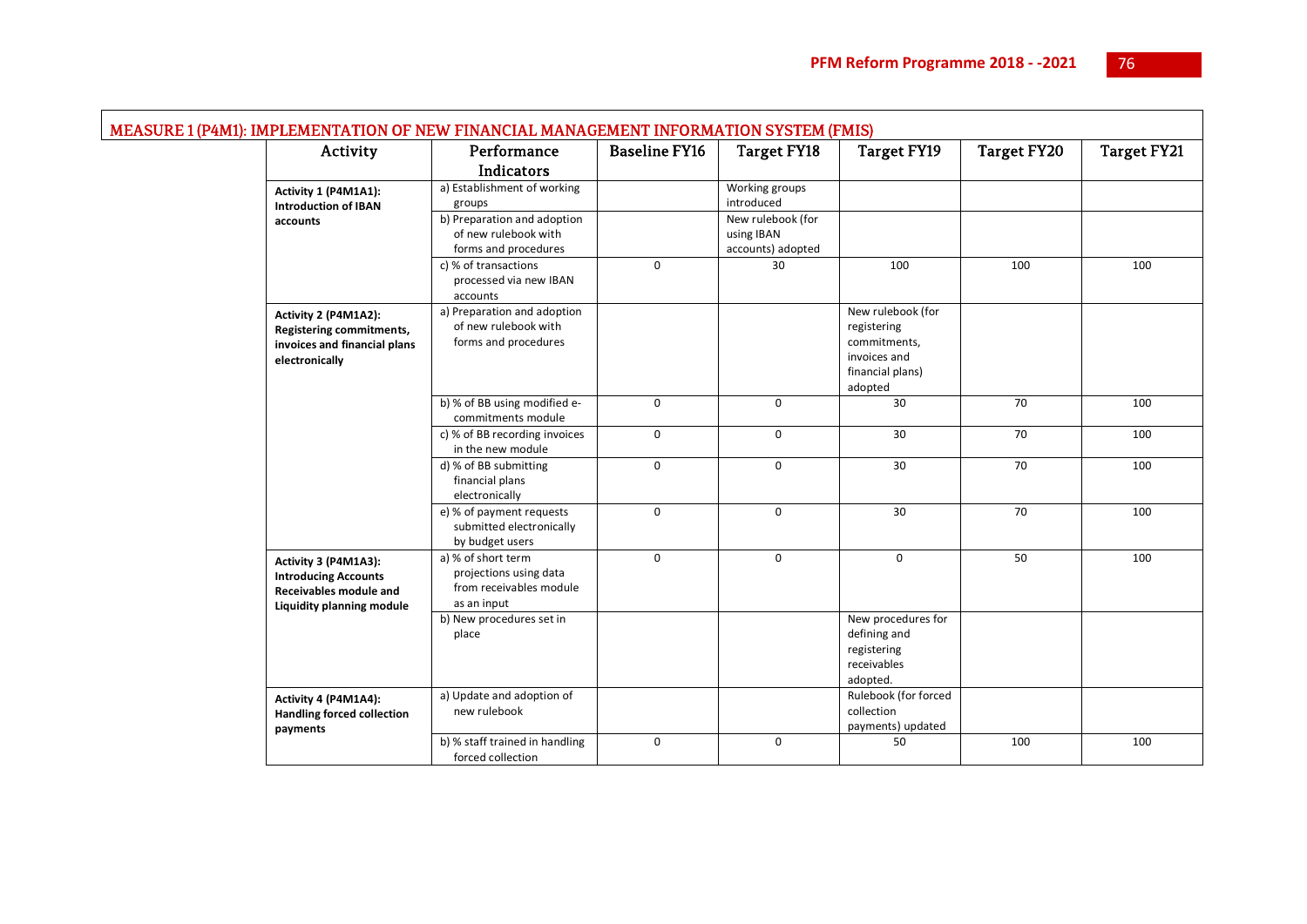| Activity                                                                                                          | Performance                                                                            | <b>Baseline FY16</b> | <b>Target FY18</b>                                   | <b>Target FY19</b>                                                                              | <b>Target FY20</b> | <b>Target FY21</b> |
|-------------------------------------------------------------------------------------------------------------------|----------------------------------------------------------------------------------------|----------------------|------------------------------------------------------|-------------------------------------------------------------------------------------------------|--------------------|--------------------|
|                                                                                                                   | Indicators                                                                             |                      |                                                      |                                                                                                 |                    |                    |
| Activity 1 (P4M1A1):<br><b>Introduction of IBAN</b>                                                               | a) Establishment of working<br>groups                                                  |                      | Working groups<br>introduced                         |                                                                                                 |                    |                    |
| accounts                                                                                                          | b) Preparation and adoption<br>of new rulebook with<br>forms and procedures            |                      | New rulebook (for<br>using IBAN<br>accounts) adopted |                                                                                                 |                    |                    |
|                                                                                                                   | c) % of transactions<br>processed via new IBAN<br>accounts                             | $\Omega$             | 30                                                   | 100                                                                                             | 100                | 100                |
| Activity 2 (P4M1A2):<br>Registering commitments,<br>invoices and financial plans<br>electronically                | a) Preparation and adoption<br>of new rulebook with<br>forms and procedures            |                      |                                                      | New rulebook (for<br>registering<br>commitments,<br>invoices and<br>financial plans)<br>adopted |                    |                    |
|                                                                                                                   | b) % of BB using modified e-<br>commitments module                                     | $\mathbf 0$          | $\Omega$                                             | 30                                                                                              | 70                 | 100                |
|                                                                                                                   | c) % of BB recording invoices<br>in the new module                                     | $\mathbf 0$          | $\mathbf 0$                                          | 30                                                                                              | 70                 | 100                |
|                                                                                                                   | d) % of BB submitting<br>financial plans<br>electronically                             | $\mathsf{O}$         | $\mathbf 0$                                          | 30                                                                                              | 70                 | 100                |
|                                                                                                                   | e) % of payment requests<br>submitted electronically<br>by budget users                | $\mathbf 0$          | $\mathbf 0$                                          | 30                                                                                              | 70                 | 100                |
| Activity 3 (P4M1A3):<br><b>Introducing Accounts</b><br>Receivables module and<br><b>Liquidity planning module</b> | a) % of short term<br>projections using data<br>from receivables module<br>as an input | $\mathbf 0$          | $\mathbf 0$                                          | $\mathbf 0$                                                                                     | 50                 | 100                |
|                                                                                                                   | b) New procedures set in<br>place                                                      |                      |                                                      | New procedures for<br>defining and<br>registering<br>receivables<br>adopted.                    |                    |                    |
| Activity 4 (P4M1A4):<br><b>Handling forced collection</b><br>payments                                             | a) Update and adoption of<br>new rulebook                                              |                      |                                                      | Rulebook (for forced<br>collection<br>payments) updated                                         |                    |                    |
|                                                                                                                   | b) % staff trained in handling<br>forced collection                                    | $\mathbf 0$          | $\mathbf 0$                                          | 50                                                                                              | 100                | 100                |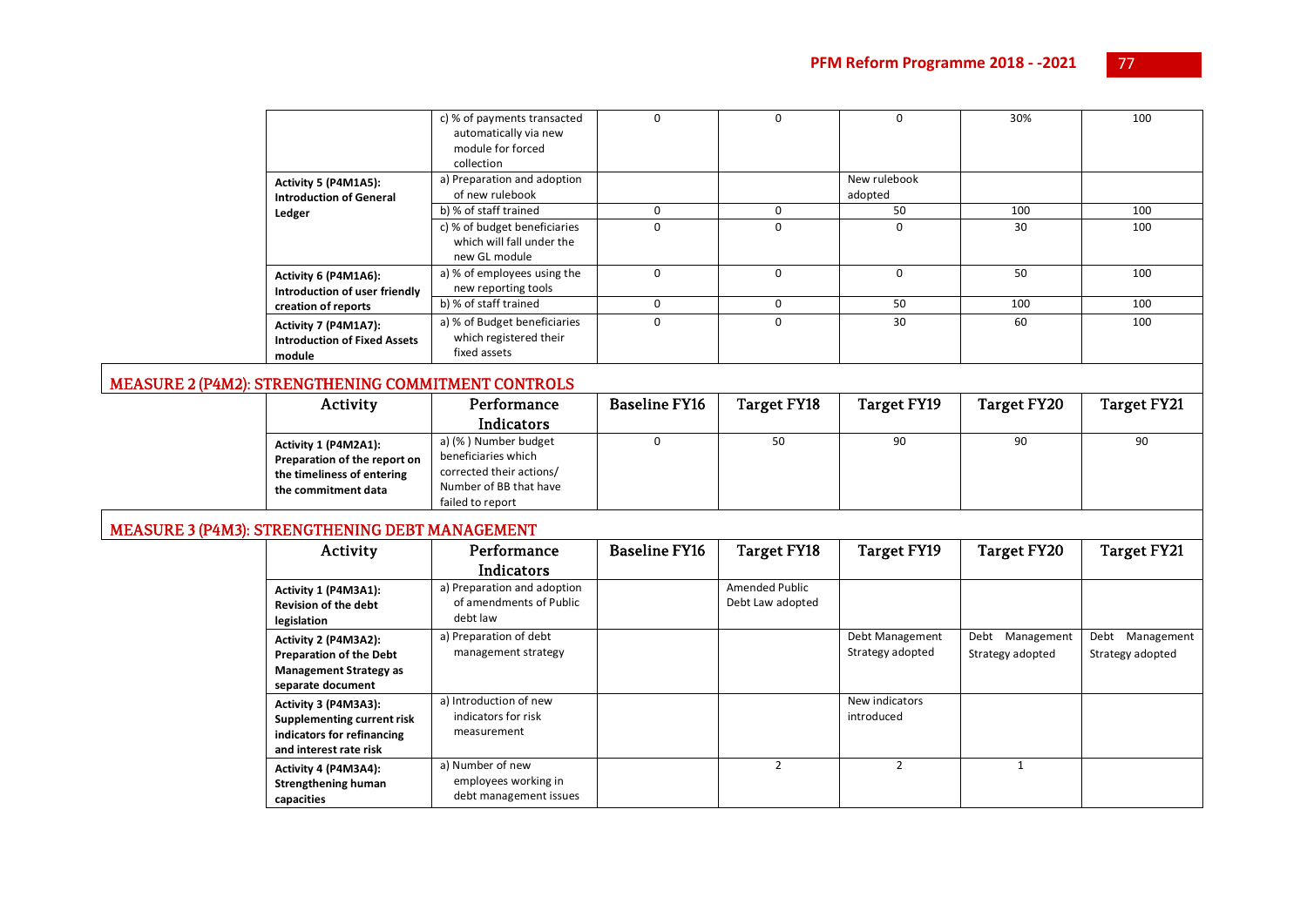|                                                                       | c) % of payments transacted<br>automatically via new<br>module for forced<br>collection | C          |   | 0                       | 30% | 100 |
|-----------------------------------------------------------------------|-----------------------------------------------------------------------------------------|------------|---|-------------------------|-----|-----|
| Activity 5 (P4M1A5):<br><b>Introduction of General</b>                | a) Preparation and adoption<br>of new rulebook                                          |            |   | New rulebook<br>adopted |     |     |
| Ledger                                                                | b) % of staff trained                                                                   |            |   | 50                      | 100 | 100 |
|                                                                       | c) % of budget beneficiaries<br>which will fall under the<br>new GL module              | $\Omega$   | C | 0                       | 30  | 100 |
| Activity 6 (P4M1A6):<br>Introduction of user friendly                 | a) % of employees using the<br>new reporting tools                                      |            |   | $\Omega$                | 50  | 100 |
| creation of reports                                                   | b) % of staff trained                                                                   | $\sqrt{ }$ |   | 50                      | 100 | 100 |
| Activity 7 (P4M1A7):<br><b>Introduction of Fixed Assets</b><br>module | a) % of Budget beneficiaries<br>which registered their<br>fixed assets                  | $\Omega$   |   | 30                      | 60  | 100 |

#### MEASURE 2 (P4M2): STRENGTHENING COMMITMENT CONTROLS

| Activity                                                                                                  | Performance                                                                                                           | Baseline FY16 | Target FY18 | Target FY19 | Target FY20 | Target FY21 |
|-----------------------------------------------------------------------------------------------------------|-----------------------------------------------------------------------------------------------------------------------|---------------|-------------|-------------|-------------|-------------|
|                                                                                                           | <b>Indicators</b>                                                                                                     |               |             |             |             |             |
| Activity 1 (P4M2A1):<br>Preparation of the report on<br>the timeliness of entering<br>the commitment data | a) (%) Number budget<br>beneficiaries which<br>corrected their actions/<br>Number of BB that have<br>failed to report |               | 50          | 90          | 90          | 90          |

# MEASURE 3 (P4M3): STRENGTHENING DEBT MANAGEMENT

| Activity                                                                                                     | Performance<br><b>Indicators</b>                                   | <b>Baseline FY16</b> | Target FY18                        | Target FY19                         | <b>Target FY20</b>                     | <b>Target FY21</b>                     |
|--------------------------------------------------------------------------------------------------------------|--------------------------------------------------------------------|----------------------|------------------------------------|-------------------------------------|----------------------------------------|----------------------------------------|
| Activity 1 (P4M3A1):<br><b>Revision of the debt</b><br>legislation                                           | a) Preparation and adoption<br>of amendments of Public<br>debt law |                      | Amended Public<br>Debt Law adopted |                                     |                                        |                                        |
| Activity 2 (P4M3A2):<br><b>Preparation of the Debt</b><br><b>Management Strategy as</b><br>separate document | a) Preparation of debt<br>management strategy                      |                      |                                    | Debt Management<br>Strategy adopted | Debt<br>Management<br>Strategy adopted | Management<br>Debt<br>Strategy adopted |
| Activity 3 (P4M3A3):<br>Supplementing current risk<br>indicators for refinancing<br>and interest rate risk   | a) Introduction of new<br>indicators for risk<br>measurement       |                      |                                    | New indicators<br>introduced        |                                        |                                        |
| Activity 4 (P4M3A4):<br><b>Strengthening human</b><br>capacities                                             | a) Number of new<br>employees working in<br>debt management issues |                      | $\mathcal{P}$                      | $\mathcal{P}$                       |                                        |                                        |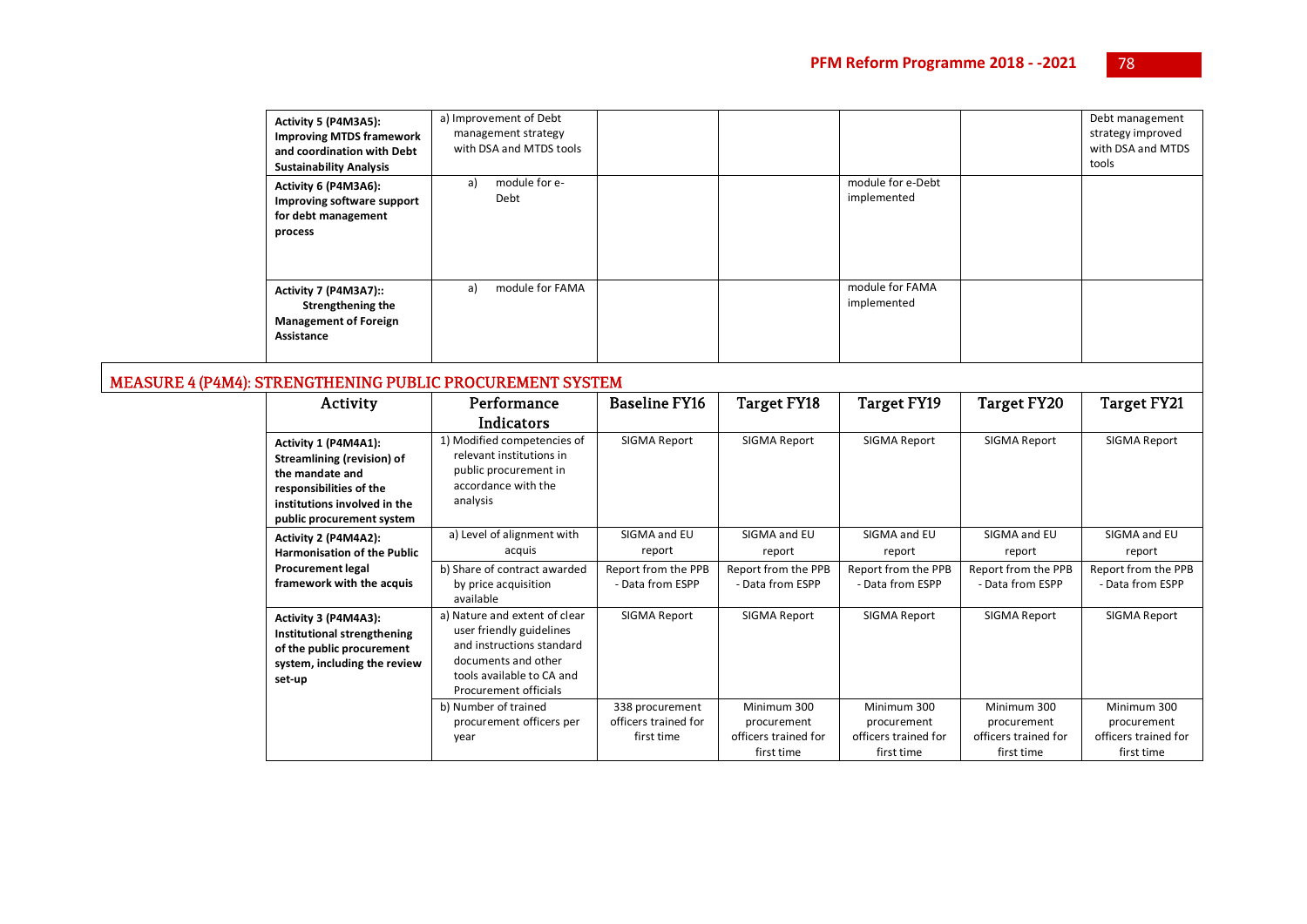| Activity 5 (P4M3A5):<br><b>Improving MTDS framework</b><br>and coordination with Debt<br><b>Sustainability Analysis</b> | a) Improvement of Debt<br>management strategy<br>with DSA and MTDS tools |  |                                  | Debt management<br>strategy improved<br>with DSA and MTDS<br>tools |
|-------------------------------------------------------------------------------------------------------------------------|--------------------------------------------------------------------------|--|----------------------------------|--------------------------------------------------------------------|
| Activity 6 (P4M3A6):<br>Improving software support<br>for debt management<br>process                                    | module for e-<br>a)<br>Debt                                              |  | module for e-Debt<br>implemented |                                                                    |
| Activity 7 (P4M3A7)::<br><b>Strengthening the</b><br><b>Management of Foreign</b><br>Assistance                         | module for FAMA<br>a)                                                    |  | module for FAMA<br>implemented   |                                                                    |

#### MEASURE 4 (P4M4): STRENGTHENING PUBLIC PROCUREMENT SYSTEM

| Activity                                                                                                                                                      | Performance                                                                                                         | <b>Baseline FY16</b> | Target FY18          | Target FY19          | Target FY20          | Target FY21          |
|---------------------------------------------------------------------------------------------------------------------------------------------------------------|---------------------------------------------------------------------------------------------------------------------|----------------------|----------------------|----------------------|----------------------|----------------------|
|                                                                                                                                                               | <b>Indicators</b>                                                                                                   |                      |                      |                      |                      |                      |
| Activity 1 (P4M4A1):<br>Streamlining (revision) of<br>the mandate and<br>responsibilities of the<br>institutions involved in the<br>public procurement system | 1) Modified competencies of<br>relevant institutions in<br>public procurement in<br>accordance with the<br>analysis | SIGMA Report         | SIGMA Report         | SIGMA Report         | SIGMA Report         | SIGMA Report         |
| Activity 2 (P4M4A2):                                                                                                                                          | a) Level of alignment with                                                                                          | SIGMA and EU         | SIGMA and EU         | SIGMA and EU         | SIGMA and EU         | SIGMA and EU         |
| <b>Harmonisation of the Public</b>                                                                                                                            | acquis                                                                                                              | report               | report               | report               | report               | report               |
| <b>Procurement legal</b>                                                                                                                                      | b) Share of contract awarded                                                                                        | Report from the PPB  | Report from the PPB  | Report from the PPB  | Report from the PPB  | Report from the PPB  |
| framework with the acquis                                                                                                                                     | by price acquisition                                                                                                | - Data from ESPP     | - Data from ESPP     | - Data from ESPP     | - Data from ESPP     | - Data from ESPP     |
|                                                                                                                                                               | available                                                                                                           |                      |                      |                      |                      |                      |
| Activity 3 (P4M4A3):                                                                                                                                          | a) Nature and extent of clear                                                                                       | SIGMA Report         | SIGMA Report         | SIGMA Report         | SIGMA Report         | SIGMA Report         |
| Institutional strengthening                                                                                                                                   | user friendly guidelines                                                                                            |                      |                      |                      |                      |                      |
| of the public procurement                                                                                                                                     | and instructions standard                                                                                           |                      |                      |                      |                      |                      |
| system, including the review                                                                                                                                  | documents and other                                                                                                 |                      |                      |                      |                      |                      |
| set-up                                                                                                                                                        | tools available to CA and                                                                                           |                      |                      |                      |                      |                      |
|                                                                                                                                                               | Procurement officials                                                                                               |                      |                      |                      |                      |                      |
|                                                                                                                                                               | b) Number of trained                                                                                                | 338 procurement      | Minimum 300          | Minimum 300          | Minimum 300          | Minimum 300          |
|                                                                                                                                                               | procurement officers per                                                                                            | officers trained for | procurement          | procurement          | procurement          | procurement          |
|                                                                                                                                                               | year                                                                                                                | first time           | officers trained for | officers trained for | officers trained for | officers trained for |
|                                                                                                                                                               |                                                                                                                     |                      | first time           | first time           | first time           | first time           |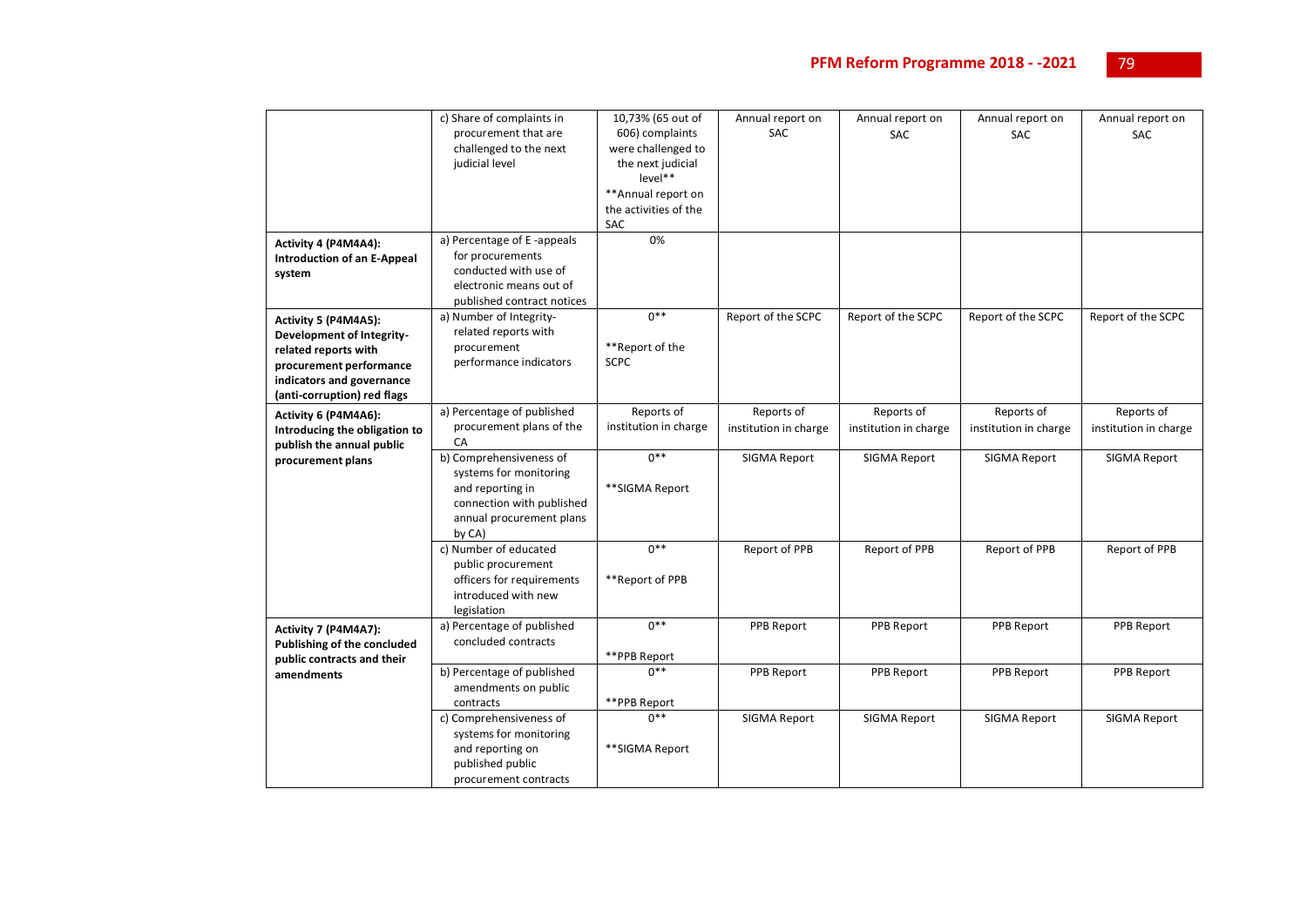|                                    | c) Share of complaints in  | 10,73% (65 out of     | Annual report on      | Annual report on      | Annual report on      | Annual report on      |
|------------------------------------|----------------------------|-----------------------|-----------------------|-----------------------|-----------------------|-----------------------|
|                                    | procurement that are       | 606) complaints       | <b>SAC</b>            | <b>SAC</b>            | <b>SAC</b>            | <b>SAC</b>            |
|                                    | challenged to the next     | were challenged to    |                       |                       |                       |                       |
|                                    | judicial level             | the next judicial     |                       |                       |                       |                       |
|                                    |                            | level**               |                       |                       |                       |                       |
|                                    |                            | ** Annual report on   |                       |                       |                       |                       |
|                                    |                            | the activities of the |                       |                       |                       |                       |
|                                    |                            | <b>SAC</b>            |                       |                       |                       |                       |
| Activity 4 (P4M4A4):               | a) Percentage of E-appeals | 0%                    |                       |                       |                       |                       |
| <b>Introduction of an E-Appeal</b> | for procurements           |                       |                       |                       |                       |                       |
| system                             | conducted with use of      |                       |                       |                       |                       |                       |
|                                    | electronic means out of    |                       |                       |                       |                       |                       |
|                                    | published contract notices |                       |                       |                       |                       |                       |
| Activity 5 (P4M4A5):               | a) Number of Integrity-    | $0***$                | Report of the SCPC    | Report of the SCPC    | Report of the SCPC    | Report of the SCPC    |
| Development of Integrity-          | related reports with       |                       |                       |                       |                       |                       |
| related reports with               | procurement                | **Report of the       |                       |                       |                       |                       |
| procurement performance            | performance indicators     | <b>SCPC</b>           |                       |                       |                       |                       |
| indicators and governance          |                            |                       |                       |                       |                       |                       |
| (anti-corruption) red flags        |                            |                       |                       |                       |                       |                       |
| Activity 6 (P4M4A6):               | a) Percentage of published | Reports of            | Reports of            | Reports of            | Reports of            | Reports of            |
| Introducing the obligation to      | procurement plans of the   | institution in charge | institution in charge | institution in charge | institution in charge | institution in charge |
| publish the annual public          | CA                         |                       |                       |                       |                       |                       |
| procurement plans                  | b) Comprehensiveness of    | $0***$                | SIGMA Report          | SIGMA Report          | SIGMA Report          | SIGMA Report          |
|                                    | systems for monitoring     |                       |                       |                       |                       |                       |
|                                    | and reporting in           | **SIGMA Report        |                       |                       |                       |                       |
|                                    | connection with published  |                       |                       |                       |                       |                       |
|                                    | annual procurement plans   |                       |                       |                       |                       |                       |
|                                    | by CA)                     |                       |                       |                       |                       |                       |
|                                    | c) Number of educated      | $0***$                | Report of PPB         | Report of PPB         | Report of PPB         | Report of PPB         |
|                                    | public procurement         |                       |                       |                       |                       |                       |
|                                    | officers for requirements  | **Report of PPB       |                       |                       |                       |                       |
|                                    | introduced with new        |                       |                       |                       |                       |                       |
|                                    | legislation                |                       |                       |                       |                       |                       |
| Activity 7 (P4M4A7):               | a) Percentage of published | $0***$                | PPB Report            | PPB Report            | PPB Report            | PPB Report            |
| <b>Publishing of the concluded</b> | concluded contracts        |                       |                       |                       |                       |                       |
| public contracts and their         |                            | **PPB Report          |                       |                       |                       |                       |
| amendments                         | b) Percentage of published | $0**$                 | PPB Report            | PPB Report            | <b>PPB Report</b>     | PPB Report            |
|                                    | amendments on public       |                       |                       |                       |                       |                       |
|                                    | contracts                  | **PPB Report          |                       |                       |                       |                       |
|                                    | c) Comprehensiveness of    | $n**$                 | SIGMA Report          | SIGMA Report          | SIGMA Report          | SIGMA Report          |
|                                    | systems for monitoring     |                       |                       |                       |                       |                       |
|                                    | and reporting on           | **SIGMA Report        |                       |                       |                       |                       |
|                                    | published public           |                       |                       |                       |                       |                       |
|                                    |                            |                       |                       |                       |                       |                       |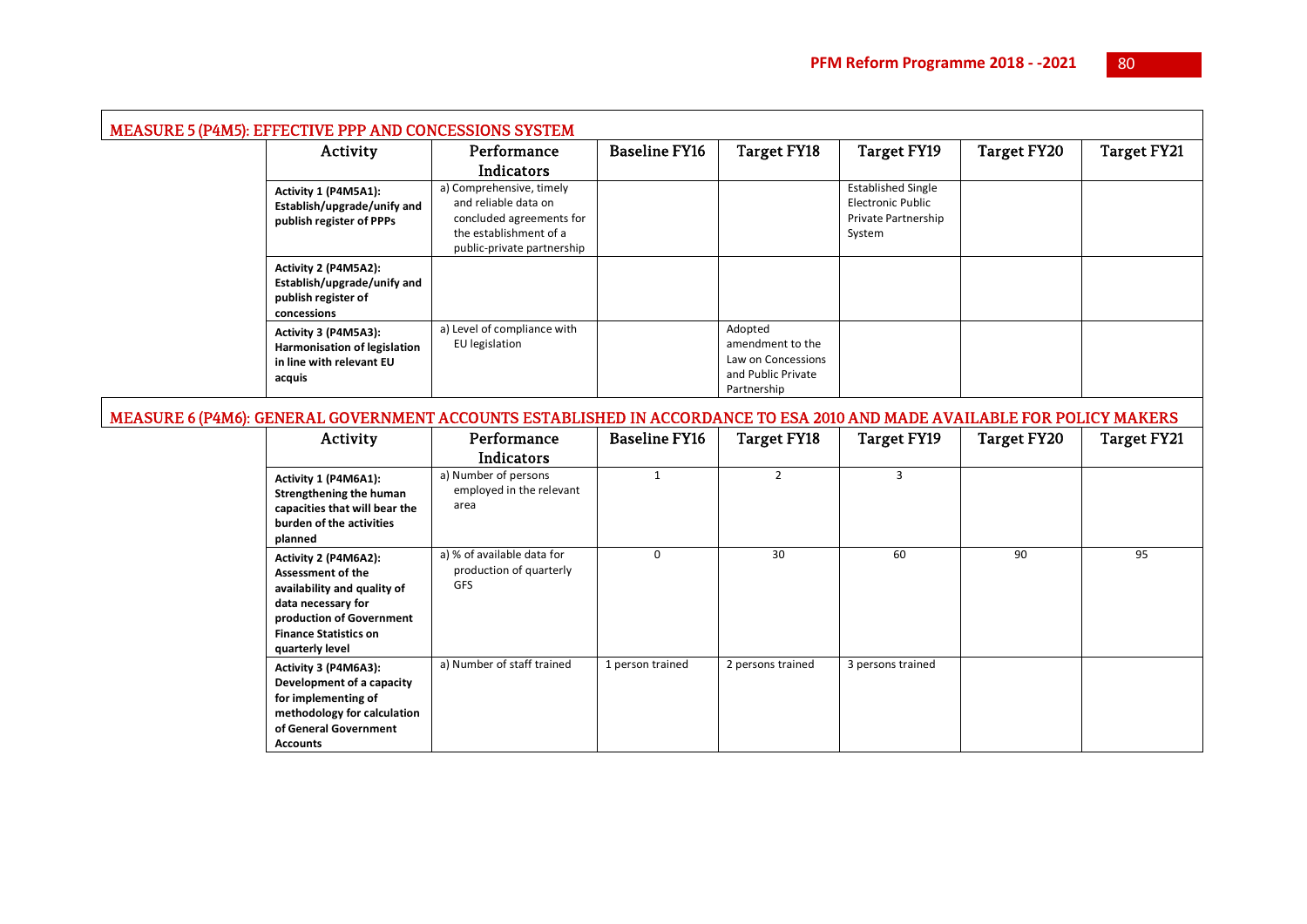|  | <b>MEASURE 5 (P4M5): EFFECTIVE PPP AND CONCESSIONS SYSTEM</b>                                     |                                                                                                                                      |                      |                                                                                        |                                                                                        |             |                    |
|--|---------------------------------------------------------------------------------------------------|--------------------------------------------------------------------------------------------------------------------------------------|----------------------|----------------------------------------------------------------------------------------|----------------------------------------------------------------------------------------|-------------|--------------------|
|  | Activity                                                                                          | Performance                                                                                                                          | <b>Baseline FY16</b> | <b>Target FY18</b>                                                                     | Target FY19                                                                            | Target FY20 | <b>Target FY21</b> |
|  |                                                                                                   | Indicators                                                                                                                           |                      |                                                                                        |                                                                                        |             |                    |
|  | Activity 1 (P4M5A1):<br>Establish/upgrade/unify and<br>publish register of PPPs                   | a) Comprehensive, timely<br>and reliable data on<br>concluded agreements for<br>the establishment of a<br>public-private partnership |                      |                                                                                        | <b>Established Single</b><br><b>Electronic Public</b><br>Private Partnership<br>System |             |                    |
|  | Activity 2 (P4M5A2):<br>Establish/upgrade/unify and<br>publish register of<br>concessions         |                                                                                                                                      |                      |                                                                                        |                                                                                        |             |                    |
|  | Activity 3 (P4M5A3):<br><b>Harmonisation of legislation</b><br>in line with relevant EU<br>acquis | a) Level of compliance with<br>EU legislation                                                                                        |                      | Adopted<br>amendment to the<br>Law on Concessions<br>and Public Private<br>Partnership |                                                                                        |             |                    |

# MEASURE 6 (P4M6): GENERAL GOVERNMENT ACCOUNTS ESTABLISHED IN ACCORDANCE TO ESA 2010 AND MADE AVAILABLE FOR POLICY MAKERS

| Activity                                                                                                                                                                             | Performance                                                         | <b>Baseline FY16</b> | Target FY18       | Target FY19       | <b>Target FY20</b> | Target FY21 |
|--------------------------------------------------------------------------------------------------------------------------------------------------------------------------------------|---------------------------------------------------------------------|----------------------|-------------------|-------------------|--------------------|-------------|
|                                                                                                                                                                                      | Indicators                                                          |                      |                   |                   |                    |             |
| Activity 1 (P4M6A1):<br><b>Strengthening the human</b><br>capacities that will bear the<br>burden of the activities<br>planned                                                       | a) Number of persons<br>employed in the relevant<br>area            |                      | $\overline{2}$    | 3                 |                    |             |
| Activity 2 (P4M6A2):<br><b>Assessment of the</b><br>availability and quality of<br>data necessary for<br>production of Government<br><b>Finance Statistics on</b><br>quarterly level | a) % of available data for<br>production of quarterly<br><b>GFS</b> | $\Omega$             | 30                | 60                | 90                 | 95          |
| Activity 3 (P4M6A3):<br>Development of a capacity<br>for implementing of<br>methodology for calculation<br>of General Government<br><b>Accounts</b>                                  | a) Number of staff trained                                          | 1 person trained     | 2 persons trained | 3 persons trained |                    |             |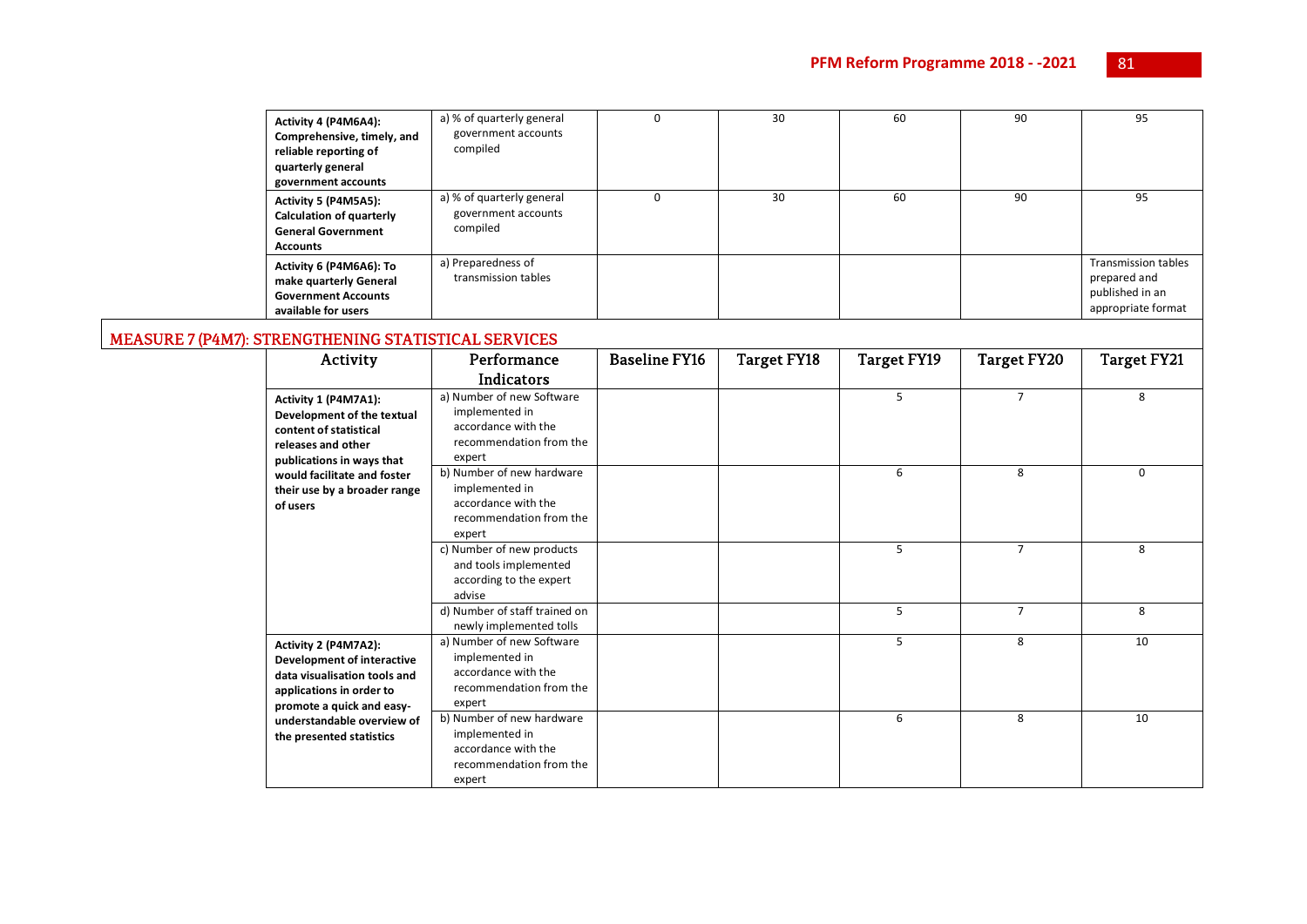| Activity 4 (P4M6A4):<br>Comprehensive, timely, and<br>reliable reporting of<br>quarterly general<br>government accounts | a) % of quarterly general<br>government accounts<br>compiled | 30 | 60 | 90 | 95                                                                                  |
|-------------------------------------------------------------------------------------------------------------------------|--------------------------------------------------------------|----|----|----|-------------------------------------------------------------------------------------|
| Activity 5 (P4M5A5):<br><b>Calculation of quarterly</b><br><b>General Government</b><br><b>Accounts</b>                 | a) % of quarterly general<br>government accounts<br>compiled | 30 | 60 | 90 | 95                                                                                  |
| Activity 6 (P4M6A6): To<br>make quarterly General<br><b>Government Accounts</b><br>available for users                  | a) Preparedness of<br>transmission tables                    |    |    |    | <b>Transmission tables</b><br>prepared and<br>published in an<br>appropriate format |

# MEASURE 7 (P4M7): STRENGTHENING STATISTICAL SERVICES

| Activity                                                                                                                                                                                                   | Performance                                                                                             | <b>Baseline FY16</b> | Target FY18 | Target FY19 | Target FY20    | <b>Target FY21</b> |
|------------------------------------------------------------------------------------------------------------------------------------------------------------------------------------------------------------|---------------------------------------------------------------------------------------------------------|----------------------|-------------|-------------|----------------|--------------------|
|                                                                                                                                                                                                            | Indicators                                                                                              |                      |             |             |                |                    |
| Activity 1 (P4M7A1):<br>Development of the textual<br>content of statistical<br>releases and other<br>publications in ways that<br>would facilitate and foster<br>their use by a broader range<br>of users | a) Number of new Software<br>implemented in<br>accordance with the<br>recommendation from the<br>expert |                      |             | 5           | $\overline{7}$ | 8                  |
|                                                                                                                                                                                                            | b) Number of new hardware<br>implemented in<br>accordance with the<br>recommendation from the<br>expert |                      |             | 6           | 8              | 0                  |
|                                                                                                                                                                                                            | c) Number of new products<br>and tools implemented<br>according to the expert<br>advise                 |                      |             | 5           | $\overline{7}$ | 8                  |
|                                                                                                                                                                                                            | d) Number of staff trained on<br>newly implemented tolls                                                |                      |             | 5           | $\overline{7}$ | 8                  |
| Activity 2 (P4M7A2):<br><b>Development of interactive</b><br>data visualisation tools and<br>applications in order to<br>promote a quick and easy-                                                         | a) Number of new Software<br>implemented in<br>accordance with the<br>recommendation from the<br>expert |                      |             | 5           | 8              | 10                 |
| understandable overview of<br>the presented statistics                                                                                                                                                     | b) Number of new hardware<br>implemented in<br>accordance with the<br>recommendation from the<br>expert |                      |             | 6           | 8              | 10                 |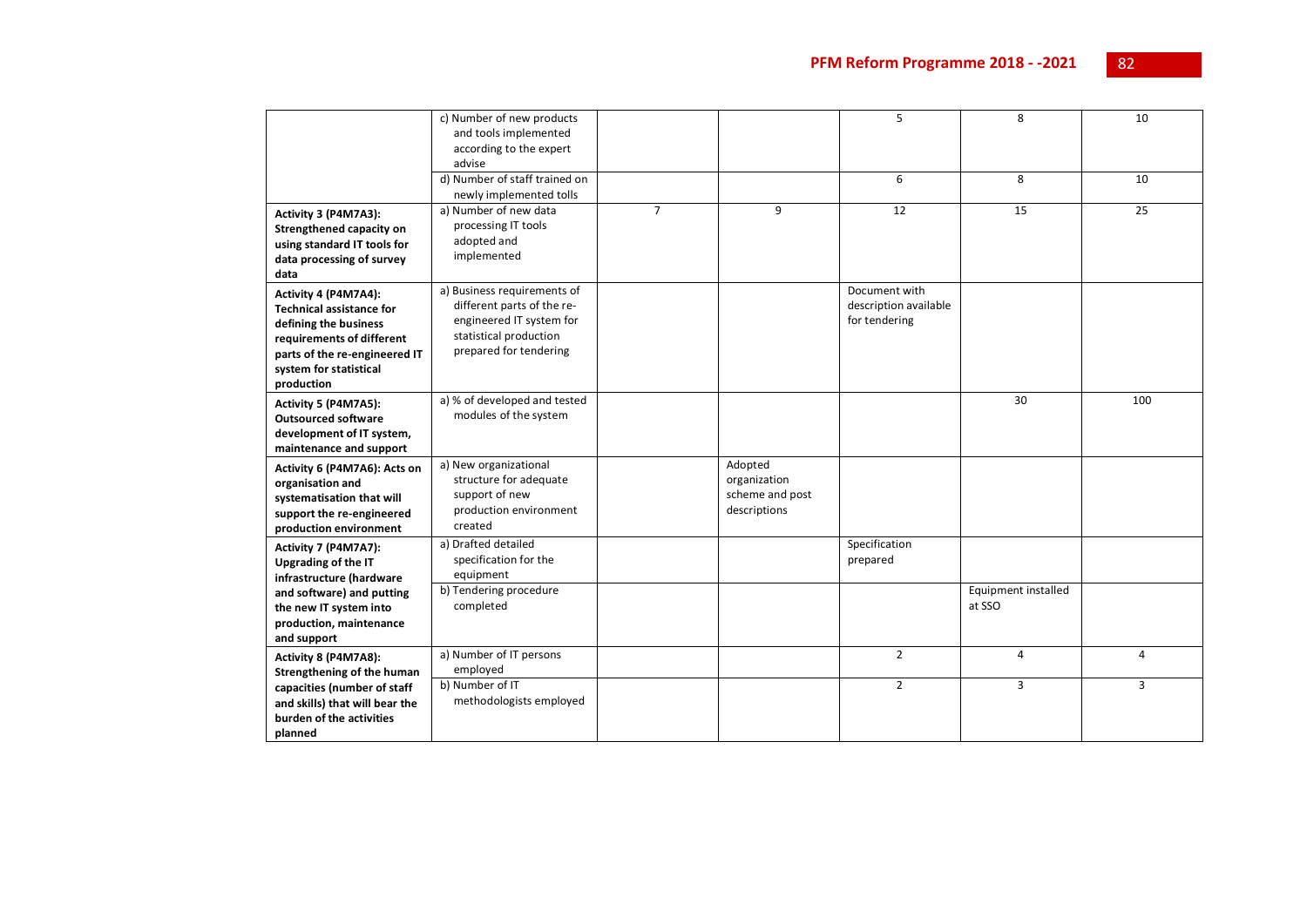|                                 | c) Number of new products     |                |                 | 5                     | 8                   | 10  |
|---------------------------------|-------------------------------|----------------|-----------------|-----------------------|---------------------|-----|
|                                 | and tools implemented         |                |                 |                       |                     |     |
|                                 | according to the expert       |                |                 |                       |                     |     |
|                                 | advise                        |                |                 |                       |                     |     |
|                                 | d) Number of staff trained on |                |                 | 6                     | 8                   | 10  |
|                                 | newly implemented tolls       |                |                 |                       |                     |     |
| Activity 3 (P4M7A3):            | a) Number of new data         | $\overline{7}$ | 9               | 12                    | 15                  | 25  |
| Strengthened capacity on        | processing IT tools           |                |                 |                       |                     |     |
| using standard IT tools for     | adopted and                   |                |                 |                       |                     |     |
| data processing of survey       | implemented                   |                |                 |                       |                     |     |
| data                            |                               |                |                 |                       |                     |     |
| Activity 4 (P4M7A4):            | a) Business requirements of   |                |                 | Document with         |                     |     |
| <b>Technical assistance for</b> | different parts of the re-    |                |                 | description available |                     |     |
| defining the business           | engineered IT system for      |                |                 | for tendering         |                     |     |
| requirements of different       | statistical production        |                |                 |                       |                     |     |
| parts of the re-engineered IT   | prepared for tendering        |                |                 |                       |                     |     |
| system for statistical          |                               |                |                 |                       |                     |     |
| production                      |                               |                |                 |                       |                     |     |
| Activity 5 (P4M7A5):            | a) % of developed and tested  |                |                 |                       | 30                  | 100 |
| <b>Outsourced software</b>      | modules of the system         |                |                 |                       |                     |     |
| development of IT system,       |                               |                |                 |                       |                     |     |
| maintenance and support         |                               |                |                 |                       |                     |     |
| Activity 6 (P4M7A6): Acts on    | a) New organizational         |                | Adopted         |                       |                     |     |
| organisation and                | structure for adequate        |                | organization    |                       |                     |     |
| systematisation that will       | support of new                |                | scheme and post |                       |                     |     |
| support the re-engineered       | production environment        |                | descriptions    |                       |                     |     |
| production environment          | created                       |                |                 |                       |                     |     |
| Activity 7 (P4M7A7):            | a) Drafted detailed           |                |                 | Specification         |                     |     |
| Upgrading of the IT             | specification for the         |                |                 | prepared              |                     |     |
| infrastructure (hardware        | equipment                     |                |                 |                       |                     |     |
| and software) and putting       | b) Tendering procedure        |                |                 |                       | Equipment installed |     |
| the new IT system into          | completed                     |                |                 |                       | at SSO              |     |
| production, maintenance         |                               |                |                 |                       |                     |     |
| and support                     |                               |                |                 |                       |                     |     |
| Activity 8 (P4M7A8):            | a) Number of IT persons       |                |                 | $\overline{2}$        | 4                   | 4   |
| Strengthening of the human      | employed                      |                |                 |                       |                     |     |
| capacities (number of staff     | b) Number of IT               |                |                 | $\overline{2}$        | 3                   | 3   |
| and skills) that will bear the  | methodologists employed       |                |                 |                       |                     |     |
| burden of the activities        |                               |                |                 |                       |                     |     |
| planned                         |                               |                |                 |                       |                     |     |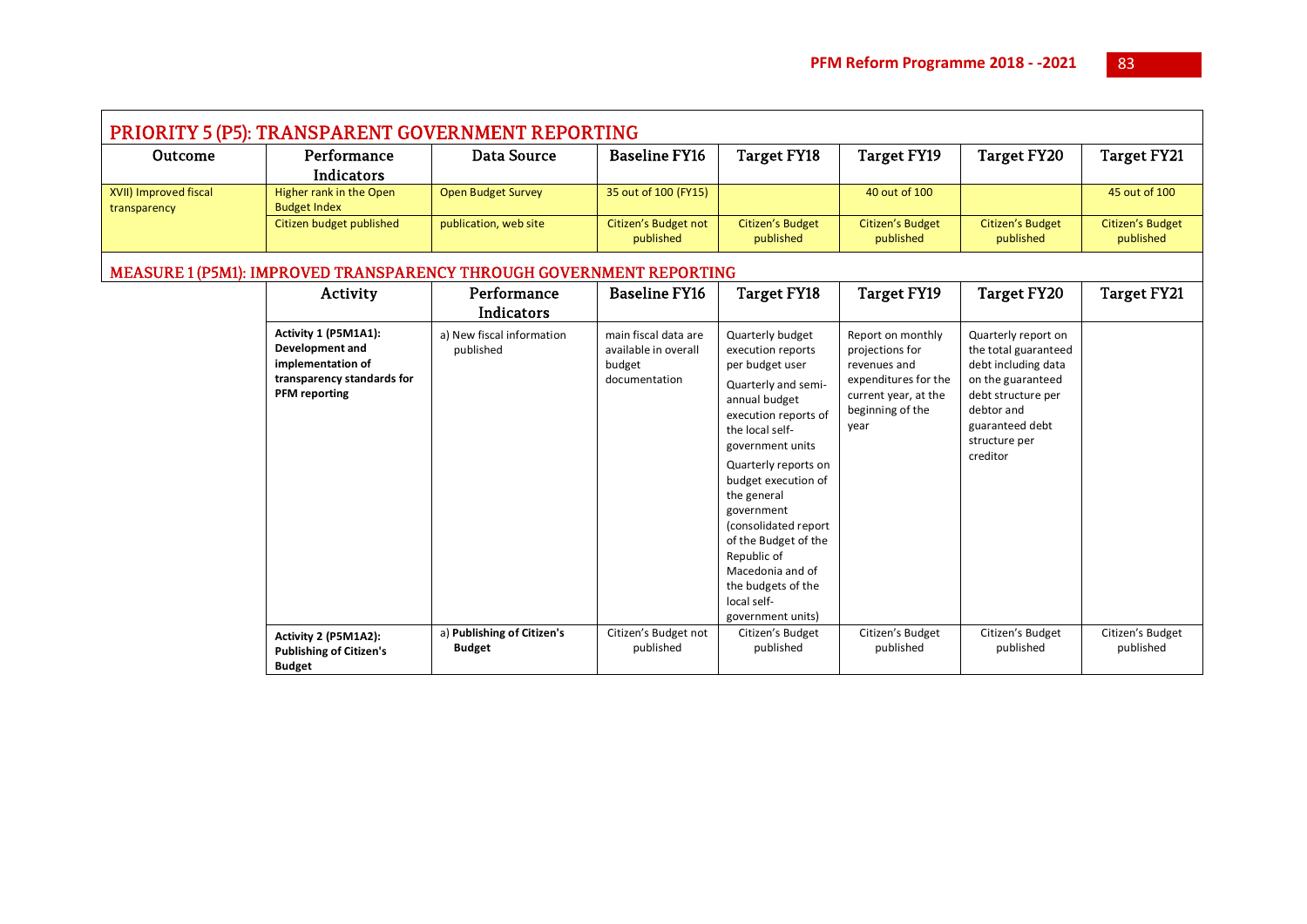| PRIORITY 5 (P5): TRANSPARENT GOVERNMENT REPORTING |                                                                                                                    |                                                                      |                                                                         |                                                                                                                                                                                                                                                                                                                                                                                          |                                                                                                                                  |                                                                                                                                                                             |                               |  |  |
|---------------------------------------------------|--------------------------------------------------------------------------------------------------------------------|----------------------------------------------------------------------|-------------------------------------------------------------------------|------------------------------------------------------------------------------------------------------------------------------------------------------------------------------------------------------------------------------------------------------------------------------------------------------------------------------------------------------------------------------------------|----------------------------------------------------------------------------------------------------------------------------------|-----------------------------------------------------------------------------------------------------------------------------------------------------------------------------|-------------------------------|--|--|
| Outcome                                           | Performance<br><b>Indicators</b>                                                                                   | <b>Data Source</b>                                                   | <b>Baseline FY16</b>                                                    | <b>Target FY18</b>                                                                                                                                                                                                                                                                                                                                                                       | Target FY19                                                                                                                      | Target FY20                                                                                                                                                                 | <b>Target FY21</b>            |  |  |
| XVII) Improved fiscal<br>transparency             | Higher rank in the Open<br><b>Budget Index</b>                                                                     | <b>Open Budget Survey</b>                                            | 35 out of 100 (FY15)                                                    |                                                                                                                                                                                                                                                                                                                                                                                          | 40 out of 100                                                                                                                    |                                                                                                                                                                             | 45 out of 100                 |  |  |
|                                                   | Citizen budget published                                                                                           | publication, web site                                                | Citizen's Budget not<br>published                                       | Citizen's Budget<br>published                                                                                                                                                                                                                                                                                                                                                            | Citizen's Budget<br>published                                                                                                    | <b>Citizen's Budget</b><br>published                                                                                                                                        | Citizen's Budget<br>published |  |  |
|                                                   |                                                                                                                    | MEASURE 1 (P5M1): IMPROVED TRANSPARENCY THROUGH GOVERNMENT REPORTING |                                                                         |                                                                                                                                                                                                                                                                                                                                                                                          |                                                                                                                                  |                                                                                                                                                                             |                               |  |  |
|                                                   | Activity                                                                                                           | Performance<br>Indicators                                            | <b>Baseline FY16</b>                                                    | <b>Target FY18</b>                                                                                                                                                                                                                                                                                                                                                                       | Target FY19                                                                                                                      | <b>Target FY20</b>                                                                                                                                                          | <b>Target FY21</b>            |  |  |
|                                                   | Activity 1 (P5M1A1):<br>Development and<br>implementation of<br>transparency standards for<br><b>PFM</b> reporting | a) New fiscal information<br>published                               | main fiscal data are<br>available in overall<br>budget<br>documentation | Quarterly budget<br>execution reports<br>per budget user<br>Quarterly and semi-<br>annual budget<br>execution reports of<br>the local self-<br>government units<br>Quarterly reports on<br>budget execution of<br>the general<br>government<br>(consolidated report<br>of the Budget of the<br>Republic of<br>Macedonia and of<br>the budgets of the<br>local self-<br>government units) | Report on monthly<br>projections for<br>revenues and<br>expenditures for the<br>current year, at the<br>beginning of the<br>year | Quarterly report on<br>the total guaranteed<br>debt including data<br>on the guaranteed<br>debt structure per<br>debtor and<br>guaranteed debt<br>structure per<br>creditor |                               |  |  |
|                                                   | Activity 2 (P5M1A2):<br><b>Publishing of Citizen's</b><br><b>Budget</b>                                            | a) Publishing of Citizen's<br><b>Budget</b>                          | Citizen's Budget not<br>published                                       | Citizen's Budget<br>published                                                                                                                                                                                                                                                                                                                                                            | Citizen's Budget<br>published                                                                                                    | Citizen's Budget<br>published                                                                                                                                               | Citizen's Budget<br>published |  |  |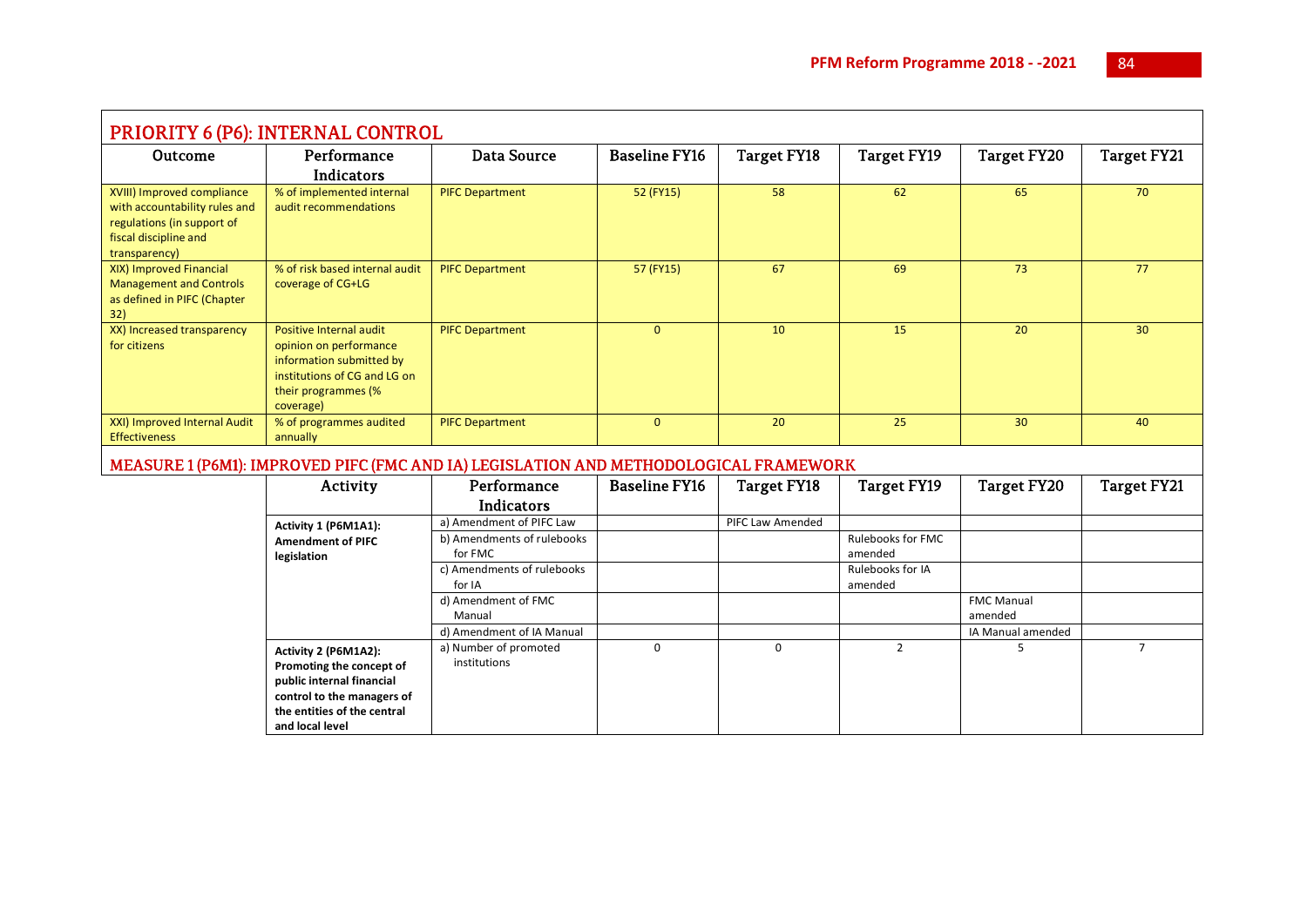| PRIORITY 6 (P6): INTERNAL CONTROL                                                                                                   |                                                                                                                                                               |                                                                                                                                                                         |                      |                    |                                                             |                                                   |                    |  |  |
|-------------------------------------------------------------------------------------------------------------------------------------|---------------------------------------------------------------------------------------------------------------------------------------------------------------|-------------------------------------------------------------------------------------------------------------------------------------------------------------------------|----------------------|--------------------|-------------------------------------------------------------|---------------------------------------------------|--------------------|--|--|
| Outcome                                                                                                                             | Performance<br>Indicators                                                                                                                                     | <b>Data Source</b>                                                                                                                                                      | <b>Baseline FY16</b> | <b>Target FY18</b> | <b>Target FY19</b>                                          | <b>Target FY20</b>                                | <b>Target FY21</b> |  |  |
| XVIII) Improved compliance<br>with accountability rules and<br>regulations (in support of<br>fiscal discipline and<br>transparency) | % of implemented internal<br>audit recommendations                                                                                                            | <b>PIFC Department</b>                                                                                                                                                  | 52 (FY15)            | 58                 | 62                                                          | 65                                                | 70                 |  |  |
| XIX) Improved Financial<br><b>Management and Controls</b><br>as defined in PIFC (Chapter<br>32)                                     | % of risk based internal audit<br>coverage of CG+LG                                                                                                           | <b>PIFC Department</b>                                                                                                                                                  | 57 (FY15)            | 67                 | 69                                                          | 73                                                | 77                 |  |  |
| XX) Increased transparency<br>for citizens                                                                                          | Positive Internal audit<br>opinion on performance<br>information submitted by<br>institutions of CG and LG on<br>their programmes (%<br>coverage)             | <b>PIFC Department</b>                                                                                                                                                  | $\mathbf{0}$         | 10                 | 15                                                          | 20                                                | 30                 |  |  |
| XXI) Improved Internal Audit<br><b>Effectiveness</b>                                                                                | % of programmes audited<br>annually                                                                                                                           | <b>PIFC Department</b>                                                                                                                                                  | $\mathbf{0}$         | 20                 | 25                                                          | 30 <sup>°</sup>                                   | 40                 |  |  |
|                                                                                                                                     |                                                                                                                                                               | MEASURE 1 (P6M1): IMPROVED PIFC (FMC AND IA) LEGISLATION AND METHODOLOGICAL FRAMEWORK                                                                                   |                      |                    |                                                             |                                                   |                    |  |  |
|                                                                                                                                     | Activity                                                                                                                                                      | Performance<br>Indicators                                                                                                                                               | <b>Baseline FY16</b> | <b>Target FY18</b> | <b>Target FY19</b>                                          | <b>Target FY20</b>                                | <b>Target FY21</b> |  |  |
|                                                                                                                                     | Activity 1 (P6M1A1):<br><b>Amendment of PIFC</b><br>legislation                                                                                               | a) Amendment of PIFC Law<br>b) Amendments of rulebooks<br>for FMC<br>c) Amendments of rulebooks<br>for IA<br>d) Amendment of FMC<br>Manual<br>d) Amendment of IA Manual |                      | PIFC Law Amended   | Rulebooks for FMC<br>amended<br>Rulebooks for IA<br>amended | <b>FMC Manual</b><br>amended<br>IA Manual amended |                    |  |  |
|                                                                                                                                     | Activity 2 (P6M1A2):<br>Promoting the concept of<br>public internal financial<br>control to the managers of<br>the entities of the central<br>and local level | a) Number of promoted<br>institutions                                                                                                                                   | $\Omega$             | $\Omega$           | $\overline{2}$                                              | 5                                                 | $\overline{7}$     |  |  |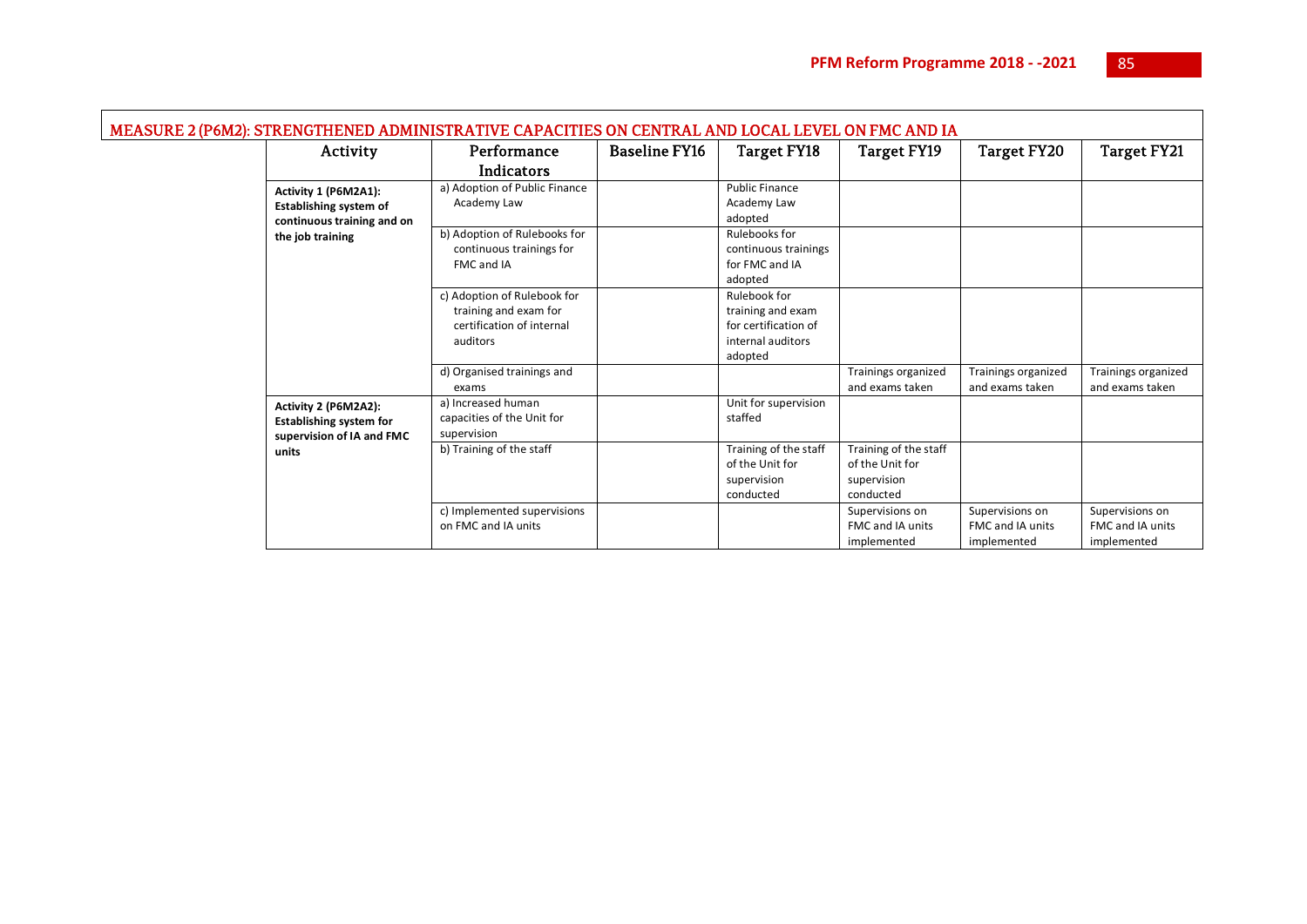| MEASURE 2 (P6M2): STRENGTHENED ADMINISTRATIVE CAPACITIES ON CENTRAL AND LOCAL LEVEL ON FMC AND IA |          |                                                                                               |                      |                                                                                           |                                                                      |                                                    |                                                    |
|---------------------------------------------------------------------------------------------------|----------|-----------------------------------------------------------------------------------------------|----------------------|-------------------------------------------------------------------------------------------|----------------------------------------------------------------------|----------------------------------------------------|----------------------------------------------------|
|                                                                                                   | Activity | Performance                                                                                   | <b>Baseline FY16</b> | <b>Target FY18</b>                                                                        | <b>Target FY19</b>                                                   | <b>Target FY20</b>                                 | <b>Target FY21</b>                                 |
|                                                                                                   |          | <b>Indicators</b>                                                                             |                      |                                                                                           |                                                                      |                                                    |                                                    |
| Activity 1 (P6M2A1):<br><b>Establishing system of</b><br>continuous training and on               |          | a) Adoption of Public Finance<br>Academy Law                                                  |                      | <b>Public Finance</b><br>Academy Law<br>adopted                                           |                                                                      |                                                    |                                                    |
| the job training                                                                                  |          | b) Adoption of Rulebooks for<br>continuous trainings for<br>FMC and IA                        |                      | Rulebooks for<br>continuous trainings<br>for FMC and IA<br>adopted                        |                                                                      |                                                    |                                                    |
|                                                                                                   |          | c) Adoption of Rulebook for<br>training and exam for<br>certification of internal<br>auditors |                      | Rulebook for<br>training and exam<br>for certification of<br>internal auditors<br>adopted |                                                                      |                                                    |                                                    |
|                                                                                                   |          | d) Organised trainings and<br>exams                                                           |                      |                                                                                           | Trainings organized<br>and exams taken                               | <b>Trainings organized</b><br>and exams taken      | Trainings organized<br>and exams taken             |
| Activity 2 (P6M2A2):<br><b>Establishing system for</b><br>supervision of IA and FMC               |          | a) Increased human<br>capacities of the Unit for<br>supervision                               |                      | Unit for supervision<br>staffed                                                           |                                                                      |                                                    |                                                    |
| units                                                                                             |          | b) Training of the staff                                                                      |                      | Training of the staff<br>of the Unit for<br>supervision<br>conducted                      | Training of the staff<br>of the Unit for<br>supervision<br>conducted |                                                    |                                                    |
|                                                                                                   |          | c) Implemented supervisions<br>on FMC and IA units                                            |                      |                                                                                           | Supervisions on<br><b>FMC and IA units</b><br>implemented            | Supervisions on<br>FMC and IA units<br>implemented | Supervisions on<br>FMC and IA units<br>implemented |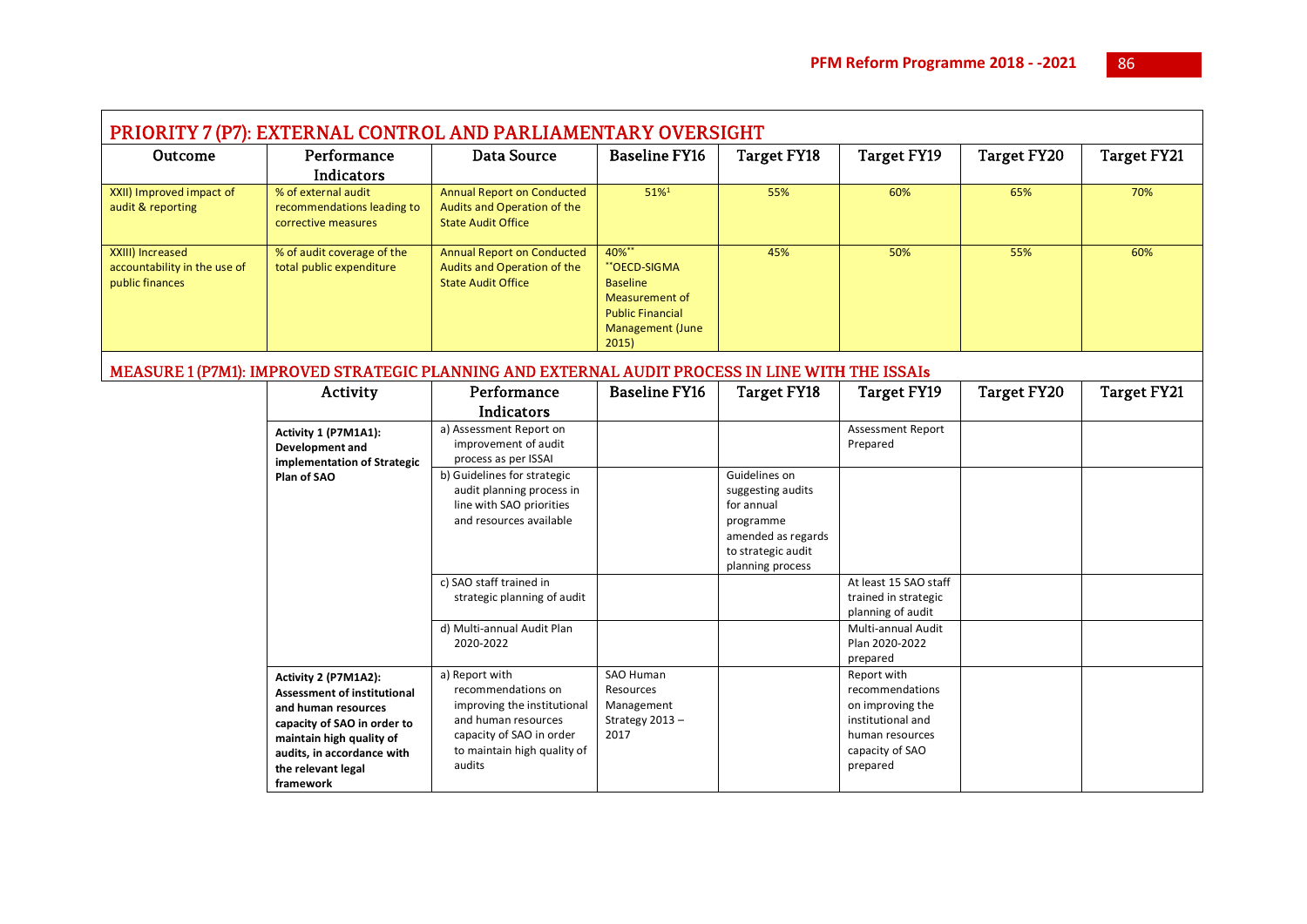۰

| PRIORITY 7 (P7): EXTERNAL CONTROL AND PARLIAMENTARY OVERSIGHT       |                                                                                                                                                                                                               |                                                                                                                                                                 |                                                                                                                                  |                                                                                                                               |                                                                                                                           |                    |                    |  |
|---------------------------------------------------------------------|---------------------------------------------------------------------------------------------------------------------------------------------------------------------------------------------------------------|-----------------------------------------------------------------------------------------------------------------------------------------------------------------|----------------------------------------------------------------------------------------------------------------------------------|-------------------------------------------------------------------------------------------------------------------------------|---------------------------------------------------------------------------------------------------------------------------|--------------------|--------------------|--|
| <b>Outcome</b>                                                      | Performance<br>Indicators                                                                                                                                                                                     | <b>Data Source</b>                                                                                                                                              | <b>Baseline FY16</b>                                                                                                             | Target FY18                                                                                                                   | <b>Target FY19</b>                                                                                                        | <b>Target FY20</b> | <b>Target FY21</b> |  |
| XXII) Improved impact of<br>audit & reporting                       | % of external audit<br>recommendations leading to<br>corrective measures                                                                                                                                      | <b>Annual Report on Conducted</b><br>Audits and Operation of the<br><b>State Audit Office</b>                                                                   | 51%1                                                                                                                             | 55%                                                                                                                           | 60%                                                                                                                       | 65%                | 70%                |  |
| XXIII) Increased<br>accountability in the use of<br>public finances | % of audit coverage of the<br>total public expenditure                                                                                                                                                        | <b>Annual Report on Conducted</b><br>Audits and Operation of the<br><b>State Audit Office</b>                                                                   | 40%**<br>**OECD-SIGMA<br><b>Baseline</b><br><b>Measurement of</b><br><b>Public Financial</b><br><b>Management (June</b><br>2015) | 45%                                                                                                                           | 50%                                                                                                                       | 55%                | 60%                |  |
|                                                                     |                                                                                                                                                                                                               | MEASURE 1 (P7M1): IMPROVED STRATEGIC PLANNING AND EXTERNAL AUDIT PROCESS IN LINE WITH THE ISSAIs                                                                |                                                                                                                                  |                                                                                                                               |                                                                                                                           |                    |                    |  |
|                                                                     | Activity                                                                                                                                                                                                      | Performance                                                                                                                                                     | <b>Baseline FY16</b>                                                                                                             | Target FY18                                                                                                                   | <b>Target FY19</b>                                                                                                        | <b>Target FY20</b> | <b>Target FY21</b> |  |
|                                                                     |                                                                                                                                                                                                               | Indicators                                                                                                                                                      |                                                                                                                                  |                                                                                                                               |                                                                                                                           |                    |                    |  |
|                                                                     | Activity 1 (P7M1A1):<br>Development and<br>implementation of Strategic                                                                                                                                        | a) Assessment Report on<br>improvement of audit<br>process as per ISSAI                                                                                         |                                                                                                                                  |                                                                                                                               | <b>Assessment Report</b><br>Prepared                                                                                      |                    |                    |  |
|                                                                     | Plan of SAO                                                                                                                                                                                                   | b) Guidelines for strategic<br>audit planning process in<br>line with SAO priorities<br>and resources available                                                 |                                                                                                                                  | Guidelines on<br>suggesting audits<br>for annual<br>programme<br>amended as regards<br>to strategic audit<br>planning process |                                                                                                                           |                    |                    |  |
|                                                                     |                                                                                                                                                                                                               | c) SAO staff trained in<br>strategic planning of audit                                                                                                          |                                                                                                                                  |                                                                                                                               | At least 15 SAO staff<br>trained in strategic<br>planning of audit                                                        |                    |                    |  |
|                                                                     |                                                                                                                                                                                                               | d) Multi-annual Audit Plan<br>2020-2022                                                                                                                         |                                                                                                                                  |                                                                                                                               | Multi-annual Audit<br>Plan 2020-2022<br>prepared                                                                          |                    |                    |  |
|                                                                     | Activity 2 (P7M1A2):<br><b>Assessment of institutional</b><br>and human resources<br>capacity of SAO in order to<br>maintain high quality of<br>audits, in accordance with<br>the relevant legal<br>framework | a) Report with<br>recommendations on<br>improving the institutional<br>and human resources<br>capacity of SAO in order<br>to maintain high quality of<br>audits | <b>SAO Human</b><br>Resources<br>Management<br>Strategy 2013-<br>2017                                                            |                                                                                                                               | Report with<br>recommendations<br>on improving the<br>institutional and<br>human resources<br>capacity of SAO<br>prepared |                    |                    |  |

Ē